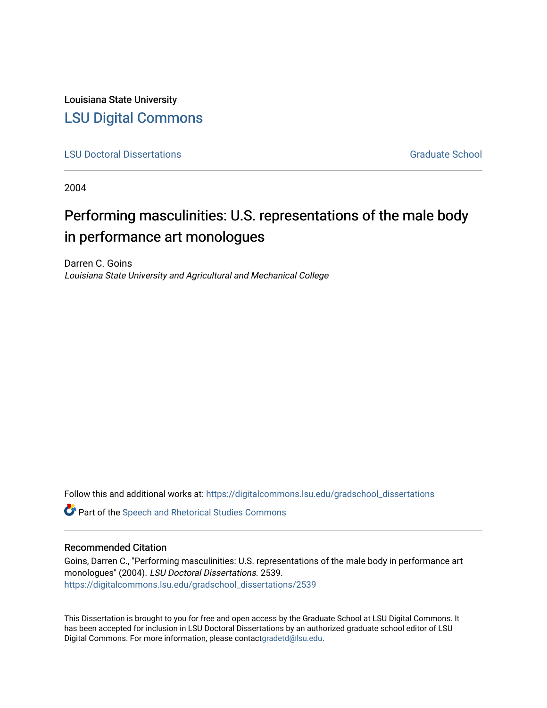Louisiana State University [LSU Digital Commons](https://digitalcommons.lsu.edu/)

**[LSU Doctoral Dissertations](https://digitalcommons.lsu.edu/gradschool_dissertations) Graduate School** Controller Controller Controller Controller Controller Controller Controller Controller Controller Controller Controller Controller Controller Controller Controller Controller C

2004

# Performing masculinities: U.S. representations of the male body in performance art monologues

Darren C. Goins Louisiana State University and Agricultural and Mechanical College

Follow this and additional works at: [https://digitalcommons.lsu.edu/gradschool\\_dissertations](https://digitalcommons.lsu.edu/gradschool_dissertations?utm_source=digitalcommons.lsu.edu%2Fgradschool_dissertations%2F2539&utm_medium=PDF&utm_campaign=PDFCoverPages)

**C** Part of the Speech and Rhetorical Studies Commons

### Recommended Citation

Goins, Darren C., "Performing masculinities: U.S. representations of the male body in performance art monologues" (2004). LSU Doctoral Dissertations. 2539. [https://digitalcommons.lsu.edu/gradschool\\_dissertations/2539](https://digitalcommons.lsu.edu/gradschool_dissertations/2539?utm_source=digitalcommons.lsu.edu%2Fgradschool_dissertations%2F2539&utm_medium=PDF&utm_campaign=PDFCoverPages)

This Dissertation is brought to you for free and open access by the Graduate School at LSU Digital Commons. It has been accepted for inclusion in LSU Doctoral Dissertations by an authorized graduate school editor of LSU Digital Commons. For more information, please contac[tgradetd@lsu.edu.](mailto:gradetd@lsu.edu)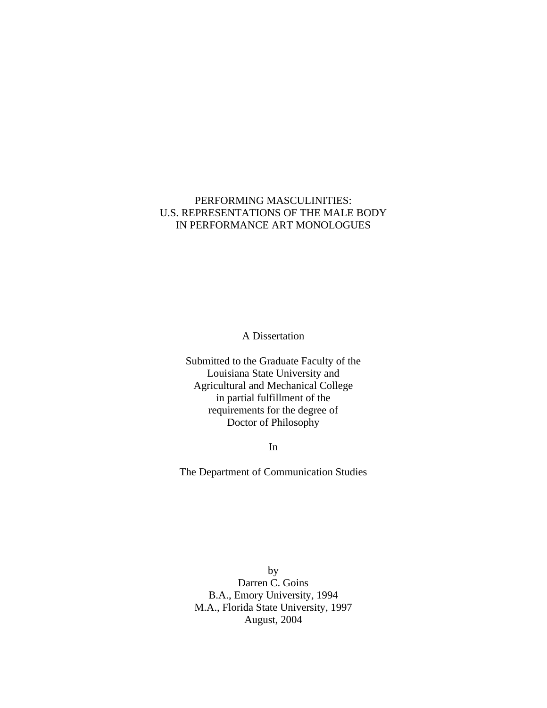## PERFORMING MASCULINITIES: U.S. REPRESENTATIONS OF THE MALE BODY IN PERFORMANCE ART MONOLOGUES

A Dissertation

Submitted to the Graduate Faculty of the Louisiana State University and Agricultural and Mechanical College in partial fulfillment of the requirements for the degree of Doctor of Philosophy

In

The Department of Communication Studies

by Darren C. Goins B.A., Emory University, 1994 M.A., Florida State University, 1997 August, 2004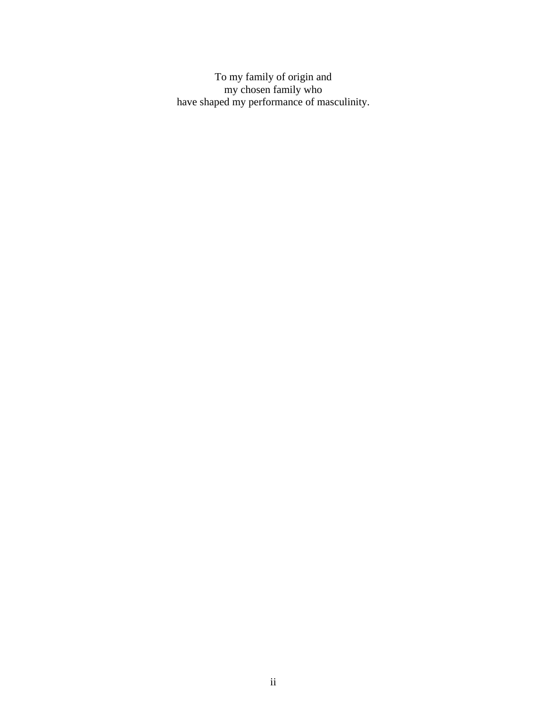To my family of origin and my chosen family who have shaped my performance of masculinity.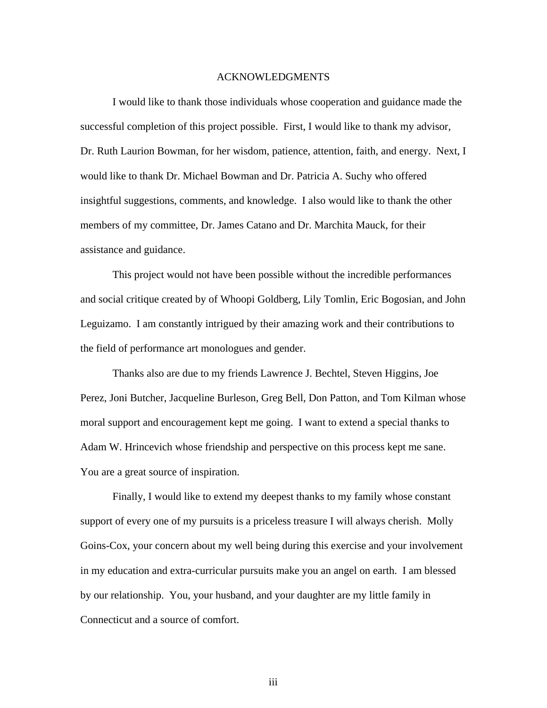#### ACKNOWLEDGMENTS

I would like to thank those individuals whose cooperation and guidance made the successful completion of this project possible. First, I would like to thank my advisor, Dr. Ruth Laurion Bowman, for her wisdom, patience, attention, faith, and energy. Next, I would like to thank Dr. Michael Bowman and Dr. Patricia A. Suchy who offered insightful suggestions, comments, and knowledge. I also would like to thank the other members of my committee, Dr. James Catano and Dr. Marchita Mauck, for their assistance and guidance.

This project would not have been possible without the incredible performances and social critique created by of Whoopi Goldberg, Lily Tomlin, Eric Bogosian, and John Leguizamo. I am constantly intrigued by their amazing work and their contributions to the field of performance art monologues and gender.

Thanks also are due to my friends Lawrence J. Bechtel, Steven Higgins, Joe Perez, Joni Butcher, Jacqueline Burleson, Greg Bell, Don Patton, and Tom Kilman whose moral support and encouragement kept me going. I want to extend a special thanks to Adam W. Hrincevich whose friendship and perspective on this process kept me sane. You are a great source of inspiration.

Finally, I would like to extend my deepest thanks to my family whose constant support of every one of my pursuits is a priceless treasure I will always cherish. Molly Goins-Cox, your concern about my well being during this exercise and your involvement in my education and extra-curricular pursuits make you an angel on earth. I am blessed by our relationship. You, your husband, and your daughter are my little family in Connecticut and a source of comfort.

iii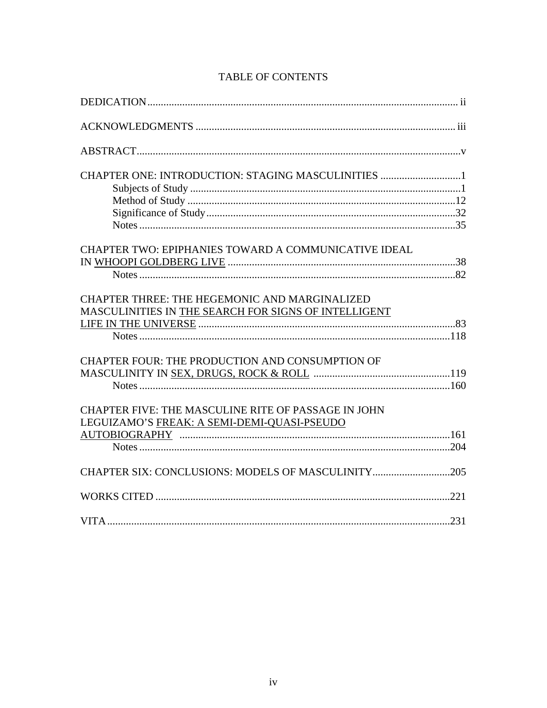| CHAPTER ONE: INTRODUCTION: STAGING MASCULINITIES 1     |  |
|--------------------------------------------------------|--|
|                                                        |  |
|                                                        |  |
|                                                        |  |
|                                                        |  |
| CHAPTER TWO: EPIPHANIES TOWARD A COMMUNICATIVE IDEAL   |  |
|                                                        |  |
|                                                        |  |
| <b>CHAPTER THREE: THE HEGEMONIC AND MARGINALIZED</b>   |  |
| MASCULINITIES IN THE SEARCH FOR SIGNS OF INTELLIGENT   |  |
|                                                        |  |
|                                                        |  |
| <b>CHAPTER FOUR: THE PRODUCTION AND CONSUMPTION OF</b> |  |
|                                                        |  |
|                                                        |  |
| CHAPTER FIVE: THE MASCULINE RITE OF PASSAGE IN JOHN    |  |
| LEGUIZAMO'S FREAK: A SEMI-DEMI-QUASI-PSEUDO            |  |
|                                                        |  |
|                                                        |  |
|                                                        |  |
|                                                        |  |
|                                                        |  |

# TABLE OF CONTENTS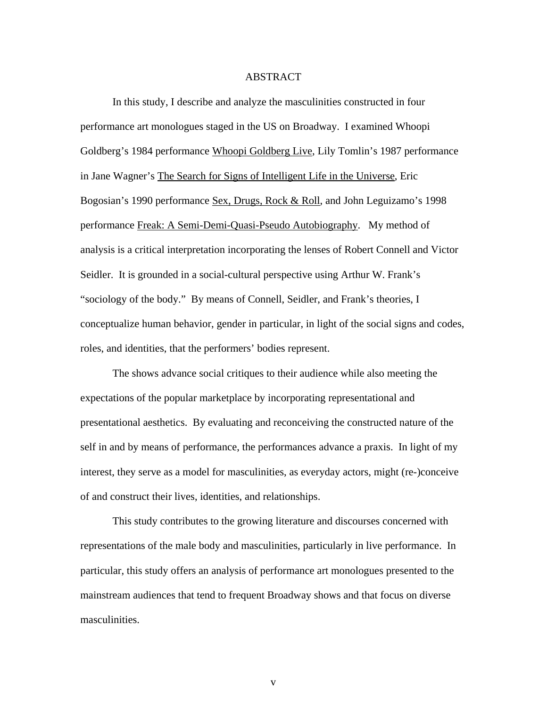#### ABSTRACT

In this study, I describe and analyze the masculinities constructed in four performance art monologues staged in the US on Broadway. I examined Whoopi Goldberg's 1984 performance Whoopi Goldberg Live, Lily Tomlin's 1987 performance in Jane Wagner's The Search for Signs of Intelligent Life in the Universe, Eric Bogosian's 1990 performance Sex, Drugs, Rock & Roll, and John Leguizamo's 1998 performance Freak: A Semi-Demi-Quasi-Pseudo Autobiography. My method of analysis is a critical interpretation incorporating the lenses of Robert Connell and Victor Seidler. It is grounded in a social-cultural perspective using Arthur W. Frank's "sociology of the body." By means of Connell, Seidler, and Frank's theories, I conceptualize human behavior, gender in particular, in light of the social signs and codes, roles, and identities, that the performers' bodies represent.

The shows advance social critiques to their audience while also meeting the expectations of the popular marketplace by incorporating representational and presentational aesthetics. By evaluating and reconceiving the constructed nature of the self in and by means of performance, the performances advance a praxis. In light of my interest, they serve as a model for masculinities, as everyday actors, might (re-)conceive of and construct their lives, identities, and relationships.

This study contributes to the growing literature and discourses concerned with representations of the male body and masculinities, particularly in live performance. In particular, this study offers an analysis of performance art monologues presented to the mainstream audiences that tend to frequent Broadway shows and that focus on diverse masculinities.

v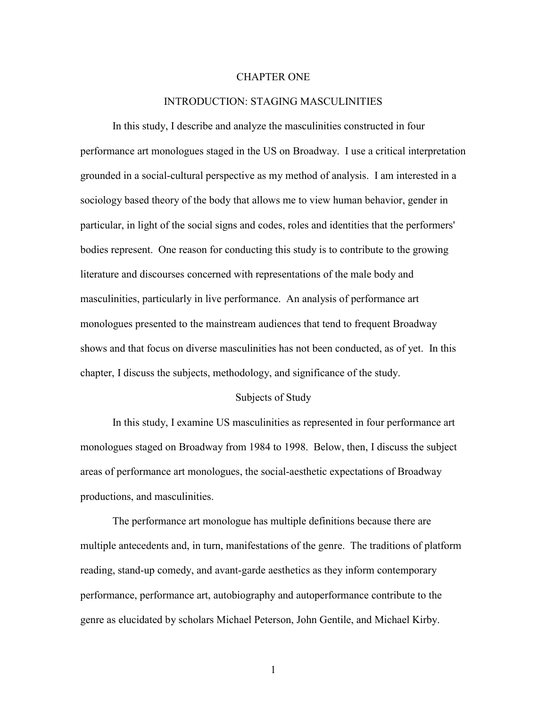#### CHAPTER ONE

#### INTRODUCTION: STAGING MASCULINITIES

In this study, I describe and analyze the masculinities constructed in four performance art monologues staged in the US on Broadway. I use a critical interpretation grounded in a social-cultural perspective as my method of analysis. I am interested in a sociology based theory of the body that allows me to view human behavior, gender in particular, in light of the social signs and codes, roles and identities that the performers' bodies represent. One reason for conducting this study is to contribute to the growing literature and discourses concerned with representations of the male body and masculinities, particularly in live performance. An analysis of performance art monologues presented to the mainstream audiences that tend to frequent Broadway shows and that focus on diverse masculinities has not been conducted, as of yet. In this chapter, I discuss the subjects, methodology, and significance of the study.

#### Subjects of Study

In this study, I examine US masculinities as represented in four performance art monologues staged on Broadway from 1984 to 1998. Below, then, I discuss the subject areas of performance art monologues, the social-aesthetic expectations of Broadway productions, and masculinities.

The performance art monologue has multiple definitions because there are multiple antecedents and, in turn, manifestations of the genre. The traditions of platform reading, stand-up comedy, and avant-garde aesthetics as they inform contemporary performance, performance art, autobiography and autoperformance contribute to the genre as elucidated by scholars Michael Peterson, John Gentile, and Michael Kirby.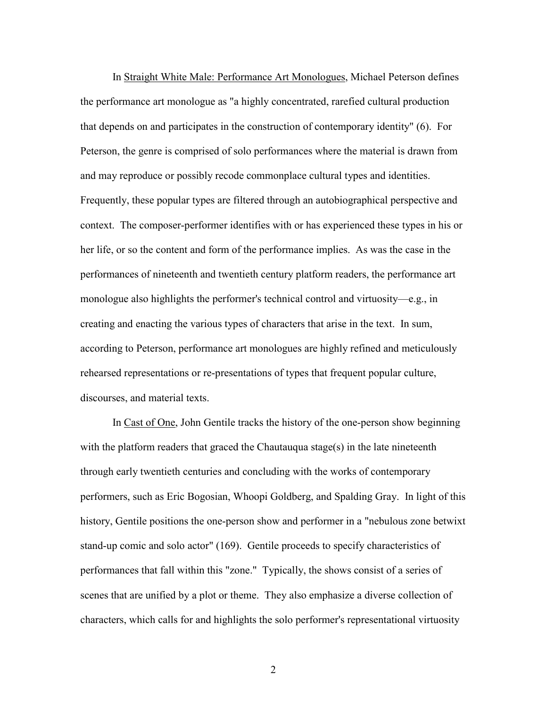In Straight White Male: Performance Art Monologues, Michael Peterson defines the performance art monologue as "a highly concentrated, rarefied cultural production that depends on and participates in the construction of contemporary identity" (6). For Peterson, the genre is comprised of solo performances where the material is drawn from and may reproduce or possibly recode commonplace cultural types and identities. Frequently, these popular types are filtered through an autobiographical perspective and context. The composer-performer identifies with or has experienced these types in his or her life, or so the content and form of the performance implies. As was the case in the performances of nineteenth and twentieth century platform readers, the performance art monologue also highlights the performer's technical control and virtuosity—e.g., in creating and enacting the various types of characters that arise in the text. In sum, according to Peterson, performance art monologues are highly refined and meticulously rehearsed representations or re-presentations of types that frequent popular culture, discourses, and material texts.

In Cast of One, John Gentile tracks the history of the one-person show beginning with the platform readers that graced the Chautauqua stage(s) in the late nineteenth through early twentieth centuries and concluding with the works of contemporary performers, such as Eric Bogosian, Whoopi Goldberg, and Spalding Gray. In light of this history, Gentile positions the one-person show and performer in a "nebulous zone betwixt stand-up comic and solo actor" (169). Gentile proceeds to specify characteristics of performances that fall within this "zone." Typically, the shows consist of a series of scenes that are unified by a plot or theme. They also emphasize a diverse collection of characters, which calls for and highlights the solo performer's representational virtuosity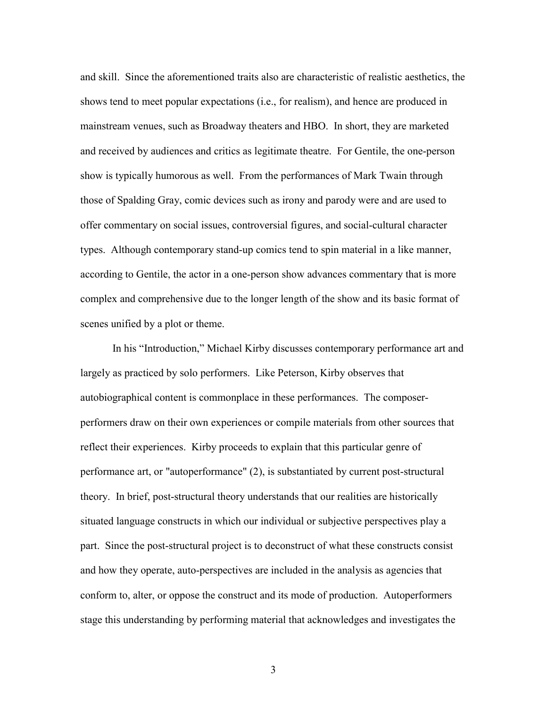and skill. Since the aforementioned traits also are characteristic of realistic aesthetics, the shows tend to meet popular expectations (i.e., for realism), and hence are produced in mainstream venues, such as Broadway theaters and HBO. In short, they are marketed and received by audiences and critics as legitimate theatre. For Gentile, the one-person show is typically humorous as well. From the performances of Mark Twain through those of Spalding Gray, comic devices such as irony and parody were and are used to offer commentary on social issues, controversial figures, and social-cultural character types. Although contemporary stand-up comics tend to spin material in a like manner, according to Gentile, the actor in a one-person show advances commentary that is more complex and comprehensive due to the longer length of the show and its basic format of scenes unified by a plot or theme.

In his "Introduction," Michael Kirby discusses contemporary performance art and largely as practiced by solo performers. Like Peterson, Kirby observes that autobiographical content is commonplace in these performances. The composerperformers draw on their own experiences or compile materials from other sources that reflect their experiences. Kirby proceeds to explain that this particular genre of performance art, or "autoperformance" (2), is substantiated by current post-structural theory. In brief, post-structural theory understands that our realities are historically situated language constructs in which our individual or subjective perspectives play a part. Since the post-structural project is to deconstruct of what these constructs consist and how they operate, auto-perspectives are included in the analysis as agencies that conform to, alter, or oppose the construct and its mode of production. Autoperformers stage this understanding by performing material that acknowledges and investigates the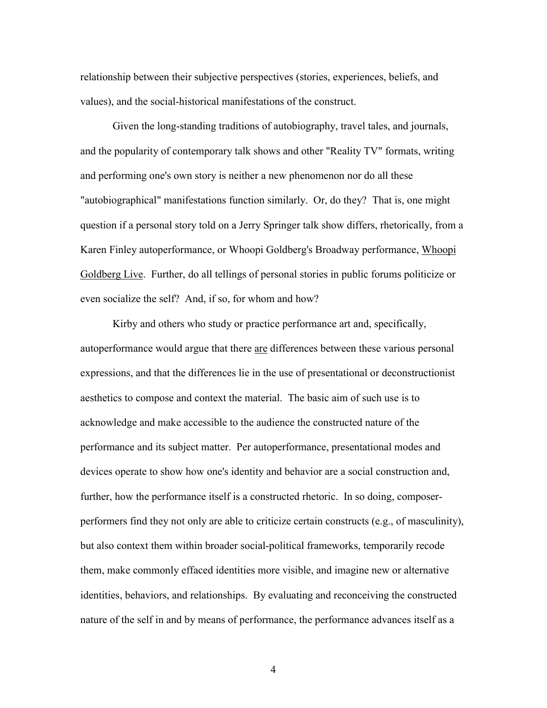relationship between their subjective perspectives (stories, experiences, beliefs, and values), and the social-historical manifestations of the construct.

Given the long-standing traditions of autobiography, travel tales, and journals, and the popularity of contemporary talk shows and other "Reality TV" formats, writing and performing one's own story is neither a new phenomenon nor do all these "autobiographical" manifestations function similarly. Or, do they? That is, one might question if a personal story told on a Jerry Springer talk show differs, rhetorically, from a Karen Finley autoperformance, or Whoopi Goldberg's Broadway performance, Whoopi Goldberg Live. Further, do all tellings of personal stories in public forums politicize or even socialize the self? And, if so, for whom and how?

Kirby and others who study or practice performance art and, specifically, autoperformance would argue that there are differences between these various personal expressions, and that the differences lie in the use of presentational or deconstructionist aesthetics to compose and context the material. The basic aim of such use is to acknowledge and make accessible to the audience the constructed nature of the performance and its subject matter. Per autoperformance, presentational modes and devices operate to show how one's identity and behavior are a social construction and, further, how the performance itself is a constructed rhetoric. In so doing, composerperformers find they not only are able to criticize certain constructs (e.g., of masculinity), but also context them within broader social-political frameworks, temporarily recode them, make commonly effaced identities more visible, and imagine new or alternative identities, behaviors, and relationships. By evaluating and reconceiving the constructed nature of the self in and by means of performance, the performance advances itself as a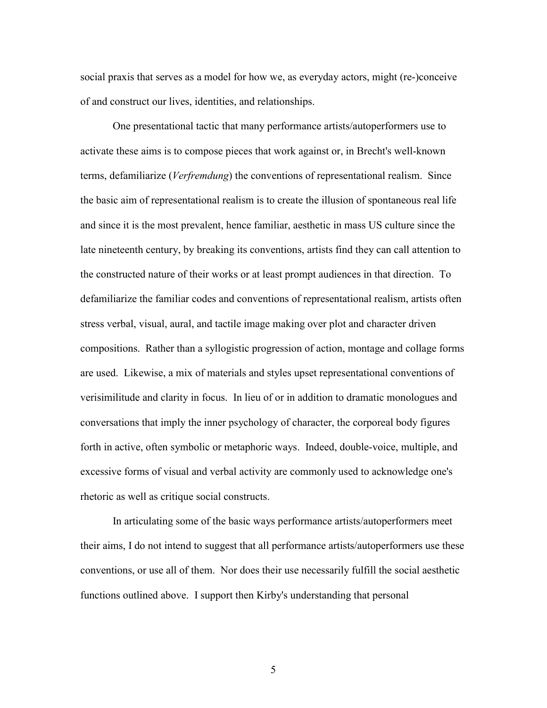social praxis that serves as a model for how we, as everyday actors, might (re-)conceive of and construct our lives, identities, and relationships.

One presentational tactic that many performance artists/autoperformers use to activate these aims is to compose pieces that work against or, in Brecht's well-known terms, defamiliarize (*Verfremdung*) the conventions of representational realism. Since the basic aim of representational realism is to create the illusion of spontaneous real life and since it is the most prevalent, hence familiar, aesthetic in mass US culture since the late nineteenth century, by breaking its conventions, artists find they can call attention to the constructed nature of their works or at least prompt audiences in that direction. To defamiliarize the familiar codes and conventions of representational realism, artists often stress verbal, visual, aural, and tactile image making over plot and character driven compositions. Rather than a syllogistic progression of action, montage and collage forms are used. Likewise, a mix of materials and styles upset representational conventions of verisimilitude and clarity in focus. In lieu of or in addition to dramatic monologues and conversations that imply the inner psychology of character, the corporeal body figures forth in active, often symbolic or metaphoric ways. Indeed, double-voice, multiple, and excessive forms of visual and verbal activity are commonly used to acknowledge one's rhetoric as well as critique social constructs.

In articulating some of the basic ways performance artists/autoperformers meet their aims, I do not intend to suggest that all performance artists/autoperformers use these conventions, or use all of them. Nor does their use necessarily fulfill the social aesthetic functions outlined above. I support then Kirby's understanding that personal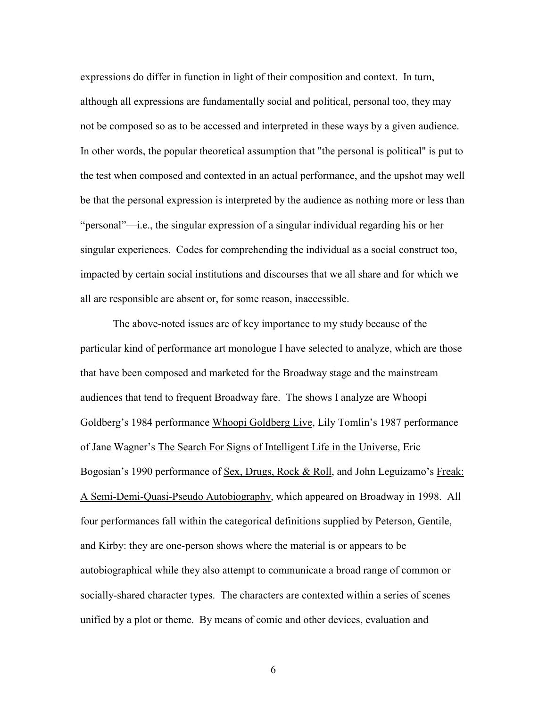expressions do differ in function in light of their composition and context. In turn, although all expressions are fundamentally social and political, personal too, they may not be composed so as to be accessed and interpreted in these ways by a given audience. In other words, the popular theoretical assumption that "the personal is political" is put to the test when composed and contexted in an actual performance, and the upshot may well be that the personal expression is interpreted by the audience as nothing more or less than "personal"—i.e., the singular expression of a singular individual regarding his or her singular experiences. Codes for comprehending the individual as a social construct too, impacted by certain social institutions and discourses that we all share and for which we all are responsible are absent or, for some reason, inaccessible.

The above-noted issues are of key importance to my study because of the particular kind of performance art monologue I have selected to analyze, which are those that have been composed and marketed for the Broadway stage and the mainstream audiences that tend to frequent Broadway fare. The shows I analyze are Whoopi Goldberg's 1984 performance Whoopi Goldberg Live, Lily Tomlin's 1987 performance of Jane Wagner's The Search For Signs of Intelligent Life in the Universe, Eric Bogosian's 1990 performance of Sex, Drugs, Rock & Roll, and John Leguizamo's Freak: A Semi-Demi-Quasi-Pseudo Autobiography, which appeared on Broadway in 1998. All four performances fall within the categorical definitions supplied by Peterson, Gentile, and Kirby: they are one-person shows where the material is or appears to be autobiographical while they also attempt to communicate a broad range of common or socially-shared character types. The characters are contexted within a series of scenes unified by a plot or theme. By means of comic and other devices, evaluation and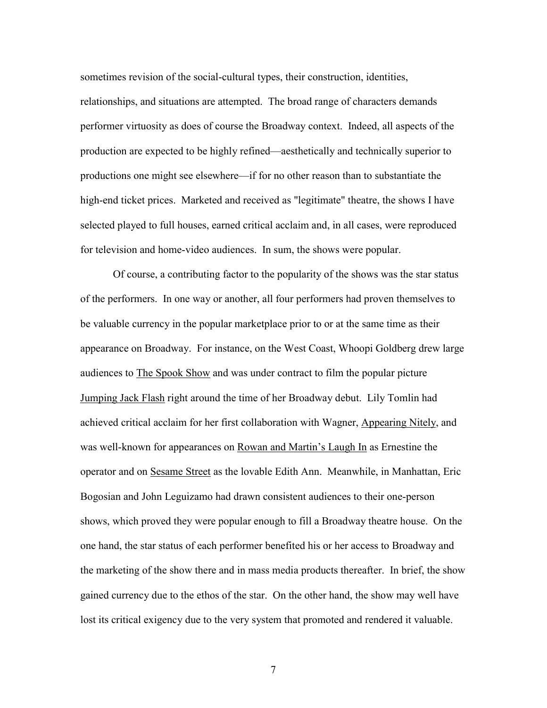sometimes revision of the social-cultural types, their construction, identities, relationships, and situations are attempted. The broad range of characters demands performer virtuosity as does of course the Broadway context. Indeed, all aspects of the production are expected to be highly refined—aesthetically and technically superior to productions one might see elsewhere—if for no other reason than to substantiate the high-end ticket prices. Marketed and received as "legitimate" theatre, the shows I have selected played to full houses, earned critical acclaim and, in all cases, were reproduced for television and home-video audiences. In sum, the shows were popular.

Of course, a contributing factor to the popularity of the shows was the star status of the performers. In one way or another, all four performers had proven themselves to be valuable currency in the popular marketplace prior to or at the same time as their appearance on Broadway. For instance, on the West Coast, Whoopi Goldberg drew large audiences to The Spook Show and was under contract to film the popular picture Jumping Jack Flash right around the time of her Broadway debut. Lily Tomlin had achieved critical acclaim for her first collaboration with Wagner, Appearing Nitely, and was well-known for appearances on Rowan and Martin's Laugh In as Ernestine the operator and on Sesame Street as the lovable Edith Ann. Meanwhile, in Manhattan, Eric Bogosian and John Leguizamo had drawn consistent audiences to their one-person shows, which proved they were popular enough to fill a Broadway theatre house. On the one hand, the star status of each performer benefited his or her access to Broadway and the marketing of the show there and in mass media products thereafter. In brief, the show gained currency due to the ethos of the star. On the other hand, the show may well have lost its critical exigency due to the very system that promoted and rendered it valuable.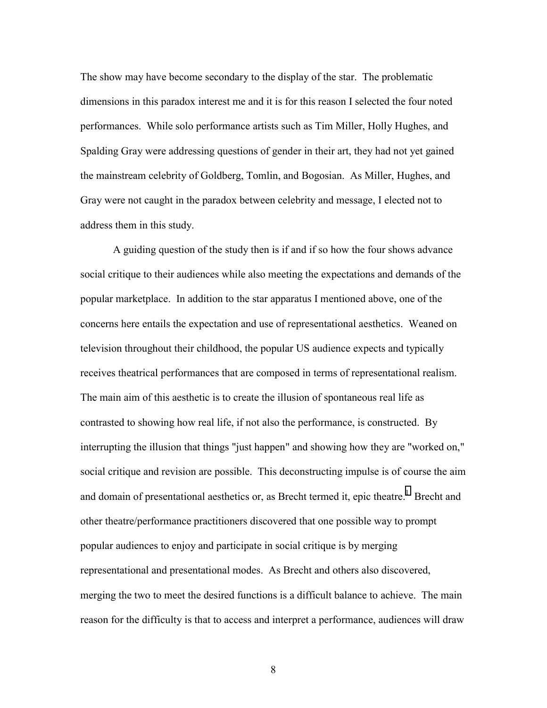The show may have become secondary to the display of the star. The problematic dimensions in this paradox interest me and it is for this reason I selected the four noted performances. While solo performance artists such as Tim Miller, Holly Hughes, and Spalding Gray were addressing questions of gender in their art, they had not yet gained the mainstream celebrity of Goldberg, Tomlin, and Bogosian. As Miller, Hughes, and Gray were not caught in the paradox between celebrity and message, I elected not to address them in this study.

A guiding question of the study then is if and if so how the four shows advance social critique to their audiences while also meeting the expectations and demands of the popular marketplace. In addition to the star apparatus I mentioned above, one of the concerns here entails the expectation and use of representational aesthetics. Weaned on television throughout their childhood, the popular US audience expects and typically receives theatrical performances that are composed in terms of representational realism. The main aim of this aesthetic is to create the illusion of spontaneous real life as contrasted to showing how real life, if not also the performance, is constructed. By interrupting the illusion that things "just happen" and showing how they are "worked on," social critique and revision are possible. This deconstructing impulse is of course the aim and domain of presentational aesthetics or, as Brecht termed it, epic theatre.<sup>[1](#page-42-0)</sup> Brecht and other theatre/performance practitioners discovered that one possible way to prompt popular audiences to enjoy and participate in social critique is by merging representational and presentational modes. As Brecht and others also discovered, merging the two to meet the desired functions is a difficult balance to achieve. The main reason for the difficulty is that to access and interpret a performance, audiences will draw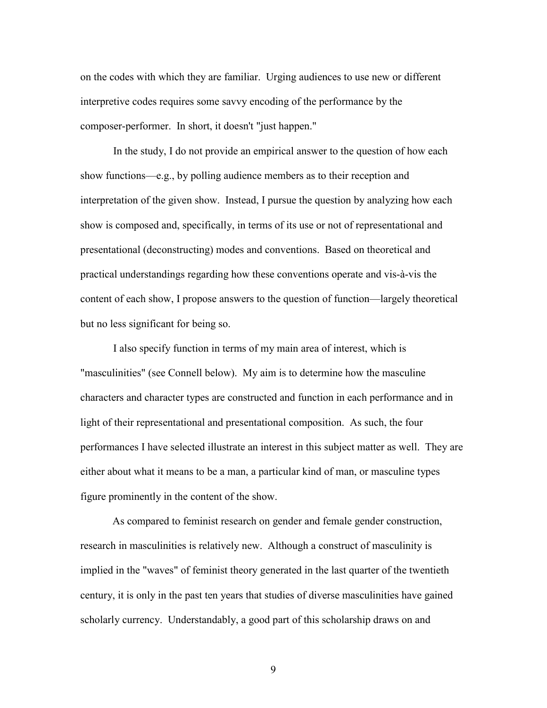on the codes with which they are familiar. Urging audiences to use new or different interpretive codes requires some savvy encoding of the performance by the composer-performer. In short, it doesn't "just happen."

In the study, I do not provide an empirical answer to the question of how each show functions—e.g., by polling audience members as to their reception and interpretation of the given show. Instead, I pursue the question by analyzing how each show is composed and, specifically, in terms of its use or not of representational and presentational (deconstructing) modes and conventions. Based on theoretical and practical understandings regarding how these conventions operate and vis-à-vis the content of each show, I propose answers to the question of function—largely theoretical but no less significant for being so.

I also specify function in terms of my main area of interest, which is "masculinities" (see Connell below). My aim is to determine how the masculine characters and character types are constructed and function in each performance and in light of their representational and presentational composition. As such, the four performances I have selected illustrate an interest in this subject matter as well. They are either about what it means to be a man, a particular kind of man, or masculine types figure prominently in the content of the show.

As compared to feminist research on gender and female gender construction, research in masculinities is relatively new. Although a construct of masculinity is implied in the "waves" of feminist theory generated in the last quarter of the twentieth century, it is only in the past ten years that studies of diverse masculinities have gained scholarly currency. Understandably, a good part of this scholarship draws on and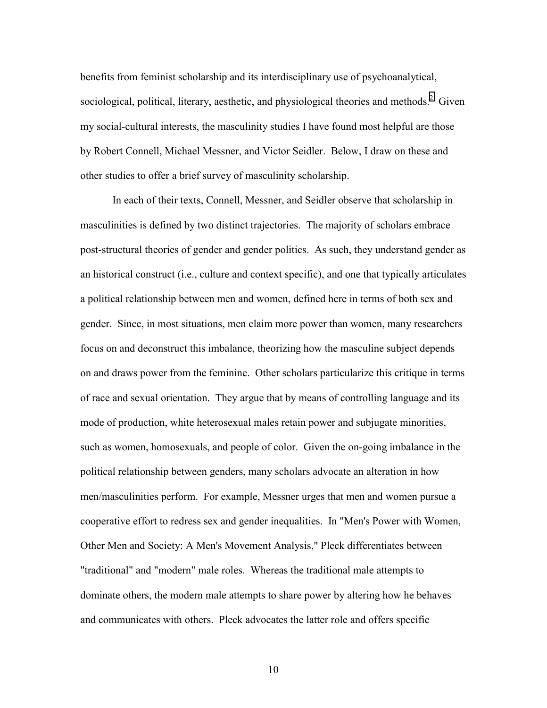benefits from feminist scholarship and its interdisciplinary use of psychoanalytical, sociological, political, literary, aesthetic, and physiological theories and methods.<sup>2</sup> Given my social-cultural interests, the masculinity studies I have found most helpful are those by Robert Connell, Michael Messner, and Victor Seidler. Below, I draw on these and other studies to offer a brief survey of masculinity scholarship.

In each of their texts, Connell, Messner, and Seidler observe that scholarship in masculinities is defined by two distinct trajectories. The majority of scholars embrace post-structural theories of gender and gender politics. As such, they understand gender as an historical construct (i.e., culture and context specific), and one that typically articulates a political relationship between men and women, defined here in terms of both sex and gender. Since, in most situations, men claim more power than women, many researchers focus on and deconstruct this imbalance, theorizing how the masculine subject depends on and draws power from the feminine. Other scholars particularize this critique in terms of race and sexual orientation. They argue that by means of controlling language and its mode of production, white heterosexual males retain power and subjugate minorities, such as women, homosexuals, and people of color. Given the on-going imbalance in the political relationship between genders, many scholars advocate an alteration in how men/masculinities perform. For example, Messner urges that men and women pursue a cooperative effort to redress sex and gender inequalities. In "Men's Power with Women, Other Men and Society: A Men's Movement Analysis," Pleck differentiates between "traditional" and "modern" male roles. Whereas the traditional male attempts to dominate others, the modern male attempts to share power by altering how he behaves and communicates with others. Pleck advocates the latter role and offers specific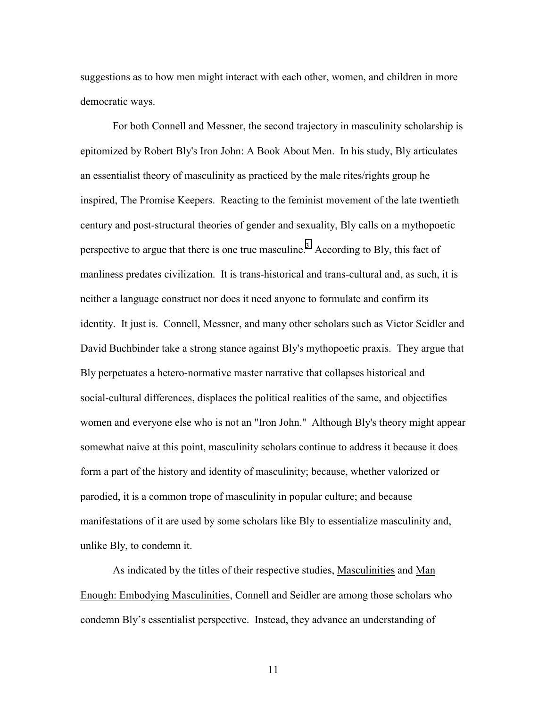suggestions as to how men might interact with each other, women, and children in more democratic ways.

For both Connell and Messner, the second trajectory in masculinity scholarship is epitomized by Robert Bly's Iron John: A Book About Men. In his study, Bly articulates an essentialist theory of masculinity as practiced by the male rites/rights group he inspired, The Promise Keepers. Reacting to the feminist movement of the late twentieth century and post-structural theories of gender and sexuality, Bly calls on a mythopoetic perspective to argue that there is one true masculine.<sup>3</sup> According to Bly, this fact of manliness predates civilization. It is trans-historical and trans-cultural and, as such, it is neither a language construct nor does it need anyone to formulate and confirm its identity. It just is. Connell, Messner, and many other scholars such as Victor Seidler and David Buchbinder take a strong stance against Bly's mythopoetic praxis. They argue that Bly perpetuates a hetero-normative master narrative that collapses historical and social-cultural differences, displaces the political realities of the same, and objectifies women and everyone else who is not an "Iron John." Although Bly's theory might appear somewhat naive at this point, masculinity scholars continue to address it because it does form a part of the history and identity of masculinity; because, whether valorized or parodied, it is a common trope of masculinity in popular culture; and because manifestations of it are used by some scholars like Bly to essentialize masculinity and, unlike Bly, to condemn it.

As indicated by the titles of their respective studies, Masculinities and Man Enough: Embodying Masculinities, Connell and Seidler are among those scholars who condemn Bly's essentialist perspective. Instead, they advance an understanding of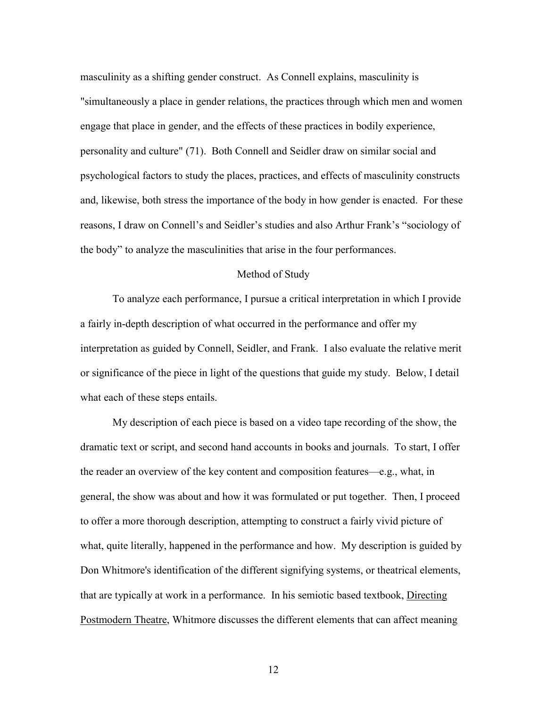masculinity as a shifting gender construct. As Connell explains, masculinity is "simultaneously a place in gender relations, the practices through which men and women engage that place in gender, and the effects of these practices in bodily experience, personality and culture" (71). Both Connell and Seidler draw on similar social and psychological factors to study the places, practices, and effects of masculinity constructs and, likewise, both stress the importance of the body in how gender is enacted. For these reasons, I draw on Connell's and Seidler's studies and also Arthur Frank's "sociology of the body" to analyze the masculinities that arise in the four performances.

#### Method of Study

To analyze each performance, I pursue a critical interpretation in which I provide a fairly in-depth description of what occurred in the performance and offer my interpretation as guided by Connell, Seidler, and Frank. I also evaluate the relative merit or significance of the piece in light of the questions that guide my study. Below, I detail what each of these steps entails.

My description of each piece is based on a video tape recording of the show, the dramatic text or script, and second hand accounts in books and journals. To start, I offer the reader an overview of the key content and composition features—e.g., what, in general, the show was about and how it was formulated or put together. Then, I proceed to offer a more thorough description, attempting to construct a fairly vivid picture of what, quite literally, happened in the performance and how. My description is guided by Don Whitmore's identification of the different signifying systems, or theatrical elements, that are typically at work in a performance. In his semiotic based textbook, Directing Postmodern Theatre, Whitmore discusses the different elements that can affect meaning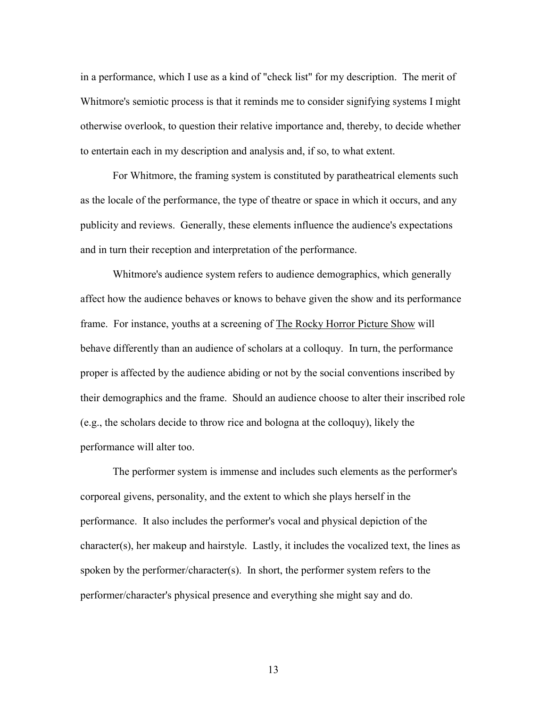in a performance, which I use as a kind of "check list" for my description. The merit of Whitmore's semiotic process is that it reminds me to consider signifying systems I might otherwise overlook, to question their relative importance and, thereby, to decide whether to entertain each in my description and analysis and, if so, to what extent.

For Whitmore, the framing system is constituted by paratheatrical elements such as the locale of the performance, the type of theatre or space in which it occurs, and any publicity and reviews. Generally, these elements influence the audience's expectations and in turn their reception and interpretation of the performance.

Whitmore's audience system refers to audience demographics, which generally affect how the audience behaves or knows to behave given the show and its performance frame. For instance, youths at a screening of The Rocky Horror Picture Show will behave differently than an audience of scholars at a colloquy. In turn, the performance proper is affected by the audience abiding or not by the social conventions inscribed by their demographics and the frame. Should an audience choose to alter their inscribed role (e.g., the scholars decide to throw rice and bologna at the colloquy), likely the performance will alter too.

The performer system is immense and includes such elements as the performer's corporeal givens, personality, and the extent to which she plays herself in the performance. It also includes the performer's vocal and physical depiction of the character(s), her makeup and hairstyle. Lastly, it includes the vocalized text, the lines as spoken by the performer/character(s). In short, the performer system refers to the performer/character's physical presence and everything she might say and do.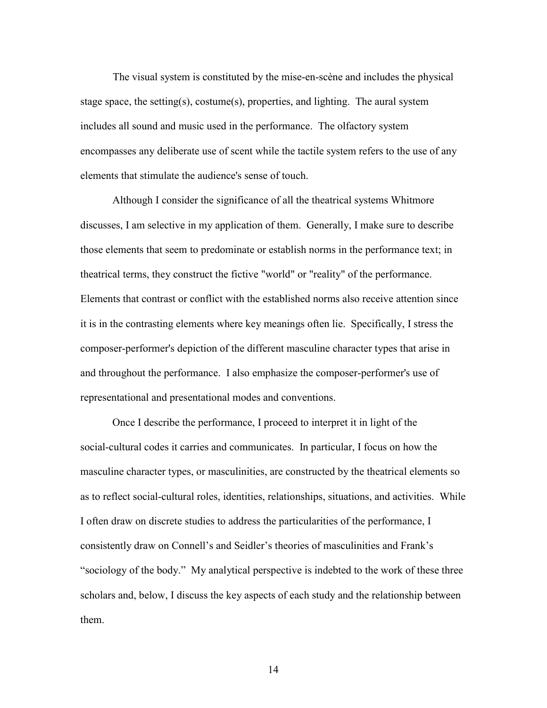The visual system is constituted by the mise-en-scène and includes the physical stage space, the setting(s), costume(s), properties, and lighting. The aural system includes all sound and music used in the performance. The olfactory system encompasses any deliberate use of scent while the tactile system refers to the use of any elements that stimulate the audience's sense of touch.

Although I consider the significance of all the theatrical systems Whitmore discusses, I am selective in my application of them. Generally, I make sure to describe those elements that seem to predominate or establish norms in the performance text; in theatrical terms, they construct the fictive "world" or "reality" of the performance. Elements that contrast or conflict with the established norms also receive attention since it is in the contrasting elements where key meanings often lie. Specifically, I stress the composer-performer's depiction of the different masculine character types that arise in and throughout the performance. I also emphasize the composer-performer's use of representational and presentational modes and conventions.

Once I describe the performance, I proceed to interpret it in light of the social-cultural codes it carries and communicates. In particular, I focus on how the masculine character types, or masculinities, are constructed by the theatrical elements so as to reflect social-cultural roles, identities, relationships, situations, and activities. While I often draw on discrete studies to address the particularities of the performance, I consistently draw on Connell's and Seidler's theories of masculinities and Frank's "sociology of the body." My analytical perspective is indebted to the work of these three scholars and, below, I discuss the key aspects of each study and the relationship between them.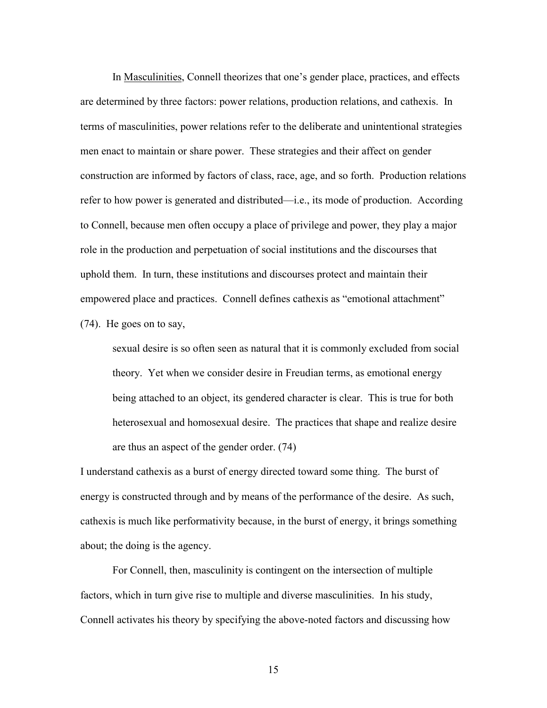In Masculinities, Connell theorizes that one's gender place, practices, and effects are determined by three factors: power relations, production relations, and cathexis. In terms of masculinities, power relations refer to the deliberate and unintentional strategies men enact to maintain or share power. These strategies and their affect on gender construction are informed by factors of class, race, age, and so forth. Production relations refer to how power is generated and distributed—i.e., its mode of production. According to Connell, because men often occupy a place of privilege and power, they play a major role in the production and perpetuation of social institutions and the discourses that uphold them. In turn, these institutions and discourses protect and maintain their empowered place and practices. Connell defines cathexis as "emotional attachment" (74). He goes on to say,

sexual desire is so often seen as natural that it is commonly excluded from social theory. Yet when we consider desire in Freudian terms, as emotional energy being attached to an object, its gendered character is clear. This is true for both heterosexual and homosexual desire. The practices that shape and realize desire are thus an aspect of the gender order. (74)

I understand cathexis as a burst of energy directed toward some thing. The burst of energy is constructed through and by means of the performance of the desire. As such, cathexis is much like performativity because, in the burst of energy, it brings something about; the doing is the agency.

For Connell, then, masculinity is contingent on the intersection of multiple factors, which in turn give rise to multiple and diverse masculinities. In his study, Connell activates his theory by specifying the above-noted factors and discussing how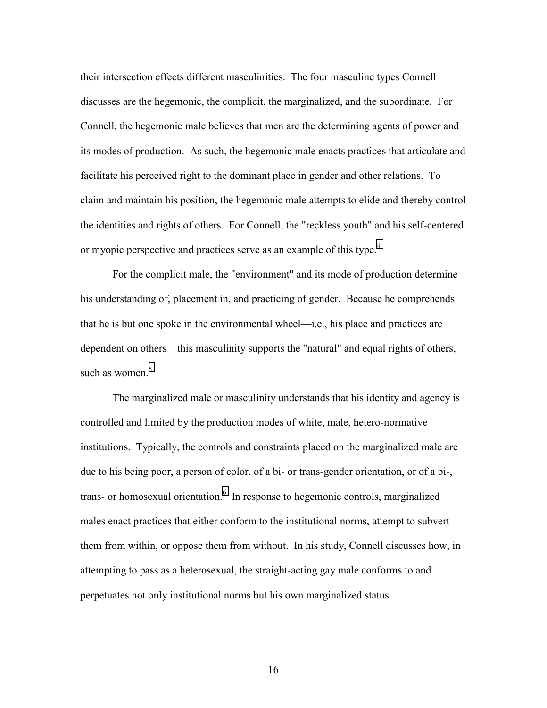their intersection effects different masculinities. The four masculine types Connell discusses are the hegemonic, the complicit, the marginalized, and the subordinate. For Connell, the hegemonic male believes that men are the determining agents of power and its modes of production. As such, the hegemonic male enacts practices that articulate and facilitate his perceived right to the dominant place in gender and other relations. To claim and maintain his position, the hegemonic male attempts to elide and thereby control the identities and rights of others. For Connell, the "reckless youth" and his self-centered or myopic perspective and practices serve as an example of this type.<sup>[4](#page-42-0)</sup>

For the complicit male, the "environment" and its mode of production determine his understanding of, placement in, and practicing of gender. Because he comprehends that he is but one spoke in the environmental wheel—i.e., his place and practices are dependent on others—this masculinity supports the "natural" and equal rights of others, such as women. $5$ 

The marginalized male or masculinity understands that his identity and agency is controlled and limited by the production modes of white, male, hetero-normative institutions. Typically, the controls and constraints placed on the marginalized male are due to his being poor, a person of color, of a bi- or trans-gender orientation, or of a bi-, trans- or homosexual orientation.<sup>6</sup> In response to hegemonic controls, marginalized males enact practices that either conform to the institutional norms, attempt to subvert them from within, or oppose them from without. In his study, Connell discusses how, in attempting to pass as a heterosexual, the straight-acting gay male conforms to and perpetuates not only institutional norms but his own marginalized status.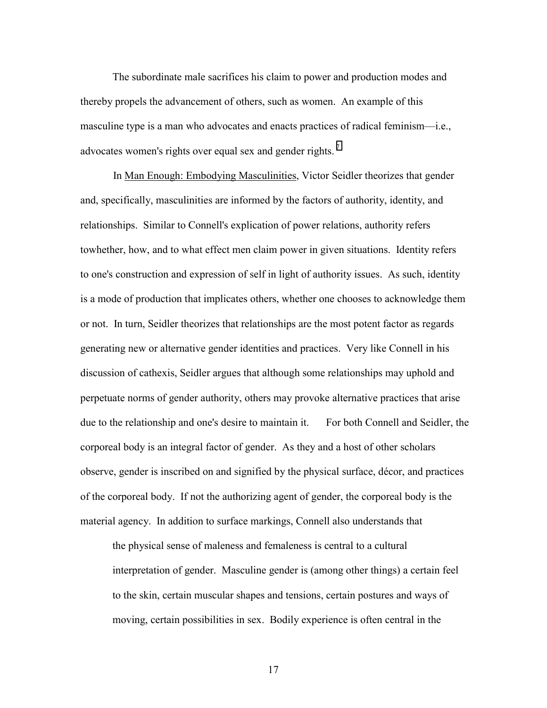The subordinate male sacrifices his claim to power and production modes and thereby propels the advancement of others, such as women. An example of this masculine type is a man who advocates and enacts practices of radical feminism—i.e., advocates women's rights over equal sex and gender rights.<sup>[7](#page-42-0)</sup>

In Man Enough: Embodying Masculinities, Victor Seidler theorizes that gender and, specifically, masculinities are informed by the factors of authority, identity, and relationships. Similar to Connell's explication of power relations, authority refers towhether, how, and to what effect men claim power in given situations. Identity refers to one's construction and expression of self in light of authority issues. As such, identity is a mode of production that implicates others, whether one chooses to acknowledge them or not. In turn, Seidler theorizes that relationships are the most potent factor as regards generating new or alternative gender identities and practices. Very like Connell in his discussion of cathexis, Seidler argues that although some relationships may uphold and perpetuate norms of gender authority, others may provoke alternative practices that arise due to the relationship and one's desire to maintain it. For both Connell and Seidler, the corporeal body is an integral factor of gender. As they and a host of other scholars observe, gender is inscribed on and signified by the physical surface, décor, and practices of the corporeal body. If not the authorizing agent of gender, the corporeal body is the material agency. In addition to surface markings, Connell also understands that

the physical sense of maleness and femaleness is central to a cultural interpretation of gender. Masculine gender is (among other things) a certain feel to the skin, certain muscular shapes and tensions, certain postures and ways of moving, certain possibilities in sex. Bodily experience is often central in the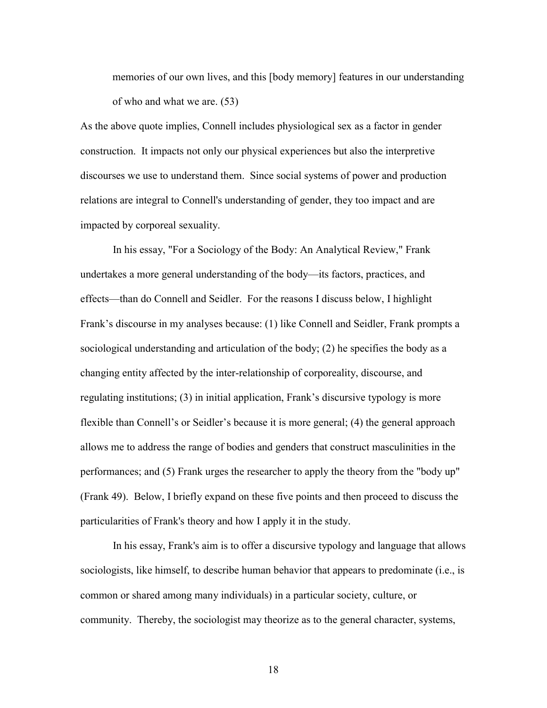memories of our own lives, and this [body memory] features in our understanding of who and what we are. (53)

As the above quote implies, Connell includes physiological sex as a factor in gender construction. It impacts not only our physical experiences but also the interpretive discourses we use to understand them. Since social systems of power and production relations are integral to Connell's understanding of gender, they too impact and are impacted by corporeal sexuality.

In his essay, "For a Sociology of the Body: An Analytical Review," Frank undertakes a more general understanding of the body—its factors, practices, and effects—than do Connell and Seidler. For the reasons I discuss below, I highlight Frank's discourse in my analyses because: (1) like Connell and Seidler, Frank prompts a sociological understanding and articulation of the body; (2) he specifies the body as a changing entity affected by the inter-relationship of corporeality, discourse, and regulating institutions; (3) in initial application, Frank's discursive typology is more flexible than Connell's or Seidler's because it is more general; (4) the general approach allows me to address the range of bodies and genders that construct masculinities in the performances; and (5) Frank urges the researcher to apply the theory from the "body up" (Frank 49). Below, I briefly expand on these five points and then proceed to discuss the particularities of Frank's theory and how I apply it in the study.

In his essay, Frank's aim is to offer a discursive typology and language that allows sociologists, like himself, to describe human behavior that appears to predominate (i.e., is common or shared among many individuals) in a particular society, culture, or community. Thereby, the sociologist may theorize as to the general character, systems,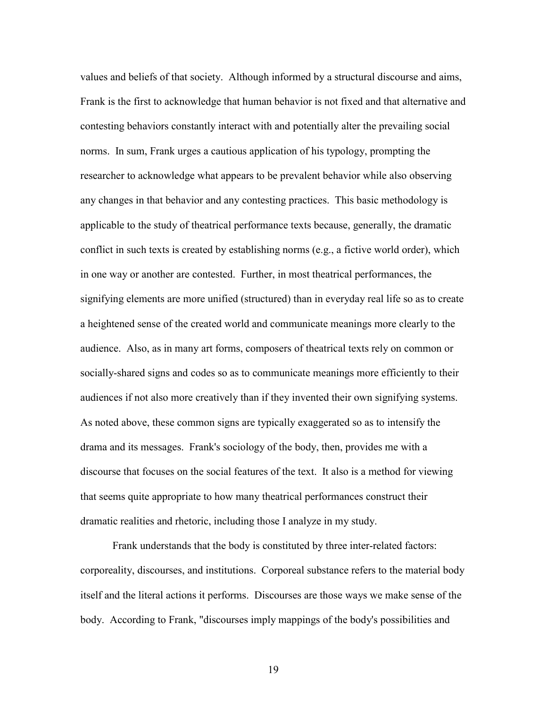values and beliefs of that society. Although informed by a structural discourse and aims, Frank is the first to acknowledge that human behavior is not fixed and that alternative and contesting behaviors constantly interact with and potentially alter the prevailing social norms. In sum, Frank urges a cautious application of his typology, prompting the researcher to acknowledge what appears to be prevalent behavior while also observing any changes in that behavior and any contesting practices. This basic methodology is applicable to the study of theatrical performance texts because, generally, the dramatic conflict in such texts is created by establishing norms (e.g., a fictive world order), which in one way or another are contested. Further, in most theatrical performances, the signifying elements are more unified (structured) than in everyday real life so as to create a heightened sense of the created world and communicate meanings more clearly to the audience. Also, as in many art forms, composers of theatrical texts rely on common or socially-shared signs and codes so as to communicate meanings more efficiently to their audiences if not also more creatively than if they invented their own signifying systems. As noted above, these common signs are typically exaggerated so as to intensify the drama and its messages. Frank's sociology of the body, then, provides me with a discourse that focuses on the social features of the text. It also is a method for viewing that seems quite appropriate to how many theatrical performances construct their dramatic realities and rhetoric, including those I analyze in my study.

Frank understands that the body is constituted by three inter-related factors: corporeality, discourses, and institutions. Corporeal substance refers to the material body itself and the literal actions it performs. Discourses are those ways we make sense of the body. According to Frank, "discourses imply mappings of the body's possibilities and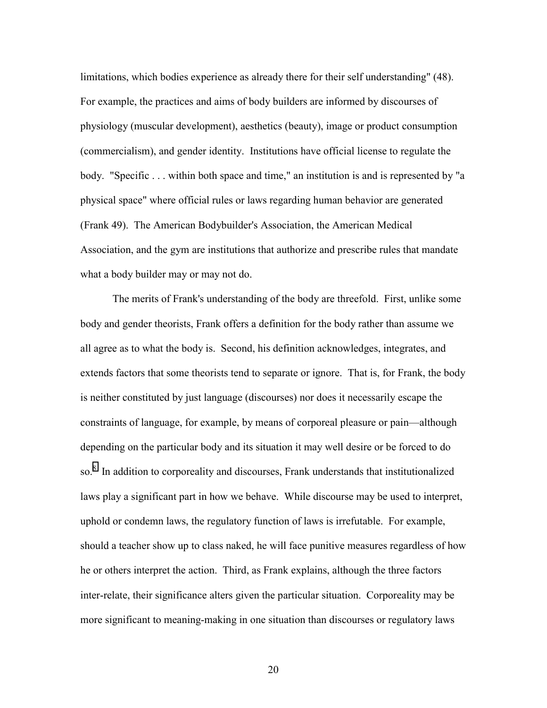limitations, which bodies experience as already there for their self understanding" (48). For example, the practices and aims of body builders are informed by discourses of physiology (muscular development), aesthetics (beauty), image or product consumption (commercialism), and gender identity. Institutions have official license to regulate the body. "Specific ... within both space and time," an institution is and is represented by "a physical space" where official rules or laws regarding human behavior are generated (Frank 49). The American Bodybuilder's Association, the American Medical Association, and the gym are institutions that authorize and prescribe rules that mandate what a body builder may or may not do.

The merits of Frank's understanding of the body are threefold. First, unlike some body and gender theorists, Frank offers a definition for the body rather than assume we all agree as to what the body is. Second, his definition acknowledges, integrates, and extends factors that some theorists tend to separate or ignore. That is, for Frank, the body is neither constituted by just language (discourses) nor does it necessarily escape the constraints of language, for example, by means of corporeal pleasure or pain—although depending on the particular body and its situation it may well desire or be forced to do so.<sup>[8](#page-42-0)</sup> In addition to corporeality and discourses, Frank understands that institutionalized laws play a significant part in how we behave. While discourse may be used to interpret, uphold or condemn laws, the regulatory function of laws is irrefutable. For example, should a teacher show up to class naked, he will face punitive measures regardless of how he or others interpret the action. Third, as Frank explains, although the three factors inter-relate, their significance alters given the particular situation. Corporeality may be more significant to meaning-making in one situation than discourses or regulatory laws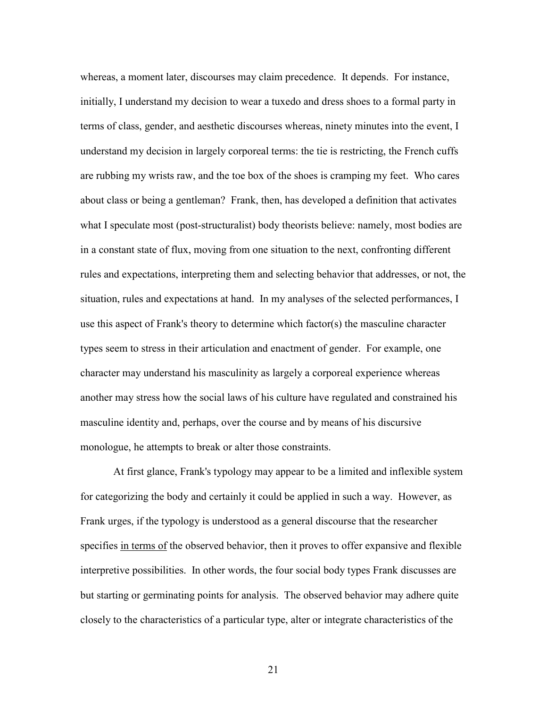whereas, a moment later, discourses may claim precedence. It depends. For instance, initially, I understand my decision to wear a tuxedo and dress shoes to a formal party in terms of class, gender, and aesthetic discourses whereas, ninety minutes into the event, I understand my decision in largely corporeal terms: the tie is restricting, the French cuffs are rubbing my wrists raw, and the toe box of the shoes is cramping my feet. Who cares about class or being a gentleman? Frank, then, has developed a definition that activates what I speculate most (post-structuralist) body theorists believe: namely, most bodies are in a constant state of flux, moving from one situation to the next, confronting different rules and expectations, interpreting them and selecting behavior that addresses, or not, the situation, rules and expectations at hand. In my analyses of the selected performances, I use this aspect of Frank's theory to determine which factor(s) the masculine character types seem to stress in their articulation and enactment of gender. For example, one character may understand his masculinity as largely a corporeal experience whereas another may stress how the social laws of his culture have regulated and constrained his masculine identity and, perhaps, over the course and by means of his discursive monologue, he attempts to break or alter those constraints.

At first glance, Frank's typology may appear to be a limited and inflexible system for categorizing the body and certainly it could be applied in such a way. However, as Frank urges, if the typology is understood as a general discourse that the researcher specifies in terms of the observed behavior, then it proves to offer expansive and flexible interpretive possibilities. In other words, the four social body types Frank discusses are but starting or germinating points for analysis. The observed behavior may adhere quite closely to the characteristics of a particular type, alter or integrate characteristics of the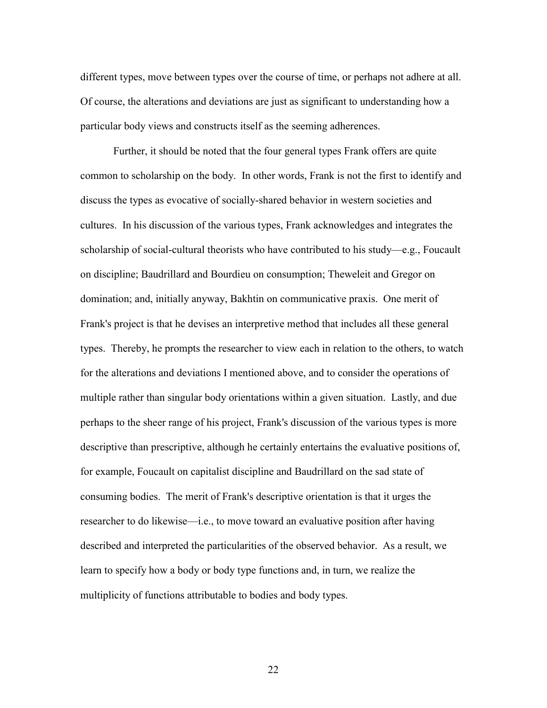different types, move between types over the course of time, or perhaps not adhere at all. Of course, the alterations and deviations are just as significant to understanding how a particular body views and constructs itself as the seeming adherences.

Further, it should be noted that the four general types Frank offers are quite common to scholarship on the body. In other words, Frank is not the first to identify and discuss the types as evocative of socially-shared behavior in western societies and cultures. In his discussion of the various types, Frank acknowledges and integrates the scholarship of social-cultural theorists who have contributed to his study—e.g., Foucault on discipline; Baudrillard and Bourdieu on consumption; Theweleit and Gregor on domination; and, initially anyway, Bakhtin on communicative praxis. One merit of Frank's project is that he devises an interpretive method that includes all these general types. Thereby, he prompts the researcher to view each in relation to the others, to watch for the alterations and deviations I mentioned above, and to consider the operations of multiple rather than singular body orientations within a given situation. Lastly, and due perhaps to the sheer range of his project, Frank's discussion of the various types is more descriptive than prescriptive, although he certainly entertains the evaluative positions of, for example, Foucault on capitalist discipline and Baudrillard on the sad state of consuming bodies. The merit of Frank's descriptive orientation is that it urges the researcher to do likewise—i.e., to move toward an evaluative position after having described and interpreted the particularities of the observed behavior. As a result, we learn to specify how a body or body type functions and, in turn, we realize the multiplicity of functions attributable to bodies and body types.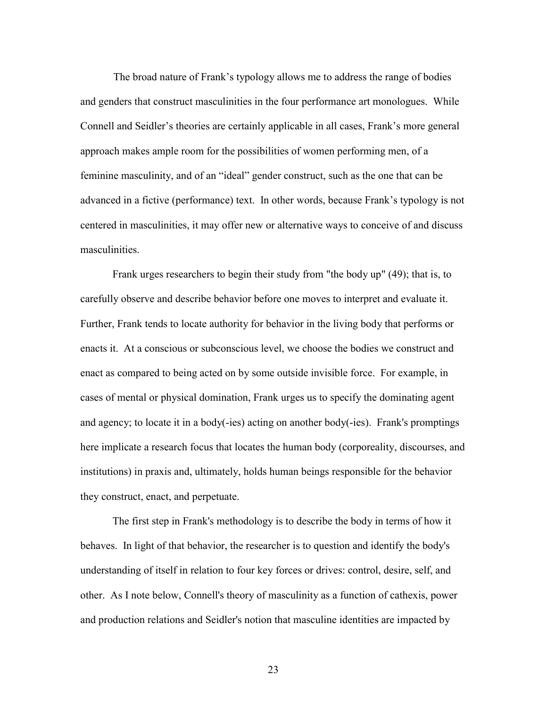The broad nature of Frank's typology allows me to address the range of bodies and genders that construct masculinities in the four performance art monologues. While Connell and Seidler's theories are certainly applicable in all cases, Frank's more general approach makes ample room for the possibilities of women performing men, of a feminine masculinity, and of an "ideal" gender construct, such as the one that can be advanced in a fictive (performance) text. In other words, because Frank's typology is not centered in masculinities, it may offer new or alternative ways to conceive of and discuss masculinities.

Frank urges researchers to begin their study from "the body up" (49); that is, to carefully observe and describe behavior before one moves to interpret and evaluate it. Further, Frank tends to locate authority for behavior in the living body that performs or enacts it. At a conscious or subconscious level, we choose the bodies we construct and enact as compared to being acted on by some outside invisible force. For example, in cases of mental or physical domination, Frank urges us to specify the dominating agent and agency; to locate it in a body(-ies) acting on another body(-ies). Frank's promptings here implicate a research focus that locates the human body (corporeality, discourses, and institutions) in praxis and, ultimately, holds human beings responsible for the behavior they construct, enact, and perpetuate.

The first step in Frank's methodology is to describe the body in terms of how it behaves. In light of that behavior, the researcher is to question and identify the body's understanding of itself in relation to four key forces or drives: control, desire, self, and other. As I note below, Connell's theory of masculinity as a function of cathexis, power and production relations and Seidler's notion that masculine identities are impacted by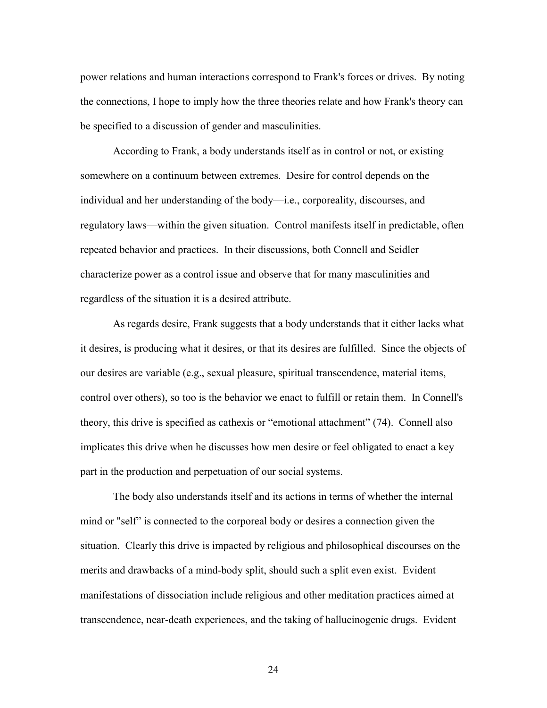power relations and human interactions correspond to Frank's forces or drives. By noting the connections, I hope to imply how the three theories relate and how Frank's theory can be specified to a discussion of gender and masculinities.

According to Frank, a body understands itself as in control or not, or existing somewhere on a continuum between extremes. Desire for control depends on the individual and her understanding of the body—i.e., corporeality, discourses, and regulatory laws—within the given situation. Control manifests itself in predictable, often repeated behavior and practices. In their discussions, both Connell and Seidler characterize power as a control issue and observe that for many masculinities and regardless of the situation it is a desired attribute.

As regards desire, Frank suggests that a body understands that it either lacks what it desires, is producing what it desires, or that its desires are fulfilled. Since the objects of our desires are variable (e.g., sexual pleasure, spiritual transcendence, material items, control over others), so too is the behavior we enact to fulfill or retain them. In Connell's theory, this drive is specified as cathexis or "emotional attachment" (74). Connell also implicates this drive when he discusses how men desire or feel obligated to enact a key part in the production and perpetuation of our social systems.

The body also understands itself and its actions in terms of whether the internal mind or "self" is connected to the corporeal body or desires a connection given the situation. Clearly this drive is impacted by religious and philosophical discourses on the merits and drawbacks of a mind-body split, should such a split even exist. Evident manifestations of dissociation include religious and other meditation practices aimed at transcendence, near-death experiences, and the taking of hallucinogenic drugs. Evident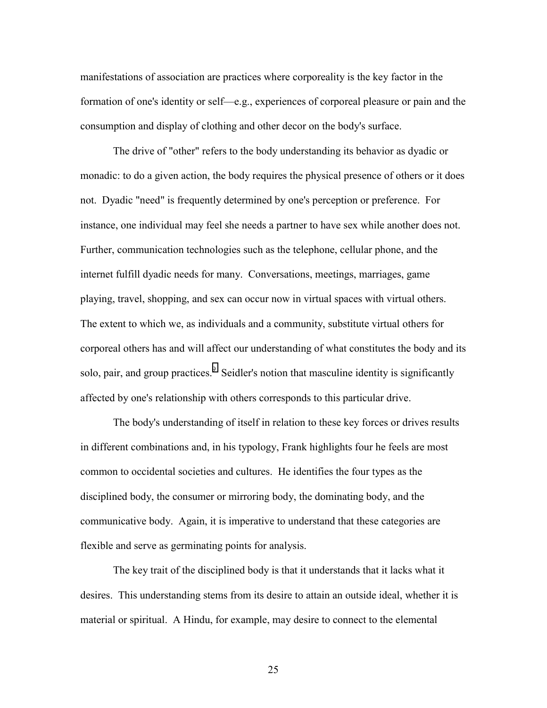manifestations of association are practices where corporeality is the key factor in the formation of one's identity or self—e.g., experiences of corporeal pleasure or pain and the consumption and display of clothing and other decor on the body's surface.

The drive of "other" refers to the body understanding its behavior as dyadic or monadic: to do a given action, the body requires the physical presence of others or it does not. Dyadic "need" is frequently determined by one's perception or preference. For instance, one individual may feel she needs a partner to have sex while another does not. Further, communication technologies such as the telephone, cellular phone, and the internet fulfill dyadic needs for many. Conversations, meetings, marriages, game playing, travel, shopping, and sex can occur now in virtual spaces with virtual others. The extent to which we, as individuals and a community, substitute virtual others for corporeal others has and will affect our understanding of what constitutes the body and its solo, pair, and group practices.<sup>[9](#page-42-0)</sup> Seidler's notion that masculine identity is significantly affected by one's relationship with others corresponds to this particular drive.

The body's understanding of itself in relation to these key forces or drives results in different combinations and, in his typology, Frank highlights four he feels are most common to occidental societies and cultures. He identifies the four types as the disciplined body, the consumer or mirroring body, the dominating body, and the communicative body. Again, it is imperative to understand that these categories are flexible and serve as germinating points for analysis.

The key trait of the disciplined body is that it understands that it lacks what it desires. This understanding stems from its desire to attain an outside ideal, whether it is material or spiritual. A Hindu, for example, may desire to connect to the elemental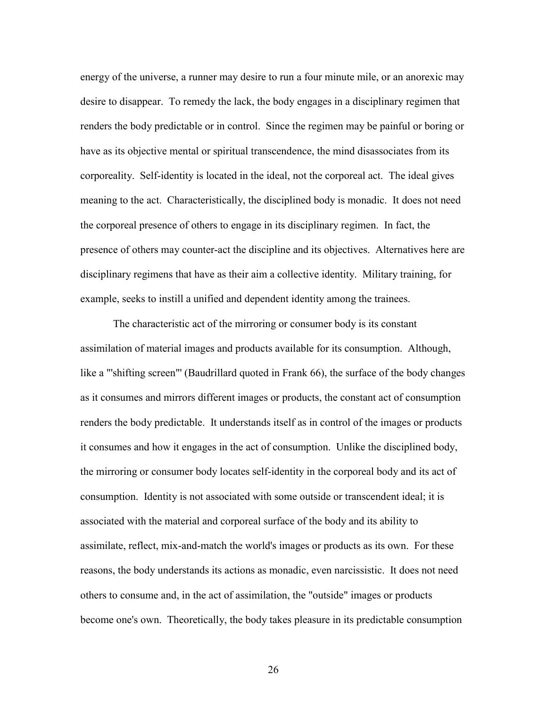energy of the universe, a runner may desire to run a four minute mile, or an anorexic may desire to disappear. To remedy the lack, the body engages in a disciplinary regimen that renders the body predictable or in control. Since the regimen may be painful or boring or have as its objective mental or spiritual transcendence, the mind disassociates from its corporeality. Self-identity is located in the ideal, not the corporeal act. The ideal gives meaning to the act. Characteristically, the disciplined body is monadic. It does not need the corporeal presence of others to engage in its disciplinary regimen. In fact, the presence of others may counter-act the discipline and its objectives. Alternatives here are disciplinary regimens that have as their aim a collective identity. Military training, for example, seeks to instill a unified and dependent identity among the trainees.

The characteristic act of the mirroring or consumer body is its constant assimilation of material images and products available for its consumption. Although, like a "'shifting screen"' (Baudrillard quoted in Frank 66), the surface of the body changes as it consumes and mirrors different images or products, the constant act of consumption renders the body predictable. It understands itself as in control of the images or products it consumes and how it engages in the act of consumption. Unlike the disciplined body, the mirroring or consumer body locates self-identity in the corporeal body and its act of consumption. Identity is not associated with some outside or transcendent ideal; it is associated with the material and corporeal surface of the body and its ability to assimilate, reflect, mix-and-match the world's images or products as its own. For these reasons, the body understands its actions as monadic, even narcissistic. It does not need others to consume and, in the act of assimilation, the "outside" images or products become one's own. Theoretically, the body takes pleasure in its predictable consumption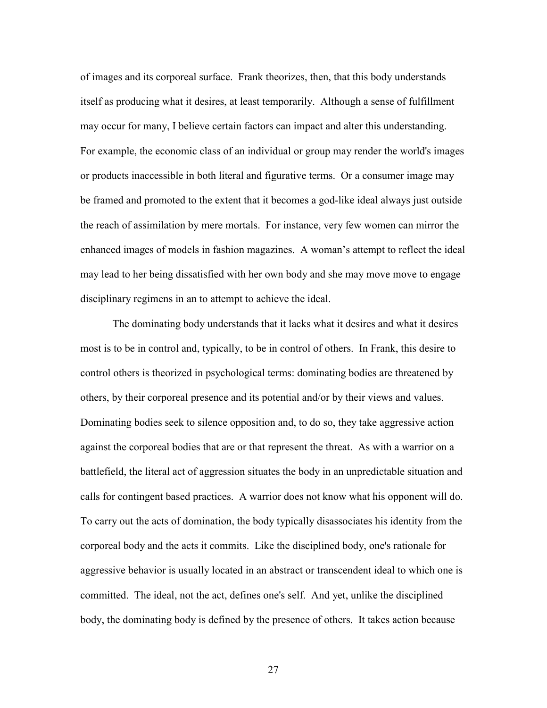of images and its corporeal surface. Frank theorizes, then, that this body understands itself as producing what it desires, at least temporarily. Although a sense of fulfillment may occur for many, I believe certain factors can impact and alter this understanding. For example, the economic class of an individual or group may render the world's images or products inaccessible in both literal and figurative terms. Or a consumer image may be framed and promoted to the extent that it becomes a god-like ideal always just outside the reach of assimilation by mere mortals. For instance, very few women can mirror the enhanced images of models in fashion magazines. A woman's attempt to reflect the ideal may lead to her being dissatisfied with her own body and she may move move to engage disciplinary regimens in an to attempt to achieve the ideal.

The dominating body understands that it lacks what it desires and what it desires most is to be in control and, typically, to be in control of others. In Frank, this desire to control others is theorized in psychological terms: dominating bodies are threatened by others, by their corporeal presence and its potential and/or by their views and values. Dominating bodies seek to silence opposition and, to do so, they take aggressive action against the corporeal bodies that are or that represent the threat. As with a warrior on a battlefield, the literal act of aggression situates the body in an unpredictable situation and calls for contingent based practices. A warrior does not know what his opponent will do. To carry out the acts of domination, the body typically disassociates his identity from the corporeal body and the acts it commits. Like the disciplined body, one's rationale for aggressive behavior is usually located in an abstract or transcendent ideal to which one is committed. The ideal, not the act, defines one's self. And yet, unlike the disciplined body, the dominating body is defined by the presence of others. It takes action because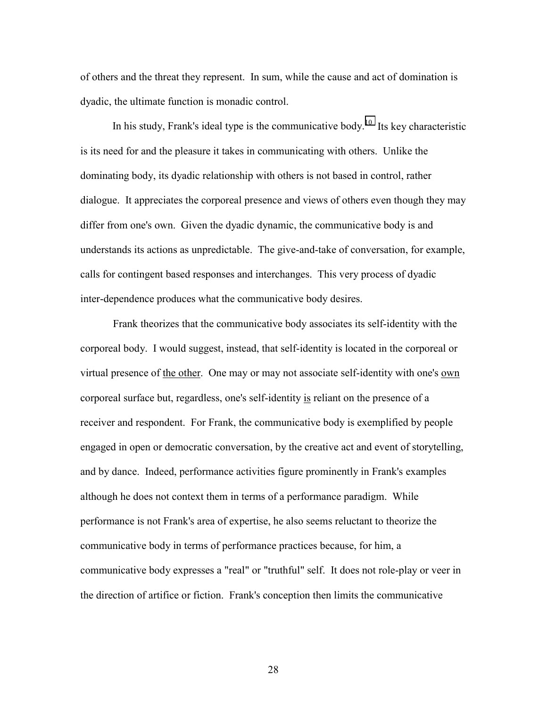of others and the threat they represent. In sum, while the cause and act of domination is dyadic, the ultimate function is monadic control.

In his study, Frank's ideal type is the communicative body.<sup>10</sup> Its key characteristic is its need for and the pleasure it takes in communicating with others. Unlike the dominating body, its dyadic relationship with others is not based in control, rather dialogue. It appreciates the corporeal presence and views of others even though they may differ from one's own. Given the dyadic dynamic, the communicative body is and understands its actions as unpredictable. The give-and-take of conversation, for example, calls for contingent based responses and interchanges. This very process of dyadic inter-dependence produces what the communicative body desires.

Frank theorizes that the communicative body associates its self-identity with the corporeal body. I would suggest, instead, that self-identity is located in the corporeal or virtual presence of the other. One may or may not associate self-identity with one's <u>own</u> corporeal surface but, regardless, one's self-identity is reliant on the presence of a receiver and respondent. For Frank, the communicative body is exemplified by people engaged in open or democratic conversation, by the creative act and event of storytelling, and by dance. Indeed, performance activities figure prominently in Frank's examples although he does not context them in terms of a performance paradigm. While performance is not Frank's area of expertise, he also seems reluctant to theorize the communicative body in terms of performance practices because, for him, a communicative body expresses a "real" or "truthful" self. It does not role-play or veer in the direction of artifice or fiction. Frank's conception then limits the communicative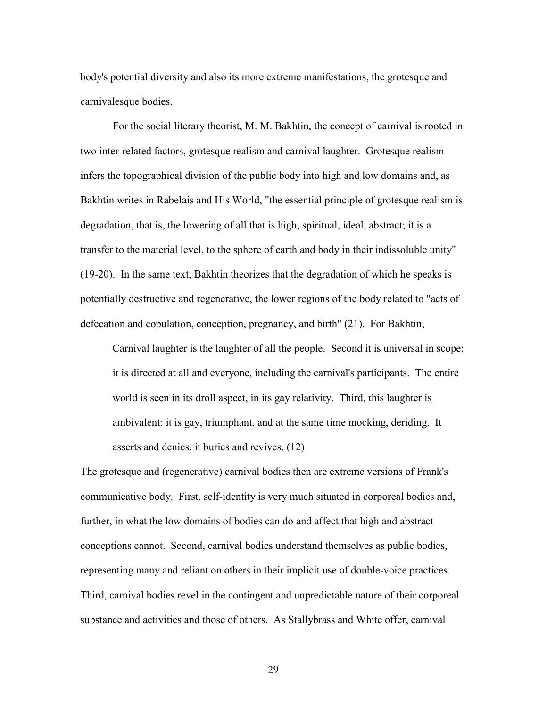body's potential diversity and also its more extreme manifestations, the grotesque and carnivalesque bodies.

For the social literary theorist, M. M. Bakhtin, the concept of carnival is rooted in two inter-related factors, grotesque realism and carnival laughter. Grotesque realism infers the topographical division of the public body into high and low domains and, as Bakhtin writes in Rabelais and His World, "the essential principle of grotesque realism is degradation, that is, the lowering of all that is high, spiritual, ideal, abstract; it is a transfer to the material level, to the sphere of earth and body in their indissoluble unity" (19-20). In the same text, Bakhtin theorizes that the degradation of which he speaks is potentially destructive and regenerative, the lower regions of the body related to "acts of defecation and copulation, conception, pregnancy, and birth" (21). For Bakhtin,

Carnival laughter is the laughter of all the people. Second it is universal in scope; it is directed at all and everyone, including the carnival's participants. The entire world is seen in its droll aspect, in its gay relativity. Third, this laughter is ambivalent: it is gay, triumphant, and at the same time mocking, deriding. It asserts and denies, it buries and revives. (12)

The grotesque and (regenerative) carnival bodies then are extreme versions of Frank's communicative body. First, self-identity is very much situated in corporeal bodies and, further, in what the low domains of bodies can do and affect that high and abstract conceptions cannot. Second, carnival bodies understand themselves as public bodies, representing many and reliant on others in their implicit use of double-voice practices. Third, carnival bodies revel in the contingent and unpredictable nature of their corporeal substance and activities and those of others. As Stallybrass and White offer, carnival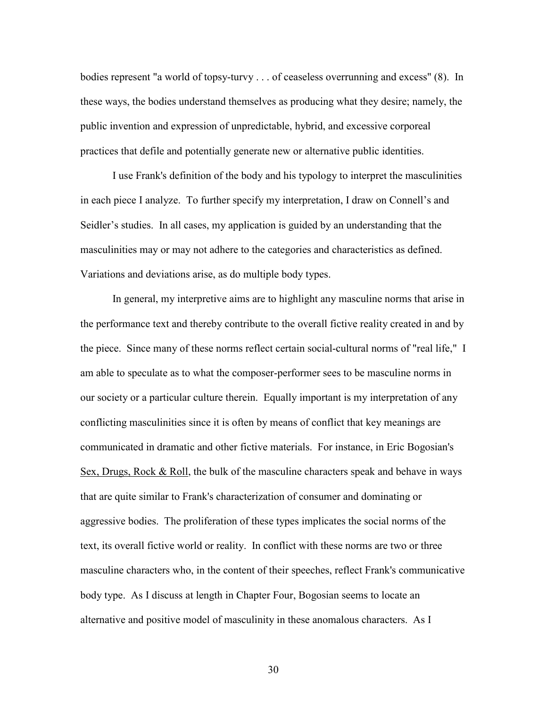bodies represent "a world of topsy-turvy . . . of ceaseless overrunning and excess" (8). In these ways, the bodies understand themselves as producing what they desire; namely, the public invention and expression of unpredictable, hybrid, and excessive corporeal practices that defile and potentially generate new or alternative public identities.

I use Frank's definition of the body and his typology to interpret the masculinities in each piece I analyze. To further specify my interpretation, I draw on Connell's and Seidler's studies. In all cases, my application is guided by an understanding that the masculinities may or may not adhere to the categories and characteristics as defined. Variations and deviations arise, as do multiple body types.

In general, my interpretive aims are to highlight any masculine norms that arise in the performance text and thereby contribute to the overall fictive reality created in and by the piece. Since many of these norms reflect certain social-cultural norms of "real life," I am able to speculate as to what the composer-performer sees to be masculine norms in our society or a particular culture therein. Equally important is my interpretation of any conflicting masculinities since it is often by means of conflict that key meanings are communicated in dramatic and other fictive materials. For instance, in Eric Bogosian's Sex, Drugs, Rock & Roll, the bulk of the masculine characters speak and behave in ways that are quite similar to Frank's characterization of consumer and dominating or aggressive bodies. The proliferation of these types implicates the social norms of the text, its overall fictive world or reality. In conflict with these norms are two or three masculine characters who, in the content of their speeches, reflect Frank's communicative body type. As I discuss at length in Chapter Four, Bogosian seems to locate an alternative and positive model of masculinity in these anomalous characters. As I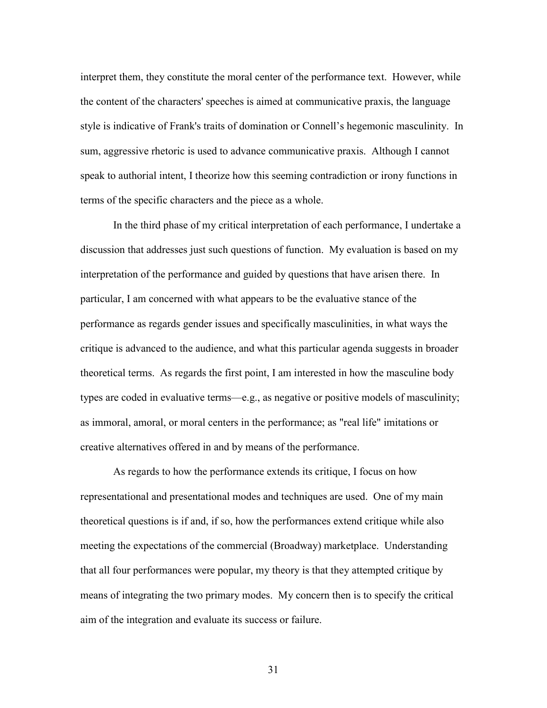interpret them, they constitute the moral center of the performance text. However, while the content of the characters' speeches is aimed at communicative praxis, the language style is indicative of Frank's traits of domination or Connell's hegemonic masculinity. In sum, aggressive rhetoric is used to advance communicative praxis. Although I cannot speak to authorial intent, I theorize how this seeming contradiction or irony functions in terms of the specific characters and the piece as a whole.

In the third phase of my critical interpretation of each performance, I undertake a discussion that addresses just such questions of function. My evaluation is based on my interpretation of the performance and guided by questions that have arisen there. In particular, I am concerned with what appears to be the evaluative stance of the performance as regards gender issues and specifically masculinities, in what ways the critique is advanced to the audience, and what this particular agenda suggests in broader theoretical terms. As regards the first point, I am interested in how the masculine body types are coded in evaluative terms—e.g., as negative or positive models of masculinity; as immoral, amoral, or moral centers in the performance; as "real life" imitations or creative alternatives offered in and by means of the performance.

As regards to how the performance extends its critique, I focus on how representational and presentational modes and techniques are used. One of my main theoretical questions is if and, if so, how the performances extend critique while also meeting the expectations of the commercial (Broadway) marketplace. Understanding that all four performances were popular, my theory is that they attempted critique by means of integrating the two primary modes. My concern then is to specify the critical aim of the integration and evaluate its success or failure.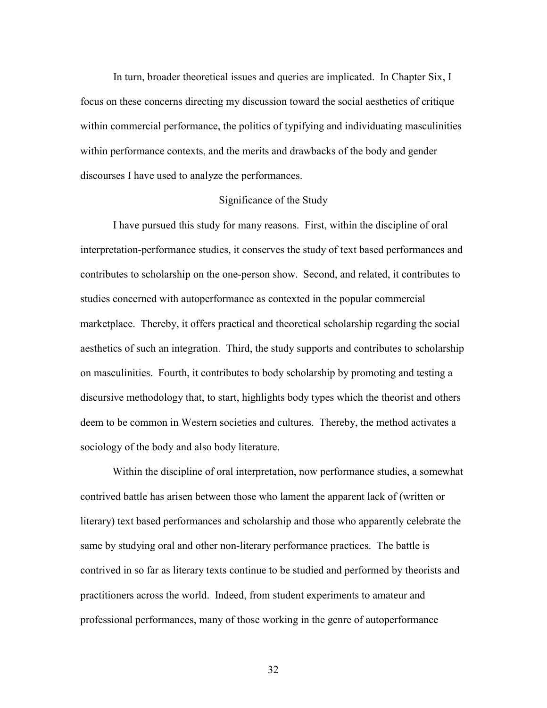In turn, broader theoretical issues and queries are implicated. In Chapter Six, I focus on these concerns directing my discussion toward the social aesthetics of critique within commercial performance, the politics of typifying and individuating masculinities within performance contexts, and the merits and drawbacks of the body and gender discourses I have used to analyze the performances.

## Significance of the Study

I have pursued this study for many reasons. First, within the discipline of oral interpretation-performance studies, it conserves the study of text based performances and contributes to scholarship on the one-person show. Second, and related, it contributes to studies concerned with autoperformance as contexted in the popular commercial marketplace. Thereby, it offers practical and theoretical scholarship regarding the social aesthetics of such an integration. Third, the study supports and contributes to scholarship on masculinities. Fourth, it contributes to body scholarship by promoting and testing a discursive methodology that, to start, highlights body types which the theorist and others deem to be common in Western societies and cultures. Thereby, the method activates a sociology of the body and also body literature.

Within the discipline of oral interpretation, now performance studies, a somewhat contrived battle has arisen between those who lament the apparent lack of (written or literary) text based performances and scholarship and those who apparently celebrate the same by studying oral and other non-literary performance practices. The battle is contrived in so far as literary texts continue to be studied and performed by theorists and practitioners across the world. Indeed, from student experiments to amateur and professional performances, many of those working in the genre of autoperformance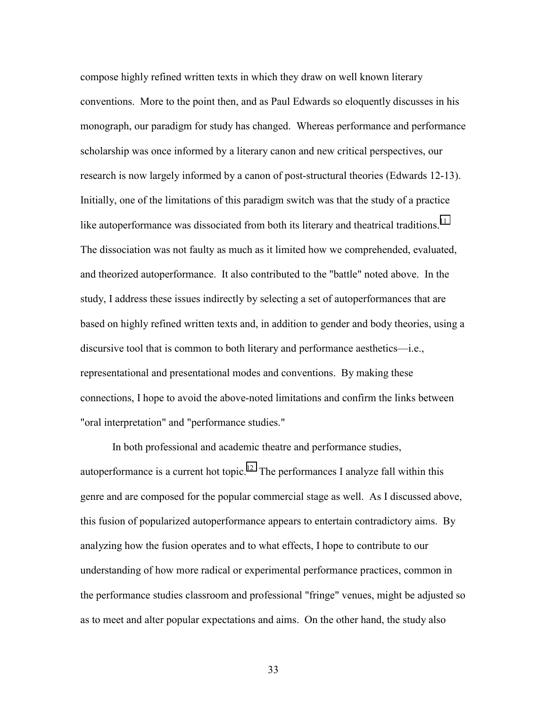compose highly refined written texts in which they draw on well known literary conventions. More to the point then, and as Paul Edwards so eloquently discusses in his monograph, our paradigm for study has changed. Whereas performance and performance scholarship was once informed by a literary canon and new critical perspectives, our research is now largely informed by a canon of post-structural theories (Edwards 12-13). Initially, one of the limitations of this paradigm switch was that the study of a practice like autoperformance was dissociated from both its literary and theatrical traditions.<sup>11</sup> The dissociation was not faulty as much as it limited how we comprehended, evaluated, and theorized autoperformance. It also contributed to the "battle" noted above. In the study, I address these issues indirectly by selecting a set of autoperformances that are based on highly refined written texts and, in addition to gender and body theories, using a discursive tool that is common to both literary and performance aesthetics—i.e., representational and presentational modes and conventions. By making these connections, I hope to avoid the above-noted limitations and confirm the links between "oral interpretation" and "performance studies."

In both professional and academic theatre and performance studies, autoperformance is a current hot topic.<sup>12</sup> The performances I analyze fall within this genre and are composed for the popular commercial stage as well. As I discussed above, this fusion of popularized autoperformance appears to entertain contradictory aims. By analyzing how the fusion operates and to what effects, I hope to contribute to our understanding of how more radical or experimental performance practices, common in the performance studies classroom and professional "fringe" venues, might be adjusted so as to meet and alter popular expectations and aims. On the other hand, the study also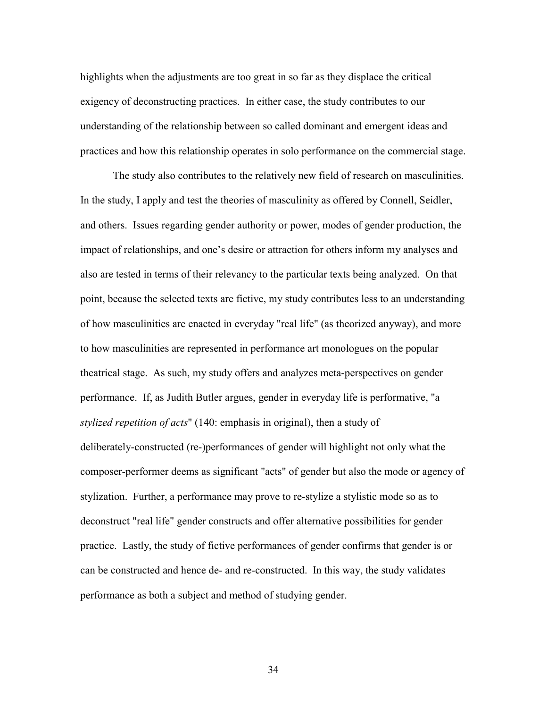highlights when the adjustments are too great in so far as they displace the critical exigency of deconstructing practices. In either case, the study contributes to our understanding of the relationship between so called dominant and emergent ideas and practices and how this relationship operates in solo performance on the commercial stage.

The study also contributes to the relatively new field of research on masculinities. In the study, I apply and test the theories of masculinity as offered by Connell, Seidler, and others. Issues regarding gender authority or power, modes of gender production, the impact of relationships, and one's desire or attraction for others inform my analyses and also are tested in terms of their relevancy to the particular texts being analyzed. On that point, because the selected texts are fictive, my study contributes less to an understanding of how masculinities are enacted in everyday "real life" (as theorized anyway), and more to how masculinities are represented in performance art monologues on the popular theatrical stage. As such, my study offers and analyzes meta-perspectives on gender performance. If, as Judith Butler argues, gender in everyday life is performative, "a *stylized repetition of acts*" (140: emphasis in original), then a study of deliberately-constructed (re-)performances of gender will highlight not only what the composer-performer deems as significant "acts" of gender but also the mode or agency of stylization. Further, a performance may prove to re-stylize a stylistic mode so as to deconstruct "real life" gender constructs and offer alternative possibilities for gender practice. Lastly, the study of fictive performances of gender confirms that gender is or can be constructed and hence de- and re-constructed. In this way, the study validates performance as both a subject and method of studying gender.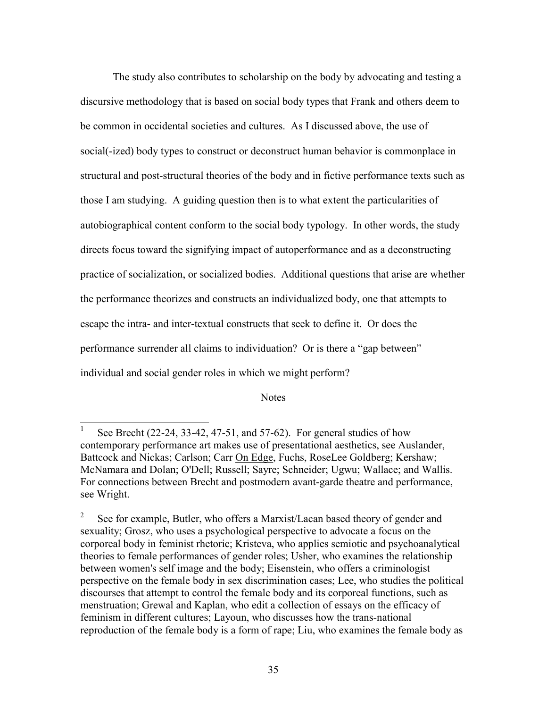The study also contributes to scholarship on the body by advocating and testing a discursive methodology that is based on social body types that Frank and others deem to be common in occidental societies and cultures. As I discussed above, the use of social(-ized) body types to construct or deconstruct human behavior is commonplace in structural and post-structural theories of the body and in fictive performance texts such as those I am studying. A guiding question then is to what extent the particularities of autobiographical content conform to the social body typology. In other words, the study directs focus toward the signifying impact of autoperformance and as a deconstructing practice of socialization, or socialized bodies. Additional questions that arise are whether the performance theorizes and constructs an individualized body, one that attempts to escape the intra- and inter-textual constructs that seek to define it. Or does the performance surrender all claims to individuation? Or is there a "gap between" individual and social gender roles in which we might perform?

## **Notes**

l

<sup>1</sup> See Brecht (22-24, 33-42, 47-51, and 57-62). For general studies of how contemporary performance art makes use of presentational aesthetics, see Auslander, Battcock and Nickas; Carlson; Carr On Edge, Fuchs, RoseLee Goldberg; Kershaw; McNamara and Dolan; O'Dell; Russell; Sayre; Schneider; Ugwu; Wallace; and Wallis. For connections between Brecht and postmodern avant-garde theatre and performance, see Wright.

<sup>2</sup> See for example, Butler, who offers a Marxist/Lacan based theory of gender and sexuality; Grosz, who uses a psychological perspective to advocate a focus on the corporeal body in feminist rhetoric; Kristeva, who applies semiotic and psychoanalytical theories to female performances of gender roles; Usher, who examines the relationship between women's self image and the body; Eisenstein, who offers a criminologist perspective on the female body in sex discrimination cases; Lee, who studies the political discourses that attempt to control the female body and its corporeal functions, such as menstruation; Grewal and Kaplan, who edit a collection of essays on the efficacy of feminism in different cultures; Layoun, who discusses how the trans-national reproduction of the female body is a form of rape; Liu, who examines the female body as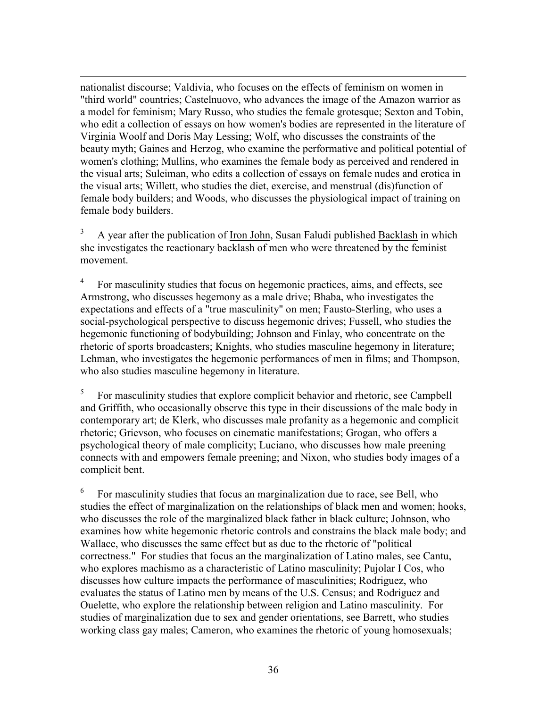$\overline{a}$ nationalist discourse; Valdivia, who focuses on the effects of feminism on women in "third world" countries; Castelnuovo, who advances the image of the Amazon warrior as a model for feminism; Mary Russo, who studies the female grotesque; Sexton and Tobin, who edit a collection of essays on how women's bodies are represented in the literature of Virginia Woolf and Doris May Lessing; Wolf, who discusses the constraints of the beauty myth; Gaines and Herzog, who examine the performative and political potential of women's clothing; Mullins, who examines the female body as perceived and rendered in the visual arts; Suleiman, who edits a collection of essays on female nudes and erotica in the visual arts; Willett, who studies the diet, exercise, and menstrual (dis)function of female body builders; and Woods, who discusses the physiological impact of training on female body builders.

3 A year after the publication of Iron John, Susan Faludi published Backlash in which she investigates the reactionary backlash of men who were threatened by the feminist movement.

4 For masculinity studies that focus on hegemonic practices, aims, and effects, see Armstrong, who discusses hegemony as a male drive; Bhaba, who investigates the expectations and effects of a "true masculinity" on men; Fausto-Sterling, who uses a social-psychological perspective to discuss hegemonic drives; Fussell, who studies the hegemonic functioning of bodybuilding; Johnson and Finlay, who concentrate on the rhetoric of sports broadcasters; Knights, who studies masculine hegemony in literature; Lehman, who investigates the hegemonic performances of men in films; and Thompson, who also studies masculine hegemony in literature.

5 For masculinity studies that explore complicit behavior and rhetoric, see Campbell and Griffith, who occasionally observe this type in their discussions of the male body in contemporary art; de Klerk, who discusses male profanity as a hegemonic and complicit rhetoric; Grievson, who focuses on cinematic manifestations; Grogan, who offers a psychological theory of male complicity; Luciano, who discusses how male preening connects with and empowers female preening; and Nixon, who studies body images of a complicit bent.

6 For masculinity studies that focus an marginalization due to race, see Bell, who studies the effect of marginalization on the relationships of black men and women; hooks, who discusses the role of the marginalized black father in black culture; Johnson, who examines how white hegemonic rhetoric controls and constrains the black male body; and Wallace, who discusses the same effect but as due to the rhetoric of "political correctness." For studies that focus an the marginalization of Latino males, see Cantu, who explores machismo as a characteristic of Latino masculinity; Pujolar I Cos, who discusses how culture impacts the performance of masculinities; Rodriguez, who evaluates the status of Latino men by means of the U.S. Census; and Rodriguez and Ouelette, who explore the relationship between religion and Latino masculinity. For studies of marginalization due to sex and gender orientations, see Barrett, who studies working class gay males; Cameron, who examines the rhetoric of young homosexuals;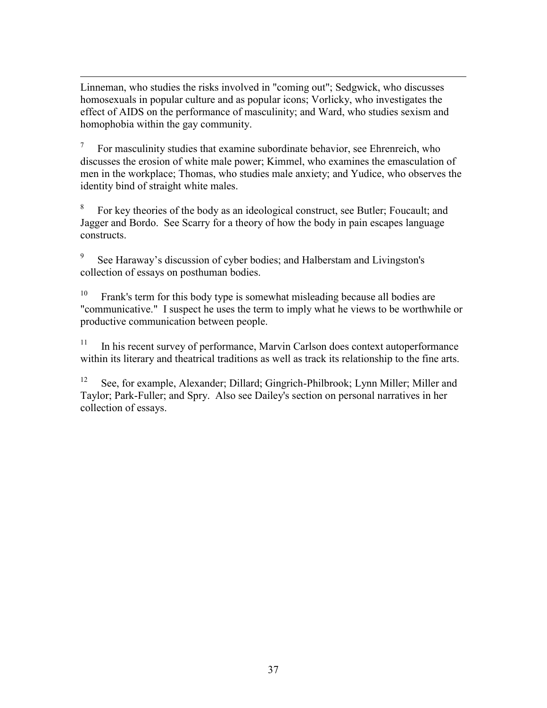<span id="page-42-0"></span> $\overline{a}$ Linneman, who studies the risks involved in "coming out"; Sedgwick, who discusses homosexuals in popular culture and as popular icons; Vorlicky, who investigates the effect of AIDS on the performance of masculinity; and Ward, who studies sexism and homophobia within the gay community.

7 For masculinity studies that examine subordinate behavior, see Ehrenreich, who discusses the erosion of white male power; Kimmel, who examines the emasculation of men in the workplace; Thomas, who studies male anxiety; and Yudice, who observes the identity bind of straight white males.

8 For key theories of the body as an ideological construct, see Butler; Foucault; and Jagger and Bordo. See Scarry for a theory of how the body in pain escapes language constructs.

9 See Haraway's discussion of cyber bodies; and Halberstam and Livingston's collection of essays on posthuman bodies.

 $10$  Frank's term for this body type is somewhat misleading because all bodies are "communicative." I suspect he uses the term to imply what he views to be worthwhile or productive communication between people.

<sup>11</sup> In his recent survey of performance, Marvin Carlson does context autoperformance within its literary and theatrical traditions as well as track its relationship to the fine arts.

12 See, for example, Alexander; Dillard; Gingrich-Philbrook; Lynn Miller; Miller and Taylor; Park-Fuller; and Spry. Also see Dailey's section on personal narratives in her collection of essays.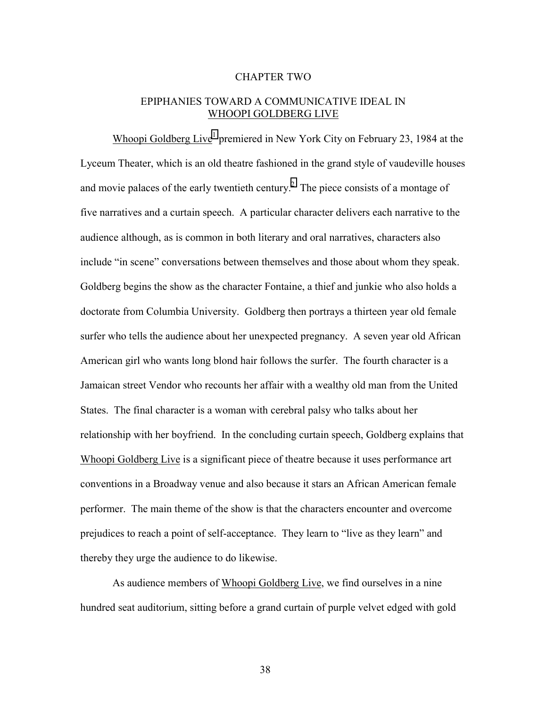## CHAPTER TWO

## EPIPHANIES TOWARD A COMMUNICATIVE IDEAL IN WHOOPI GOLDBERG LIVE

Whoopi Goldberg Live<sup>1</sup> premiered in New York City on February 23, 1984 at the Lyceum Theater, which is an old theatre fashioned in the grand style of vaudeville houses and movie palaces of the early twentieth century.<sup>[2](#page-87-0)</sup> The piece consists of a montage of five narratives and a curtain speech. A particular character delivers each narrative to the audience although, as is common in both literary and oral narratives, characters also include "in scene" conversations between themselves and those about whom they speak. Goldberg begins the show as the character Fontaine, a thief and junkie who also holds a doctorate from Columbia University. Goldberg then portrays a thirteen year old female surfer who tells the audience about her unexpected pregnancy. A seven year old African American girl who wants long blond hair follows the surfer. The fourth character is a Jamaican street Vendor who recounts her affair with a wealthy old man from the United States. The final character is a woman with cerebral palsy who talks about her relationship with her boyfriend. In the concluding curtain speech, Goldberg explains that Whoopi Goldberg Live is a significant piece of theatre because it uses performance art conventions in a Broadway venue and also because it stars an African American female performer. The main theme of the show is that the characters encounter and overcome prejudices to reach a point of self-acceptance. They learn to "live as they learn" and thereby they urge the audience to do likewise.

 As audience members of Whoopi Goldberg Live, we find ourselves in a nine hundred seat auditorium, sitting before a grand curtain of purple velvet edged with gold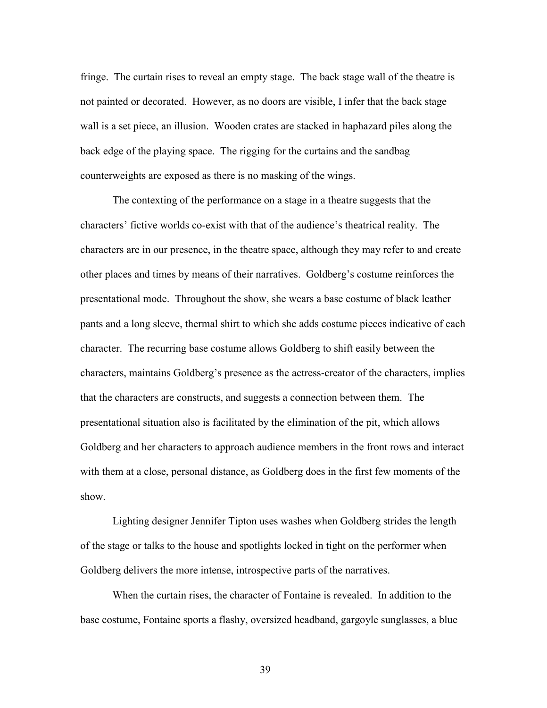fringe. The curtain rises to reveal an empty stage. The back stage wall of the theatre is not painted or decorated. However, as no doors are visible, I infer that the back stage wall is a set piece, an illusion. Wooden crates are stacked in haphazard piles along the back edge of the playing space. The rigging for the curtains and the sandbag counterweights are exposed as there is no masking of the wings.

The contexting of the performance on a stage in a theatre suggests that the characters' fictive worlds co-exist with that of the audience's theatrical reality. The characters are in our presence, in the theatre space, although they may refer to and create other places and times by means of their narratives. Goldberg's costume reinforces the presentational mode. Throughout the show, she wears a base costume of black leather pants and a long sleeve, thermal shirt to which she adds costume pieces indicative of each character. The recurring base costume allows Goldberg to shift easily between the characters, maintains Goldberg's presence as the actress-creator of the characters, implies that the characters are constructs, and suggests a connection between them. The presentational situation also is facilitated by the elimination of the pit, which allows Goldberg and her characters to approach audience members in the front rows and interact with them at a close, personal distance, as Goldberg does in the first few moments of the show.

Lighting designer Jennifer Tipton uses washes when Goldberg strides the length of the stage or talks to the house and spotlights locked in tight on the performer when Goldberg delivers the more intense, introspective parts of the narratives.

 When the curtain rises, the character of Fontaine is revealed. In addition to the base costume, Fontaine sports a flashy, oversized headband, gargoyle sunglasses, a blue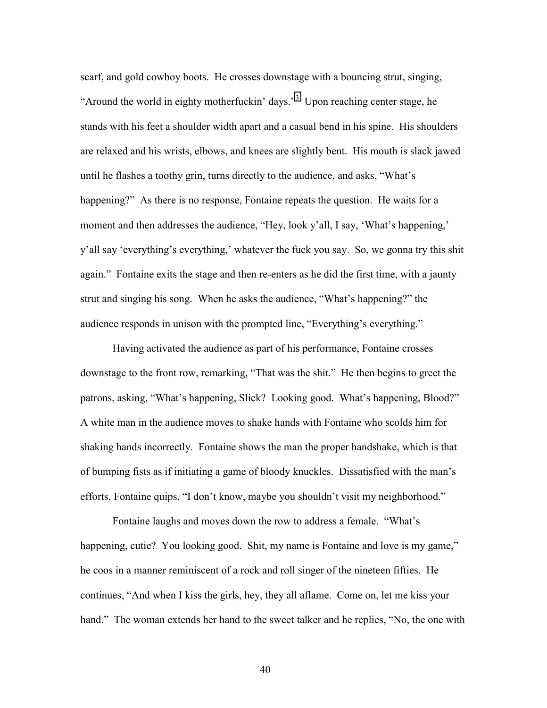scarf, and gold cowboy boots. He crosses downstage with a bouncing strut, singing, "Around the world in eighty motherfuckin' days."<sup>[3](#page-87-0)</sup> Upon reaching center stage, he stands with his feet a shoulder width apart and a casual bend in his spine. His shoulders are relaxed and his wrists, elbows, and knees are slightly bent. His mouth is slack jawed until he flashes a toothy grin, turns directly to the audience, and asks, "What's happening?" As there is no response, Fontaine repeats the question. He waits for a moment and then addresses the audience, "Hey, look y'all, I say, 'What's happening,' y'all say 'everything's everything,' whatever the fuck you say. So, we gonna try this shit again." Fontaine exits the stage and then re-enters as he did the first time, with a jaunty strut and singing his song. When he asks the audience, "What's happening?" the audience responds in unison with the prompted line, "Everything's everything."

 Having activated the audience as part of his performance, Fontaine crosses downstage to the front row, remarking, "That was the shit." He then begins to greet the patrons, asking, "What's happening, Slick? Looking good. What's happening, Blood?" A white man in the audience moves to shake hands with Fontaine who scolds him for shaking hands incorrectly. Fontaine shows the man the proper handshake, which is that of bumping fists as if initiating a game of bloody knuckles. Dissatisfied with the man's efforts, Fontaine quips, "I don't know, maybe you shouldn't visit my neighborhood."

 Fontaine laughs and moves down the row to address a female. "What's happening, cutie? You looking good. Shit, my name is Fontaine and love is my game," he coos in a manner reminiscent of a rock and roll singer of the nineteen fifties. He continues, "And when I kiss the girls, hey, they all aflame. Come on, let me kiss your hand." The woman extends her hand to the sweet talker and he replies, "No, the one with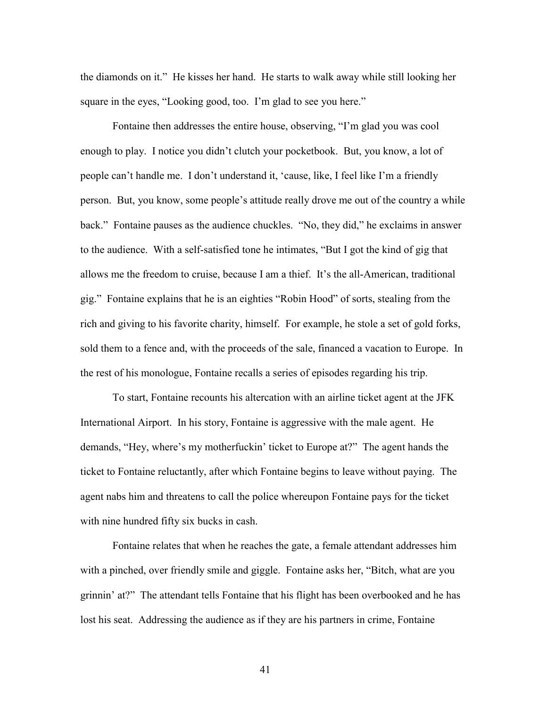the diamonds on it." He kisses her hand. He starts to walk away while still looking her square in the eyes, "Looking good, too. I'm glad to see you here."

 Fontaine then addresses the entire house, observing, "I'm glad you was cool enough to play. I notice you didn't clutch your pocketbook. But, you know, a lot of people can't handle me. I don't understand it, 'cause, like, I feel like I'm a friendly person. But, you know, some people's attitude really drove me out of the country a while back." Fontaine pauses as the audience chuckles. "No, they did," he exclaims in answer to the audience. With a self-satisfied tone he intimates, "But I got the kind of gig that allows me the freedom to cruise, because I am a thief. It's the all-American, traditional gig." Fontaine explains that he is an eighties "Robin Hood" of sorts, stealing from the rich and giving to his favorite charity, himself. For example, he stole a set of gold forks, sold them to a fence and, with the proceeds of the sale, financed a vacation to Europe. In the rest of his monologue, Fontaine recalls a series of episodes regarding his trip.

To start, Fontaine recounts his altercation with an airline ticket agent at the JFK International Airport. In his story, Fontaine is aggressive with the male agent. He demands, "Hey, where's my motherfuckin' ticket to Europe at?" The agent hands the ticket to Fontaine reluctantly, after which Fontaine begins to leave without paying. The agent nabs him and threatens to call the police whereupon Fontaine pays for the ticket with nine hundred fifty six bucks in cash.

Fontaine relates that when he reaches the gate, a female attendant addresses him with a pinched, over friendly smile and giggle. Fontaine asks her, "Bitch, what are you grinnin' at?" The attendant tells Fontaine that his flight has been overbooked and he has lost his seat. Addressing the audience as if they are his partners in crime, Fontaine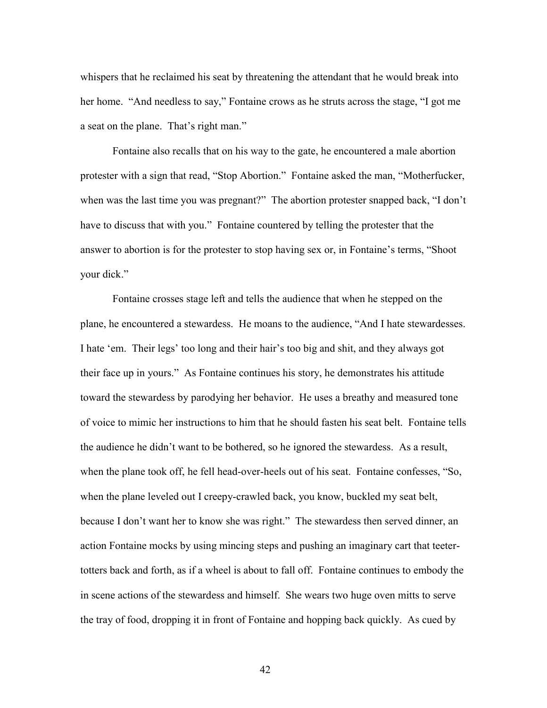whispers that he reclaimed his seat by threatening the attendant that he would break into her home. "And needless to say," Fontaine crows as he struts across the stage, "I got me a seat on the plane. That's right man."

Fontaine also recalls that on his way to the gate, he encountered a male abortion protester with a sign that read, "Stop Abortion." Fontaine asked the man, "Motherfucker, when was the last time you was pregnant?" The abortion protester snapped back, "I don't have to discuss that with you." Fontaine countered by telling the protester that the answer to abortion is for the protester to stop having sex or, in Fontaine's terms, "Shoot your dick."

 Fontaine crosses stage left and tells the audience that when he stepped on the plane, he encountered a stewardess. He moans to the audience, "And I hate stewardesses. I hate 'em. Their legs' too long and their hair's too big and shit, and they always got their face up in yours." As Fontaine continues his story, he demonstrates his attitude toward the stewardess by parodying her behavior. He uses a breathy and measured tone of voice to mimic her instructions to him that he should fasten his seat belt. Fontaine tells the audience he didn't want to be bothered, so he ignored the stewardess. As a result, when the plane took off, he fell head-over-heels out of his seat. Fontaine confesses, "So, when the plane leveled out I creepy-crawled back, you know, buckled my seat belt, because I don't want her to know she was right." The stewardess then served dinner, an action Fontaine mocks by using mincing steps and pushing an imaginary cart that teetertotters back and forth, as if a wheel is about to fall off. Fontaine continues to embody the in scene actions of the stewardess and himself. She wears two huge oven mitts to serve the tray of food, dropping it in front of Fontaine and hopping back quickly. As cued by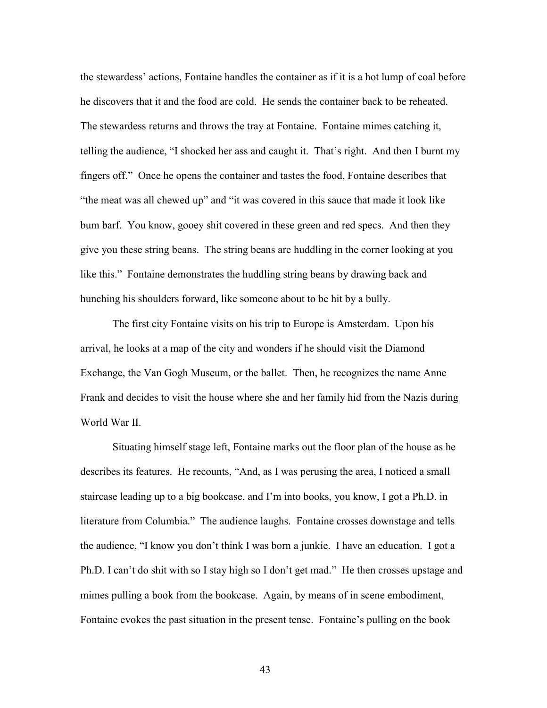the stewardess' actions, Fontaine handles the container as if it is a hot lump of coal before he discovers that it and the food are cold. He sends the container back to be reheated. The stewardess returns and throws the tray at Fontaine. Fontaine mimes catching it, telling the audience, "I shocked her ass and caught it. That's right. And then I burnt my fingers off." Once he opens the container and tastes the food, Fontaine describes that "the meat was all chewed up" and "it was covered in this sauce that made it look like bum barf. You know, gooey shit covered in these green and red specs. And then they give you these string beans. The string beans are huddling in the corner looking at you like this." Fontaine demonstrates the huddling string beans by drawing back and hunching his shoulders forward, like someone about to be hit by a bully.

The first city Fontaine visits on his trip to Europe is Amsterdam. Upon his arrival, he looks at a map of the city and wonders if he should visit the Diamond Exchange, the Van Gogh Museum, or the ballet. Then, he recognizes the name Anne Frank and decides to visit the house where she and her family hid from the Nazis during World War II.

Situating himself stage left, Fontaine marks out the floor plan of the house as he describes its features. He recounts, "And, as I was perusing the area, I noticed a small staircase leading up to a big bookcase, and I'm into books, you know, I got a Ph.D. in literature from Columbia." The audience laughs. Fontaine crosses downstage and tells the audience, "I know you don't think I was born a junkie. I have an education. I got a Ph.D. I can't do shit with so I stay high so I don't get mad." He then crosses upstage and mimes pulling a book from the bookcase. Again, by means of in scene embodiment, Fontaine evokes the past situation in the present tense. Fontaine's pulling on the book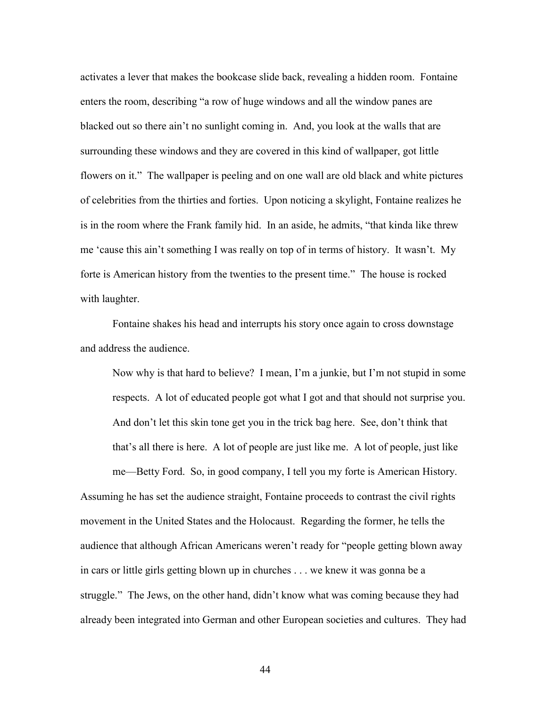activates a lever that makes the bookcase slide back, revealing a hidden room. Fontaine enters the room, describing "a row of huge windows and all the window panes are blacked out so there ain't no sunlight coming in. And, you look at the walls that are surrounding these windows and they are covered in this kind of wallpaper, got little flowers on it." The wallpaper is peeling and on one wall are old black and white pictures of celebrities from the thirties and forties. Upon noticing a skylight, Fontaine realizes he is in the room where the Frank family hid. In an aside, he admits, "that kinda like threw me 'cause this ain't something I was really on top of in terms of history. It wasn't. My forte is American history from the twenties to the present time." The house is rocked with laughter.

Fontaine shakes his head and interrupts his story once again to cross downstage and address the audience.

Now why is that hard to believe? I mean, I'm a junkie, but I'm not stupid in some respects. A lot of educated people got what I got and that should not surprise you. And don't let this skin tone get you in the trick bag here. See, don't think that that's all there is here. A lot of people are just like me. A lot of people, just like

me—Betty Ford. So, in good company, I tell you my forte is American History. Assuming he has set the audience straight, Fontaine proceeds to contrast the civil rights movement in the United States and the Holocaust. Regarding the former, he tells the audience that although African Americans weren't ready for "people getting blown away in cars or little girls getting blown up in churches . . . we knew it was gonna be a struggle." The Jews, on the other hand, didn't know what was coming because they had already been integrated into German and other European societies and cultures. They had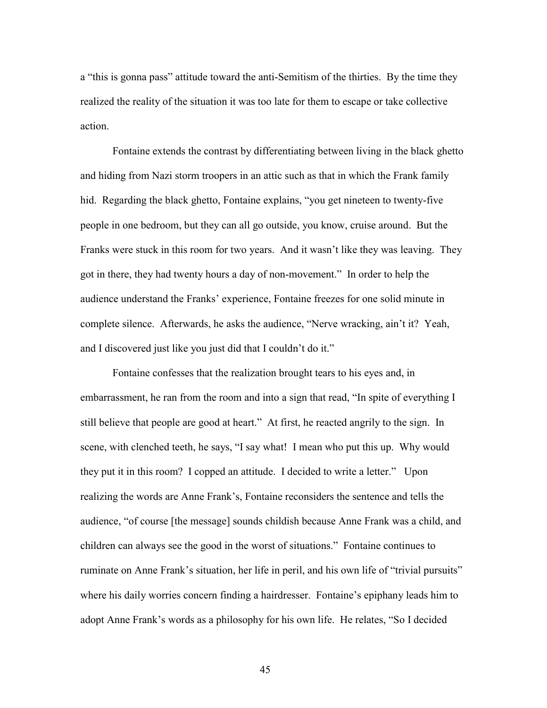a "this is gonna pass" attitude toward the anti-Semitism of the thirties. By the time they realized the reality of the situation it was too late for them to escape or take collective action.

 Fontaine extends the contrast by differentiating between living in the black ghetto and hiding from Nazi storm troopers in an attic such as that in which the Frank family hid. Regarding the black ghetto, Fontaine explains, "you get nineteen to twenty-five people in one bedroom, but they can all go outside, you know, cruise around. But the Franks were stuck in this room for two years. And it wasn't like they was leaving. They got in there, they had twenty hours a day of non-movement." In order to help the audience understand the Franks' experience, Fontaine freezes for one solid minute in complete silence. Afterwards, he asks the audience, "Nerve wracking, ain't it? Yeah, and I discovered just like you just did that I couldn't do it."

Fontaine confesses that the realization brought tears to his eyes and, in embarrassment, he ran from the room and into a sign that read, "In spite of everything I still believe that people are good at heart." At first, he reacted angrily to the sign. In scene, with clenched teeth, he says, "I say what! I mean who put this up. Why would they put it in this room? I copped an attitude. I decided to write a letter." Upon realizing the words are Anne Frank's, Fontaine reconsiders the sentence and tells the audience, "of course [the message] sounds childish because Anne Frank was a child, and children can always see the good in the worst of situations." Fontaine continues to ruminate on Anne Frank's situation, her life in peril, and his own life of "trivial pursuits" where his daily worries concern finding a hairdresser. Fontaine's epiphany leads him to adopt Anne Frank's words as a philosophy for his own life. He relates, "So I decided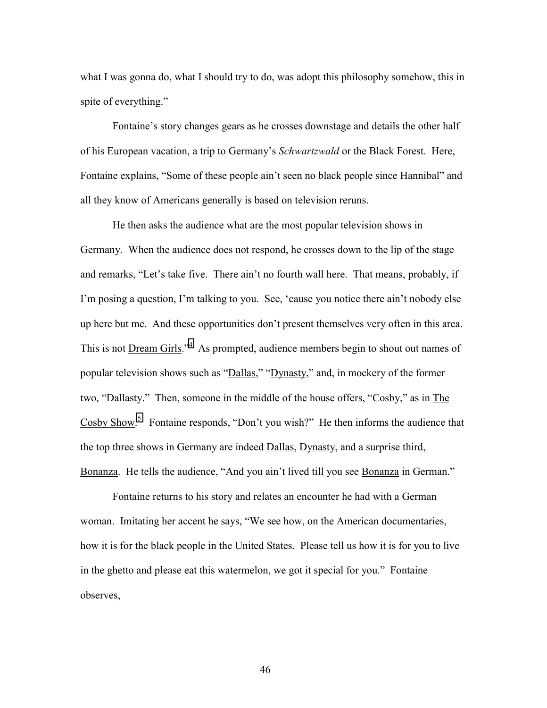what I was gonna do, what I should try to do, was adopt this philosophy somehow, this in spite of everything."

 Fontaine's story changes gears as he crosses downstage and details the other half of his European vacation, a trip to Germany's *Schwartzwald* or the Black Forest. Here, Fontaine explains, "Some of these people ain't seen no black people since Hannibal" and all they know of Americans generally is based on television reruns.

 He then asks the audience what are the most popular television shows in Germany. When the audience does not respond, he crosses down to the lip of the stage and remarks, "Let's take five. There ain't no fourth wall here. That means, probably, if I'm posing a question, I'm talking to you. See, 'cause you notice there ain't nobody else up here but me. And these opportunities don't present themselves very often in this area. This is not **Dream Girls.**<sup>3[4](#page-87-0)</sup> As prompted, audience members begin to shout out names of popular television shows such as "Dallas," "Dynasty," and, in mockery of the former two, "Dallasty." Then, someone in the middle of the house offers, "Cosby," as in The Cosby Show.<sup>[5](#page-87-0)</sup> Fontaine responds, "Don't you wish?" He then informs the audience that the top three shows in Germany are indeed Dallas, Dynasty, and a surprise third, Bonanza. He tells the audience, "And you ain't lived till you see Bonanza in German."

 Fontaine returns to his story and relates an encounter he had with a German woman. Imitating her accent he says, "We see how, on the American documentaries, how it is for the black people in the United States. Please tell us how it is for you to live in the ghetto and please eat this watermelon, we got it special for you." Fontaine observes,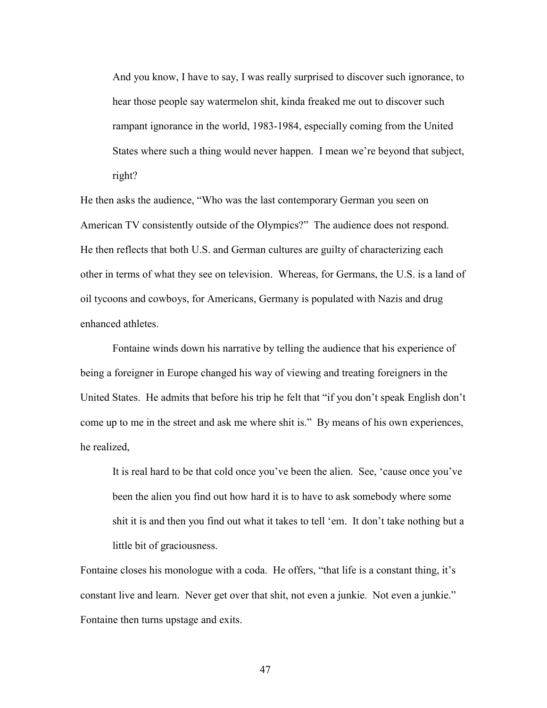And you know, I have to say, I was really surprised to discover such ignorance, to hear those people say watermelon shit, kinda freaked me out to discover such rampant ignorance in the world, 1983-1984, especially coming from the United States where such a thing would never happen. I mean we're beyond that subject, right?

He then asks the audience, "Who was the last contemporary German you seen on American TV consistently outside of the Olympics?" The audience does not respond. He then reflects that both U.S. and German cultures are guilty of characterizing each other in terms of what they see on television. Whereas, for Germans, the U.S. is a land of oil tycoons and cowboys, for Americans, Germany is populated with Nazis and drug enhanced athletes.

 Fontaine winds down his narrative by telling the audience that his experience of being a foreigner in Europe changed his way of viewing and treating foreigners in the United States. He admits that before his trip he felt that "if you don't speak English don't come up to me in the street and ask me where shit is." By means of his own experiences, he realized,

It is real hard to be that cold once you've been the alien. See, 'cause once you've been the alien you find out how hard it is to have to ask somebody where some shit it is and then you find out what it takes to tell 'em. It don't take nothing but a little bit of graciousness.

Fontaine closes his monologue with a coda. He offers, "that life is a constant thing, it's constant live and learn. Never get over that shit, not even a junkie. Not even a junkie." Fontaine then turns upstage and exits.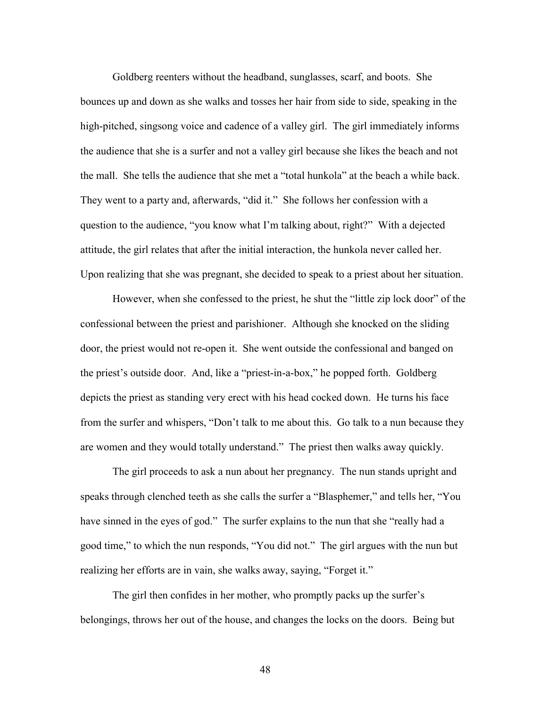Goldberg reenters without the headband, sunglasses, scarf, and boots. She bounces up and down as she walks and tosses her hair from side to side, speaking in the high-pitched, singsong voice and cadence of a valley girl. The girl immediately informs the audience that she is a surfer and not a valley girl because she likes the beach and not the mall. She tells the audience that she met a "total hunkola" at the beach a while back. They went to a party and, afterwards, "did it." She follows her confession with a question to the audience, "you know what I'm talking about, right?" With a dejected attitude, the girl relates that after the initial interaction, the hunkola never called her. Upon realizing that she was pregnant, she decided to speak to a priest about her situation.

 However, when she confessed to the priest, he shut the "little zip lock door" of the confessional between the priest and parishioner. Although she knocked on the sliding door, the priest would not re-open it. She went outside the confessional and banged on the priest's outside door. And, like a "priest-in-a-box," he popped forth. Goldberg depicts the priest as standing very erect with his head cocked down. He turns his face from the surfer and whispers, "Don't talk to me about this. Go talk to a nun because they are women and they would totally understand." The priest then walks away quickly.

 The girl proceeds to ask a nun about her pregnancy. The nun stands upright and speaks through clenched teeth as she calls the surfer a "Blasphemer," and tells her, "You have sinned in the eyes of god." The surfer explains to the nun that she "really had a good time," to which the nun responds, "You did not." The girl argues with the nun but realizing her efforts are in vain, she walks away, saying, "Forget it."

 The girl then confides in her mother, who promptly packs up the surfer's belongings, throws her out of the house, and changes the locks on the doors. Being but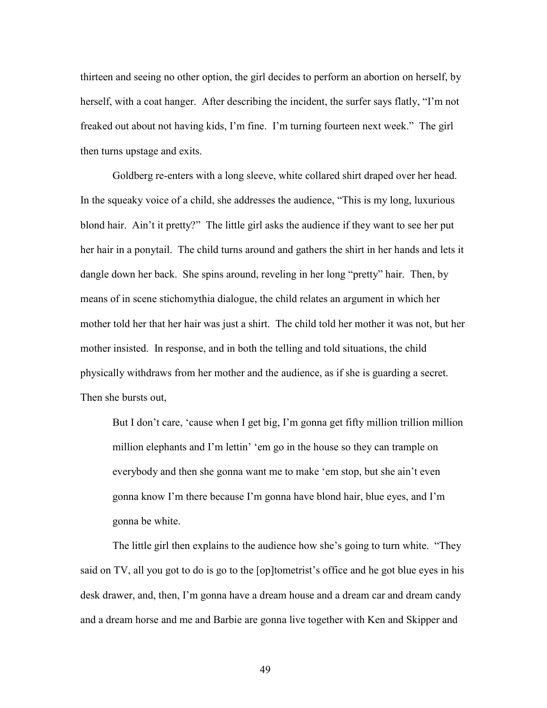thirteen and seeing no other option, the girl decides to perform an abortion on herself, by herself, with a coat hanger. After describing the incident, the surfer says flatly, "I'm not freaked out about not having kids, I'm fine. I'm turning fourteen next week." The girl then turns upstage and exits.

 Goldberg re-enters with a long sleeve, white collared shirt draped over her head. In the squeaky voice of a child, she addresses the audience, "This is my long, luxurious blond hair. Ain't it pretty?" The little girl asks the audience if they want to see her put her hair in a ponytail. The child turns around and gathers the shirt in her hands and lets it dangle down her back. She spins around, reveling in her long "pretty" hair. Then, by means of in scene stichomythia dialogue, the child relates an argument in which her mother told her that her hair was just a shirt. The child told her mother it was not, but her mother insisted. In response, and in both the telling and told situations, the child physically withdraws from her mother and the audience, as if she is guarding a secret. Then she bursts out,

But I don't care, 'cause when I get big, I'm gonna get fifty million trillion million million elephants and I'm lettin' 'em go in the house so they can trample on everybody and then she gonna want me to make 'em stop, but she ain't even gonna know I'm there because I'm gonna have blond hair, blue eyes, and I'm gonna be white.

 The little girl then explains to the audience how she's going to turn white. "They said on TV, all you got to do is go to the [op]tometrist's office and he got blue eyes in his desk drawer, and, then, I'm gonna have a dream house and a dream car and dream candy and a dream horse and me and Barbie are gonna live together with Ken and Skipper and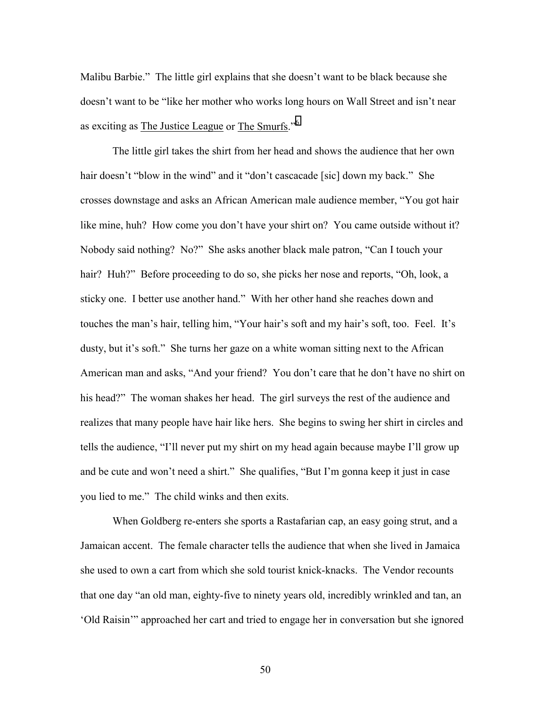Malibu Barbie." The little girl explains that she doesn't want to be black because she doesn't want to be "like her mother who works long hours on Wall Street and isn't near as exciting as The Justice League or The Smurfs."[6](#page-87-0)

 The little girl takes the shirt from her head and shows the audience that her own hair doesn't "blow in the wind" and it "don't cascacade [sic] down my back." She crosses downstage and asks an African American male audience member, "You got hair like mine, huh? How come you don't have your shirt on? You came outside without it? Nobody said nothing? No?" She asks another black male patron, "Can I touch your hair? Huh?" Before proceeding to do so, she picks her nose and reports, "Oh, look, a sticky one. I better use another hand." With her other hand she reaches down and touches the man's hair, telling him, "Your hair's soft and my hair's soft, too. Feel. It's dusty, but it's soft." She turns her gaze on a white woman sitting next to the African American man and asks, "And your friend? You don't care that he don't have no shirt on his head?" The woman shakes her head. The girl surveys the rest of the audience and realizes that many people have hair like hers. She begins to swing her shirt in circles and tells the audience, "I'll never put my shirt on my head again because maybe I'll grow up and be cute and won't need a shirt." She qualifies, "But I'm gonna keep it just in case you lied to me." The child winks and then exits.

 When Goldberg re-enters she sports a Rastafarian cap, an easy going strut, and a Jamaican accent. The female character tells the audience that when she lived in Jamaica she used to own a cart from which she sold tourist knick-knacks. The Vendor recounts that one day "an old man, eighty-five to ninety years old, incredibly wrinkled and tan, an 'Old Raisin'" approached her cart and tried to engage her in conversation but she ignored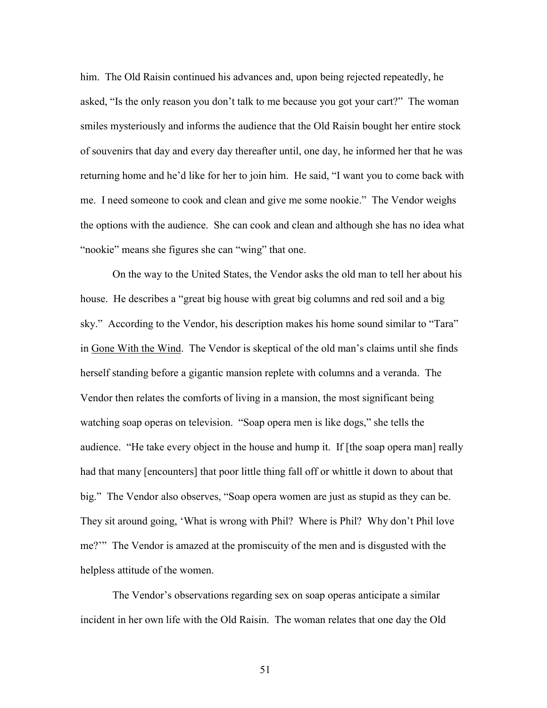him. The Old Raisin continued his advances and, upon being rejected repeatedly, he asked, "Is the only reason you don't talk to me because you got your cart?" The woman smiles mysteriously and informs the audience that the Old Raisin bought her entire stock of souvenirs that day and every day thereafter until, one day, he informed her that he was returning home and he'd like for her to join him. He said, "I want you to come back with me. I need someone to cook and clean and give me some nookie." The Vendor weighs the options with the audience. She can cook and clean and although she has no idea what "nookie" means she figures she can "wing" that one.

 On the way to the United States, the Vendor asks the old man to tell her about his house. He describes a "great big house with great big columns and red soil and a big sky." According to the Vendor, his description makes his home sound similar to "Tara" in Gone With the Wind. The Vendor is skeptical of the old man's claims until she finds herself standing before a gigantic mansion replete with columns and a veranda. The Vendor then relates the comforts of living in a mansion, the most significant being watching soap operas on television. "Soap opera men is like dogs," she tells the audience. "He take every object in the house and hump it. If [the soap opera man] really had that many [encounters] that poor little thing fall off or whittle it down to about that big." The Vendor also observes, "Soap opera women are just as stupid as they can be. They sit around going, 'What is wrong with Phil? Where is Phil? Why don't Phil love me?'" The Vendor is amazed at the promiscuity of the men and is disgusted with the helpless attitude of the women.

 The Vendor's observations regarding sex on soap operas anticipate a similar incident in her own life with the Old Raisin. The woman relates that one day the Old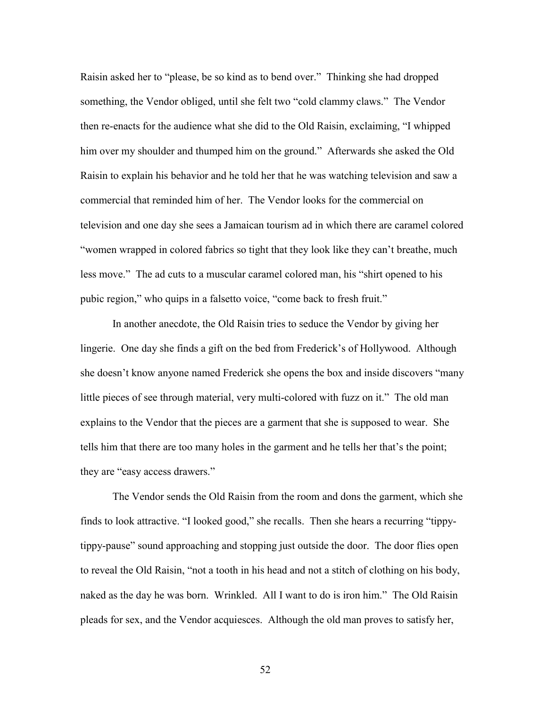Raisin asked her to "please, be so kind as to bend over." Thinking she had dropped something, the Vendor obliged, until she felt two "cold clammy claws." The Vendor then re-enacts for the audience what she did to the Old Raisin, exclaiming, "I whipped him over my shoulder and thumped him on the ground." Afterwards she asked the Old Raisin to explain his behavior and he told her that he was watching television and saw a commercial that reminded him of her. The Vendor looks for the commercial on television and one day she sees a Jamaican tourism ad in which there are caramel colored "women wrapped in colored fabrics so tight that they look like they can't breathe, much less move." The ad cuts to a muscular caramel colored man, his "shirt opened to his pubic region," who quips in a falsetto voice, "come back to fresh fruit."

 In another anecdote, the Old Raisin tries to seduce the Vendor by giving her lingerie. One day she finds a gift on the bed from Frederick's of Hollywood. Although she doesn't know anyone named Frederick she opens the box and inside discovers "many little pieces of see through material, very multi-colored with fuzz on it." The old man explains to the Vendor that the pieces are a garment that she is supposed to wear. She tells him that there are too many holes in the garment and he tells her that's the point; they are "easy access drawers."

The Vendor sends the Old Raisin from the room and dons the garment, which she finds to look attractive. "I looked good," she recalls. Then she hears a recurring "tippytippy-pause" sound approaching and stopping just outside the door. The door flies open to reveal the Old Raisin, "not a tooth in his head and not a stitch of clothing on his body, naked as the day he was born. Wrinkled. All I want to do is iron him." The Old Raisin pleads for sex, and the Vendor acquiesces. Although the old man proves to satisfy her,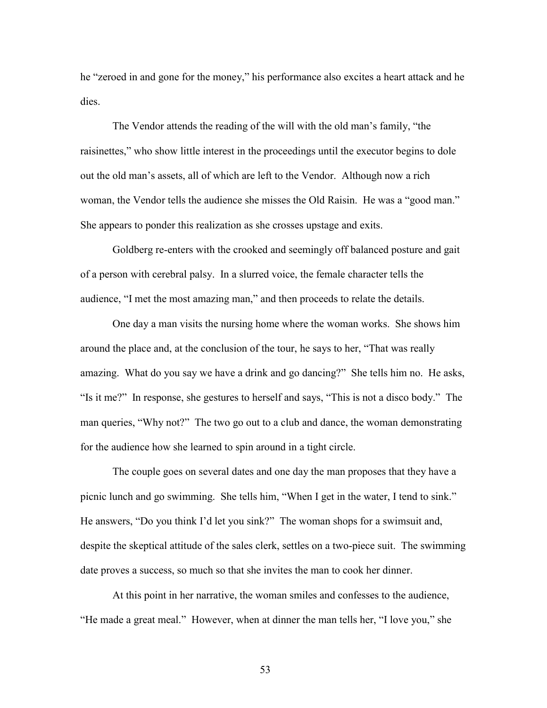he "zeroed in and gone for the money," his performance also excites a heart attack and he dies.

 The Vendor attends the reading of the will with the old man's family, "the raisinettes," who show little interest in the proceedings until the executor begins to dole out the old man's assets, all of which are left to the Vendor. Although now a rich woman, the Vendor tells the audience she misses the Old Raisin. He was a "good man." She appears to ponder this realization as she crosses upstage and exits.

 Goldberg re-enters with the crooked and seemingly off balanced posture and gait of a person with cerebral palsy. In a slurred voice, the female character tells the audience, "I met the most amazing man," and then proceeds to relate the details.

 One day a man visits the nursing home where the woman works. She shows him around the place and, at the conclusion of the tour, he says to her, "That was really amazing. What do you say we have a drink and go dancing?" She tells him no. He asks, "Is it me?" In response, she gestures to herself and says, "This is not a disco body." The man queries, "Why not?" The two go out to a club and dance, the woman demonstrating for the audience how she learned to spin around in a tight circle.

 The couple goes on several dates and one day the man proposes that they have a picnic lunch and go swimming. She tells him, "When I get in the water, I tend to sink." He answers, "Do you think I'd let you sink?" The woman shops for a swimsuit and, despite the skeptical attitude of the sales clerk, settles on a two-piece suit. The swimming date proves a success, so much so that she invites the man to cook her dinner.

 At this point in her narrative, the woman smiles and confesses to the audience, "He made a great meal." However, when at dinner the man tells her, "I love you," she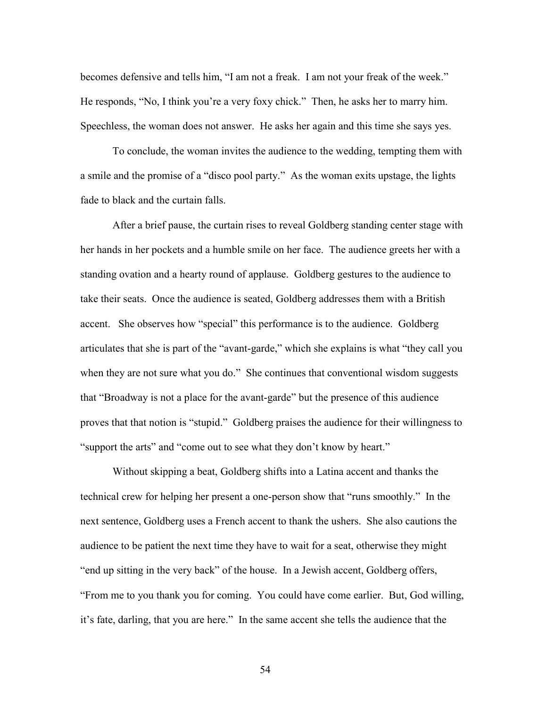becomes defensive and tells him, "I am not a freak. I am not your freak of the week." He responds, "No, I think you're a very foxy chick." Then, he asks her to marry him. Speechless, the woman does not answer. He asks her again and this time she says yes.

 To conclude, the woman invites the audience to the wedding, tempting them with a smile and the promise of a "disco pool party." As the woman exits upstage, the lights fade to black and the curtain falls.

 After a brief pause, the curtain rises to reveal Goldberg standing center stage with her hands in her pockets and a humble smile on her face. The audience greets her with a standing ovation and a hearty round of applause. Goldberg gestures to the audience to take their seats. Once the audience is seated, Goldberg addresses them with a British accent. She observes how "special" this performance is to the audience. Goldberg articulates that she is part of the "avant-garde," which she explains is what "they call you when they are not sure what you do." She continues that conventional wisdom suggests that "Broadway is not a place for the avant-garde" but the presence of this audience proves that that notion is "stupid." Goldberg praises the audience for their willingness to "support the arts" and "come out to see what they don't know by heart."

Without skipping a beat, Goldberg shifts into a Latina accent and thanks the technical crew for helping her present a one-person show that "runs smoothly." In the next sentence, Goldberg uses a French accent to thank the ushers. She also cautions the audience to be patient the next time they have to wait for a seat, otherwise they might "end up sitting in the very back" of the house. In a Jewish accent, Goldberg offers, "From me to you thank you for coming. You could have come earlier. But, God willing, it's fate, darling, that you are here." In the same accent she tells the audience that the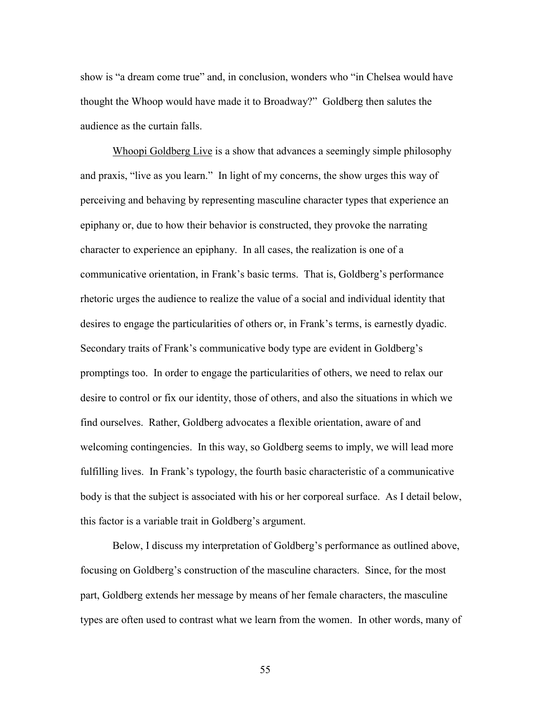show is "a dream come true" and, in conclusion, wonders who "in Chelsea would have thought the Whoop would have made it to Broadway?" Goldberg then salutes the audience as the curtain falls.

 Whoopi Goldberg Live is a show that advances a seemingly simple philosophy and praxis, "live as you learn." In light of my concerns, the show urges this way of perceiving and behaving by representing masculine character types that experience an epiphany or, due to how their behavior is constructed, they provoke the narrating character to experience an epiphany. In all cases, the realization is one of a communicative orientation, in Frank's basic terms. That is, Goldberg's performance rhetoric urges the audience to realize the value of a social and individual identity that desires to engage the particularities of others or, in Frank's terms, is earnestly dyadic. Secondary traits of Frank's communicative body type are evident in Goldberg's promptings too. In order to engage the particularities of others, we need to relax our desire to control or fix our identity, those of others, and also the situations in which we find ourselves. Rather, Goldberg advocates a flexible orientation, aware of and welcoming contingencies. In this way, so Goldberg seems to imply, we will lead more fulfilling lives. In Frank's typology, the fourth basic characteristic of a communicative body is that the subject is associated with his or her corporeal surface. As I detail below, this factor is a variable trait in Goldberg's argument.

 Below, I discuss my interpretation of Goldberg's performance as outlined above, focusing on Goldberg's construction of the masculine characters. Since, for the most part, Goldberg extends her message by means of her female characters, the masculine types are often used to contrast what we learn from the women. In other words, many of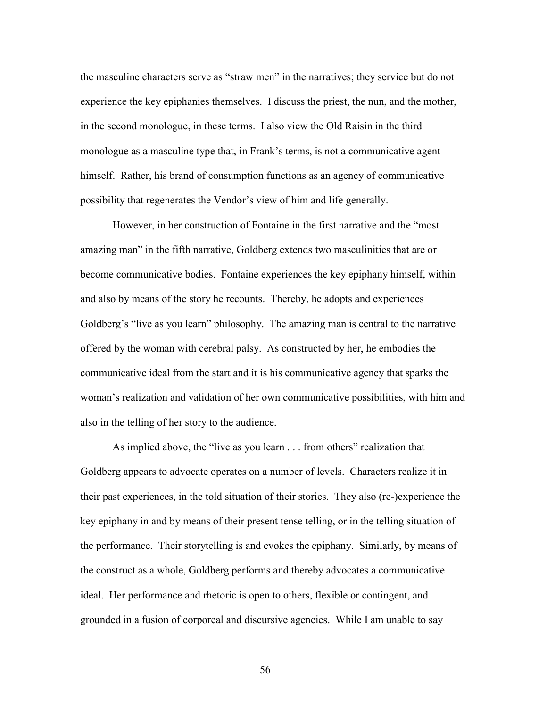the masculine characters serve as "straw men" in the narratives; they service but do not experience the key epiphanies themselves. I discuss the priest, the nun, and the mother, in the second monologue, in these terms. I also view the Old Raisin in the third monologue as a masculine type that, in Frank's terms, is not a communicative agent himself. Rather, his brand of consumption functions as an agency of communicative possibility that regenerates the Vendor's view of him and life generally.

 However, in her construction of Fontaine in the first narrative and the "most amazing man" in the fifth narrative, Goldberg extends two masculinities that are or become communicative bodies. Fontaine experiences the key epiphany himself, within and also by means of the story he recounts. Thereby, he adopts and experiences Goldberg's "live as you learn" philosophy. The amazing man is central to the narrative offered by the woman with cerebral palsy. As constructed by her, he embodies the communicative ideal from the start and it is his communicative agency that sparks the woman's realization and validation of her own communicative possibilities, with him and also in the telling of her story to the audience.

 As implied above, the "live as you learn . . . from others" realization that Goldberg appears to advocate operates on a number of levels. Characters realize it in their past experiences, in the told situation of their stories. They also (re-)experience the key epiphany in and by means of their present tense telling, or in the telling situation of the performance. Their storytelling is and evokes the epiphany. Similarly, by means of the construct as a whole, Goldberg performs and thereby advocates a communicative ideal. Her performance and rhetoric is open to others, flexible or contingent, and grounded in a fusion of corporeal and discursive agencies. While I am unable to say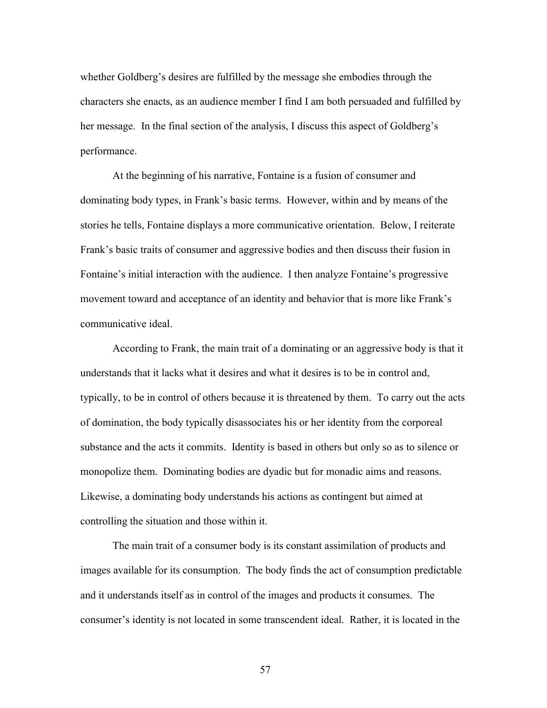whether Goldberg's desires are fulfilled by the message she embodies through the characters she enacts, as an audience member I find I am both persuaded and fulfilled by her message. In the final section of the analysis, I discuss this aspect of Goldberg's performance.

 At the beginning of his narrative, Fontaine is a fusion of consumer and dominating body types, in Frank's basic terms. However, within and by means of the stories he tells, Fontaine displays a more communicative orientation. Below, I reiterate Frank's basic traits of consumer and aggressive bodies and then discuss their fusion in Fontaine's initial interaction with the audience. I then analyze Fontaine's progressive movement toward and acceptance of an identity and behavior that is more like Frank's communicative ideal.

 According to Frank, the main trait of a dominating or an aggressive body is that it understands that it lacks what it desires and what it desires is to be in control and, typically, to be in control of others because it is threatened by them. To carry out the acts of domination, the body typically disassociates his or her identity from the corporeal substance and the acts it commits. Identity is based in others but only so as to silence or monopolize them. Dominating bodies are dyadic but for monadic aims and reasons. Likewise, a dominating body understands his actions as contingent but aimed at controlling the situation and those within it.

 The main trait of a consumer body is its constant assimilation of products and images available for its consumption. The body finds the act of consumption predictable and it understands itself as in control of the images and products it consumes. The consumer's identity is not located in some transcendent ideal. Rather, it is located in the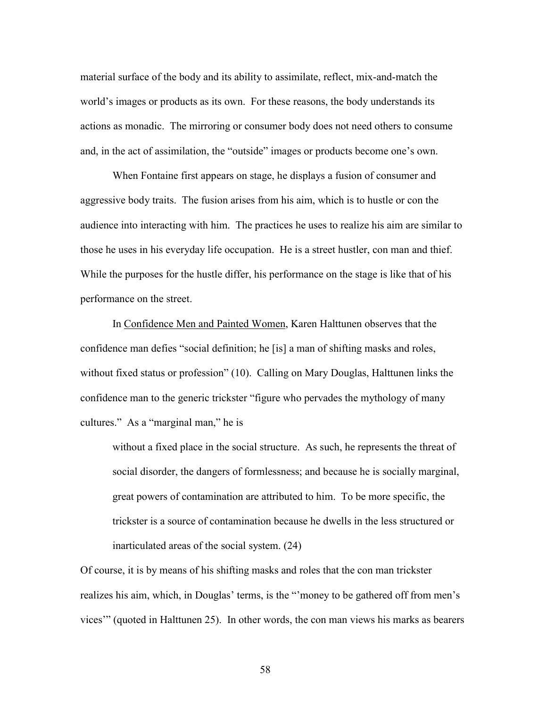material surface of the body and its ability to assimilate, reflect, mix-and-match the world's images or products as its own. For these reasons, the body understands its actions as monadic. The mirroring or consumer body does not need others to consume and, in the act of assimilation, the "outside" images or products become one's own.

 When Fontaine first appears on stage, he displays a fusion of consumer and aggressive body traits. The fusion arises from his aim, which is to hustle or con the audience into interacting with him. The practices he uses to realize his aim are similar to those he uses in his everyday life occupation. He is a street hustler, con man and thief. While the purposes for the hustle differ, his performance on the stage is like that of his performance on the street.

 In Confidence Men and Painted Women, Karen Halttunen observes that the confidence man defies "social definition; he [is] a man of shifting masks and roles, without fixed status or profession" (10). Calling on Mary Douglas, Halttunen links the confidence man to the generic trickster "figure who pervades the mythology of many cultures." As a "marginal man," he is

without a fixed place in the social structure. As such, he represents the threat of social disorder, the dangers of formlessness; and because he is socially marginal, great powers of contamination are attributed to him. To be more specific, the trickster is a source of contamination because he dwells in the less structured or inarticulated areas of the social system. (24)

Of course, it is by means of his shifting masks and roles that the con man trickster realizes his aim, which, in Douglas' terms, is the "money to be gathered off from men's vices'" (quoted in Halttunen 25). In other words, the con man views his marks as bearers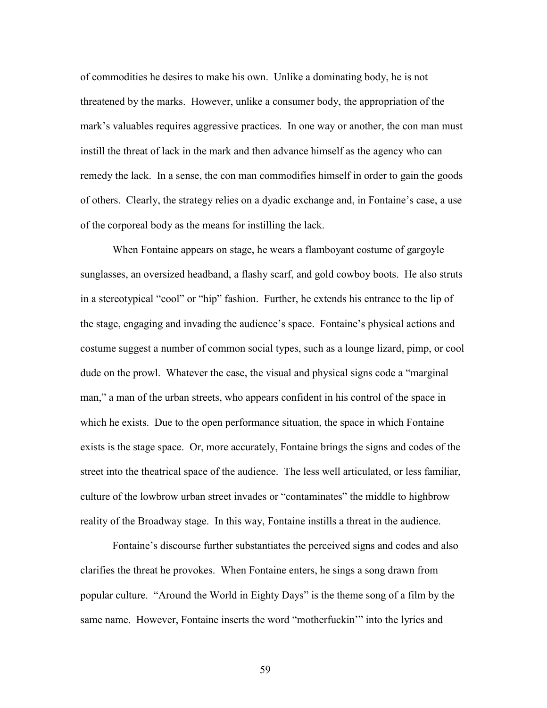of commodities he desires to make his own. Unlike a dominating body, he is not threatened by the marks. However, unlike a consumer body, the appropriation of the mark's valuables requires aggressive practices. In one way or another, the con man must instill the threat of lack in the mark and then advance himself as the agency who can remedy the lack. In a sense, the con man commodifies himself in order to gain the goods of others. Clearly, the strategy relies on a dyadic exchange and, in Fontaine's case, a use of the corporeal body as the means for instilling the lack.

 When Fontaine appears on stage, he wears a flamboyant costume of gargoyle sunglasses, an oversized headband, a flashy scarf, and gold cowboy boots. He also struts in a stereotypical "cool" or "hip" fashion. Further, he extends his entrance to the lip of the stage, engaging and invading the audience's space. Fontaine's physical actions and costume suggest a number of common social types, such as a lounge lizard, pimp, or cool dude on the prowl. Whatever the case, the visual and physical signs code a "marginal man," a man of the urban streets, who appears confident in his control of the space in which he exists. Due to the open performance situation, the space in which Fontaine exists is the stage space. Or, more accurately, Fontaine brings the signs and codes of the street into the theatrical space of the audience. The less well articulated, or less familiar, culture of the lowbrow urban street invades or "contaminates" the middle to highbrow reality of the Broadway stage. In this way, Fontaine instills a threat in the audience.

Fontaine's discourse further substantiates the perceived signs and codes and also clarifies the threat he provokes. When Fontaine enters, he sings a song drawn from popular culture. "Around the World in Eighty Days" is the theme song of a film by the same name. However, Fontaine inserts the word "motherfuckin'" into the lyrics and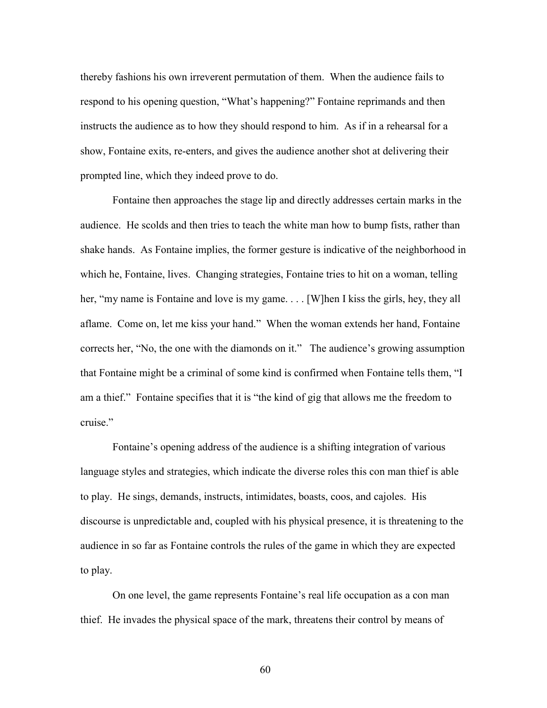thereby fashions his own irreverent permutation of them. When the audience fails to respond to his opening question, "What's happening?" Fontaine reprimands and then instructs the audience as to how they should respond to him. As if in a rehearsal for a show, Fontaine exits, re-enters, and gives the audience another shot at delivering their prompted line, which they indeed prove to do.

Fontaine then approaches the stage lip and directly addresses certain marks in the audience. He scolds and then tries to teach the white man how to bump fists, rather than shake hands. As Fontaine implies, the former gesture is indicative of the neighborhood in which he, Fontaine, lives. Changing strategies, Fontaine tries to hit on a woman, telling her, "my name is Fontaine and love is my game.... [W]hen I kiss the girls, hey, they all aflame. Come on, let me kiss your hand." When the woman extends her hand, Fontaine corrects her, "No, the one with the diamonds on it." The audience's growing assumption that Fontaine might be a criminal of some kind is confirmed when Fontaine tells them, "I am a thief." Fontaine specifies that it is "the kind of gig that allows me the freedom to cruise."

Fontaine's opening address of the audience is a shifting integration of various language styles and strategies, which indicate the diverse roles this con man thief is able to play. He sings, demands, instructs, intimidates, boasts, coos, and cajoles. His discourse is unpredictable and, coupled with his physical presence, it is threatening to the audience in so far as Fontaine controls the rules of the game in which they are expected to play.

On one level, the game represents Fontaine's real life occupation as a con man thief. He invades the physical space of the mark, threatens their control by means of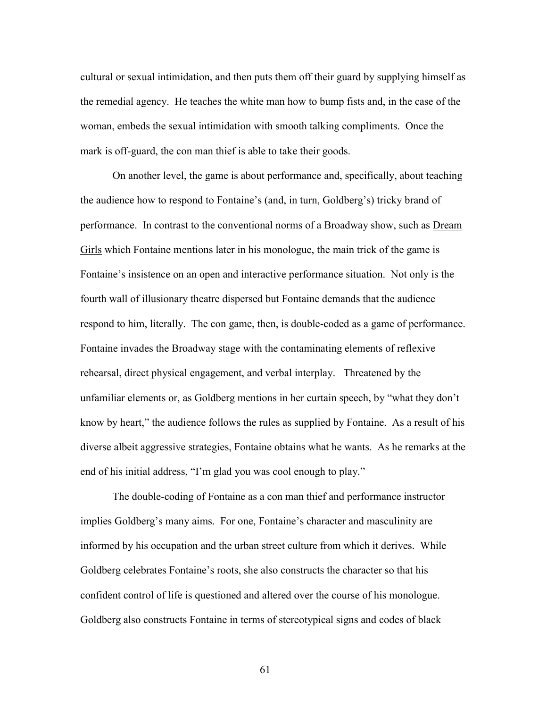cultural or sexual intimidation, and then puts them off their guard by supplying himself as the remedial agency. He teaches the white man how to bump fists and, in the case of the woman, embeds the sexual intimidation with smooth talking compliments. Once the mark is off-guard, the con man thief is able to take their goods.

On another level, the game is about performance and, specifically, about teaching the audience how to respond to Fontaine's (and, in turn, Goldberg's) tricky brand of performance. In contrast to the conventional norms of a Broadway show, such as **Dream** Girls which Fontaine mentions later in his monologue, the main trick of the game is Fontaine's insistence on an open and interactive performance situation. Not only is the fourth wall of illusionary theatre dispersed but Fontaine demands that the audience respond to him, literally. The con game, then, is double-coded as a game of performance. Fontaine invades the Broadway stage with the contaminating elements of reflexive rehearsal, direct physical engagement, and verbal interplay. Threatened by the unfamiliar elements or, as Goldberg mentions in her curtain speech, by "what they don't know by heart," the audience follows the rules as supplied by Fontaine. As a result of his diverse albeit aggressive strategies, Fontaine obtains what he wants. As he remarks at the end of his initial address, "I'm glad you was cool enough to play."

The double-coding of Fontaine as a con man thief and performance instructor implies Goldberg's many aims. For one, Fontaine's character and masculinity are informed by his occupation and the urban street culture from which it derives. While Goldberg celebrates Fontaine's roots, she also constructs the character so that his confident control of life is questioned and altered over the course of his monologue. Goldberg also constructs Fontaine in terms of stereotypical signs and codes of black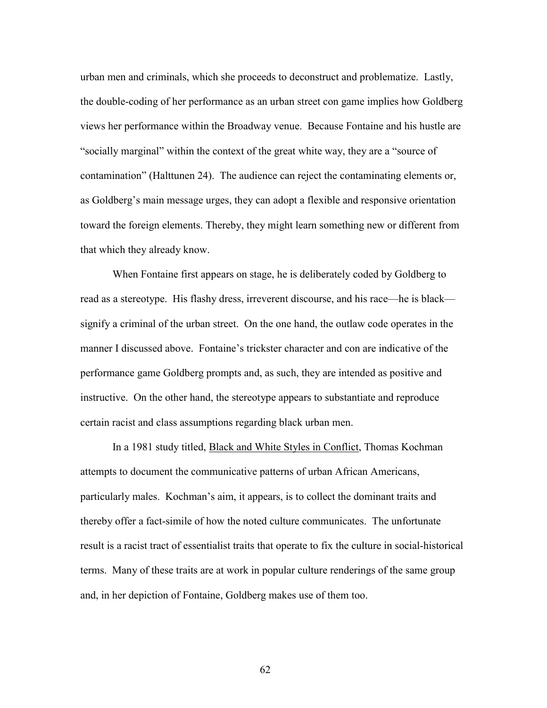urban men and criminals, which she proceeds to deconstruct and problematize. Lastly, the double-coding of her performance as an urban street con game implies how Goldberg views her performance within the Broadway venue. Because Fontaine and his hustle are "socially marginal" within the context of the great white way, they are a "source of contamination" (Halttunen 24). The audience can reject the contaminating elements or, as Goldberg's main message urges, they can adopt a flexible and responsive orientation toward the foreign elements. Thereby, they might learn something new or different from that which they already know.

 When Fontaine first appears on stage, he is deliberately coded by Goldberg to read as a stereotype. His flashy dress, irreverent discourse, and his race—he is black signify a criminal of the urban street. On the one hand, the outlaw code operates in the manner I discussed above. Fontaine's trickster character and con are indicative of the performance game Goldberg prompts and, as such, they are intended as positive and instructive. On the other hand, the stereotype appears to substantiate and reproduce certain racist and class assumptions regarding black urban men.

In a 1981 study titled, Black and White Styles in Conflict, Thomas Kochman attempts to document the communicative patterns of urban African Americans, particularly males. Kochman's aim, it appears, is to collect the dominant traits and thereby offer a fact-simile of how the noted culture communicates. The unfortunate result is a racist tract of essentialist traits that operate to fix the culture in social-historical terms. Many of these traits are at work in popular culture renderings of the same group and, in her depiction of Fontaine, Goldberg makes use of them too.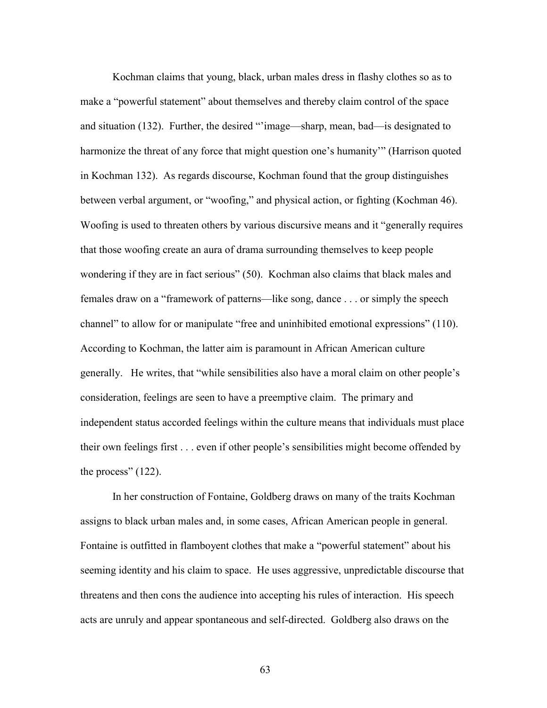Kochman claims that young, black, urban males dress in flashy clothes so as to make a "powerful statement" about themselves and thereby claim control of the space and situation (132). Further, the desired "'image—sharp, mean, bad—is designated to harmonize the threat of any force that might question one's humanity'" (Harrison quoted in Kochman 132). As regards discourse, Kochman found that the group distinguishes between verbal argument, or "woofing," and physical action, or fighting (Kochman 46). Woofing is used to threaten others by various discursive means and it "generally requires that those woofing create an aura of drama surrounding themselves to keep people wondering if they are in fact serious" (50). Kochman also claims that black males and females draw on a "framework of patterns—like song, dance . . . or simply the speech channel" to allow for or manipulate "free and uninhibited emotional expressions" (110). According to Kochman, the latter aim is paramount in African American culture generally. He writes, that "while sensibilities also have a moral claim on other people's consideration, feelings are seen to have a preemptive claim. The primary and independent status accorded feelings within the culture means that individuals must place their own feelings first . . . even if other people's sensibilities might become offended by the process" (122).

 In her construction of Fontaine, Goldberg draws on many of the traits Kochman assigns to black urban males and, in some cases, African American people in general. Fontaine is outfitted in flamboyent clothes that make a "powerful statement" about his seeming identity and his claim to space. He uses aggressive, unpredictable discourse that threatens and then cons the audience into accepting his rules of interaction. His speech acts are unruly and appear spontaneous and self-directed. Goldberg also draws on the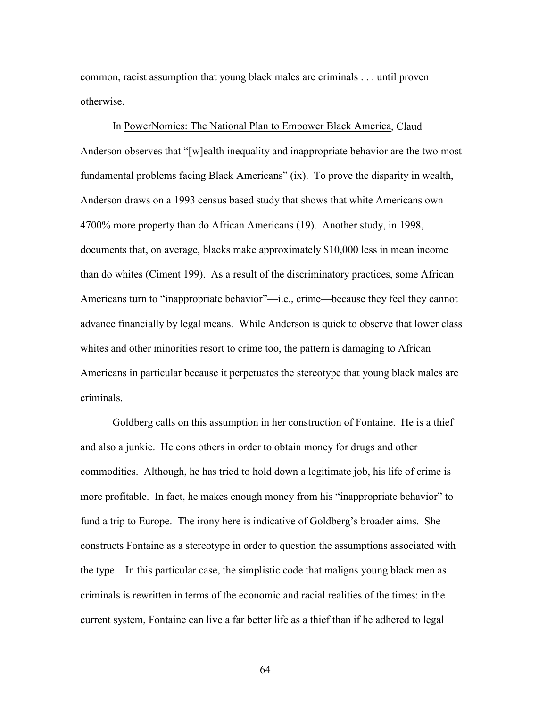common, racist assumption that young black males are criminals . . . until proven otherwise.

 In PowerNomics: The National Plan to Empower Black America, Claud Anderson observes that "[w]ealth inequality and inappropriate behavior are the two most fundamental problems facing Black Americans" (ix). To prove the disparity in wealth, Anderson draws on a 1993 census based study that shows that white Americans own 4700% more property than do African Americans (19). Another study, in 1998, documents that, on average, blacks make approximately \$10,000 less in mean income than do whites (Ciment 199). As a result of the discriminatory practices, some African Americans turn to "inappropriate behavior"—i.e., crime—because they feel they cannot advance financially by legal means. While Anderson is quick to observe that lower class whites and other minorities resort to crime too, the pattern is damaging to African Americans in particular because it perpetuates the stereotype that young black males are criminals.

 Goldberg calls on this assumption in her construction of Fontaine. He is a thief and also a junkie. He cons others in order to obtain money for drugs and other commodities. Although, he has tried to hold down a legitimate job, his life of crime is more profitable. In fact, he makes enough money from his "inappropriate behavior" to fund a trip to Europe. The irony here is indicative of Goldberg's broader aims. She constructs Fontaine as a stereotype in order to question the assumptions associated with the type. In this particular case, the simplistic code that maligns young black men as criminals is rewritten in terms of the economic and racial realities of the times: in the current system, Fontaine can live a far better life as a thief than if he adhered to legal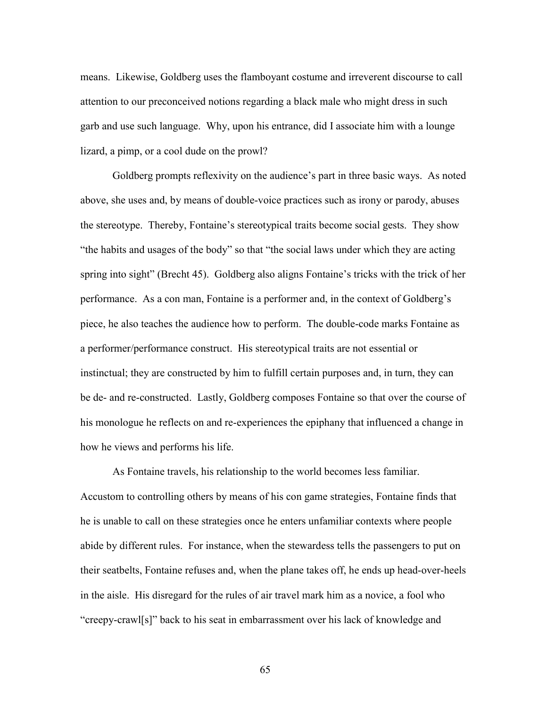means. Likewise, Goldberg uses the flamboyant costume and irreverent discourse to call attention to our preconceived notions regarding a black male who might dress in such garb and use such language. Why, upon his entrance, did I associate him with a lounge lizard, a pimp, or a cool dude on the prowl?

Goldberg prompts reflexivity on the audience's part in three basic ways. As noted above, she uses and, by means of double-voice practices such as irony or parody, abuses the stereotype. Thereby, Fontaine's stereotypical traits become social gests. They show "the habits and usages of the body" so that "the social laws under which they are acting spring into sight" (Brecht 45). Goldberg also aligns Fontaine's tricks with the trick of her performance. As a con man, Fontaine is a performer and, in the context of Goldberg's piece, he also teaches the audience how to perform. The double-code marks Fontaine as a performer/performance construct. His stereotypical traits are not essential or instinctual; they are constructed by him to fulfill certain purposes and, in turn, they can be de- and re-constructed. Lastly, Goldberg composes Fontaine so that over the course of his monologue he reflects on and re-experiences the epiphany that influenced a change in how he views and performs his life.

 As Fontaine travels, his relationship to the world becomes less familiar. Accustom to controlling others by means of his con game strategies, Fontaine finds that he is unable to call on these strategies once he enters unfamiliar contexts where people abide by different rules. For instance, when the stewardess tells the passengers to put on their seatbelts, Fontaine refuses and, when the plane takes off, he ends up head-over-heels in the aisle. His disregard for the rules of air travel mark him as a novice, a fool who "creepy-crawl[s]" back to his seat in embarrassment over his lack of knowledge and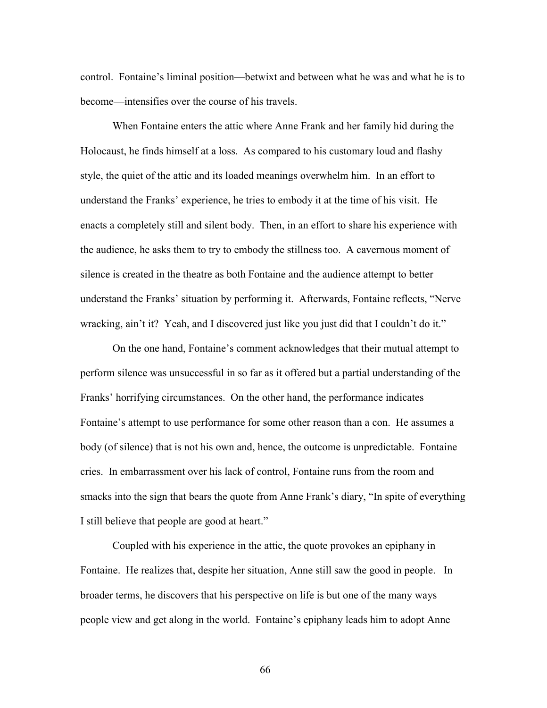control. Fontaine's liminal position—betwixt and between what he was and what he is to become—intensifies over the course of his travels.

 When Fontaine enters the attic where Anne Frank and her family hid during the Holocaust, he finds himself at a loss. As compared to his customary loud and flashy style, the quiet of the attic and its loaded meanings overwhelm him. In an effort to understand the Franks' experience, he tries to embody it at the time of his visit. He enacts a completely still and silent body. Then, in an effort to share his experience with the audience, he asks them to try to embody the stillness too. A cavernous moment of silence is created in the theatre as both Fontaine and the audience attempt to better understand the Franks' situation by performing it. Afterwards, Fontaine reflects, "Nerve wracking, ain't it? Yeah, and I discovered just like you just did that I couldn't do it."

On the one hand, Fontaine's comment acknowledges that their mutual attempt to perform silence was unsuccessful in so far as it offered but a partial understanding of the Franks' horrifying circumstances. On the other hand, the performance indicates Fontaine's attempt to use performance for some other reason than a con. He assumes a body (of silence) that is not his own and, hence, the outcome is unpredictable. Fontaine cries. In embarrassment over his lack of control, Fontaine runs from the room and smacks into the sign that bears the quote from Anne Frank's diary, "In spite of everything I still believe that people are good at heart."

Coupled with his experience in the attic, the quote provokes an epiphany in Fontaine. He realizes that, despite her situation, Anne still saw the good in people. In broader terms, he discovers that his perspective on life is but one of the many ways people view and get along in the world. Fontaine's epiphany leads him to adopt Anne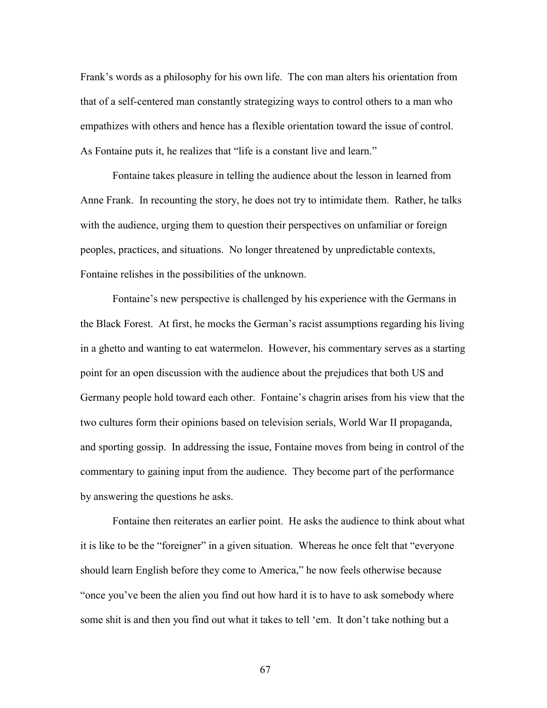Frank's words as a philosophy for his own life. The con man alters his orientation from that of a self-centered man constantly strategizing ways to control others to a man who empathizes with others and hence has a flexible orientation toward the issue of control. As Fontaine puts it, he realizes that "life is a constant live and learn."

Fontaine takes pleasure in telling the audience about the lesson in learned from Anne Frank. In recounting the story, he does not try to intimidate them. Rather, he talks with the audience, urging them to question their perspectives on unfamiliar or foreign peoples, practices, and situations. No longer threatened by unpredictable contexts, Fontaine relishes in the possibilities of the unknown.

 Fontaine's new perspective is challenged by his experience with the Germans in the Black Forest. At first, he mocks the German's racist assumptions regarding his living in a ghetto and wanting to eat watermelon. However, his commentary serves as a starting point for an open discussion with the audience about the prejudices that both US and Germany people hold toward each other. Fontaine's chagrin arises from his view that the two cultures form their opinions based on television serials, World War II propaganda, and sporting gossip. In addressing the issue, Fontaine moves from being in control of the commentary to gaining input from the audience. They become part of the performance by answering the questions he asks.

 Fontaine then reiterates an earlier point. He asks the audience to think about what it is like to be the "foreigner" in a given situation. Whereas he once felt that "everyone should learn English before they come to America," he now feels otherwise because "once you've been the alien you find out how hard it is to have to ask somebody where some shit is and then you find out what it takes to tell 'em. It don't take nothing but a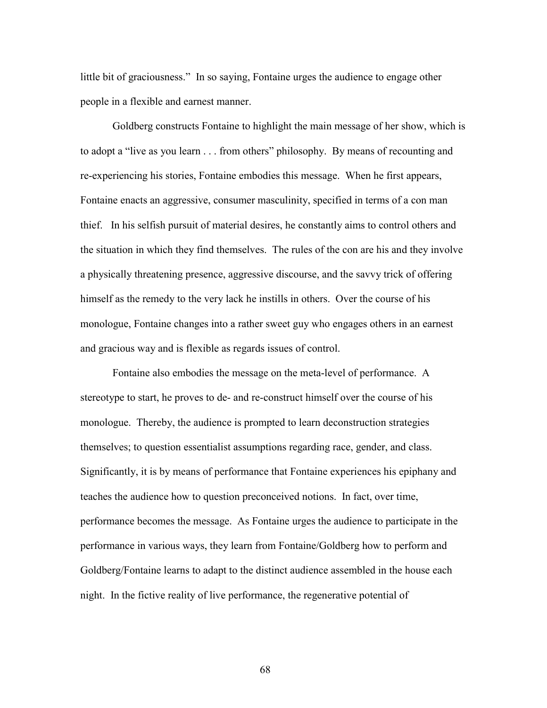little bit of graciousness." In so saying, Fontaine urges the audience to engage other people in a flexible and earnest manner.

Goldberg constructs Fontaine to highlight the main message of her show, which is to adopt a "live as you learn . . . from others" philosophy. By means of recounting and re-experiencing his stories, Fontaine embodies this message. When he first appears, Fontaine enacts an aggressive, consumer masculinity, specified in terms of a con man thief. In his selfish pursuit of material desires, he constantly aims to control others and the situation in which they find themselves. The rules of the con are his and they involve a physically threatening presence, aggressive discourse, and the savvy trick of offering himself as the remedy to the very lack he instills in others. Over the course of his monologue, Fontaine changes into a rather sweet guy who engages others in an earnest and gracious way and is flexible as regards issues of control.

Fontaine also embodies the message on the meta-level of performance. A stereotype to start, he proves to de- and re-construct himself over the course of his monologue. Thereby, the audience is prompted to learn deconstruction strategies themselves; to question essentialist assumptions regarding race, gender, and class. Significantly, it is by means of performance that Fontaine experiences his epiphany and teaches the audience how to question preconceived notions. In fact, over time, performance becomes the message. As Fontaine urges the audience to participate in the performance in various ways, they learn from Fontaine/Goldberg how to perform and Goldberg/Fontaine learns to adapt to the distinct audience assembled in the house each night. In the fictive reality of live performance, the regenerative potential of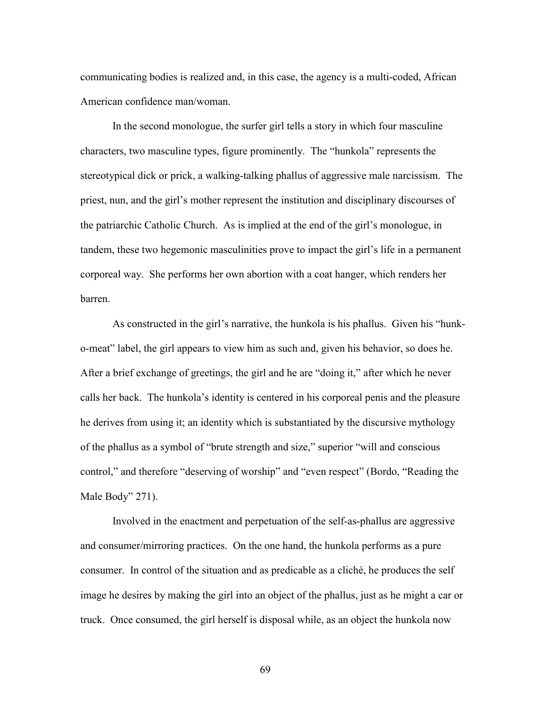communicating bodies is realized and, in this case, the agency is a multi-coded, African American confidence man/woman.

 In the second monologue, the surfer girl tells a story in which four masculine characters, two masculine types, figure prominently. The "hunkola" represents the stereotypical dick or prick, a walking-talking phallus of aggressive male narcissism. The priest, nun, and the girl's mother represent the institution and disciplinary discourses of the patriarchic Catholic Church. As is implied at the end of the girl's monologue, in tandem, these two hegemonic masculinities prove to impact the girl's life in a permanent corporeal way. She performs her own abortion with a coat hanger, which renders her barren.

As constructed in the girl's narrative, the hunkola is his phallus. Given his "hunko-meat" label, the girl appears to view him as such and, given his behavior, so does he. After a brief exchange of greetings, the girl and he are "doing it," after which he never calls her back. The hunkola's identity is centered in his corporeal penis and the pleasure he derives from using it; an identity which is substantiated by the discursive mythology of the phallus as a symbol of "brute strength and size," superior "will and conscious control," and therefore "deserving of worship" and "even respect" (Bordo, "Reading the Male Body" 271).

Involved in the enactment and perpetuation of the self-as-phallus are aggressive and consumer/mirroring practices. On the one hand, the hunkola performs as a pure consumer. In control of the situation and as predicable as a cliché, he produces the self image he desires by making the girl into an object of the phallus, just as he might a car or truck. Once consumed, the girl herself is disposal while, as an object the hunkola now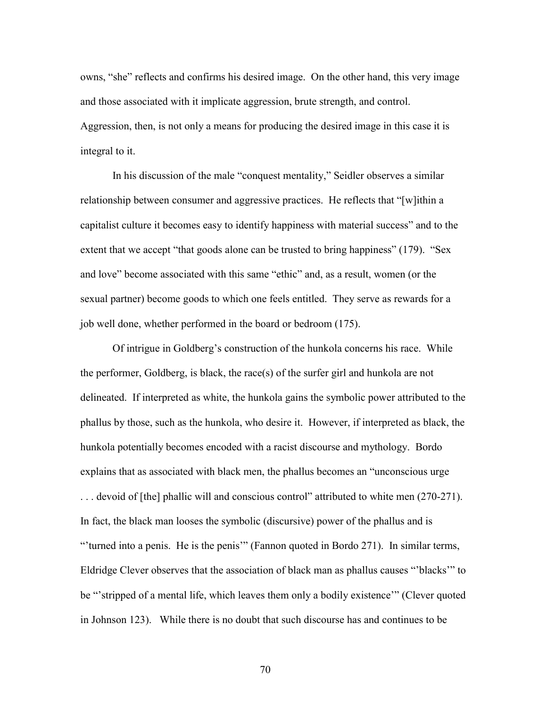owns, "she" reflects and confirms his desired image. On the other hand, this very image and those associated with it implicate aggression, brute strength, and control. Aggression, then, is not only a means for producing the desired image in this case it is integral to it.

In his discussion of the male "conquest mentality," Seidler observes a similar relationship between consumer and aggressive practices. He reflects that "[w]ithin a capitalist culture it becomes easy to identify happiness with material success" and to the extent that we accept "that goods alone can be trusted to bring happiness" (179). "Sex and love" become associated with this same "ethic" and, as a result, women (or the sexual partner) become goods to which one feels entitled. They serve as rewards for a job well done, whether performed in the board or bedroom (175).

Of intrigue in Goldberg's construction of the hunkola concerns his race. While the performer, Goldberg, is black, the race(s) of the surfer girl and hunkola are not delineated. If interpreted as white, the hunkola gains the symbolic power attributed to the phallus by those, such as the hunkola, who desire it. However, if interpreted as black, the hunkola potentially becomes encoded with a racist discourse and mythology. Bordo explains that as associated with black men, the phallus becomes an "unconscious urge . . . devoid of [the] phallic will and conscious control" attributed to white men (270-271). In fact, the black man looses the symbolic (discursive) power of the phallus and is "'turned into a penis. He is the penis'" (Fannon quoted in Bordo 271). In similar terms, Eldridge Clever observes that the association of black man as phallus causes "'blacks'" to be "'stripped of a mental life, which leaves them only a bodily existence'" (Clever quoted in Johnson 123). While there is no doubt that such discourse has and continues to be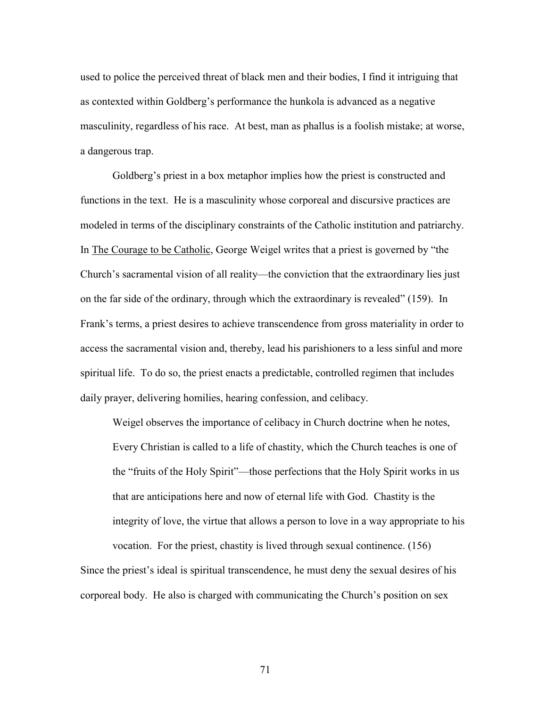used to police the perceived threat of black men and their bodies, I find it intriguing that as contexted within Goldberg's performance the hunkola is advanced as a negative masculinity, regardless of his race. At best, man as phallus is a foolish mistake; at worse, a dangerous trap.

Goldberg's priest in a box metaphor implies how the priest is constructed and functions in the text. He is a masculinity whose corporeal and discursive practices are modeled in terms of the disciplinary constraints of the Catholic institution and patriarchy. In The Courage to be Catholic, George Weigel writes that a priest is governed by "the Church's sacramental vision of all reality—the conviction that the extraordinary lies just on the far side of the ordinary, through which the extraordinary is revealed" (159). In Frank's terms, a priest desires to achieve transcendence from gross materiality in order to access the sacramental vision and, thereby, lead his parishioners to a less sinful and more spiritual life. To do so, the priest enacts a predictable, controlled regimen that includes daily prayer, delivering homilies, hearing confession, and celibacy.

 Weigel observes the importance of celibacy in Church doctrine when he notes, Every Christian is called to a life of chastity, which the Church teaches is one of the "fruits of the Holy Spirit"—those perfections that the Holy Spirit works in us that are anticipations here and now of eternal life with God. Chastity is the integrity of love, the virtue that allows a person to love in a way appropriate to his vocation. For the priest, chastity is lived through sexual continence. (156)

Since the priest's ideal is spiritual transcendence, he must deny the sexual desires of his corporeal body. He also is charged with communicating the Church's position on sex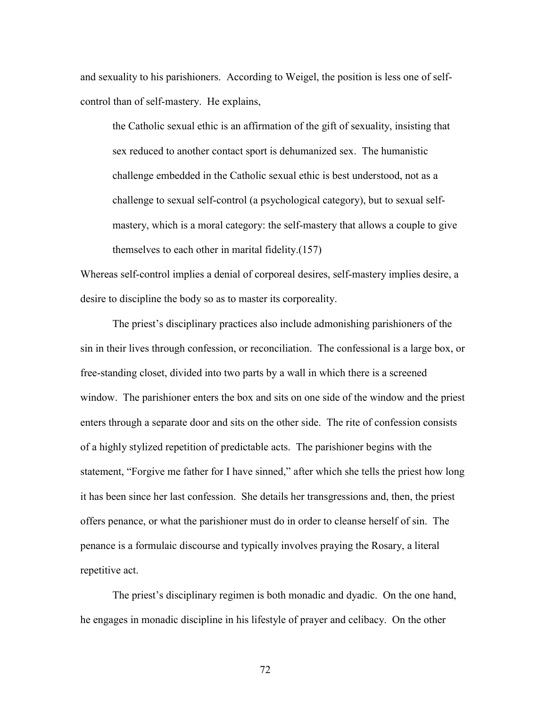and sexuality to his parishioners. According to Weigel, the position is less one of selfcontrol than of self-mastery. He explains,

the Catholic sexual ethic is an affirmation of the gift of sexuality, insisting that sex reduced to another contact sport is dehumanized sex. The humanistic challenge embedded in the Catholic sexual ethic is best understood, not as a challenge to sexual self-control (a psychological category), but to sexual selfmastery, which is a moral category: the self-mastery that allows a couple to give themselves to each other in marital fidelity.(157)

Whereas self-control implies a denial of corporeal desires, self-mastery implies desire, a desire to discipline the body so as to master its corporeality.

 The priest's disciplinary practices also include admonishing parishioners of the sin in their lives through confession, or reconciliation. The confessional is a large box, or free-standing closet, divided into two parts by a wall in which there is a screened window. The parishioner enters the box and sits on one side of the window and the priest enters through a separate door and sits on the other side. The rite of confession consists of a highly stylized repetition of predictable acts. The parishioner begins with the statement, "Forgive me father for I have sinned," after which she tells the priest how long it has been since her last confession. She details her transgressions and, then, the priest offers penance, or what the parishioner must do in order to cleanse herself of sin. The penance is a formulaic discourse and typically involves praying the Rosary, a literal repetitive act.

 The priest's disciplinary regimen is both monadic and dyadic. On the one hand, he engages in monadic discipline in his lifestyle of prayer and celibacy. On the other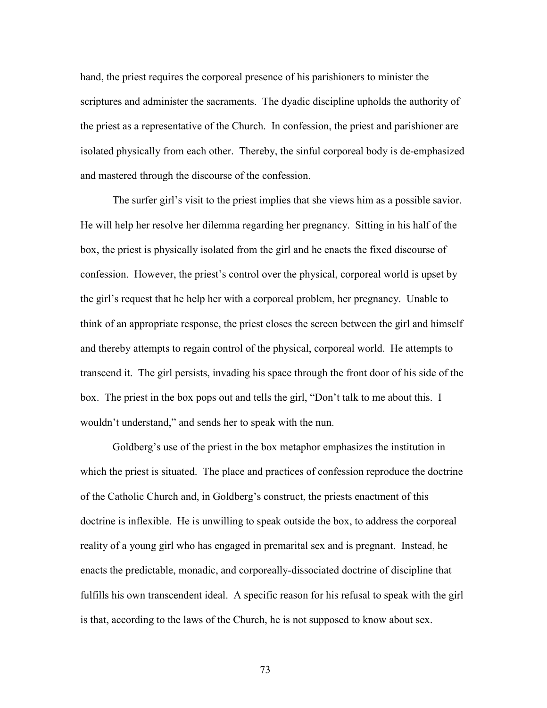hand, the priest requires the corporeal presence of his parishioners to minister the scriptures and administer the sacraments. The dyadic discipline upholds the authority of the priest as a representative of the Church. In confession, the priest and parishioner are isolated physically from each other. Thereby, the sinful corporeal body is de-emphasized and mastered through the discourse of the confession.

 The surfer girl's visit to the priest implies that she views him as a possible savior. He will help her resolve her dilemma regarding her pregnancy. Sitting in his half of the box, the priest is physically isolated from the girl and he enacts the fixed discourse of confession. However, the priest's control over the physical, corporeal world is upset by the girl's request that he help her with a corporeal problem, her pregnancy. Unable to think of an appropriate response, the priest closes the screen between the girl and himself and thereby attempts to regain control of the physical, corporeal world. He attempts to transcend it. The girl persists, invading his space through the front door of his side of the box. The priest in the box pops out and tells the girl, "Don't talk to me about this. I wouldn't understand," and sends her to speak with the nun.

 Goldberg's use of the priest in the box metaphor emphasizes the institution in which the priest is situated. The place and practices of confession reproduce the doctrine of the Catholic Church and, in Goldberg's construct, the priests enactment of this doctrine is inflexible. He is unwilling to speak outside the box, to address the corporeal reality of a young girl who has engaged in premarital sex and is pregnant. Instead, he enacts the predictable, monadic, and corporeally-dissociated doctrine of discipline that fulfills his own transcendent ideal. A specific reason for his refusal to speak with the girl is that, according to the laws of the Church, he is not supposed to know about sex.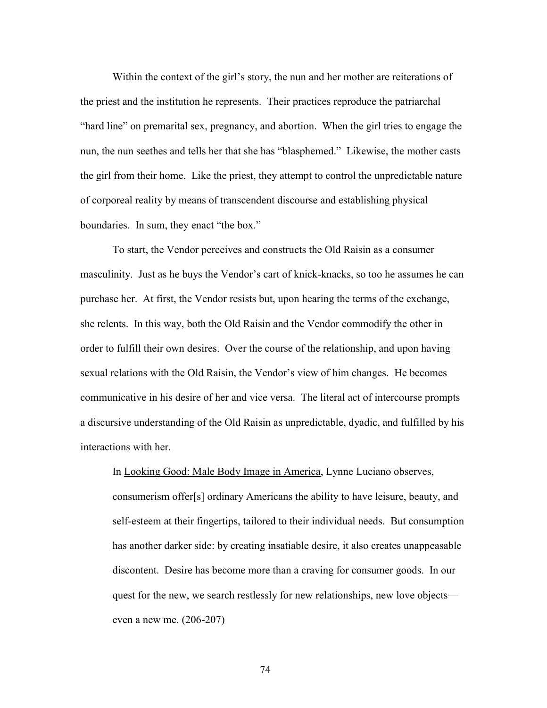Within the context of the girl's story, the nun and her mother are reiterations of the priest and the institution he represents. Their practices reproduce the patriarchal "hard line" on premarital sex, pregnancy, and abortion. When the girl tries to engage the nun, the nun seethes and tells her that she has "blasphemed." Likewise, the mother casts the girl from their home. Like the priest, they attempt to control the unpredictable nature of corporeal reality by means of transcendent discourse and establishing physical boundaries. In sum, they enact "the box."

To start, the Vendor perceives and constructs the Old Raisin as a consumer masculinity. Just as he buys the Vendor's cart of knick-knacks, so too he assumes he can purchase her. At first, the Vendor resists but, upon hearing the terms of the exchange, she relents. In this way, both the Old Raisin and the Vendor commodify the other in order to fulfill their own desires. Over the course of the relationship, and upon having sexual relations with the Old Raisin, the Vendor's view of him changes. He becomes communicative in his desire of her and vice versa. The literal act of intercourse prompts a discursive understanding of the Old Raisin as unpredictable, dyadic, and fulfilled by his interactions with her.

In Looking Good: Male Body Image in America, Lynne Luciano observes, consumerism offer[s] ordinary Americans the ability to have leisure, beauty, and self-esteem at their fingertips, tailored to their individual needs. But consumption has another darker side: by creating insatiable desire, it also creates unappeasable discontent. Desire has become more than a craving for consumer goods. In our quest for the new, we search restlessly for new relationships, new love objects even a new me. (206-207)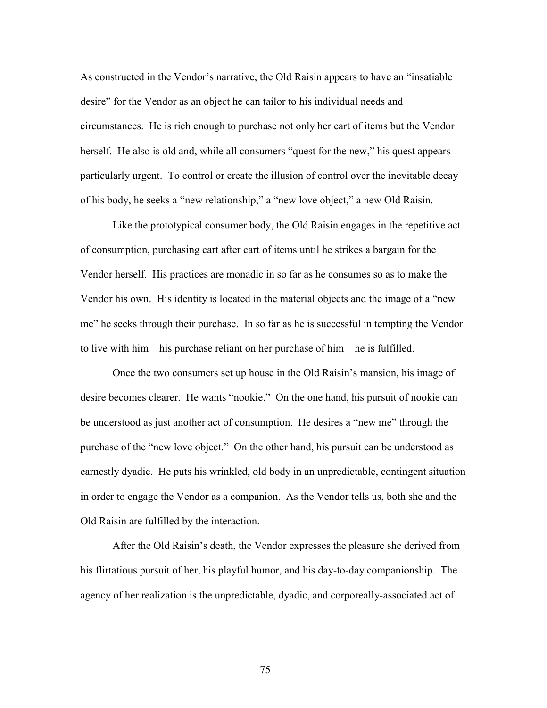As constructed in the Vendor's narrative, the Old Raisin appears to have an "insatiable desire" for the Vendor as an object he can tailor to his individual needs and circumstances. He is rich enough to purchase not only her cart of items but the Vendor herself. He also is old and, while all consumers "quest for the new," his quest appears particularly urgent. To control or create the illusion of control over the inevitable decay of his body, he seeks a "new relationship," a "new love object," a new Old Raisin.

 Like the prototypical consumer body, the Old Raisin engages in the repetitive act of consumption, purchasing cart after cart of items until he strikes a bargain for the Vendor herself. His practices are monadic in so far as he consumes so as to make the Vendor his own. His identity is located in the material objects and the image of a "new me" he seeks through their purchase. In so far as he is successful in tempting the Vendor to live with him—his purchase reliant on her purchase of him—he is fulfilled.

 Once the two consumers set up house in the Old Raisin's mansion, his image of desire becomes clearer. He wants "nookie." On the one hand, his pursuit of nookie can be understood as just another act of consumption. He desires a "new me" through the purchase of the "new love object." On the other hand, his pursuit can be understood as earnestly dyadic. He puts his wrinkled, old body in an unpredictable, contingent situation in order to engage the Vendor as a companion. As the Vendor tells us, both she and the Old Raisin are fulfilled by the interaction.

 After the Old Raisin's death, the Vendor expresses the pleasure she derived from his flirtatious pursuit of her, his playful humor, and his day-to-day companionship. The agency of her realization is the unpredictable, dyadic, and corporeally-associated act of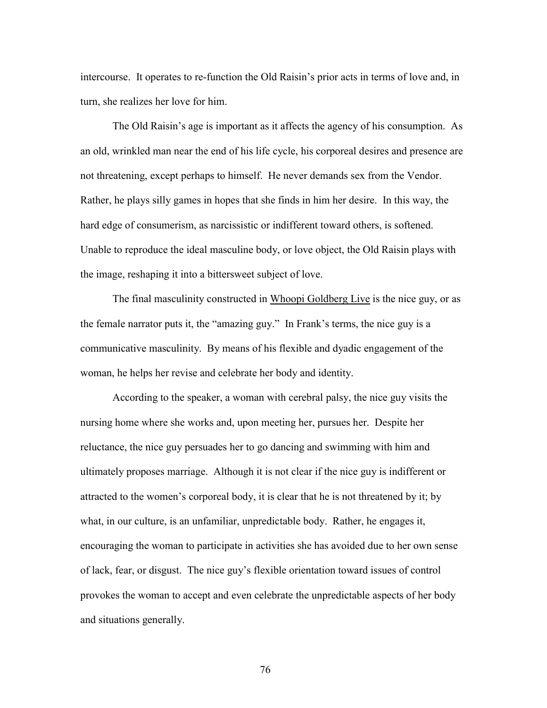intercourse. It operates to re-function the Old Raisin's prior acts in terms of love and, in turn, she realizes her love for him.

 The Old Raisin's age is important as it affects the agency of his consumption. As an old, wrinkled man near the end of his life cycle, his corporeal desires and presence are not threatening, except perhaps to himself. He never demands sex from the Vendor. Rather, he plays silly games in hopes that she finds in him her desire. In this way, the hard edge of consumerism, as narcissistic or indifferent toward others, is softened. Unable to reproduce the ideal masculine body, or love object, the Old Raisin plays with the image, reshaping it into a bittersweet subject of love.

 The final masculinity constructed in Whoopi Goldberg Live is the nice guy, or as the female narrator puts it, the "amazing guy." In Frank's terms, the nice guy is a communicative masculinity. By means of his flexible and dyadic engagement of the woman, he helps her revise and celebrate her body and identity.

 According to the speaker, a woman with cerebral palsy, the nice guy visits the nursing home where she works and, upon meeting her, pursues her. Despite her reluctance, the nice guy persuades her to go dancing and swimming with him and ultimately proposes marriage. Although it is not clear if the nice guy is indifferent or attracted to the women's corporeal body, it is clear that he is not threatened by it; by what, in our culture, is an unfamiliar, unpredictable body. Rather, he engages it, encouraging the woman to participate in activities she has avoided due to her own sense of lack, fear, or disgust. The nice guy's flexible orientation toward issues of control provokes the woman to accept and even celebrate the unpredictable aspects of her body and situations generally.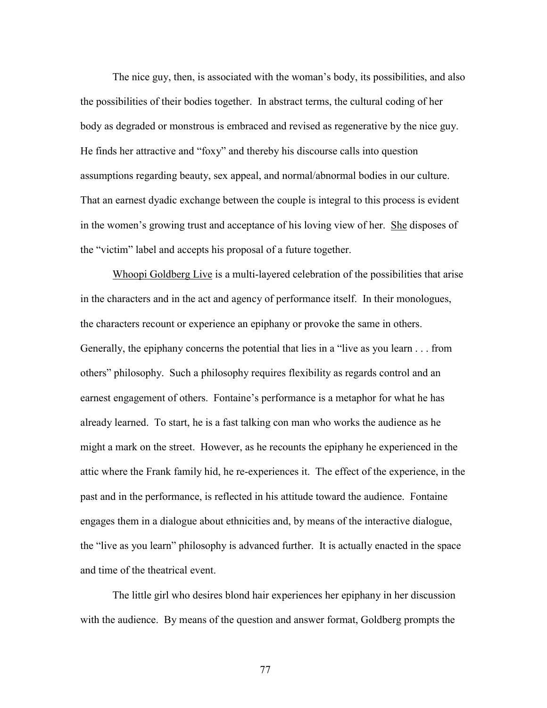The nice guy, then, is associated with the woman's body, its possibilities, and also the possibilities of their bodies together. In abstract terms, the cultural coding of her body as degraded or monstrous is embraced and revised as regenerative by the nice guy. He finds her attractive and "foxy" and thereby his discourse calls into question assumptions regarding beauty, sex appeal, and normal/abnormal bodies in our culture. That an earnest dyadic exchange between the couple is integral to this process is evident in the women's growing trust and acceptance of his loving view of her. She disposes of the "victim" label and accepts his proposal of a future together.

 Whoopi Goldberg Live is a multi-layered celebration of the possibilities that arise in the characters and in the act and agency of performance itself. In their monologues, the characters recount or experience an epiphany or provoke the same in others. Generally, the epiphany concerns the potential that lies in a "live as you learn . . . from others" philosophy. Such a philosophy requires flexibility as regards control and an earnest engagement of others. Fontaine's performance is a metaphor for what he has already learned. To start, he is a fast talking con man who works the audience as he might a mark on the street. However, as he recounts the epiphany he experienced in the attic where the Frank family hid, he re-experiences it. The effect of the experience, in the past and in the performance, is reflected in his attitude toward the audience. Fontaine engages them in a dialogue about ethnicities and, by means of the interactive dialogue, the "live as you learn" philosophy is advanced further. It is actually enacted in the space and time of the theatrical event.

 The little girl who desires blond hair experiences her epiphany in her discussion with the audience. By means of the question and answer format, Goldberg prompts the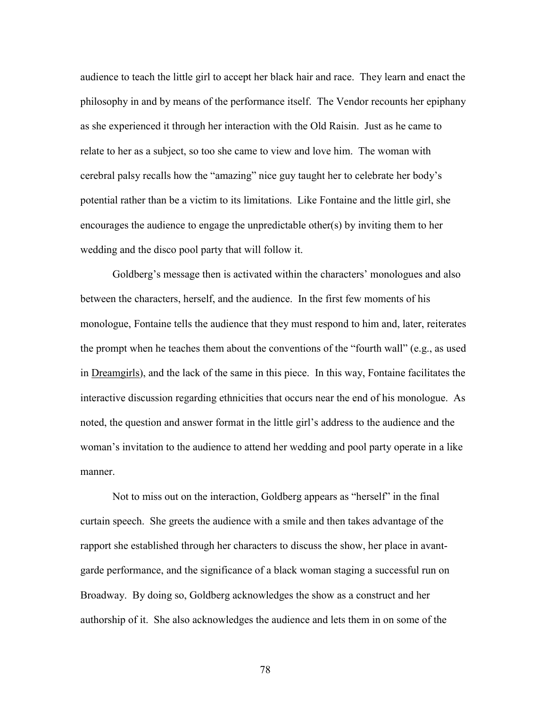audience to teach the little girl to accept her black hair and race. They learn and enact the philosophy in and by means of the performance itself. The Vendor recounts her epiphany as she experienced it through her interaction with the Old Raisin. Just as he came to relate to her as a subject, so too she came to view and love him. The woman with cerebral palsy recalls how the "amazing" nice guy taught her to celebrate her body's potential rather than be a victim to its limitations. Like Fontaine and the little girl, she encourages the audience to engage the unpredictable other(s) by inviting them to her wedding and the disco pool party that will follow it.

 Goldberg's message then is activated within the characters' monologues and also between the characters, herself, and the audience. In the first few moments of his monologue, Fontaine tells the audience that they must respond to him and, later, reiterates the prompt when he teaches them about the conventions of the "fourth wall" (e.g., as used in Dreamgirls), and the lack of the same in this piece. In this way, Fontaine facilitates the interactive discussion regarding ethnicities that occurs near the end of his monologue. As noted, the question and answer format in the little girl's address to the audience and the woman's invitation to the audience to attend her wedding and pool party operate in a like manner.

 Not to miss out on the interaction, Goldberg appears as "herself" in the final curtain speech. She greets the audience with a smile and then takes advantage of the rapport she established through her characters to discuss the show, her place in avantgarde performance, and the significance of a black woman staging a successful run on Broadway. By doing so, Goldberg acknowledges the show as a construct and her authorship of it. She also acknowledges the audience and lets them in on some of the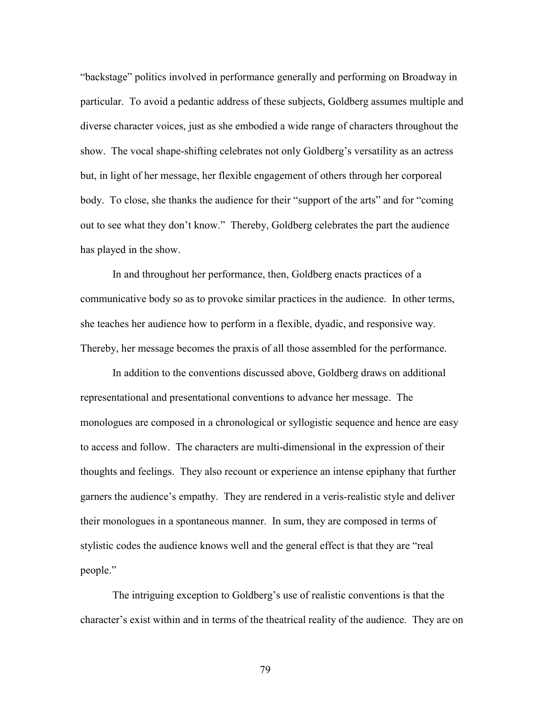"backstage" politics involved in performance generally and performing on Broadway in particular. To avoid a pedantic address of these subjects, Goldberg assumes multiple and diverse character voices, just as she embodied a wide range of characters throughout the show. The vocal shape-shifting celebrates not only Goldberg's versatility as an actress but, in light of her message, her flexible engagement of others through her corporeal body. To close, she thanks the audience for their "support of the arts" and for "coming out to see what they don't know." Thereby, Goldberg celebrates the part the audience has played in the show.

 In and throughout her performance, then, Goldberg enacts practices of a communicative body so as to provoke similar practices in the audience. In other terms, she teaches her audience how to perform in a flexible, dyadic, and responsive way. Thereby, her message becomes the praxis of all those assembled for the performance.

 In addition to the conventions discussed above, Goldberg draws on additional representational and presentational conventions to advance her message. The monologues are composed in a chronological or syllogistic sequence and hence are easy to access and follow. The characters are multi-dimensional in the expression of their thoughts and feelings. They also recount or experience an intense epiphany that further garners the audience's empathy. They are rendered in a veris-realistic style and deliver their monologues in a spontaneous manner. In sum, they are composed in terms of stylistic codes the audience knows well and the general effect is that they are "real people."

The intriguing exception to Goldberg's use of realistic conventions is that the character's exist within and in terms of the theatrical reality of the audience. They are on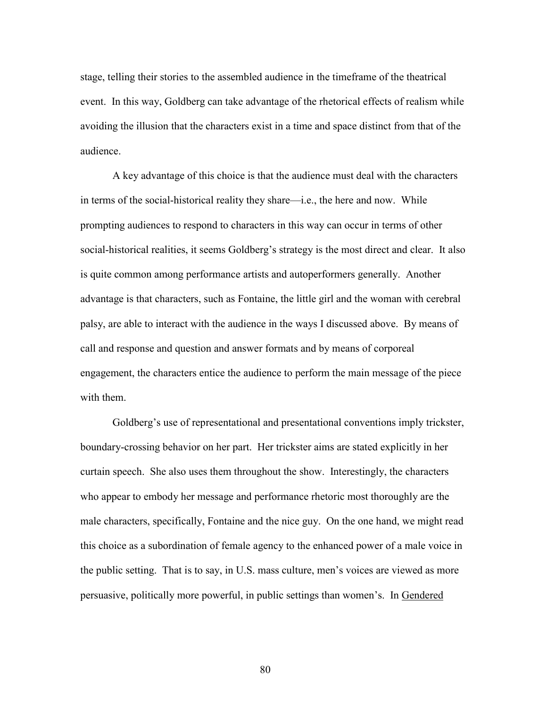stage, telling their stories to the assembled audience in the timeframe of the theatrical event. In this way, Goldberg can take advantage of the rhetorical effects of realism while avoiding the illusion that the characters exist in a time and space distinct from that of the audience.

 A key advantage of this choice is that the audience must deal with the characters in terms of the social-historical reality they share—i.e., the here and now. While prompting audiences to respond to characters in this way can occur in terms of other social-historical realities, it seems Goldberg's strategy is the most direct and clear. It also is quite common among performance artists and autoperformers generally. Another advantage is that characters, such as Fontaine, the little girl and the woman with cerebral palsy, are able to interact with the audience in the ways I discussed above. By means of call and response and question and answer formats and by means of corporeal engagement, the characters entice the audience to perform the main message of the piece with them.

 Goldberg's use of representational and presentational conventions imply trickster, boundary-crossing behavior on her part. Her trickster aims are stated explicitly in her curtain speech. She also uses them throughout the show. Interestingly, the characters who appear to embody her message and performance rhetoric most thoroughly are the male characters, specifically, Fontaine and the nice guy. On the one hand, we might read this choice as a subordination of female agency to the enhanced power of a male voice in the public setting. That is to say, in U.S. mass culture, men's voices are viewed as more persuasive, politically more powerful, in public settings than women's. In Gendered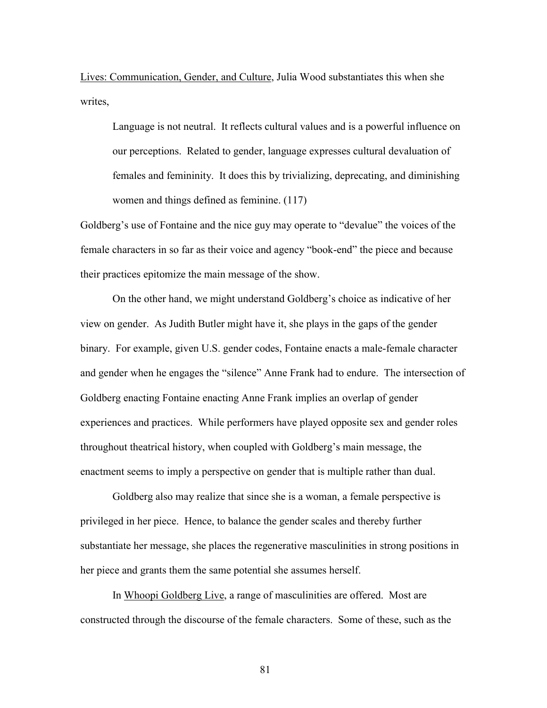Lives: Communication, Gender, and Culture, Julia Wood substantiates this when she writes,

Language is not neutral. It reflects cultural values and is a powerful influence on our perceptions. Related to gender, language expresses cultural devaluation of females and femininity. It does this by trivializing, deprecating, and diminishing women and things defined as feminine. (117)

Goldberg's use of Fontaine and the nice guy may operate to "devalue" the voices of the female characters in so far as their voice and agency "book-end" the piece and because their practices epitomize the main message of the show.

 On the other hand, we might understand Goldberg's choice as indicative of her view on gender. As Judith Butler might have it, she plays in the gaps of the gender binary. For example, given U.S. gender codes, Fontaine enacts a male-female character and gender when he engages the "silence" Anne Frank had to endure. The intersection of Goldberg enacting Fontaine enacting Anne Frank implies an overlap of gender experiences and practices. While performers have played opposite sex and gender roles throughout theatrical history, when coupled with Goldberg's main message, the enactment seems to imply a perspective on gender that is multiple rather than dual.

 Goldberg also may realize that since she is a woman, a female perspective is privileged in her piece. Hence, to balance the gender scales and thereby further substantiate her message, she places the regenerative masculinities in strong positions in her piece and grants them the same potential she assumes herself.

 In Whoopi Goldberg Live, a range of masculinities are offered. Most are constructed through the discourse of the female characters. Some of these, such as the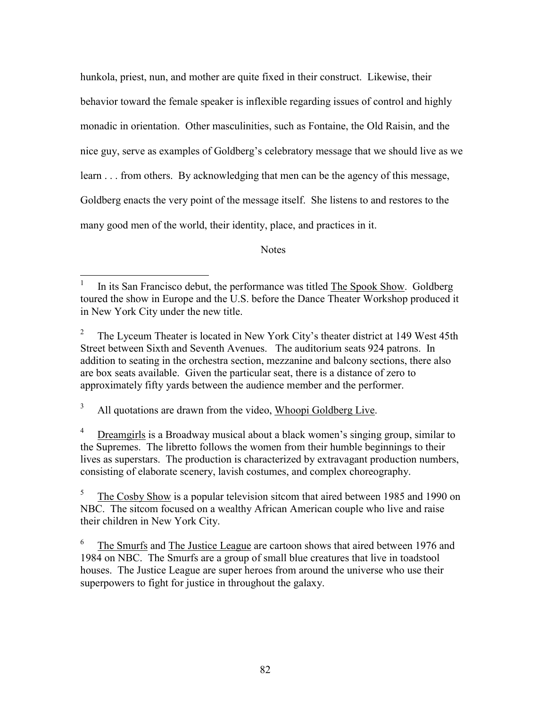hunkola, priest, nun, and mother are quite fixed in their construct. Likewise, their behavior toward the female speaker is inflexible regarding issues of control and highly monadic in orientation. Other masculinities, such as Fontaine, the Old Raisin, and the nice guy, serve as examples of Goldberg's celebratory message that we should live as we learn . . . from others. By acknowledging that men can be the agency of this message, Goldberg enacts the very point of the message itself. She listens to and restores to the many good men of the world, their identity, place, and practices in it.

Notes

 3 All quotations are drawn from the video, Whoopi Goldberg Live.

 $\overline{a}$ 

4 Dreamgirls is a Broadway musical about a black women's singing group, similar to the Supremes. The libretto follows the women from their humble beginnings to their lives as superstars. The production is characterized by extravagant production numbers, consisting of elaborate scenery, lavish costumes, and complex choreography.

<sup>1</sup> In its San Francisco debut, the performance was titled The Spook Show. Goldberg toured the show in Europe and the U.S. before the Dance Theater Workshop produced it in New York City under the new title.

<sup>2</sup> The Lyceum Theater is located in New York City's theater district at 149 West 45th Street between Sixth and Seventh Avenues. The auditorium seats 924 patrons. In addition to seating in the orchestra section, mezzanine and balcony sections, there also are box seats available. Given the particular seat, there is a distance of zero to approximately fifty yards between the audience member and the performer.

<sup>5</sup> The Cosby Show is a popular television sitcom that aired between 1985 and 1990 on NBC. The sitcom focused on a wealthy African American couple who live and raise their children in New York City.

<sup>6</sup> The Smurfs and The Justice League are cartoon shows that aired between 1976 and 1984 on NBC. The Smurfs are a group of small blue creatures that live in toadstool houses. The Justice League are super heroes from around the universe who use their superpowers to fight for justice in throughout the galaxy.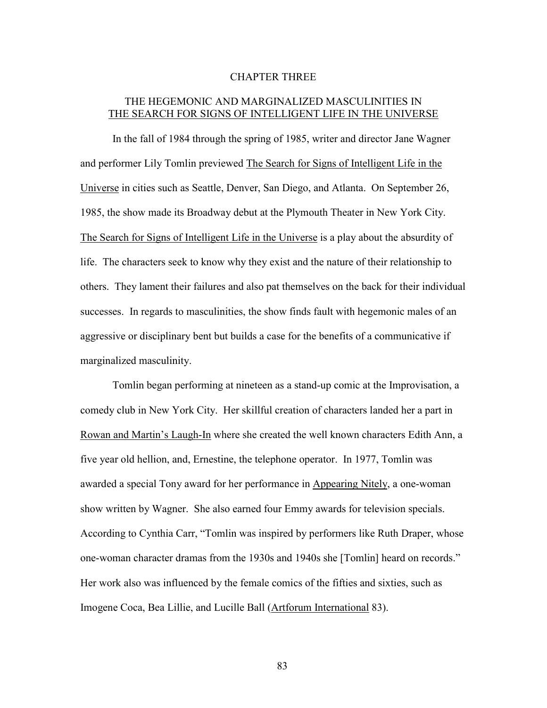## CHAPTER THREE

## THE HEGEMONIC AND MARGINALIZED MASCULINITIES IN THE SEARCH FOR SIGNS OF INTELLIGENT LIFE IN THE UNIVERSE

In the fall of 1984 through the spring of 1985, writer and director Jane Wagner and performer Lily Tomlin previewed The Search for Signs of Intelligent Life in the Universe in cities such as Seattle, Denver, San Diego, and Atlanta. On September 26, 1985, the show made its Broadway debut at the Plymouth Theater in New York City. The Search for Signs of Intelligent Life in the Universe is a play about the absurdity of life. The characters seek to know why they exist and the nature of their relationship to others. They lament their failures and also pat themselves on the back for their individual successes. In regards to masculinities, the show finds fault with hegemonic males of an aggressive or disciplinary bent but builds a case for the benefits of a communicative if marginalized masculinity.

Tomlin began performing at nineteen as a stand-up comic at the Improvisation, a comedy club in New York City. Her skillful creation of characters landed her a part in Rowan and Martin's Laugh-In where she created the well known characters Edith Ann, a five year old hellion, and, Ernestine, the telephone operator. In 1977, Tomlin was awarded a special Tony award for her performance in Appearing Nitely, a one-woman show written by Wagner. She also earned four Emmy awards for television specials. According to Cynthia Carr, "Tomlin was inspired by performers like Ruth Draper, whose one-woman character dramas from the 1930s and 1940s she [Tomlin] heard on records." Her work also was influenced by the female comics of the fifties and sixties, such as Imogene Coca, Bea Lillie, and Lucille Ball (Artforum International 83).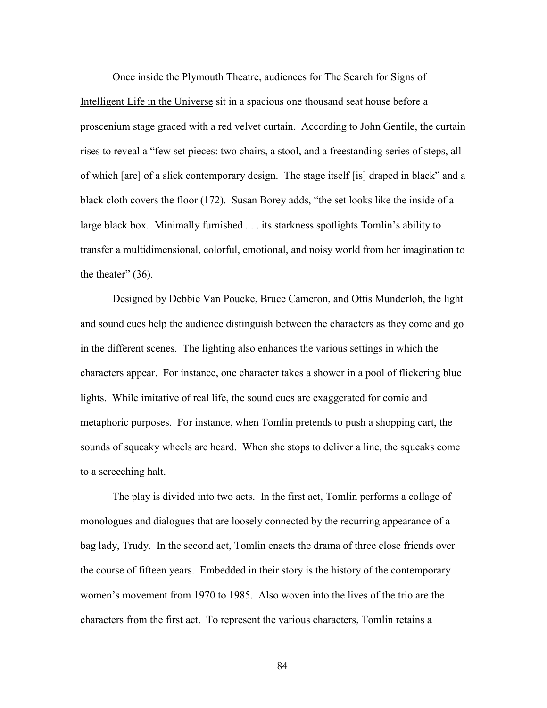Once inside the Plymouth Theatre, audiences for The Search for Signs of Intelligent Life in the Universe sit in a spacious one thousand seat house before a proscenium stage graced with a red velvet curtain. According to John Gentile, the curtain rises to reveal a "few set pieces: two chairs, a stool, and a freestanding series of steps, all of which [are] of a slick contemporary design. The stage itself [is] draped in black" and a black cloth covers the floor (172). Susan Borey adds, "the set looks like the inside of a large black box. Minimally furnished . . . its starkness spotlights Tomlin's ability to transfer a multidimensional, colorful, emotional, and noisy world from her imagination to the theater" (36).

 Designed by Debbie Van Poucke, Bruce Cameron, and Ottis Munderloh, the light and sound cues help the audience distinguish between the characters as they come and go in the different scenes. The lighting also enhances the various settings in which the characters appear. For instance, one character takes a shower in a pool of flickering blue lights. While imitative of real life, the sound cues are exaggerated for comic and metaphoric purposes. For instance, when Tomlin pretends to push a shopping cart, the sounds of squeaky wheels are heard. When she stops to deliver a line, the squeaks come to a screeching halt.

 The play is divided into two acts. In the first act, Tomlin performs a collage of monologues and dialogues that are loosely connected by the recurring appearance of a bag lady, Trudy. In the second act, Tomlin enacts the drama of three close friends over the course of fifteen years. Embedded in their story is the history of the contemporary women's movement from 1970 to 1985. Also woven into the lives of the trio are the characters from the first act. To represent the various characters, Tomlin retains a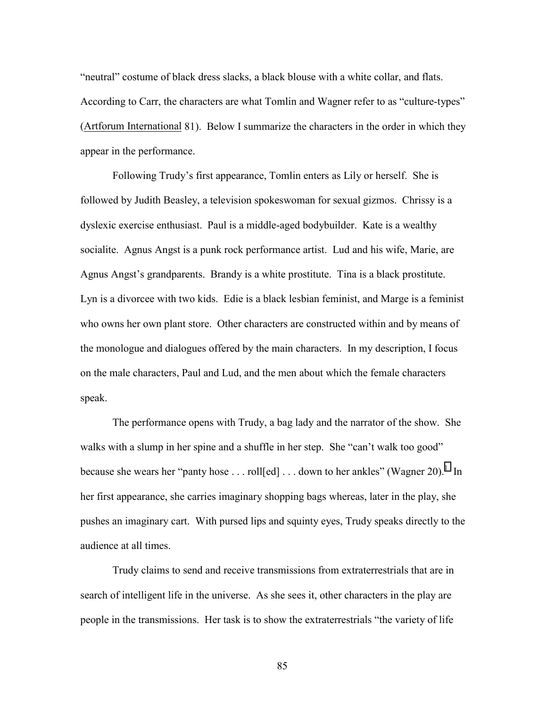"neutral" costume of black dress slacks, a black blouse with a white collar, and flats. According to Carr, the characters are what Tomlin and Wagner refer to as "culture-types" (Artforum International 81). Below I summarize the characters in the order in which they appear in the performance.

 Following Trudy's first appearance, Tomlin enters as Lily or herself. She is followed by Judith Beasley, a television spokeswoman for sexual gizmos. Chrissy is a dyslexic exercise enthusiast. Paul is a middle-aged bodybuilder. Kate is a wealthy socialite. Agnus Angst is a punk rock performance artist. Lud and his wife, Marie, are Agnus Angst's grandparents. Brandy is a white prostitute. Tina is a black prostitute. Lyn is a divorcee with two kids. Edie is a black lesbian feminist, and Marge is a feminist who owns her own plant store. Other characters are constructed within and by means of the monologue and dialogues offered by the main characters. In my description, I focus on the male characters, Paul and Lud, and the men about which the female characters speak.

 The performance opens with Trudy, a bag lady and the narrator of the show. She walks with a slump in her spine and a shuffle in her step. She "can't walk too good" because she wears her "panty hose . . . roll $[ed]$ ... down to her ankles" (Wagner 20).<sup>[1](#page-123-0)</sup> In her first appearance, she carries imaginary shopping bags whereas, later in the play, she pushes an imaginary cart. With pursed lips and squinty eyes, Trudy speaks directly to the audience at all times.

 Trudy claims to send and receive transmissions from extraterrestrials that are in search of intelligent life in the universe. As she sees it, other characters in the play are people in the transmissions. Her task is to show the extraterrestrials "the variety of life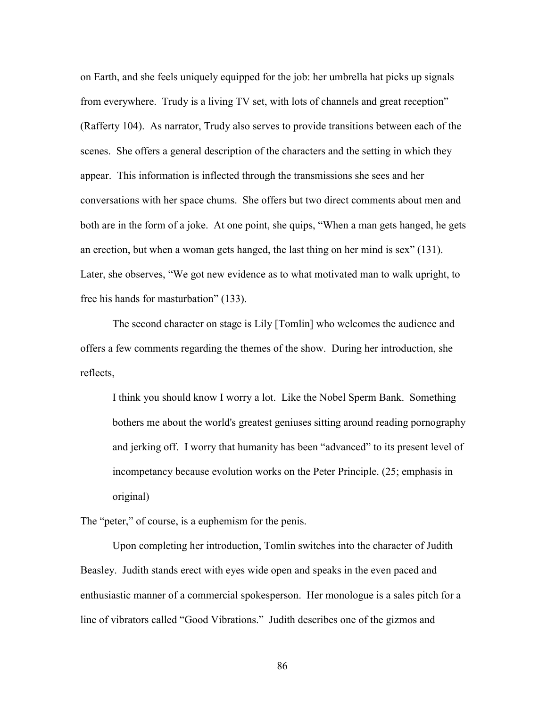on Earth, and she feels uniquely equipped for the job: her umbrella hat picks up signals from everywhere. Trudy is a living TV set, with lots of channels and great reception" (Rafferty 104). As narrator, Trudy also serves to provide transitions between each of the scenes. She offers a general description of the characters and the setting in which they appear. This information is inflected through the transmissions she sees and her conversations with her space chums. She offers but two direct comments about men and both are in the form of a joke. At one point, she quips, "When a man gets hanged, he gets an erection, but when a woman gets hanged, the last thing on her mind is sex" (131). Later, she observes, "We got new evidence as to what motivated man to walk upright, to free his hands for masturbation" (133).

 The second character on stage is Lily [Tomlin] who welcomes the audience and offers a few comments regarding the themes of the show. During her introduction, she reflects,

I think you should know I worry a lot. Like the Nobel Sperm Bank. Something bothers me about the world's greatest geniuses sitting around reading pornography and jerking off. I worry that humanity has been "advanced" to its present level of incompetancy because evolution works on the Peter Principle. (25; emphasis in original)

The "peter," of course, is a euphemism for the penis.

 Upon completing her introduction, Tomlin switches into the character of Judith Beasley. Judith stands erect with eyes wide open and speaks in the even paced and enthusiastic manner of a commercial spokesperson. Her monologue is a sales pitch for a line of vibrators called "Good Vibrations." Judith describes one of the gizmos and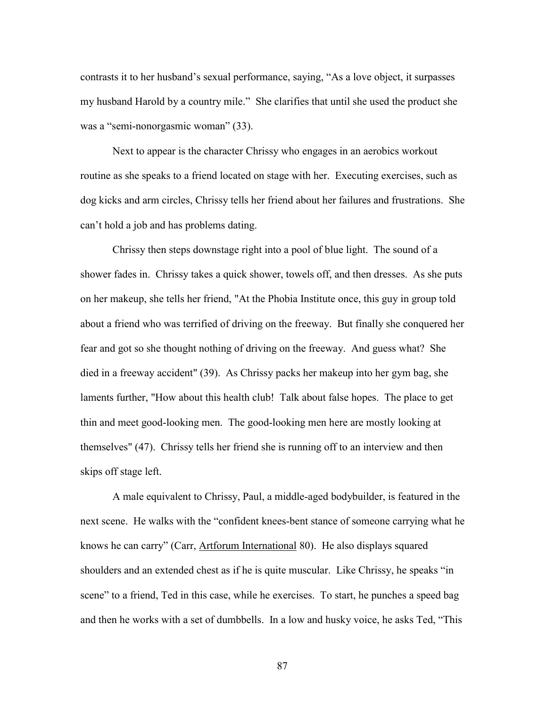contrasts it to her husband's sexual performance, saying, "As a love object, it surpasses my husband Harold by a country mile." She clarifies that until she used the product she was a "semi-nonorgasmic woman" (33).

 Next to appear is the character Chrissy who engages in an aerobics workout routine as she speaks to a friend located on stage with her. Executing exercises, such as dog kicks and arm circles, Chrissy tells her friend about her failures and frustrations. She can't hold a job and has problems dating.

 Chrissy then steps downstage right into a pool of blue light. The sound of a shower fades in. Chrissy takes a quick shower, towels off, and then dresses. As she puts on her makeup, she tells her friend, "At the Phobia Institute once, this guy in group told about a friend who was terrified of driving on the freeway. But finally she conquered her fear and got so she thought nothing of driving on the freeway. And guess what? She died in a freeway accident" (39). As Chrissy packs her makeup into her gym bag, she laments further, "How about this health club! Talk about false hopes. The place to get thin and meet good-looking men. The good-looking men here are mostly looking at themselves" (47). Chrissy tells her friend she is running off to an interview and then skips off stage left.

 A male equivalent to Chrissy, Paul, a middle-aged bodybuilder, is featured in the next scene. He walks with the "confident knees-bent stance of someone carrying what he knows he can carry" (Carr, Artforum International 80). He also displays squared shoulders and an extended chest as if he is quite muscular. Like Chrissy, he speaks "in scene" to a friend, Ted in this case, while he exercises. To start, he punches a speed bag and then he works with a set of dumbbells. In a low and husky voice, he asks Ted, "This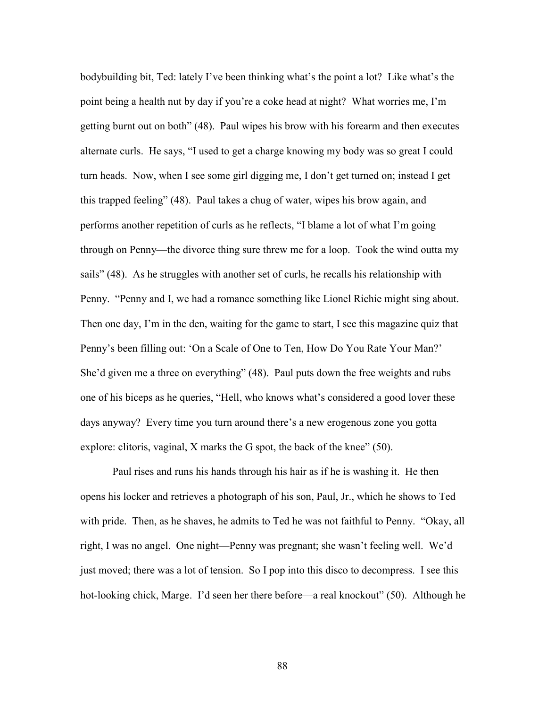bodybuilding bit, Ted: lately I've been thinking what's the point a lot? Like what's the point being a health nut by day if you're a coke head at night? What worries me, I'm getting burnt out on both" (48). Paul wipes his brow with his forearm and then executes alternate curls. He says, "I used to get a charge knowing my body was so great I could turn heads. Now, when I see some girl digging me, I don't get turned on; instead I get this trapped feeling" (48). Paul takes a chug of water, wipes his brow again, and performs another repetition of curls as he reflects, "I blame a lot of what I'm going through on Penny—the divorce thing sure threw me for a loop. Took the wind outta my sails" (48). As he struggles with another set of curls, he recalls his relationship with Penny. "Penny and I, we had a romance something like Lionel Richie might sing about. Then one day, I'm in the den, waiting for the game to start, I see this magazine quiz that Penny's been filling out: 'On a Scale of One to Ten, How Do You Rate Your Man?' She'd given me a three on everything" (48). Paul puts down the free weights and rubs one of his biceps as he queries, "Hell, who knows what's considered a good lover these days anyway? Every time you turn around there's a new erogenous zone you gotta explore: clitoris, vaginal, X marks the G spot, the back of the knee" (50).

 Paul rises and runs his hands through his hair as if he is washing it. He then opens his locker and retrieves a photograph of his son, Paul, Jr., which he shows to Ted with pride. Then, as he shaves, he admits to Ted he was not faithful to Penny. "Okay, all right, I was no angel. One night—Penny was pregnant; she wasn't feeling well. We'd just moved; there was a lot of tension. So I pop into this disco to decompress. I see this hot-looking chick, Marge. I'd seen her there before—a real knockout" (50). Although he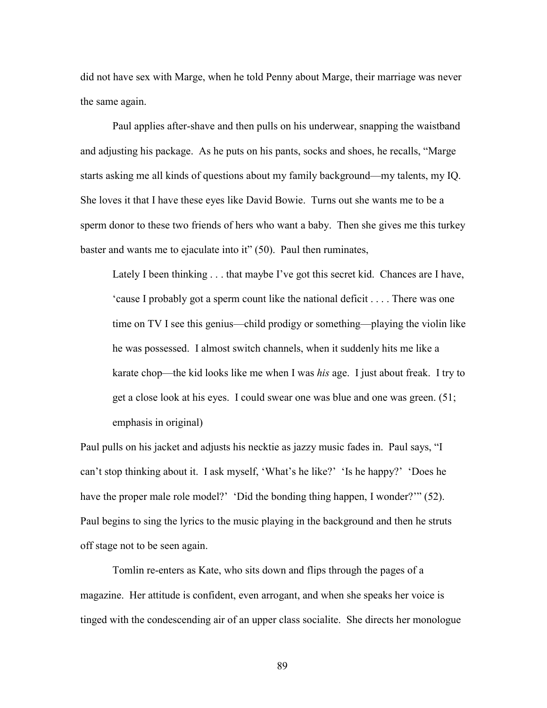did not have sex with Marge, when he told Penny about Marge, their marriage was never the same again.

 Paul applies after-shave and then pulls on his underwear, snapping the waistband and adjusting his package. As he puts on his pants, socks and shoes, he recalls, "Marge starts asking me all kinds of questions about my family background—my talents, my IQ. She loves it that I have these eyes like David Bowie. Turns out she wants me to be a sperm donor to these two friends of hers who want a baby. Then she gives me this turkey baster and wants me to ejaculate into it" (50). Paul then ruminates,

Lately I been thinking . . . that maybe I've got this secret kid. Chances are I have, 'cause I probably got a sperm count like the national deficit . . . . There was one time on TV I see this genius—child prodigy or something—playing the violin like he was possessed. I almost switch channels, when it suddenly hits me like a karate chop—the kid looks like me when I was *his* age. I just about freak. I try to get a close look at his eyes. I could swear one was blue and one was green. (51; emphasis in original)

Paul pulls on his jacket and adjusts his necktie as jazzy music fades in. Paul says, "I can't stop thinking about it. I ask myself, 'What's he like?' 'Is he happy?' 'Does he have the proper male role model?' 'Did the bonding thing happen, I wonder?'" (52). Paul begins to sing the lyrics to the music playing in the background and then he struts off stage not to be seen again.

 Tomlin re-enters as Kate, who sits down and flips through the pages of a magazine. Her attitude is confident, even arrogant, and when she speaks her voice is tinged with the condescending air of an upper class socialite. She directs her monologue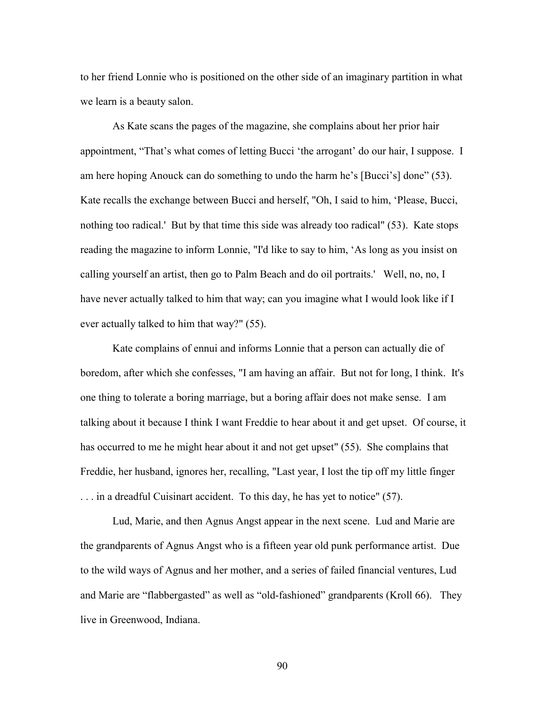to her friend Lonnie who is positioned on the other side of an imaginary partition in what we learn is a beauty salon.

 As Kate scans the pages of the magazine, she complains about her prior hair appointment, "That's what comes of letting Bucci 'the arrogant' do our hair, I suppose. I am here hoping Anouck can do something to undo the harm he's [Bucci's] done" (53). Kate recalls the exchange between Bucci and herself, "Oh, I said to him, 'Please, Bucci, nothing too radical.' But by that time this side was already too radical" (53). Kate stops reading the magazine to inform Lonnie, "I'd like to say to him, 'As long as you insist on calling yourself an artist, then go to Palm Beach and do oil portraits.' Well, no, no, I have never actually talked to him that way; can you imagine what I would look like if I ever actually talked to him that way?" (55).

 Kate complains of ennui and informs Lonnie that a person can actually die of boredom, after which she confesses, "I am having an affair. But not for long, I think. It's one thing to tolerate a boring marriage, but a boring affair does not make sense. I am talking about it because I think I want Freddie to hear about it and get upset. Of course, it has occurred to me he might hear about it and not get upset" (55). She complains that Freddie, her husband, ignores her, recalling, "Last year, I lost the tip off my little finger . . . in a dreadful Cuisinart accident. To this day, he has yet to notice" (57).

 Lud, Marie, and then Agnus Angst appear in the next scene. Lud and Marie are the grandparents of Agnus Angst who is a fifteen year old punk performance artist. Due to the wild ways of Agnus and her mother, and a series of failed financial ventures, Lud and Marie are "flabbergasted" as well as "old-fashioned" grandparents (Kroll 66). They live in Greenwood, Indiana.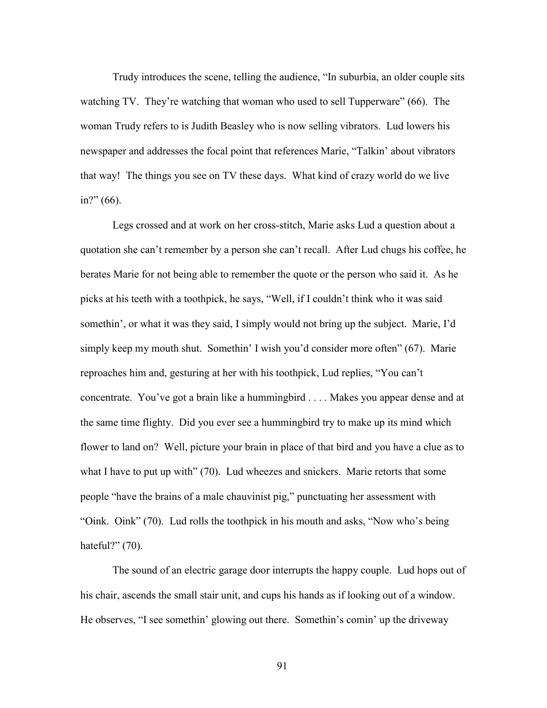Trudy introduces the scene, telling the audience, "In suburbia, an older couple sits watching TV. They're watching that woman who used to sell Tupperware" (66). The woman Trudy refers to is Judith Beasley who is now selling vibrators. Lud lowers his newspaper and addresses the focal point that references Marie, "Talkin' about vibrators that way! The things you see on TV these days. What kind of crazy world do we live in?" (66).

 Legs crossed and at work on her cross-stitch, Marie asks Lud a question about a quotation she can't remember by a person she can't recall. After Lud chugs his coffee, he berates Marie for not being able to remember the quote or the person who said it. As he picks at his teeth with a toothpick, he says, "Well, if I couldn't think who it was said somethin', or what it was they said, I simply would not bring up the subject. Marie, I'd simply keep my mouth shut. Somethin' I wish you'd consider more often" (67). Marie reproaches him and, gesturing at her with his toothpick, Lud replies, "You can't concentrate. You've got a brain like a hummingbird . . . . Makes you appear dense and at the same time flighty. Did you ever see a hummingbird try to make up its mind which flower to land on? Well, picture your brain in place of that bird and you have a clue as to what I have to put up with" (70). Lud wheezes and snickers. Marie retorts that some people "have the brains of a male chauvinist pig," punctuating her assessment with "Oink. Oink" (70). Lud rolls the toothpick in his mouth and asks, "Now who's being hateful?" (70).

 The sound of an electric garage door interrupts the happy couple. Lud hops out of his chair, ascends the small stair unit, and cups his hands as if looking out of a window. He observes, "I see somethin' glowing out there. Somethin's comin' up the driveway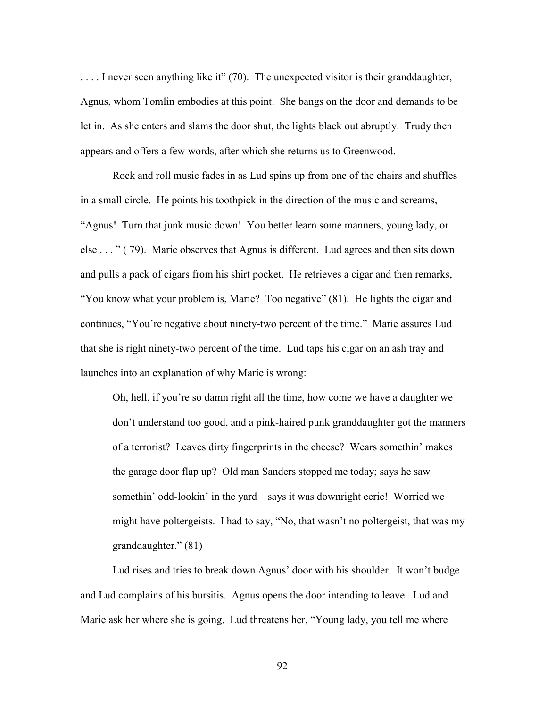.... I never seen anything like it" (70). The unexpected visitor is their granddaughter, Agnus, whom Tomlin embodies at this point. She bangs on the door and demands to be let in. As she enters and slams the door shut, the lights black out abruptly. Trudy then appears and offers a few words, after which she returns us to Greenwood.

 Rock and roll music fades in as Lud spins up from one of the chairs and shuffles in a small circle. He points his toothpick in the direction of the music and screams, "Agnus! Turn that junk music down! You better learn some manners, young lady, or else . . . " ( 79). Marie observes that Agnus is different. Lud agrees and then sits down and pulls a pack of cigars from his shirt pocket. He retrieves a cigar and then remarks, "You know what your problem is, Marie? Too negative" (81). He lights the cigar and continues, "You're negative about ninety-two percent of the time." Marie assures Lud that she is right ninety-two percent of the time. Lud taps his cigar on an ash tray and launches into an explanation of why Marie is wrong:

Oh, hell, if you're so damn right all the time, how come we have a daughter we don't understand too good, and a pink-haired punk granddaughter got the manners of a terrorist? Leaves dirty fingerprints in the cheese? Wears somethin' makes the garage door flap up? Old man Sanders stopped me today; says he saw somethin' odd-lookin' in the yard—says it was downright eerie! Worried we might have poltergeists. I had to say, "No, that wasn't no poltergeist, that was my granddaughter." (81)

 Lud rises and tries to break down Agnus' door with his shoulder. It won't budge and Lud complains of his bursitis. Agnus opens the door intending to leave. Lud and Marie ask her where she is going. Lud threatens her, "Young lady, you tell me where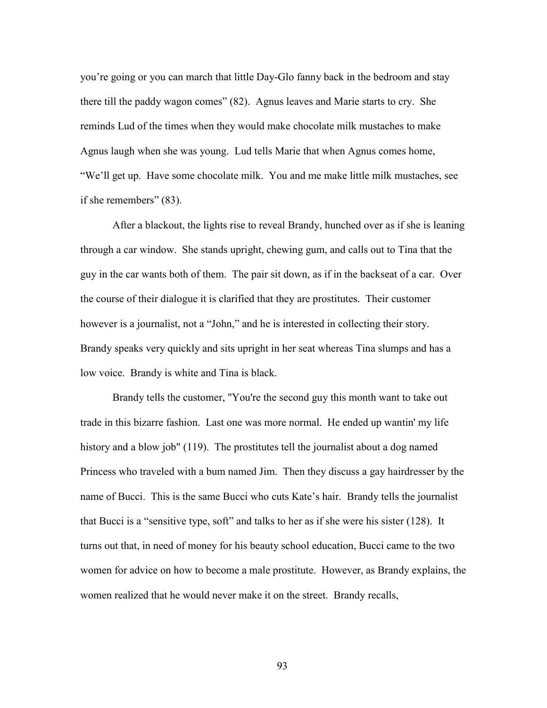you're going or you can march that little Day-Glo fanny back in the bedroom and stay there till the paddy wagon comes" (82). Agnus leaves and Marie starts to cry. She reminds Lud of the times when they would make chocolate milk mustaches to make Agnus laugh when she was young. Lud tells Marie that when Agnus comes home, "We'll get up. Have some chocolate milk. You and me make little milk mustaches, see if she remembers" (83).

 After a blackout, the lights rise to reveal Brandy, hunched over as if she is leaning through a car window. She stands upright, chewing gum, and calls out to Tina that the guy in the car wants both of them. The pair sit down, as if in the backseat of a car. Over the course of their dialogue it is clarified that they are prostitutes. Their customer however is a journalist, not a "John," and he is interested in collecting their story. Brandy speaks very quickly and sits upright in her seat whereas Tina slumps and has a low voice. Brandy is white and Tina is black.

 Brandy tells the customer, "You're the second guy this month want to take out trade in this bizarre fashion. Last one was more normal. He ended up wantin' my life history and a blow job" (119). The prostitutes tell the journalist about a dog named Princess who traveled with a bum named Jim. Then they discuss a gay hairdresser by the name of Bucci. This is the same Bucci who cuts Kate's hair. Brandy tells the journalist that Bucci is a "sensitive type, soft" and talks to her as if she were his sister (128). It turns out that, in need of money for his beauty school education, Bucci came to the two women for advice on how to become a male prostitute. However, as Brandy explains, the women realized that he would never make it on the street. Brandy recalls,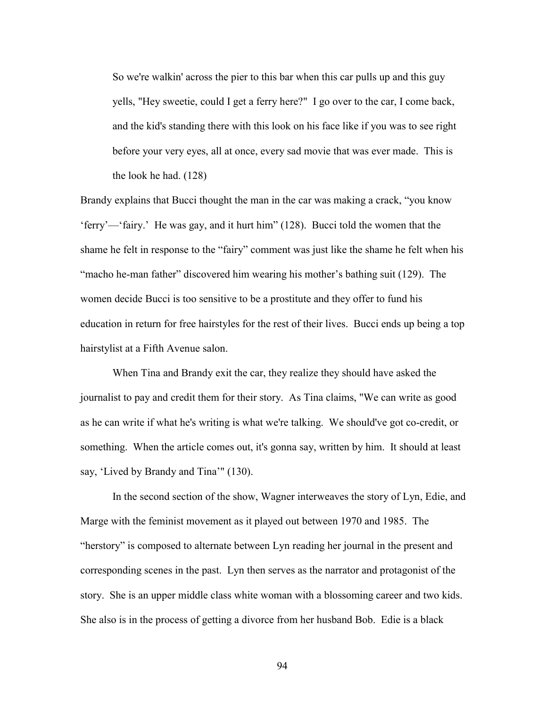So we're walkin' across the pier to this bar when this car pulls up and this guy yells, "Hey sweetie, could I get a ferry here?" I go over to the car, I come back, and the kid's standing there with this look on his face like if you was to see right before your very eyes, all at once, every sad movie that was ever made. This is the look he had. (128)

Brandy explains that Bucci thought the man in the car was making a crack, "you know 'ferry'—'fairy.' He was gay, and it hurt him" (128). Bucci told the women that the shame he felt in response to the "fairy" comment was just like the shame he felt when his "macho he-man father" discovered him wearing his mother's bathing suit (129). The women decide Bucci is too sensitive to be a prostitute and they offer to fund his education in return for free hairstyles for the rest of their lives. Bucci ends up being a top hairstylist at a Fifth Avenue salon.

 When Tina and Brandy exit the car, they realize they should have asked the journalist to pay and credit them for their story. As Tina claims, "We can write as good as he can write if what he's writing is what we're talking. We should've got co-credit, or something. When the article comes out, it's gonna say, written by him. It should at least say, 'Lived by Brandy and Tina'" (130).

 In the second section of the show, Wagner interweaves the story of Lyn, Edie, and Marge with the feminist movement as it played out between 1970 and 1985. The "herstory" is composed to alternate between Lyn reading her journal in the present and corresponding scenes in the past. Lyn then serves as the narrator and protagonist of the story. She is an upper middle class white woman with a blossoming career and two kids. She also is in the process of getting a divorce from her husband Bob. Edie is a black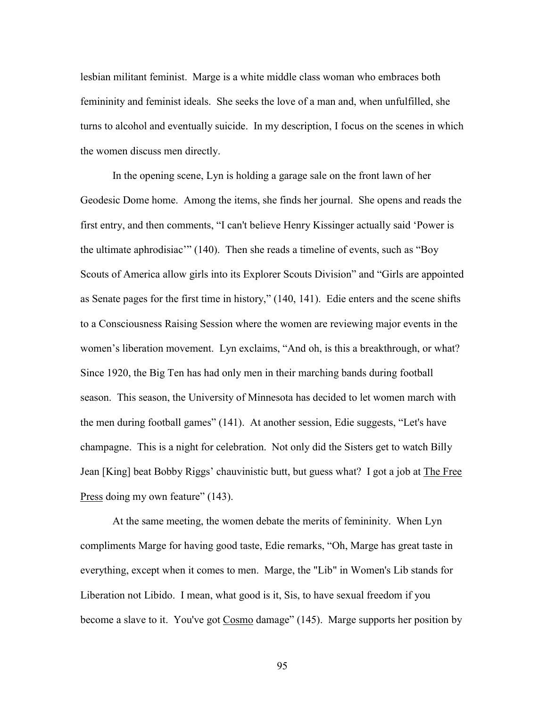lesbian militant feminist. Marge is a white middle class woman who embraces both femininity and feminist ideals. She seeks the love of a man and, when unfulfilled, she turns to alcohol and eventually suicide. In my description, I focus on the scenes in which the women discuss men directly.

 In the opening scene, Lyn is holding a garage sale on the front lawn of her Geodesic Dome home. Among the items, she finds her journal. She opens and reads the first entry, and then comments, "I can't believe Henry Kissinger actually said 'Power is the ultimate aphrodisiac'" (140). Then she reads a timeline of events, such as "Boy Scouts of America allow girls into its Explorer Scouts Division" and "Girls are appointed as Senate pages for the first time in history," (140, 141). Edie enters and the scene shifts to a Consciousness Raising Session where the women are reviewing major events in the women's liberation movement. Lyn exclaims, "And oh, is this a breakthrough, or what? Since 1920, the Big Ten has had only men in their marching bands during football season. This season, the University of Minnesota has decided to let women march with the men during football games" (141). At another session, Edie suggests, "Let's have champagne. This is a night for celebration. Not only did the Sisters get to watch Billy Jean [King] beat Bobby Riggs' chauvinistic butt, but guess what? I got a job at The Free Press doing my own feature" (143).

 At the same meeting, the women debate the merits of femininity. When Lyn compliments Marge for having good taste, Edie remarks, "Oh, Marge has great taste in everything, except when it comes to men. Marge, the "Lib" in Women's Lib stands for Liberation not Libido. I mean, what good is it, Sis, to have sexual freedom if you become a slave to it. You've got Cosmo damage" (145). Marge supports her position by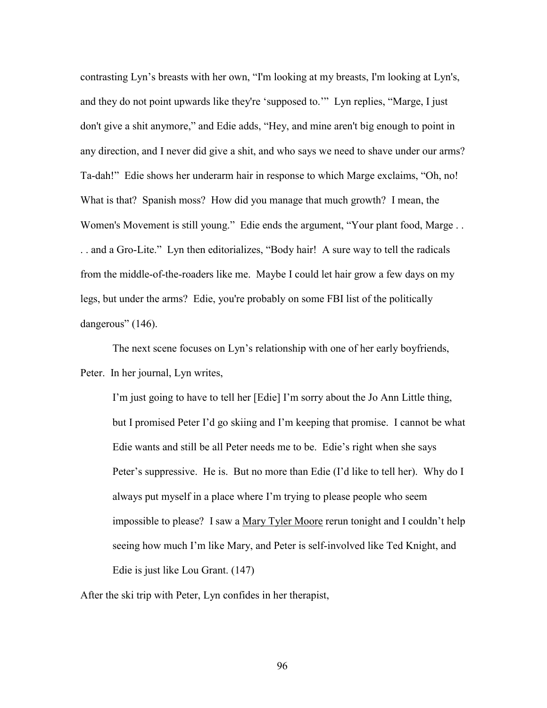contrasting Lyn's breasts with her own, "I'm looking at my breasts, I'm looking at Lyn's, and they do not point upwards like they're 'supposed to.'" Lyn replies, "Marge, I just don't give a shit anymore," and Edie adds, "Hey, and mine aren't big enough to point in any direction, and I never did give a shit, and who says we need to shave under our arms? Ta-dah!" Edie shows her underarm hair in response to which Marge exclaims, "Oh, no! What is that? Spanish moss? How did you manage that much growth? I mean, the Women's Movement is still young." Edie ends the argument, "Your plant food, Marge . . . . and a Gro-Lite." Lyn then editorializes, "Body hair! A sure way to tell the radicals from the middle-of-the-roaders like me. Maybe I could let hair grow a few days on my legs, but under the arms? Edie, you're probably on some FBI list of the politically dangerous" (146).

 The next scene focuses on Lyn's relationship with one of her early boyfriends, Peter. In her journal, Lyn writes,

I'm just going to have to tell her [Edie] I'm sorry about the Jo Ann Little thing, but I promised Peter I'd go skiing and I'm keeping that promise. I cannot be what Edie wants and still be all Peter needs me to be. Edie's right when she says Peter's suppressive. He is. But no more than Edie (I'd like to tell her). Why do I always put myself in a place where I'm trying to please people who seem impossible to please? I saw a Mary Tyler Moore rerun tonight and I couldn't help seeing how much I'm like Mary, and Peter is self-involved like Ted Knight, and Edie is just like Lou Grant. (147)

After the ski trip with Peter, Lyn confides in her therapist,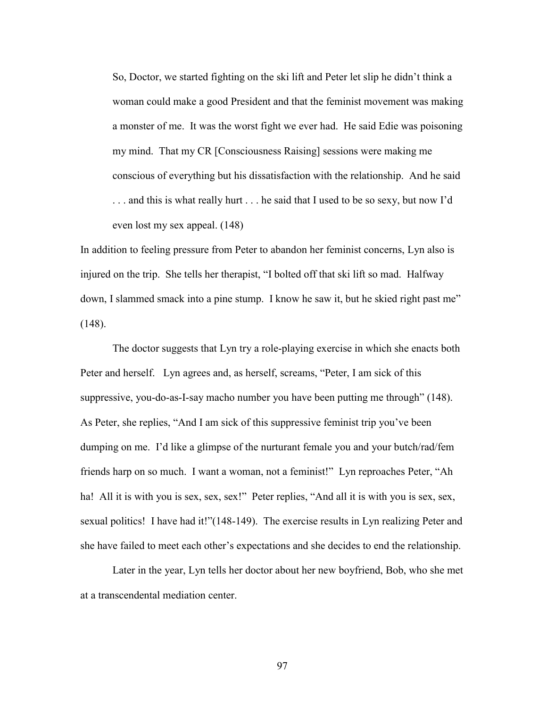So, Doctor, we started fighting on the ski lift and Peter let slip he didn't think a woman could make a good President and that the feminist movement was making a monster of me. It was the worst fight we ever had. He said Edie was poisoning my mind. That my CR [Consciousness Raising] sessions were making me conscious of everything but his dissatisfaction with the relationship. And he said . . . and this is what really hurt . . . he said that I used to be so sexy, but now I'd even lost my sex appeal. (148)

In addition to feeling pressure from Peter to abandon her feminist concerns, Lyn also is injured on the trip. She tells her therapist, "I bolted off that ski lift so mad. Halfway down, I slammed smack into a pine stump. I know he saw it, but he skied right past me" (148).

 The doctor suggests that Lyn try a role-playing exercise in which she enacts both Peter and herself. Lyn agrees and, as herself, screams, "Peter, I am sick of this suppressive, you-do-as-I-say macho number you have been putting me through" (148). As Peter, she replies, "And I am sick of this suppressive feminist trip you've been dumping on me. I'd like a glimpse of the nurturant female you and your butch/rad/fem friends harp on so much. I want a woman, not a feminist!" Lyn reproaches Peter, "Ah ha! All it is with you is sex, sex, sex!" Peter replies, "And all it is with you is sex, sex, sexual politics! I have had it!"(148-149). The exercise results in Lyn realizing Peter and she have failed to meet each other's expectations and she decides to end the relationship.

 Later in the year, Lyn tells her doctor about her new boyfriend, Bob, who she met at a transcendental mediation center.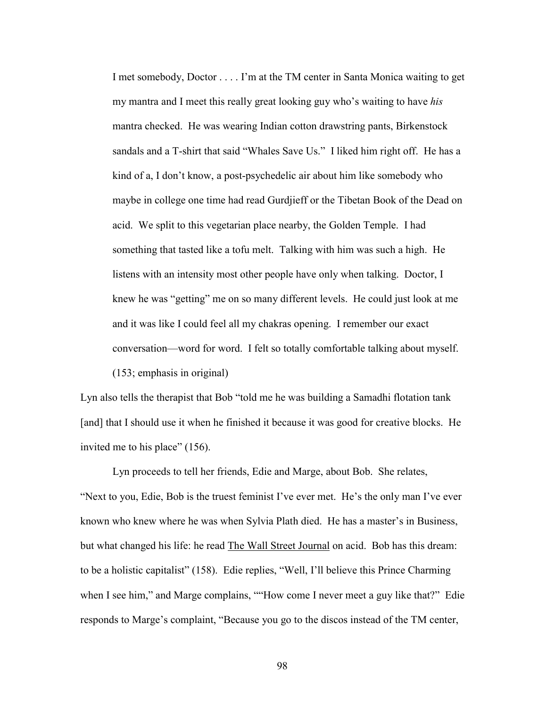I met somebody, Doctor . . . . I'm at the TM center in Santa Monica waiting to get my mantra and I meet this really great looking guy who's waiting to have *his* mantra checked. He was wearing Indian cotton drawstring pants, Birkenstock sandals and a T-shirt that said "Whales Save Us." I liked him right off. He has a kind of a, I don't know, a post-psychedelic air about him like somebody who maybe in college one time had read Gurdjieff or the Tibetan Book of the Dead on acid. We split to this vegetarian place nearby, the Golden Temple. I had something that tasted like a tofu melt. Talking with him was such a high. He listens with an intensity most other people have only when talking. Doctor, I knew he was "getting" me on so many different levels. He could just look at me and it was like I could feel all my chakras opening. I remember our exact conversation—word for word. I felt so totally comfortable talking about myself. (153; emphasis in original)

Lyn also tells the therapist that Bob "told me he was building a Samadhi flotation tank [and] that I should use it when he finished it because it was good for creative blocks. He invited me to his place" (156).

 Lyn proceeds to tell her friends, Edie and Marge, about Bob. She relates, "Next to you, Edie, Bob is the truest feminist I've ever met. He's the only man I've ever known who knew where he was when Sylvia Plath died. He has a master's in Business, but what changed his life: he read The Wall Street Journal on acid. Bob has this dream: to be a holistic capitalist" (158). Edie replies, "Well, I'll believe this Prince Charming when I see him," and Marge complains, ""How come I never meet a guy like that?" Edie responds to Marge's complaint, "Because you go to the discos instead of the TM center,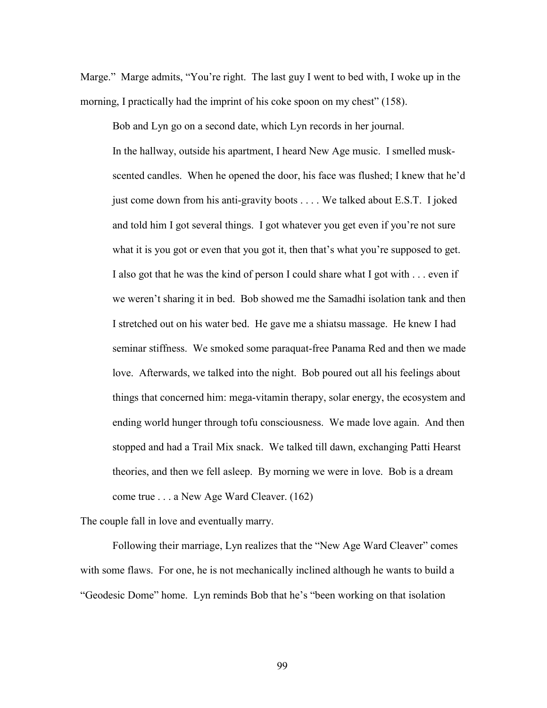Marge." Marge admits, "You're right. The last guy I went to bed with, I woke up in the morning, I practically had the imprint of his coke spoon on my chest" (158).

 Bob and Lyn go on a second date, which Lyn records in her journal. In the hallway, outside his apartment, I heard New Age music. I smelled muskscented candles. When he opened the door, his face was flushed; I knew that he'd just come down from his anti-gravity boots . . . . We talked about E.S.T. I joked and told him I got several things. I got whatever you get even if you're not sure what it is you got or even that you got it, then that's what you're supposed to get. I also got that he was the kind of person I could share what I got with . . . even if we weren't sharing it in bed. Bob showed me the Samadhi isolation tank and then I stretched out on his water bed. He gave me a shiatsu massage. He knew I had seminar stiffness. We smoked some paraquat-free Panama Red and then we made love. Afterwards, we talked into the night. Bob poured out all his feelings about things that concerned him: mega-vitamin therapy, solar energy, the ecosystem and ending world hunger through tofu consciousness. We made love again. And then stopped and had a Trail Mix snack. We talked till dawn, exchanging Patti Hearst theories, and then we fell asleep. By morning we were in love. Bob is a dream come true . . . a New Age Ward Cleaver. (162)

The couple fall in love and eventually marry.

 Following their marriage, Lyn realizes that the "New Age Ward Cleaver" comes with some flaws. For one, he is not mechanically inclined although he wants to build a "Geodesic Dome" home. Lyn reminds Bob that he's "been working on that isolation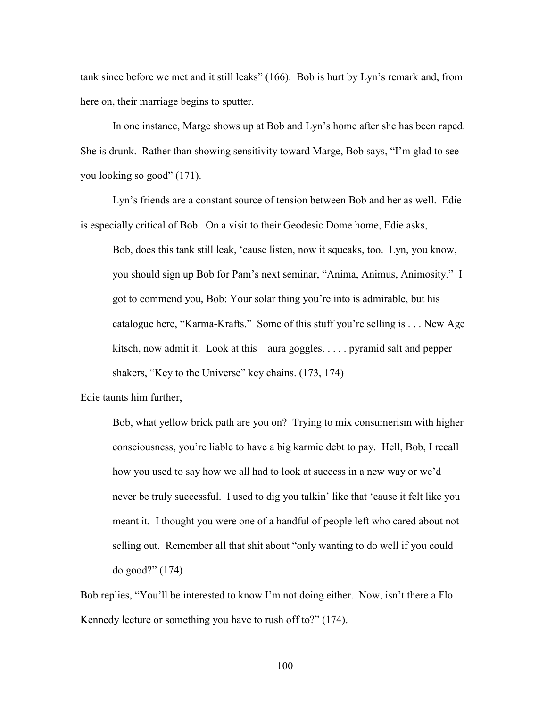tank since before we met and it still leaks" (166). Bob is hurt by Lyn's remark and, from here on, their marriage begins to sputter.

 In one instance, Marge shows up at Bob and Lyn's home after she has been raped. She is drunk. Rather than showing sensitivity toward Marge, Bob says, "I'm glad to see you looking so good" (171).

 Lyn's friends are a constant source of tension between Bob and her as well. Edie is especially critical of Bob. On a visit to their Geodesic Dome home, Edie asks,

Bob, does this tank still leak, 'cause listen, now it squeaks, too. Lyn, you know, you should sign up Bob for Pam's next seminar, "Anima, Animus, Animosity." I got to commend you, Bob: Your solar thing you're into is admirable, but his catalogue here, "Karma-Krafts." Some of this stuff you're selling is . . . New Age kitsch, now admit it. Look at this—aura goggles. . . . . pyramid salt and pepper shakers, "Key to the Universe" key chains. (173, 174)

Edie taunts him further,

Bob, what yellow brick path are you on? Trying to mix consumerism with higher consciousness, you're liable to have a big karmic debt to pay. Hell, Bob, I recall how you used to say how we all had to look at success in a new way or we'd never be truly successful. I used to dig you talkin' like that 'cause it felt like you meant it. I thought you were one of a handful of people left who cared about not selling out. Remember all that shit about "only wanting to do well if you could do good?" (174)

Bob replies, "You'll be interested to know I'm not doing either. Now, isn't there a Flo Kennedy lecture or something you have to rush off to?" (174).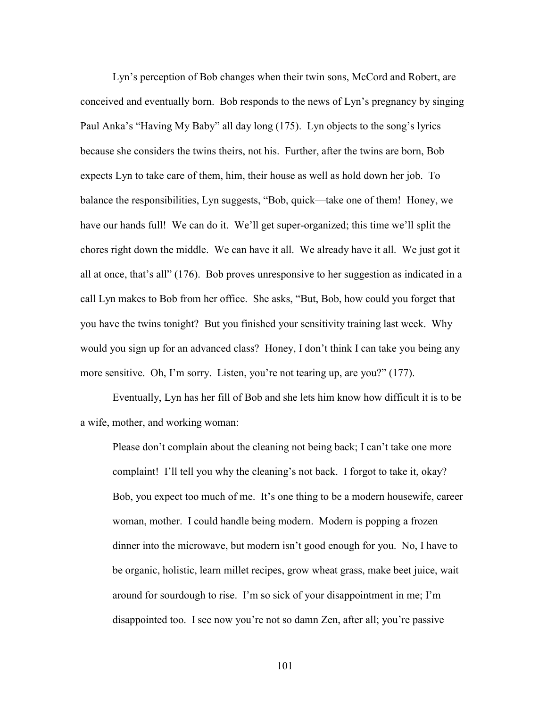Lyn's perception of Bob changes when their twin sons, McCord and Robert, are conceived and eventually born. Bob responds to the news of Lyn's pregnancy by singing Paul Anka's "Having My Baby" all day long (175). Lyn objects to the song's lyrics because she considers the twins theirs, not his. Further, after the twins are born, Bob expects Lyn to take care of them, him, their house as well as hold down her job. To balance the responsibilities, Lyn suggests, "Bob, quick—take one of them! Honey, we have our hands full! We can do it. We'll get super-organized; this time we'll split the chores right down the middle. We can have it all. We already have it all. We just got it all at once, that's all" (176). Bob proves unresponsive to her suggestion as indicated in a call Lyn makes to Bob from her office. She asks, "But, Bob, how could you forget that you have the twins tonight? But you finished your sensitivity training last week. Why would you sign up for an advanced class? Honey, I don't think I can take you being any more sensitive. Oh, I'm sorry. Listen, you're not tearing up, are you?" (177).

 Eventually, Lyn has her fill of Bob and she lets him know how difficult it is to be a wife, mother, and working woman:

Please don't complain about the cleaning not being back; I can't take one more complaint! I'll tell you why the cleaning's not back. I forgot to take it, okay? Bob, you expect too much of me. It's one thing to be a modern housewife, career woman, mother. I could handle being modern. Modern is popping a frozen dinner into the microwave, but modern isn't good enough for you. No, I have to be organic, holistic, learn millet recipes, grow wheat grass, make beet juice, wait around for sourdough to rise. I'm so sick of your disappointment in me; I'm disappointed too. I see now you're not so damn Zen, after all; you're passive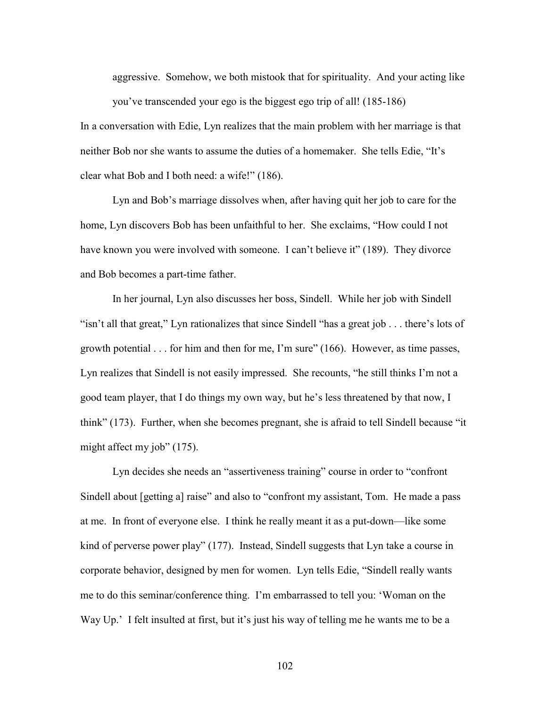aggressive. Somehow, we both mistook that for spirituality. And your acting like you've transcended your ego is the biggest ego trip of all! (185-186)

In a conversation with Edie, Lyn realizes that the main problem with her marriage is that neither Bob nor she wants to assume the duties of a homemaker. She tells Edie, "It's clear what Bob and I both need: a wife!" (186).

Lyn and Bob's marriage dissolves when, after having quit her job to care for the home, Lyn discovers Bob has been unfaithful to her. She exclaims, "How could I not have known you were involved with someone. I can't believe it" (189). They divorce and Bob becomes a part-time father.

 In her journal, Lyn also discusses her boss, Sindell. While her job with Sindell "isn't all that great," Lyn rationalizes that since Sindell "has a great job . . . there's lots of growth potential . . . for him and then for me, I'm sure" (166). However, as time passes, Lyn realizes that Sindell is not easily impressed. She recounts, "he still thinks I'm not a good team player, that I do things my own way, but he's less threatened by that now, I think" (173). Further, when she becomes pregnant, she is afraid to tell Sindell because "it might affect my job" (175).

 Lyn decides she needs an "assertiveness training" course in order to "confront Sindell about [getting a] raise" and also to "confront my assistant, Tom. He made a pass at me. In front of everyone else. I think he really meant it as a put-down—like some kind of perverse power play" (177). Instead, Sindell suggests that Lyn take a course in corporate behavior, designed by men for women. Lyn tells Edie, "Sindell really wants me to do this seminar/conference thing. I'm embarrassed to tell you: 'Woman on the Way Up.' I felt insulted at first, but it's just his way of telling me he wants me to be a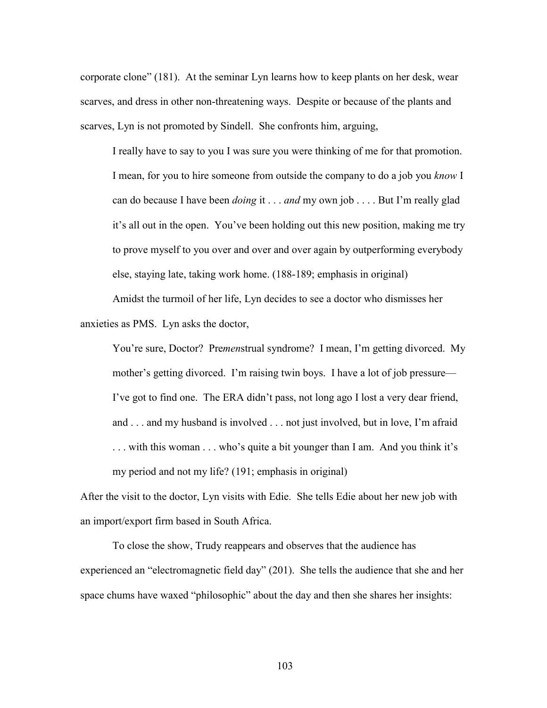corporate clone" (181). At the seminar Lyn learns how to keep plants on her desk, wear scarves, and dress in other non-threatening ways. Despite or because of the plants and scarves, Lyn is not promoted by Sindell. She confronts him, arguing,

I really have to say to you I was sure you were thinking of me for that promotion. I mean, for you to hire someone from outside the company to do a job you *know* I can do because I have been *doing* it . . . *and* my own job . . . . But I'm really glad it's all out in the open. You've been holding out this new position, making me try to prove myself to you over and over and over again by outperforming everybody else, staying late, taking work home. (188-189; emphasis in original)

 Amidst the turmoil of her life, Lyn decides to see a doctor who dismisses her anxieties as PMS. Lyn asks the doctor,

You're sure, Doctor? Pre*men*strual syndrome? I mean, I'm getting divorced. My mother's getting divorced. I'm raising twin boys. I have a lot of job pressure— I've got to find one. The ERA didn't pass, not long ago I lost a very dear friend, and . . . and my husband is involved . . . not just involved, but in love, I'm afraid . . . with this woman . . . who's quite a bit younger than I am. And you think it's my period and not my life? (191; emphasis in original)

After the visit to the doctor, Lyn visits with Edie. She tells Edie about her new job with an import/export firm based in South Africa.

 To close the show, Trudy reappears and observes that the audience has experienced an "electromagnetic field day" (201). She tells the audience that she and her space chums have waxed "philosophic" about the day and then she shares her insights: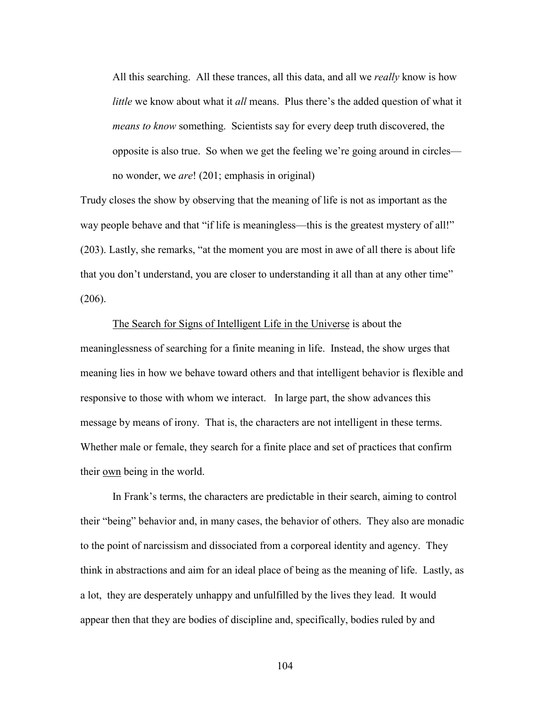All this searching. All these trances, all this data, and all we *really* know is how *little* we know about what it *all* means. Plus there's the added question of what it *means to know* something. Scientists say for every deep truth discovered, the opposite is also true. So when we get the feeling we're going around in circles no wonder, we *are*! (201; emphasis in original)

Trudy closes the show by observing that the meaning of life is not as important as the way people behave and that "if life is meaningless—this is the greatest mystery of all!" (203). Lastly, she remarks, "at the moment you are most in awe of all there is about life that you don't understand, you are closer to understanding it all than at any other time" (206).

 The Search for Signs of Intelligent Life in the Universe is about the meaninglessness of searching for a finite meaning in life. Instead, the show urges that meaning lies in how we behave toward others and that intelligent behavior is flexible and responsive to those with whom we interact. In large part, the show advances this message by means of irony. That is, the characters are not intelligent in these terms. Whether male or female, they search for a finite place and set of practices that confirm their own being in the world.

 In Frank's terms, the characters are predictable in their search, aiming to control their "being" behavior and, in many cases, the behavior of others. They also are monadic to the point of narcissism and dissociated from a corporeal identity and agency. They think in abstractions and aim for an ideal place of being as the meaning of life. Lastly, as a lot, they are desperately unhappy and unfulfilled by the lives they lead. It would appear then that they are bodies of discipline and, specifically, bodies ruled by and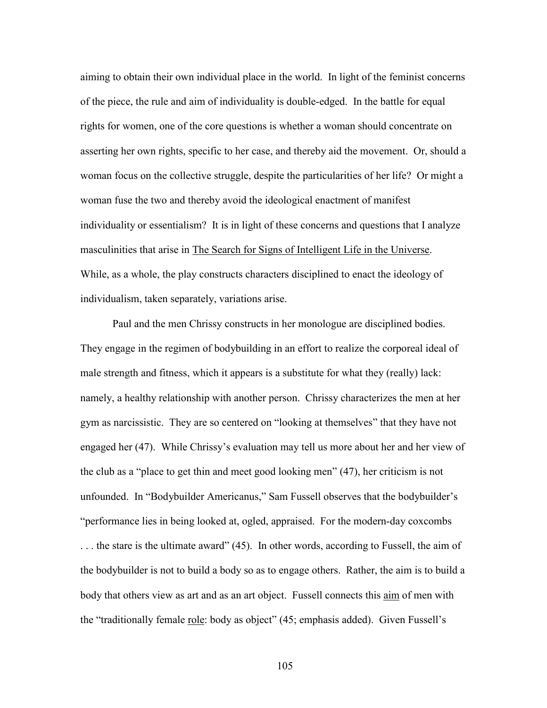aiming to obtain their own individual place in the world. In light of the feminist concerns of the piece, the rule and aim of individuality is double-edged. In the battle for equal rights for women, one of the core questions is whether a woman should concentrate on asserting her own rights, specific to her case, and thereby aid the movement. Or, should a woman focus on the collective struggle, despite the particularities of her life? Or might a woman fuse the two and thereby avoid the ideological enactment of manifest individuality or essentialism? It is in light of these concerns and questions that I analyze masculinities that arise in The Search for Signs of Intelligent Life in the Universe. While, as a whole, the play constructs characters disciplined to enact the ideology of individualism, taken separately, variations arise.

 Paul and the men Chrissy constructs in her monologue are disciplined bodies. They engage in the regimen of bodybuilding in an effort to realize the corporeal ideal of male strength and fitness, which it appears is a substitute for what they (really) lack: namely, a healthy relationship with another person. Chrissy characterizes the men at her gym as narcissistic. They are so centered on "looking at themselves" that they have not engaged her (47). While Chrissy's evaluation may tell us more about her and her view of the club as a "place to get thin and meet good looking men" (47), her criticism is not unfounded. In "Bodybuilder Americanus," Sam Fussell observes that the bodybuilder's "performance lies in being looked at, ogled, appraised. For the modern-day coxcombs . . . the stare is the ultimate award" (45). In other words, according to Fussell, the aim of the bodybuilder is not to build a body so as to engage others. Rather, the aim is to build a body that others view as art and as an art object. Fussell connects this aim of men with the "traditionally female role: body as object" (45; emphasis added). Given Fussell's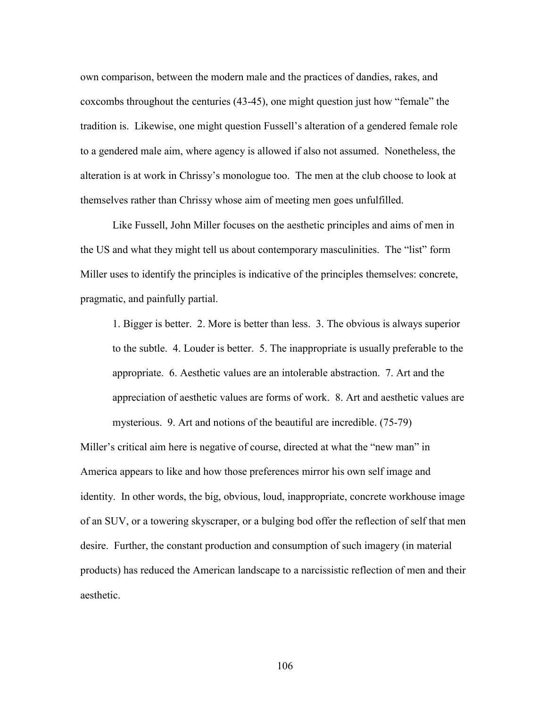own comparison, between the modern male and the practices of dandies, rakes, and coxcombs throughout the centuries (43-45), one might question just how "female" the tradition is. Likewise, one might question Fussell's alteration of a gendered female role to a gendered male aim, where agency is allowed if also not assumed. Nonetheless, the alteration is at work in Chrissy's monologue too. The men at the club choose to look at themselves rather than Chrissy whose aim of meeting men goes unfulfilled.

 Like Fussell, John Miller focuses on the aesthetic principles and aims of men in the US and what they might tell us about contemporary masculinities. The "list" form Miller uses to identify the principles is indicative of the principles themselves: concrete, pragmatic, and painfully partial.

1. Bigger is better. 2. More is better than less. 3. The obvious is always superior to the subtle. 4. Louder is better. 5. The inappropriate is usually preferable to the appropriate. 6. Aesthetic values are an intolerable abstraction. 7. Art and the appreciation of aesthetic values are forms of work. 8. Art and aesthetic values are mysterious. 9. Art and notions of the beautiful are incredible. (75-79)

Miller's critical aim here is negative of course, directed at what the "new man" in America appears to like and how those preferences mirror his own self image and identity. In other words, the big, obvious, loud, inappropriate, concrete workhouse image of an SUV, or a towering skyscraper, or a bulging bod offer the reflection of self that men desire. Further, the constant production and consumption of such imagery (in material products) has reduced the American landscape to a narcissistic reflection of men and their aesthetic.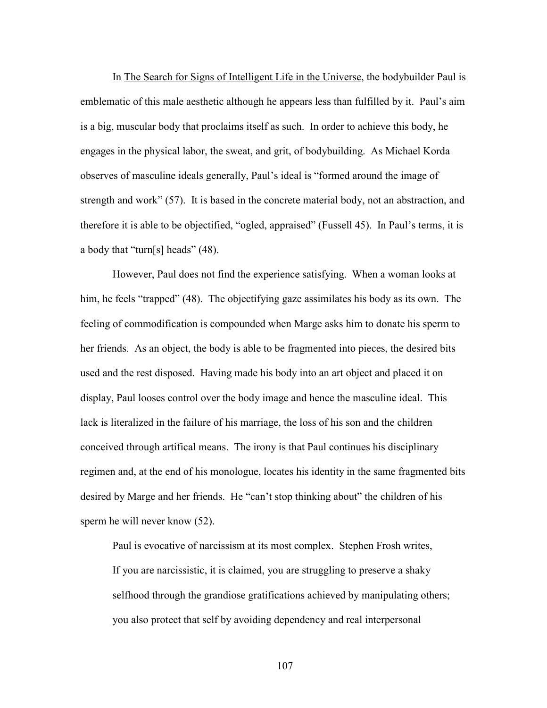In The Search for Signs of Intelligent Life in the Universe, the bodybuilder Paul is emblematic of this male aesthetic although he appears less than fulfilled by it. Paul's aim is a big, muscular body that proclaims itself as such. In order to achieve this body, he engages in the physical labor, the sweat, and grit, of bodybuilding. As Michael Korda observes of masculine ideals generally, Paul's ideal is "formed around the image of strength and work" (57). It is based in the concrete material body, not an abstraction, and therefore it is able to be objectified, "ogled, appraised" (Fussell 45). In Paul's terms, it is a body that "turn[s] heads" (48).

 However, Paul does not find the experience satisfying. When a woman looks at him, he feels "trapped" (48). The objectifying gaze assimilates his body as its own. The feeling of commodification is compounded when Marge asks him to donate his sperm to her friends. As an object, the body is able to be fragmented into pieces, the desired bits used and the rest disposed. Having made his body into an art object and placed it on display, Paul looses control over the body image and hence the masculine ideal. This lack is literalized in the failure of his marriage, the loss of his son and the children conceived through artifical means. The irony is that Paul continues his disciplinary regimen and, at the end of his monologue, locates his identity in the same fragmented bits desired by Marge and her friends. He "can't stop thinking about" the children of his sperm he will never know (52).

 Paul is evocative of narcissism at its most complex. Stephen Frosh writes, If you are narcissistic, it is claimed, you are struggling to preserve a shaky selfhood through the grandiose gratifications achieved by manipulating others; you also protect that self by avoiding dependency and real interpersonal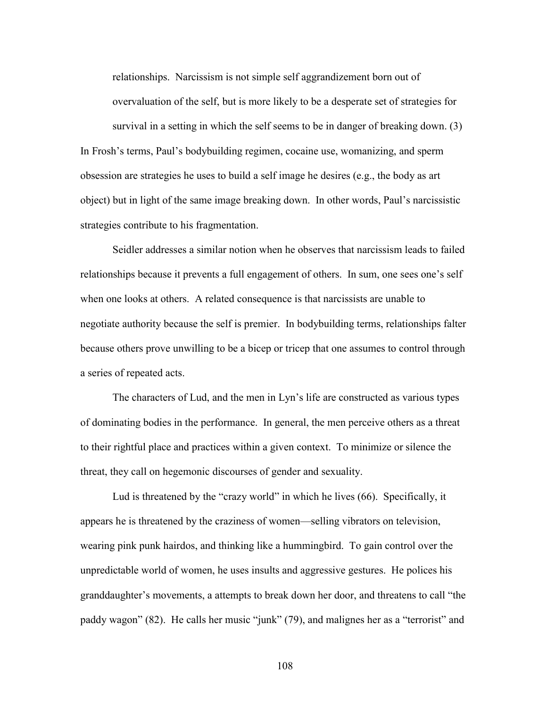relationships. Narcissism is not simple self aggrandizement born out of overvaluation of the self, but is more likely to be a desperate set of strategies for survival in a setting in which the self seems to be in danger of breaking down. (3) In Frosh's terms, Paul's bodybuilding regimen, cocaine use, womanizing, and sperm obsession are strategies he uses to build a self image he desires (e.g., the body as art object) but in light of the same image breaking down. In other words, Paul's narcissistic strategies contribute to his fragmentation.

 Seidler addresses a similar notion when he observes that narcissism leads to failed relationships because it prevents a full engagement of others. In sum, one sees one's self when one looks at others. A related consequence is that narcissists are unable to negotiate authority because the self is premier. In bodybuilding terms, relationships falter because others prove unwilling to be a bicep or tricep that one assumes to control through a series of repeated acts.

 The characters of Lud, and the men in Lyn's life are constructed as various types of dominating bodies in the performance. In general, the men perceive others as a threat to their rightful place and practices within a given context. To minimize or silence the threat, they call on hegemonic discourses of gender and sexuality.

 Lud is threatened by the "crazy world" in which he lives (66). Specifically, it appears he is threatened by the craziness of women—selling vibrators on television, wearing pink punk hairdos, and thinking like a hummingbird. To gain control over the unpredictable world of women, he uses insults and aggressive gestures. He polices his granddaughter's movements, a attempts to break down her door, and threatens to call "the paddy wagon" (82). He calls her music "junk" (79), and malignes her as a "terrorist" and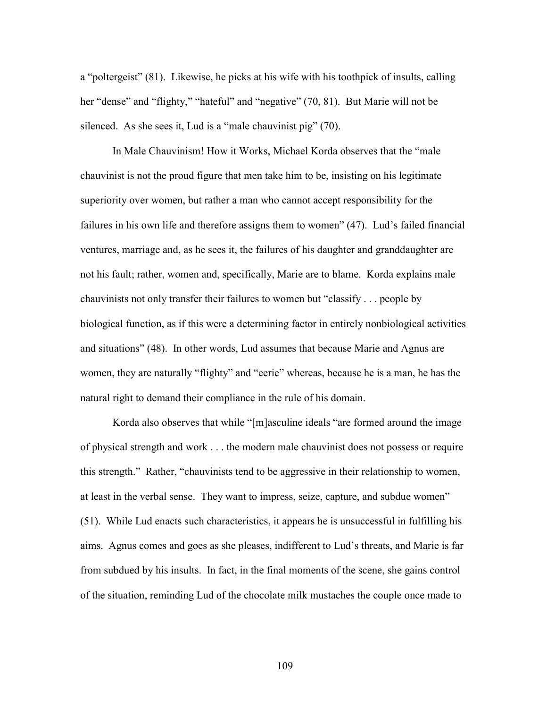a "poltergeist" (81). Likewise, he picks at his wife with his toothpick of insults, calling her "dense" and "flighty," "hateful" and "negative" (70, 81). But Marie will not be silenced. As she sees it, Lud is a "male chauvinist pig" (70).

 In Male Chauvinism! How it Works, Michael Korda observes that the "male chauvinist is not the proud figure that men take him to be, insisting on his legitimate superiority over women, but rather a man who cannot accept responsibility for the failures in his own life and therefore assigns them to women" (47). Lud's failed financial ventures, marriage and, as he sees it, the failures of his daughter and granddaughter are not his fault; rather, women and, specifically, Marie are to blame. Korda explains male chauvinists not only transfer their failures to women but "classify . . . people by biological function, as if this were a determining factor in entirely nonbiological activities and situations" (48). In other words, Lud assumes that because Marie and Agnus are women, they are naturally "flighty" and "eerie" whereas, because he is a man, he has the natural right to demand their compliance in the rule of his domain.

 Korda also observes that while "[m]asculine ideals "are formed around the image of physical strength and work . . . the modern male chauvinist does not possess or require this strength." Rather, "chauvinists tend to be aggressive in their relationship to women, at least in the verbal sense. They want to impress, seize, capture, and subdue women" (51). While Lud enacts such characteristics, it appears he is unsuccessful in fulfilling his aims. Agnus comes and goes as she pleases, indifferent to Lud's threats, and Marie is far from subdued by his insults. In fact, in the final moments of the scene, she gains control of the situation, reminding Lud of the chocolate milk mustaches the couple once made to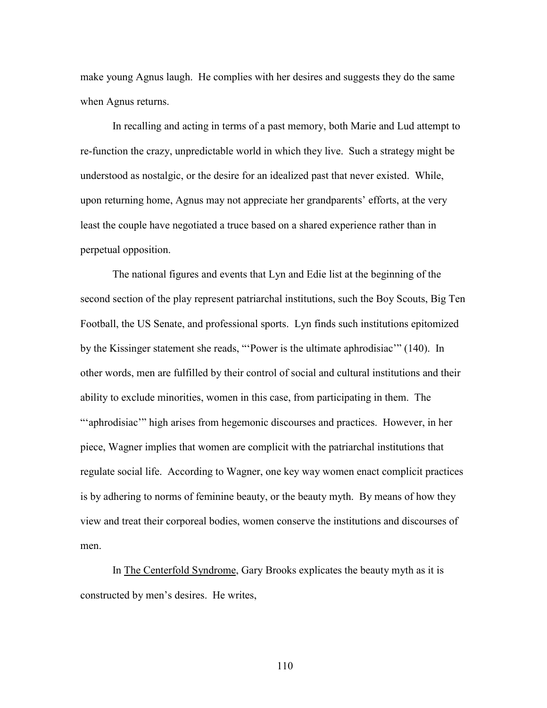make young Agnus laugh. He complies with her desires and suggests they do the same when Agnus returns.

 In recalling and acting in terms of a past memory, both Marie and Lud attempt to re-function the crazy, unpredictable world in which they live. Such a strategy might be understood as nostalgic, or the desire for an idealized past that never existed. While, upon returning home, Agnus may not appreciate her grandparents' efforts, at the very least the couple have negotiated a truce based on a shared experience rather than in perpetual opposition.

 The national figures and events that Lyn and Edie list at the beginning of the second section of the play represent patriarchal institutions, such the Boy Scouts, Big Ten Football, the US Senate, and professional sports. Lyn finds such institutions epitomized by the Kissinger statement she reads, "'Power is the ultimate aphrodisiac'" (140). In other words, men are fulfilled by their control of social and cultural institutions and their ability to exclude minorities, women in this case, from participating in them. The "'aphrodisiac'" high arises from hegemonic discourses and practices. However, in her piece, Wagner implies that women are complicit with the patriarchal institutions that regulate social life. According to Wagner, one key way women enact complicit practices is by adhering to norms of feminine beauty, or the beauty myth. By means of how they view and treat their corporeal bodies, women conserve the institutions and discourses of men.

 In The Centerfold Syndrome, Gary Brooks explicates the beauty myth as it is constructed by men's desires. He writes,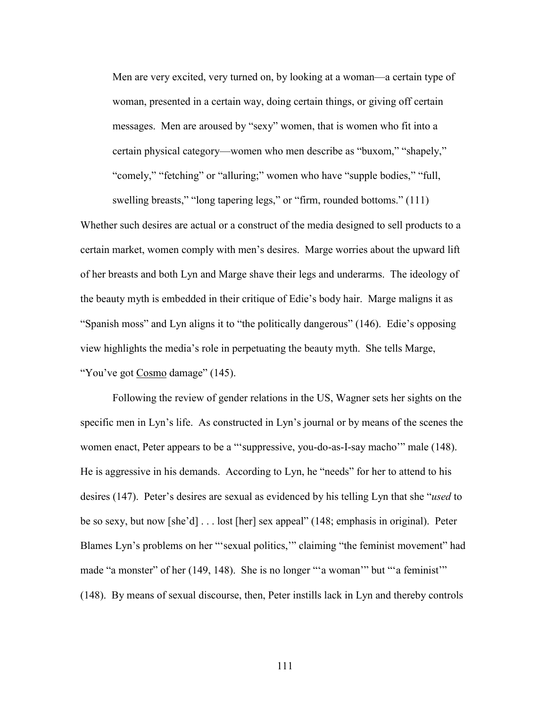Men are very excited, very turned on, by looking at a woman—a certain type of woman, presented in a certain way, doing certain things, or giving off certain messages. Men are aroused by "sexy" women, that is women who fit into a certain physical category—women who men describe as "buxom," "shapely," "comely," "fetching" or "alluring;" women who have "supple bodies," "full,

swelling breasts," "long tapering legs," or "firm, rounded bottoms." (111) Whether such desires are actual or a construct of the media designed to sell products to a certain market, women comply with men's desires. Marge worries about the upward lift of her breasts and both Lyn and Marge shave their legs and underarms. The ideology of the beauty myth is embedded in their critique of Edie's body hair. Marge maligns it as "Spanish moss" and Lyn aligns it to "the politically dangerous" (146). Edie's opposing view highlights the media's role in perpetuating the beauty myth. She tells Marge, "You've got Cosmo damage" (145).

 Following the review of gender relations in the US, Wagner sets her sights on the specific men in Lyn's life. As constructed in Lyn's journal or by means of the scenes the women enact, Peter appears to be a "'suppressive, you-do-as-I-say macho'" male (148). He is aggressive in his demands. According to Lyn, he "needs" for her to attend to his desires (147). Peter's desires are sexual as evidenced by his telling Lyn that she "*used* to be so sexy, but now [she'd] . . . lost [her] sex appeal" (148; emphasis in original). Peter Blames Lyn's problems on her "'sexual politics,'" claiming "the feminist movement" had made "a monster" of her (149, 148). She is no longer ""a woman" but ""a feminist" (148). By means of sexual discourse, then, Peter instills lack in Lyn and thereby controls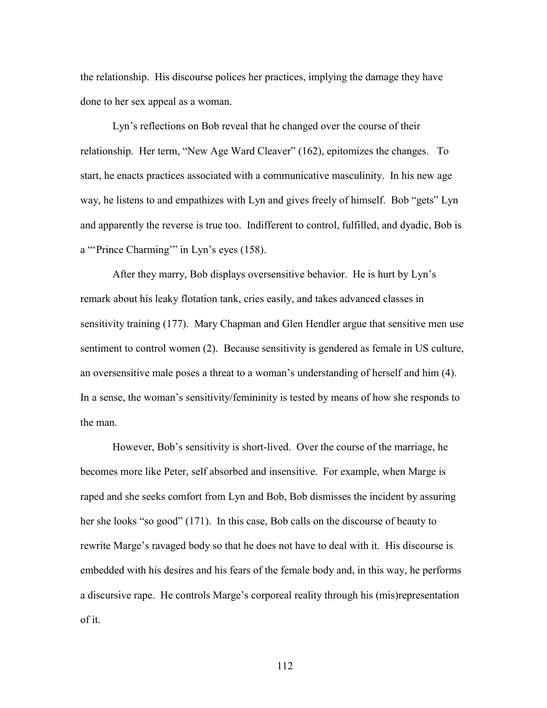the relationship. His discourse polices her practices, implying the damage they have done to her sex appeal as a woman.

 Lyn's reflections on Bob reveal that he changed over the course of their relationship. Her term, "New Age Ward Cleaver" (162), epitomizes the changes. To start, he enacts practices associated with a communicative masculinity. In his new age way, he listens to and empathizes with Lyn and gives freely of himself. Bob "gets" Lyn and apparently the reverse is true too. Indifferent to control, fulfilled, and dyadic, Bob is a "'Prince Charming'" in Lyn's eyes (158).

 After they marry, Bob displays oversensitive behavior. He is hurt by Lyn's remark about his leaky flotation tank, cries easily, and takes advanced classes in sensitivity training (177). Mary Chapman and Glen Hendler argue that sensitive men use sentiment to control women (2). Because sensitivity is gendered as female in US culture, an oversensitive male poses a threat to a woman's understanding of herself and him (4). In a sense, the woman's sensitivity/femininity is tested by means of how she responds to the man.

 However, Bob's sensitivity is short-lived. Over the course of the marriage, he becomes more like Peter, self absorbed and insensitive. For example, when Marge is raped and she seeks comfort from Lyn and Bob, Bob dismisses the incident by assuring her she looks "so good" (171). In this case, Bob calls on the discourse of beauty to rewrite Marge's ravaged body so that he does not have to deal with it. His discourse is embedded with his desires and his fears of the female body and, in this way, he performs a discursive rape. He controls Marge's corporeal reality through his (mis)representation of it.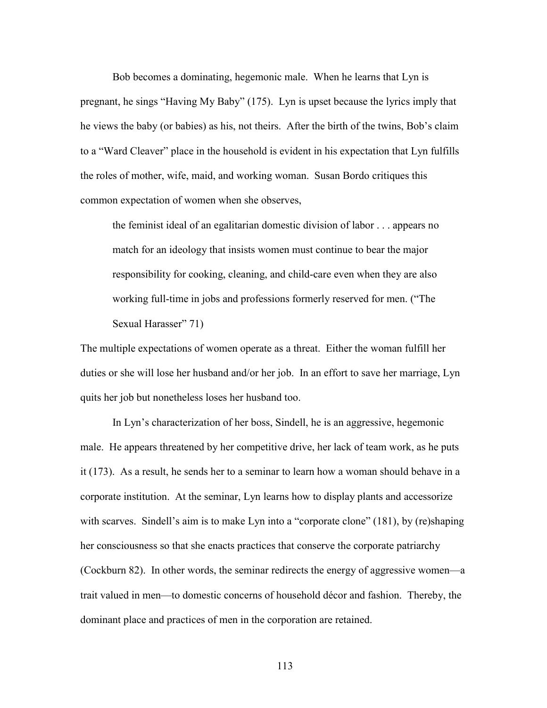Bob becomes a dominating, hegemonic male. When he learns that Lyn is pregnant, he sings "Having My Baby" (175). Lyn is upset because the lyrics imply that he views the baby (or babies) as his, not theirs. After the birth of the twins, Bob's claim to a "Ward Cleaver" place in the household is evident in his expectation that Lyn fulfills the roles of mother, wife, maid, and working woman. Susan Bordo critiques this common expectation of women when she observes,

the feminist ideal of an egalitarian domestic division of labor . . . appears no match for an ideology that insists women must continue to bear the major responsibility for cooking, cleaning, and child-care even when they are also working full-time in jobs and professions formerly reserved for men. ("The Sexual Harasser" 71)

The multiple expectations of women operate as a threat. Either the woman fulfill her duties or she will lose her husband and/or her job. In an effort to save her marriage, Lyn quits her job but nonetheless loses her husband too.

 In Lyn's characterization of her boss, Sindell, he is an aggressive, hegemonic male. He appears threatened by her competitive drive, her lack of team work, as he puts it (173). As a result, he sends her to a seminar to learn how a woman should behave in a corporate institution. At the seminar, Lyn learns how to display plants and accessorize with scarves. Sindell's aim is to make Lyn into a "corporate clone" (181), by (re)shaping her consciousness so that she enacts practices that conserve the corporate patriarchy (Cockburn 82). In other words, the seminar redirects the energy of aggressive women—a trait valued in men—to domestic concerns of household décor and fashion. Thereby, the dominant place and practices of men in the corporation are retained.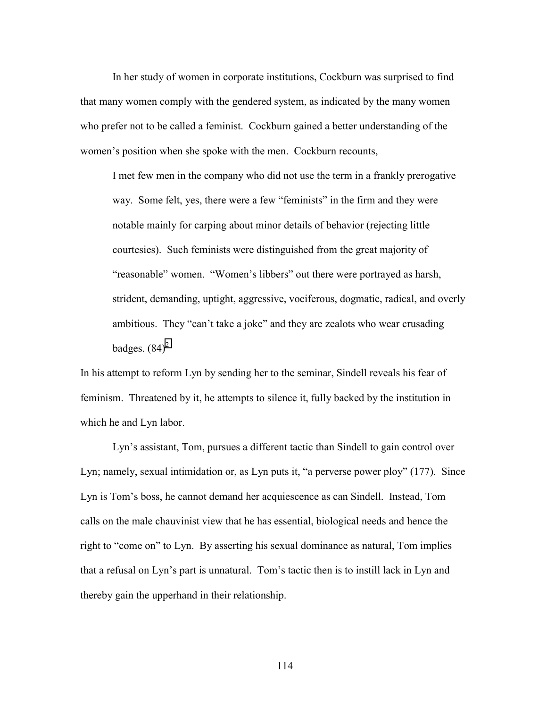In her study of women in corporate institutions, Cockburn was surprised to find that many women comply with the gendered system, as indicated by the many women who prefer not to be called a feminist. Cockburn gained a better understanding of the women's position when she spoke with the men. Cockburn recounts,

I met few men in the company who did not use the term in a frankly prerogative way. Some felt, yes, there were a few "feminists" in the firm and they were notable mainly for carping about minor details of behavior (rejecting little courtesies). Such feminists were distinguished from the great majority of "reasonable" women. "Women's libbers" out there were portrayed as harsh, strident, demanding, uptight, aggressive, vociferous, dogmatic, radical, and overly ambitious. They "can't take a joke" and they are zealots who wear crusading badges.  $(84)^2$  $(84)^2$ 

In his attempt to reform Lyn by sending her to the seminar, Sindell reveals his fear of feminism. Threatened by it, he attempts to silence it, fully backed by the institution in which he and Lyn labor.

 Lyn's assistant, Tom, pursues a different tactic than Sindell to gain control over Lyn; namely, sexual intimidation or, as Lyn puts it, "a perverse power ploy" (177). Since Lyn is Tom's boss, he cannot demand her acquiescence as can Sindell. Instead, Tom calls on the male chauvinist view that he has essential, biological needs and hence the right to "come on" to Lyn. By asserting his sexual dominance as natural, Tom implies that a refusal on Lyn's part is unnatural. Tom's tactic then is to instill lack in Lyn and thereby gain the upperhand in their relationship.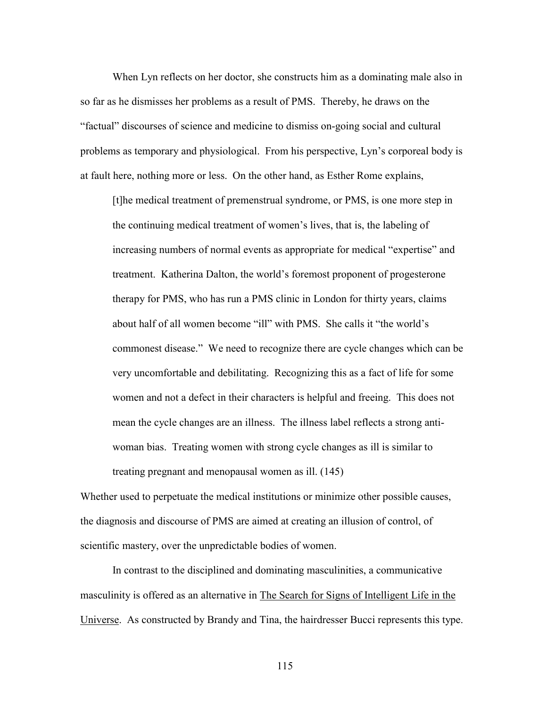When Lyn reflects on her doctor, she constructs him as a dominating male also in so far as he dismisses her problems as a result of PMS. Thereby, he draws on the "factual" discourses of science and medicine to dismiss on-going social and cultural problems as temporary and physiological. From his perspective, Lyn's corporeal body is at fault here, nothing more or less. On the other hand, as Esther Rome explains,

[t]he medical treatment of premenstrual syndrome, or PMS, is one more step in the continuing medical treatment of women's lives, that is, the labeling of increasing numbers of normal events as appropriate for medical "expertise" and treatment. Katherina Dalton, the world's foremost proponent of progesterone therapy for PMS, who has run a PMS clinic in London for thirty years, claims about half of all women become "ill" with PMS. She calls it "the world's commonest disease." We need to recognize there are cycle changes which can be very uncomfortable and debilitating. Recognizing this as a fact of life for some women and not a defect in their characters is helpful and freeing. This does not mean the cycle changes are an illness. The illness label reflects a strong antiwoman bias. Treating women with strong cycle changes as ill is similar to treating pregnant and menopausal women as ill. (145)

Whether used to perpetuate the medical institutions or minimize other possible causes, the diagnosis and discourse of PMS are aimed at creating an illusion of control, of scientific mastery, over the unpredictable bodies of women.

In contrast to the disciplined and dominating masculinities, a communicative masculinity is offered as an alternative in The Search for Signs of Intelligent Life in the Universe. As constructed by Brandy and Tina, the hairdresser Bucci represents this type.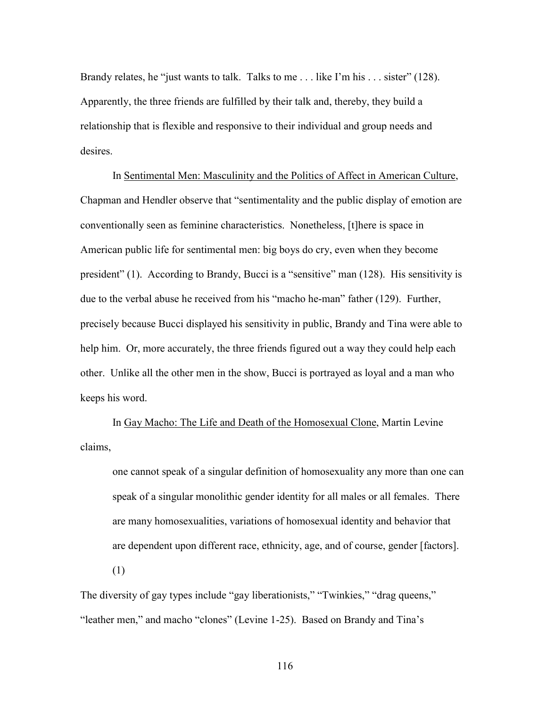Brandy relates, he "just wants to talk. Talks to me . . . like I'm his . . . sister" (128). Apparently, the three friends are fulfilled by their talk and, thereby, they build a relationship that is flexible and responsive to their individual and group needs and desires.

In Sentimental Men: Masculinity and the Politics of Affect in American Culture, Chapman and Hendler observe that "sentimentality and the public display of emotion are conventionally seen as feminine characteristics. Nonetheless, [t]here is space in American public life for sentimental men: big boys do cry, even when they become president" (1). According to Brandy, Bucci is a "sensitive" man (128). His sensitivity is due to the verbal abuse he received from his "macho he-man" father (129). Further, precisely because Bucci displayed his sensitivity in public, Brandy and Tina were able to help him. Or, more accurately, the three friends figured out a way they could help each other. Unlike all the other men in the show, Bucci is portrayed as loyal and a man who keeps his word.

In Gay Macho: The Life and Death of the Homosexual Clone, Martin Levine claims,

one cannot speak of a singular definition of homosexuality any more than one can speak of a singular monolithic gender identity for all males or all females. There are many homosexualities, variations of homosexual identity and behavior that are dependent upon different race, ethnicity, age, and of course, gender [factors].

(1)

The diversity of gay types include "gay liberationists," "Twinkies," "drag queens," "leather men," and macho "clones" (Levine 1-25). Based on Brandy and Tina's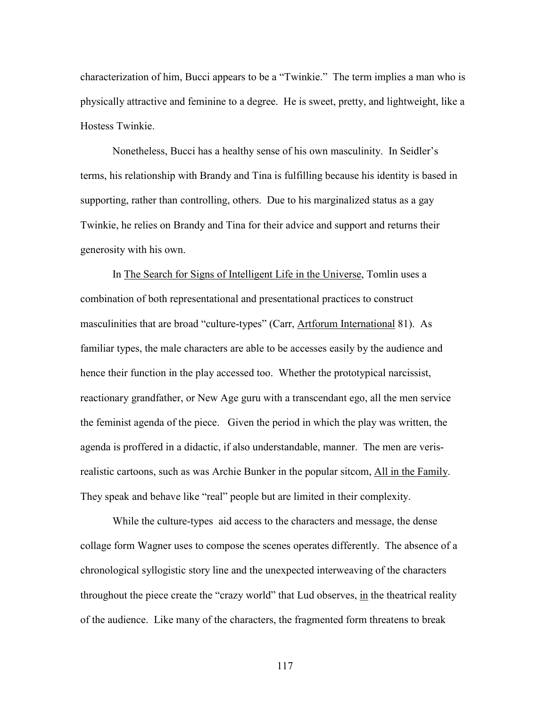characterization of him, Bucci appears to be a "Twinkie." The term implies a man who is physically attractive and feminine to a degree. He is sweet, pretty, and lightweight, like a Hostess Twinkie.

 Nonetheless, Bucci has a healthy sense of his own masculinity. In Seidler's terms, his relationship with Brandy and Tina is fulfilling because his identity is based in supporting, rather than controlling, others. Due to his marginalized status as a gay Twinkie, he relies on Brandy and Tina for their advice and support and returns their generosity with his own.

 In The Search for Signs of Intelligent Life in the Universe, Tomlin uses a combination of both representational and presentational practices to construct masculinities that are broad "culture-types" (Carr, Artforum International 81). As familiar types, the male characters are able to be accesses easily by the audience and hence their function in the play accessed too. Whether the prototypical narcissist, reactionary grandfather, or New Age guru with a transcendant ego, all the men service the feminist agenda of the piece. Given the period in which the play was written, the agenda is proffered in a didactic, if also understandable, manner. The men are verisrealistic cartoons, such as was Archie Bunker in the popular sitcom, All in the Family. They speak and behave like "real" people but are limited in their complexity.

 While the culture-types aid access to the characters and message, the dense collage form Wagner uses to compose the scenes operates differently. The absence of a chronological syllogistic story line and the unexpected interweaving of the characters throughout the piece create the "crazy world" that Lud observes, in the theatrical reality of the audience. Like many of the characters, the fragmented form threatens to break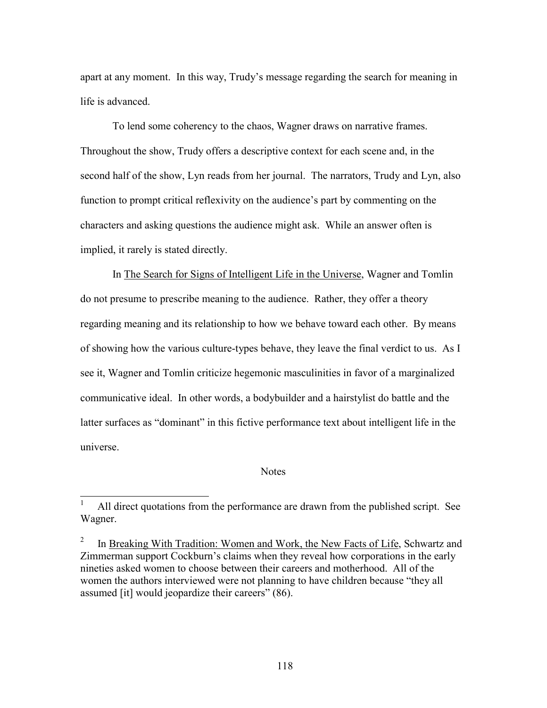<span id="page-123-0"></span>apart at any moment. In this way, Trudy's message regarding the search for meaning in life is advanced.

 To lend some coherency to the chaos, Wagner draws on narrative frames. Throughout the show, Trudy offers a descriptive context for each scene and, in the second half of the show, Lyn reads from her journal. The narrators, Trudy and Lyn, also function to prompt critical reflexivity on the audience's part by commenting on the characters and asking questions the audience might ask. While an answer often is implied, it rarely is stated directly.

 In The Search for Signs of Intelligent Life in the Universe, Wagner and Tomlin do not presume to prescribe meaning to the audience. Rather, they offer a theory regarding meaning and its relationship to how we behave toward each other. By means of showing how the various culture-types behave, they leave the final verdict to us. As I see it, Wagner and Tomlin criticize hegemonic masculinities in favor of a marginalized communicative ideal. In other words, a bodybuilder and a hairstylist do battle and the latter surfaces as "dominant" in this fictive performance text about intelligent life in the universe.

## **Notes**

 1 All direct quotations from the performance are drawn from the published script. See Wagner.

<sup>2</sup> In Breaking With Tradition: Women and Work, the New Facts of Life, Schwartz and Zimmerman support Cockburn's claims when they reveal how corporations in the early nineties asked women to choose between their careers and motherhood. All of the women the authors interviewed were not planning to have children because "they all assumed [it] would jeopardize their careers" (86).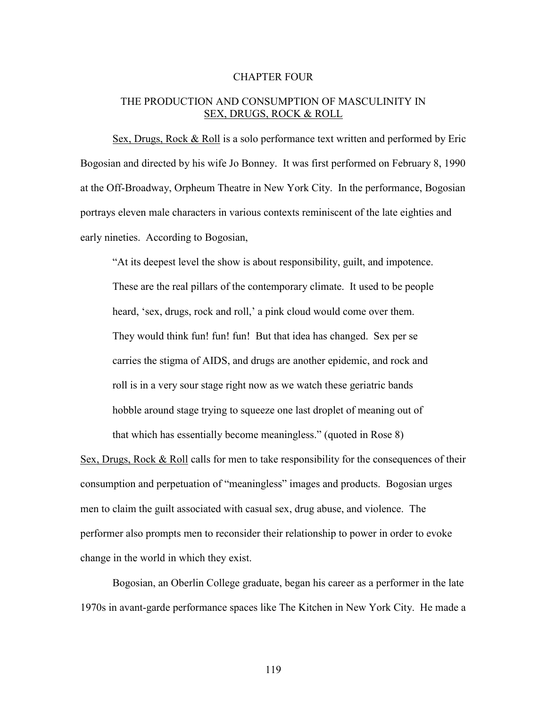## CHAPTER FOUR

## THE PRODUCTION AND CONSUMPTION OF MASCULINITY IN SEX, DRUGS, ROCK & ROLL

 Sex, Drugs, Rock & Roll is a solo performance text written and performed by Eric Bogosian and directed by his wife Jo Bonney. It was first performed on February 8, 1990 at the Off-Broadway, Orpheum Theatre in New York City. In the performance, Bogosian portrays eleven male characters in various contexts reminiscent of the late eighties and early nineties. According to Bogosian,

"At its deepest level the show is about responsibility, guilt, and impotence. These are the real pillars of the contemporary climate. It used to be people heard, 'sex, drugs, rock and roll,' a pink cloud would come over them. They would think fun! fun! fun! But that idea has changed. Sex per se carries the stigma of AIDS, and drugs are another epidemic, and rock and roll is in a very sour stage right now as we watch these geriatric bands hobble around stage trying to squeeze one last droplet of meaning out of that which has essentially become meaningless." (quoted in Rose 8)

Sex, Drugs, Rock & Roll calls for men to take responsibility for the consequences of their consumption and perpetuation of "meaningless" images and products. Bogosian urges men to claim the guilt associated with casual sex, drug abuse, and violence. The performer also prompts men to reconsider their relationship to power in order to evoke change in the world in which they exist.

Bogosian, an Oberlin College graduate, began his career as a performer in the late 1970s in avant-garde performance spaces like The Kitchen in New York City. He made a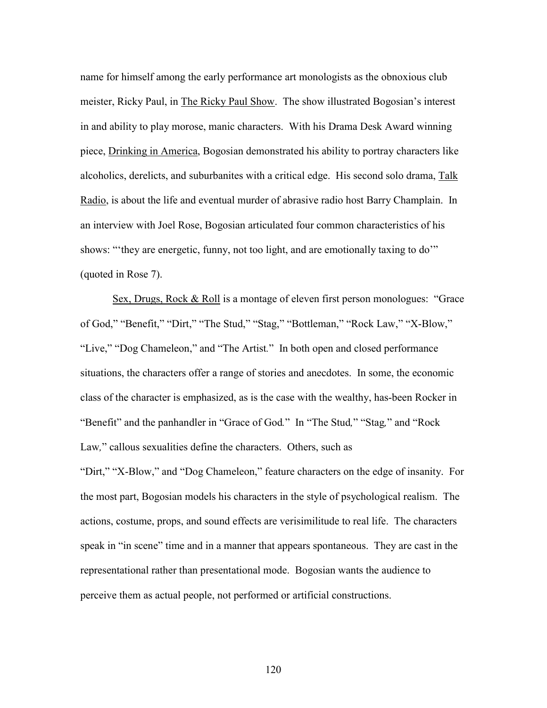name for himself among the early performance art monologists as the obnoxious club meister, Ricky Paul, in The Ricky Paul Show. The show illustrated Bogosian's interest in and ability to play morose, manic characters. With his Drama Desk Award winning piece, Drinking in America, Bogosian demonstrated his ability to portray characters like alcoholics, derelicts, and suburbanites with a critical edge. His second solo drama, Talk Radio, is about the life and eventual murder of abrasive radio host Barry Champlain. In an interview with Joel Rose, Bogosian articulated four common characteristics of his shows: "'they are energetic, funny, not too light, and are emotionally taxing to do'" (quoted in Rose 7).

 Sex, Drugs, Rock & Roll is a montage of eleven first person monologues: "Grace of God," "Benefit," "Dirt," "The Stud," "Stag," "Bottleman," "Rock Law," "X-Blow," "Live," "Dog Chameleon," and "The Artist*.*" In both open and closed performance situations, the characters offer a range of stories and anecdotes. In some, the economic class of the character is emphasized, as is the case with the wealthy, has-been Rocker in "Benefit" and the panhandler in "Grace of God*.*" In "The Stud*,*" "Stag*,*" and "Rock Law*,*" callous sexualities define the characters. Others, such as "Dirt," "X-Blow," and "Dog Chameleon," feature characters on the edge of insanity. For the most part, Bogosian models his characters in the style of psychological realism. The actions, costume, props, and sound effects are verisimilitude to real life. The characters speak in "in scene" time and in a manner that appears spontaneous. They are cast in the representational rather than presentational mode. Bogosian wants the audience to perceive them as actual people, not performed or artificial constructions.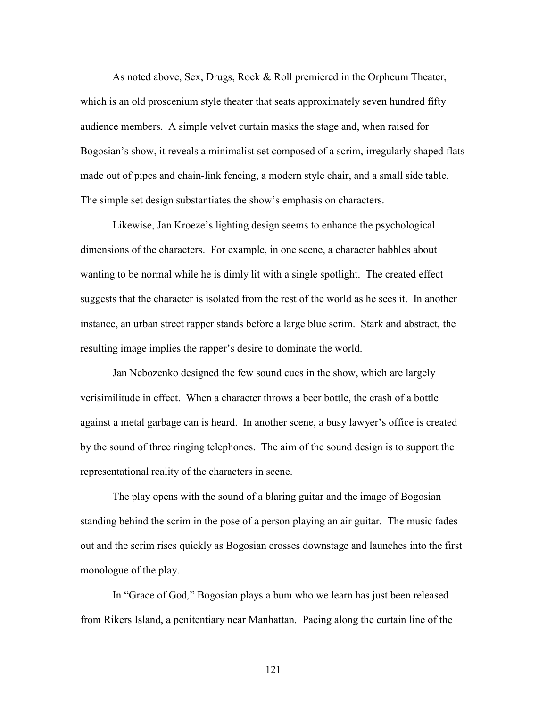As noted above, Sex, Drugs, Rock & Roll premiered in the Orpheum Theater, which is an old proscenium style theater that seats approximately seven hundred fifty audience members. A simple velvet curtain masks the stage and, when raised for Bogosian's show, it reveals a minimalist set composed of a scrim, irregularly shaped flats made out of pipes and chain-link fencing, a modern style chair, and a small side table. The simple set design substantiates the show's emphasis on characters.

 Likewise, Jan Kroeze's lighting design seems to enhance the psychological dimensions of the characters. For example, in one scene, a character babbles about wanting to be normal while he is dimly lit with a single spotlight. The created effect suggests that the character is isolated from the rest of the world as he sees it. In another instance, an urban street rapper stands before a large blue scrim. Stark and abstract, the resulting image implies the rapper's desire to dominate the world.

 Jan Nebozenko designed the few sound cues in the show, which are largely verisimilitude in effect. When a character throws a beer bottle, the crash of a bottle against a metal garbage can is heard. In another scene, a busy lawyer's office is created by the sound of three ringing telephones. The aim of the sound design is to support the representational reality of the characters in scene.

 The play opens with the sound of a blaring guitar and the image of Bogosian standing behind the scrim in the pose of a person playing an air guitar. The music fades out and the scrim rises quickly as Bogosian crosses downstage and launches into the first monologue of the play.

 In "Grace of God*,*" Bogosian plays a bum who we learn has just been released from Rikers Island, a penitentiary near Manhattan. Pacing along the curtain line of the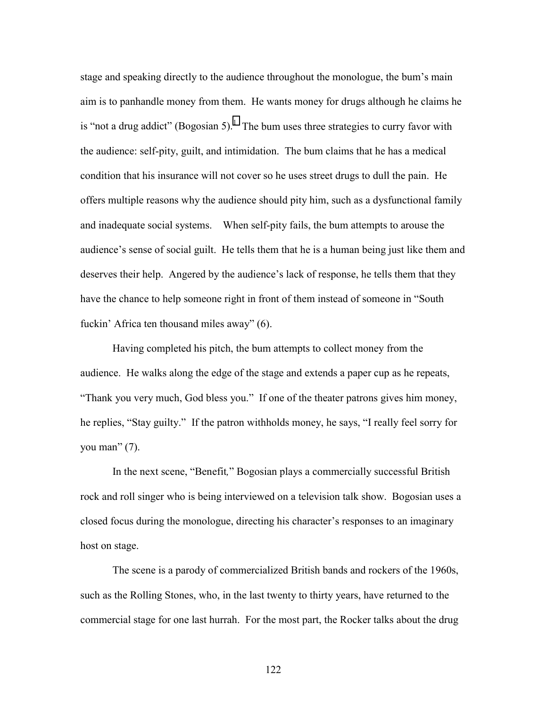stage and speaking directly to the audience throughout the monologue, the bum's main aim is to panhandle money from them. He wants money for drugs although he claims he is "not a drug addict" (Bogosian 5).<sup>[1](#page-165-0)</sup> The bum uses three strategies to curry favor with the audience: self-pity, guilt, and intimidation. The bum claims that he has a medical condition that his insurance will not cover so he uses street drugs to dull the pain. He offers multiple reasons why the audience should pity him, such as a dysfunctional family and inadequate social systems. When self-pity fails, the bum attempts to arouse the audience's sense of social guilt. He tells them that he is a human being just like them and deserves their help. Angered by the audience's lack of response, he tells them that they have the chance to help someone right in front of them instead of someone in "South fuckin' Africa ten thousand miles away" (6).

Having completed his pitch, the bum attempts to collect money from the audience. He walks along the edge of the stage and extends a paper cup as he repeats, "Thank you very much, God bless you." If one of the theater patrons gives him money, he replies, "Stay guilty." If the patron withholds money, he says, "I really feel sorry for you man"  $(7)$ .

In the next scene, "Benefit*,*" Bogosian plays a commercially successful British rock and roll singer who is being interviewed on a television talk show. Bogosian uses a closed focus during the monologue, directing his character's responses to an imaginary host on stage.

The scene is a parody of commercialized British bands and rockers of the 1960s, such as the Rolling Stones, who, in the last twenty to thirty years, have returned to the commercial stage for one last hurrah. For the most part, the Rocker talks about the drug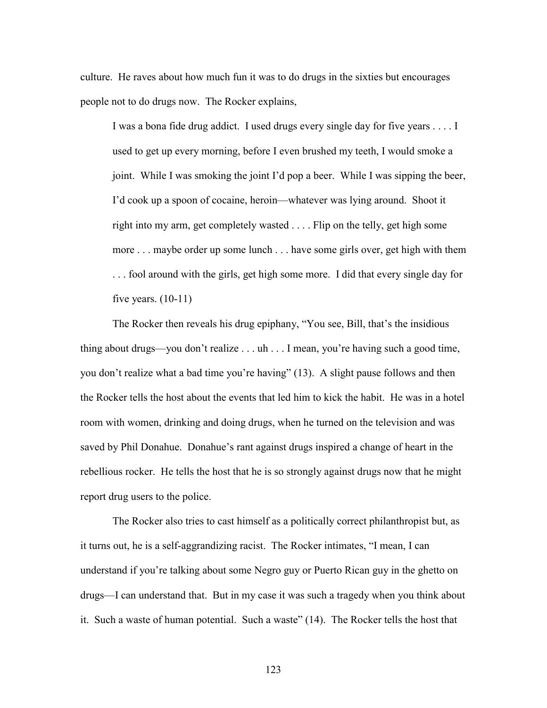culture. He raves about how much fun it was to do drugs in the sixties but encourages people not to do drugs now. The Rocker explains,

I was a bona fide drug addict. I used drugs every single day for five years . . . . I used to get up every morning, before I even brushed my teeth, I would smoke a joint. While I was smoking the joint I'd pop a beer. While I was sipping the beer, I'd cook up a spoon of cocaine, heroin—whatever was lying around. Shoot it right into my arm, get completely wasted . . . . Flip on the telly, get high some more . . . maybe order up some lunch . . . have some girls over, get high with them . . . fool around with the girls, get high some more. I did that every single day for five years.  $(10-11)$ 

 The Rocker then reveals his drug epiphany, "You see, Bill, that's the insidious thing about drugs—you don't realize . . . uh . . . I mean, you're having such a good time, you don't realize what a bad time you're having" (13). A slight pause follows and then the Rocker tells the host about the events that led him to kick the habit. He was in a hotel room with women, drinking and doing drugs, when he turned on the television and was saved by Phil Donahue. Donahue's rant against drugs inspired a change of heart in the rebellious rocker. He tells the host that he is so strongly against drugs now that he might report drug users to the police.

The Rocker also tries to cast himself as a politically correct philanthropist but, as it turns out, he is a self-aggrandizing racist. The Rocker intimates, "I mean, I can understand if you're talking about some Negro guy or Puerto Rican guy in the ghetto on drugs—I can understand that. But in my case it was such a tragedy when you think about it. Such a waste of human potential. Such a waste" (14). The Rocker tells the host that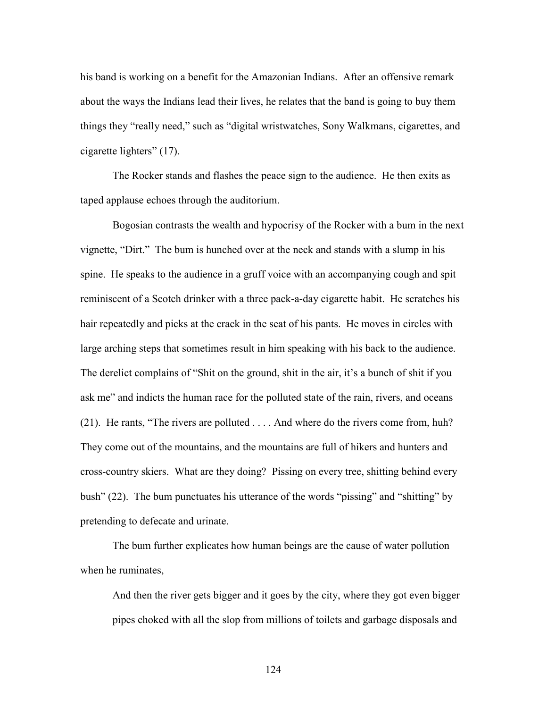his band is working on a benefit for the Amazonian Indians. After an offensive remark about the ways the Indians lead their lives, he relates that the band is going to buy them things they "really need," such as "digital wristwatches, Sony Walkmans, cigarettes, and cigarette lighters" (17).

 The Rocker stands and flashes the peace sign to the audience. He then exits as taped applause echoes through the auditorium.

 Bogosian contrasts the wealth and hypocrisy of the Rocker with a bum in the next vignette, "Dirt." The bum is hunched over at the neck and stands with a slump in his spine. He speaks to the audience in a gruff voice with an accompanying cough and spit reminiscent of a Scotch drinker with a three pack-a-day cigarette habit. He scratches his hair repeatedly and picks at the crack in the seat of his pants. He moves in circles with large arching steps that sometimes result in him speaking with his back to the audience. The derelict complains of "Shit on the ground, shit in the air, it's a bunch of shit if you ask me" and indicts the human race for the polluted state of the rain, rivers, and oceans (21). He rants, "The rivers are polluted . . . . And where do the rivers come from, huh? They come out of the mountains, and the mountains are full of hikers and hunters and cross-country skiers. What are they doing? Pissing on every tree, shitting behind every bush" (22). The bum punctuates his utterance of the words "pissing" and "shitting" by pretending to defecate and urinate.

 The bum further explicates how human beings are the cause of water pollution when he ruminates,

And then the river gets bigger and it goes by the city, where they got even bigger pipes choked with all the slop from millions of toilets and garbage disposals and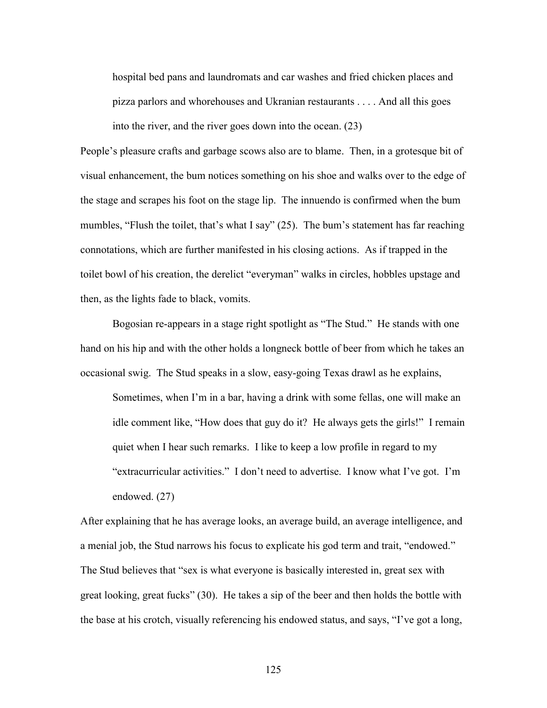hospital bed pans and laundromats and car washes and fried chicken places and pizza parlors and whorehouses and Ukranian restaurants . . . . And all this goes into the river, and the river goes down into the ocean. (23)

People's pleasure crafts and garbage scows also are to blame. Then, in a grotesque bit of visual enhancement, the bum notices something on his shoe and walks over to the edge of the stage and scrapes his foot on the stage lip. The innuendo is confirmed when the bum mumbles, "Flush the toilet, that's what I say" (25). The bum's statement has far reaching connotations, which are further manifested in his closing actions. As if trapped in the toilet bowl of his creation, the derelict "everyman" walks in circles, hobbles upstage and then, as the lights fade to black, vomits.

Bogosian re-appears in a stage right spotlight as "The Stud." He stands with one hand on his hip and with the other holds a longneck bottle of beer from which he takes an occasional swig. The Stud speaks in a slow, easy-going Texas drawl as he explains,

Sometimes, when I'm in a bar, having a drink with some fellas, one will make an idle comment like, "How does that guy do it? He always gets the girls!" I remain quiet when I hear such remarks. I like to keep a low profile in regard to my "extracurricular activities." I don't need to advertise. I know what I've got. I'm endowed. (27)

After explaining that he has average looks, an average build, an average intelligence, and a menial job, the Stud narrows his focus to explicate his god term and trait, "endowed." The Stud believes that "sex is what everyone is basically interested in, great sex with great looking, great fucks" (30). He takes a sip of the beer and then holds the bottle with the base at his crotch, visually referencing his endowed status, and says, "I've got a long,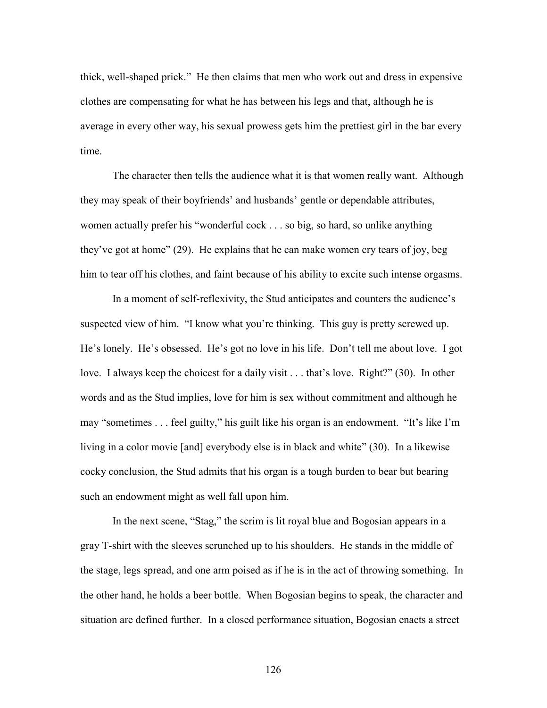thick, well-shaped prick." He then claims that men who work out and dress in expensive clothes are compensating for what he has between his legs and that, although he is average in every other way, his sexual prowess gets him the prettiest girl in the bar every time.

 The character then tells the audience what it is that women really want. Although they may speak of their boyfriends' and husbands' gentle or dependable attributes, women actually prefer his "wonderful cock . . . so big, so hard, so unlike anything they've got at home" (29). He explains that he can make women cry tears of joy, beg him to tear off his clothes, and faint because of his ability to excite such intense orgasms.

 In a moment of self-reflexivity, the Stud anticipates and counters the audience's suspected view of him. "I know what you're thinking. This guy is pretty screwed up. He's lonely. He's obsessed. He's got no love in his life. Don't tell me about love. I got love. I always keep the choicest for a daily visit . . . that's love. Right?" (30). In other words and as the Stud implies, love for him is sex without commitment and although he may "sometimes . . . feel guilty," his guilt like his organ is an endowment. "It's like I'm living in a color movie [and] everybody else is in black and white" (30). In a likewise cocky conclusion, the Stud admits that his organ is a tough burden to bear but bearing such an endowment might as well fall upon him.

In the next scene, "Stag," the scrim is lit royal blue and Bogosian appears in a gray T-shirt with the sleeves scrunched up to his shoulders. He stands in the middle of the stage, legs spread, and one arm poised as if he is in the act of throwing something. In the other hand, he holds a beer bottle. When Bogosian begins to speak, the character and situation are defined further. In a closed performance situation, Bogosian enacts a street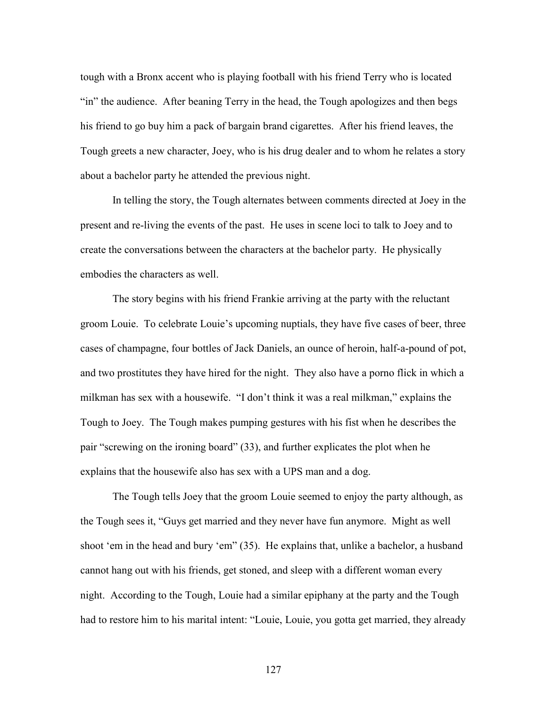tough with a Bronx accent who is playing football with his friend Terry who is located "in" the audience. After beaning Terry in the head, the Tough apologizes and then begs his friend to go buy him a pack of bargain brand cigarettes. After his friend leaves, the Tough greets a new character, Joey, who is his drug dealer and to whom he relates a story about a bachelor party he attended the previous night.

In telling the story, the Tough alternates between comments directed at Joey in the present and re-living the events of the past. He uses in scene loci to talk to Joey and to create the conversations between the characters at the bachelor party. He physically embodies the characters as well.

The story begins with his friend Frankie arriving at the party with the reluctant groom Louie. To celebrate Louie's upcoming nuptials, they have five cases of beer, three cases of champagne, four bottles of Jack Daniels, an ounce of heroin, half-a-pound of pot, and two prostitutes they have hired for the night. They also have a porno flick in which a milkman has sex with a housewife. "I don't think it was a real milkman," explains the Tough to Joey. The Tough makes pumping gestures with his fist when he describes the pair "screwing on the ironing board" (33), and further explicates the plot when he explains that the housewife also has sex with a UPS man and a dog.

The Tough tells Joey that the groom Louie seemed to enjoy the party although, as the Tough sees it, "Guys get married and they never have fun anymore. Might as well shoot 'em in the head and bury 'em" (35). He explains that, unlike a bachelor, a husband cannot hang out with his friends, get stoned, and sleep with a different woman every night. According to the Tough, Louie had a similar epiphany at the party and the Tough had to restore him to his marital intent: "Louie, Louie, you gotta get married, they already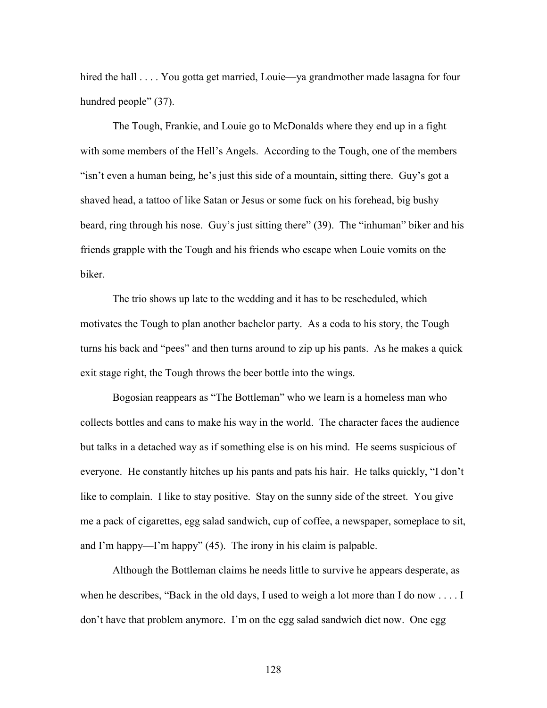hired the hall . . . . You gotta get married, Louie—ya grandmother made lasagna for four hundred people" (37).

The Tough, Frankie, and Louie go to McDonalds where they end up in a fight with some members of the Hell's Angels. According to the Tough, one of the members "isn't even a human being, he's just this side of a mountain, sitting there. Guy's got a shaved head, a tattoo of like Satan or Jesus or some fuck on his forehead, big bushy beard, ring through his nose. Guy's just sitting there" (39). The "inhuman" biker and his friends grapple with the Tough and his friends who escape when Louie vomits on the biker.

The trio shows up late to the wedding and it has to be rescheduled, which motivates the Tough to plan another bachelor party. As a coda to his story, the Tough turns his back and "pees" and then turns around to zip up his pants. As he makes a quick exit stage right, the Tough throws the beer bottle into the wings.

Bogosian reappears as "The Bottleman" who we learn is a homeless man who collects bottles and cans to make his way in the world. The character faces the audience but talks in a detached way as if something else is on his mind. He seems suspicious of everyone. He constantly hitches up his pants and pats his hair. He talks quickly, "I don't like to complain. I like to stay positive. Stay on the sunny side of the street. You give me a pack of cigarettes, egg salad sandwich, cup of coffee, a newspaper, someplace to sit, and I'm happy—I'm happy" (45). The irony in his claim is palpable.

Although the Bottleman claims he needs little to survive he appears desperate, as when he describes, "Back in the old days, I used to weigh a lot more than I do now  $\dots$ . don't have that problem anymore. I'm on the egg salad sandwich diet now. One egg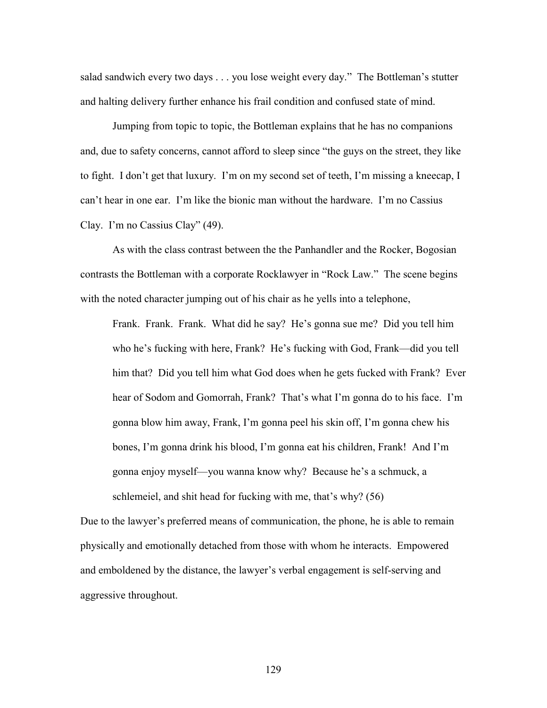salad sandwich every two days . . . you lose weight every day." The Bottleman's stutter and halting delivery further enhance his frail condition and confused state of mind.

Jumping from topic to topic, the Bottleman explains that he has no companions and, due to safety concerns, cannot afford to sleep since "the guys on the street, they like to fight. I don't get that luxury. I'm on my second set of teeth, I'm missing a kneecap, I can't hear in one ear. I'm like the bionic man without the hardware. I'm no Cassius Clay. I'm no Cassius Clay" (49).

As with the class contrast between the the Panhandler and the Rocker, Bogosian contrasts the Bottleman with a corporate Rocklawyer in "Rock Law." The scene begins with the noted character jumping out of his chair as he yells into a telephone,

Frank. Frank. Frank. What did he say? He's gonna sue me? Did you tell him who he's fucking with here, Frank? He's fucking with God, Frank—did you tell him that? Did you tell him what God does when he gets fucked with Frank? Ever hear of Sodom and Gomorrah, Frank? That's what I'm gonna do to his face. I'm gonna blow him away, Frank, I'm gonna peel his skin off, I'm gonna chew his bones, I'm gonna drink his blood, I'm gonna eat his children, Frank! And I'm gonna enjoy myself—you wanna know why? Because he's a schmuck, a schlemeiel, and shit head for fucking with me, that's why? (56)

Due to the lawyer's preferred means of communication, the phone, he is able to remain physically and emotionally detached from those with whom he interacts. Empowered and emboldened by the distance, the lawyer's verbal engagement is self-serving and aggressive throughout.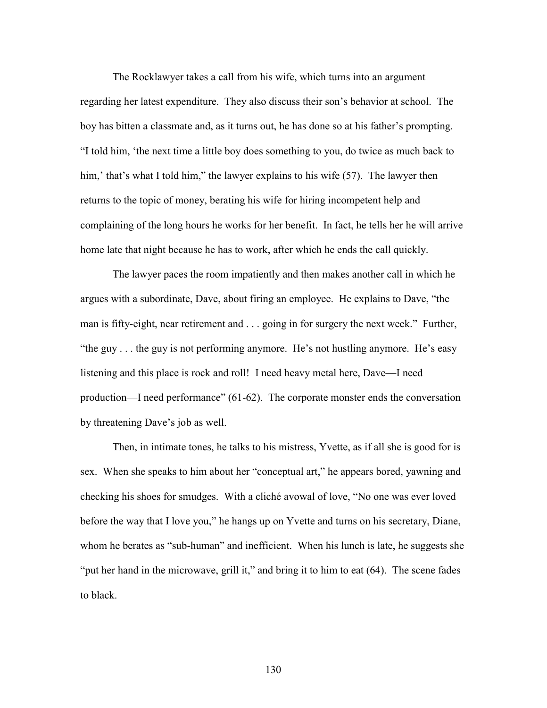The Rocklawyer takes a call from his wife, which turns into an argument regarding her latest expenditure. They also discuss their son's behavior at school. The boy has bitten a classmate and, as it turns out, he has done so at his father's prompting. "I told him, 'the next time a little boy does something to you, do twice as much back to him,' that's what I told him," the lawyer explains to his wife (57). The lawyer then returns to the topic of money, berating his wife for hiring incompetent help and complaining of the long hours he works for her benefit. In fact, he tells her he will arrive home late that night because he has to work, after which he ends the call quickly.

 The lawyer paces the room impatiently and then makes another call in which he argues with a subordinate, Dave, about firing an employee. He explains to Dave, "the man is fifty-eight, near retirement and . . . going in for surgery the next week." Further, "the guy . . . the guy is not performing anymore. He's not hustling anymore. He's easy listening and this place is rock and roll! I need heavy metal here, Dave—I need production—I need performance" (61-62). The corporate monster ends the conversation by threatening Dave's job as well.

 Then, in intimate tones, he talks to his mistress, Yvette, as if all she is good for is sex. When she speaks to him about her "conceptual art," he appears bored, yawning and checking his shoes for smudges. With a cliché avowal of love, "No one was ever loved before the way that I love you," he hangs up on Yvette and turns on his secretary, Diane, whom he berates as "sub-human" and inefficient. When his lunch is late, he suggests she "put her hand in the microwave, grill it," and bring it to him to eat (64). The scene fades to black.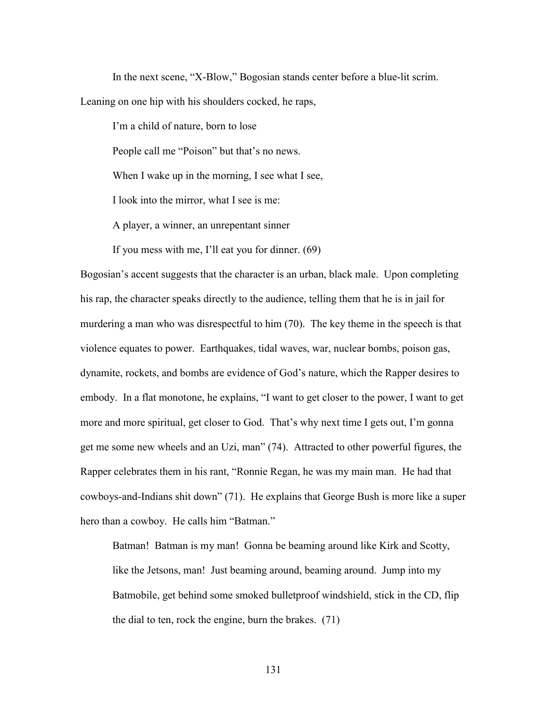In the next scene, "X-Blow," Bogosian stands center before a blue-lit scrim. Leaning on one hip with his shoulders cocked, he raps,

I'm a child of nature, born to lose People call me "Poison" but that's no news. When I wake up in the morning, I see what I see, I look into the mirror, what I see is me: A player, a winner, an unrepentant sinner

If you mess with me, I'll eat you for dinner. (69)

Bogosian's accent suggests that the character is an urban, black male. Upon completing his rap, the character speaks directly to the audience, telling them that he is in jail for murdering a man who was disrespectful to him (70). The key theme in the speech is that violence equates to power. Earthquakes, tidal waves, war, nuclear bombs, poison gas, dynamite, rockets, and bombs are evidence of God's nature, which the Rapper desires to embody. In a flat monotone, he explains, "I want to get closer to the power, I want to get more and more spiritual, get closer to God. That's why next time I gets out, I'm gonna get me some new wheels and an Uzi, man" (74). Attracted to other powerful figures, the Rapper celebrates them in his rant, "Ronnie Regan, he was my main man. He had that cowboys-and-Indians shit down" (71). He explains that George Bush is more like a super hero than a cowboy. He calls him "Batman."

Batman! Batman is my man! Gonna be beaming around like Kirk and Scotty, like the Jetsons, man! Just beaming around, beaming around. Jump into my Batmobile, get behind some smoked bulletproof windshield, stick in the CD, flip the dial to ten, rock the engine, burn the brakes. (71)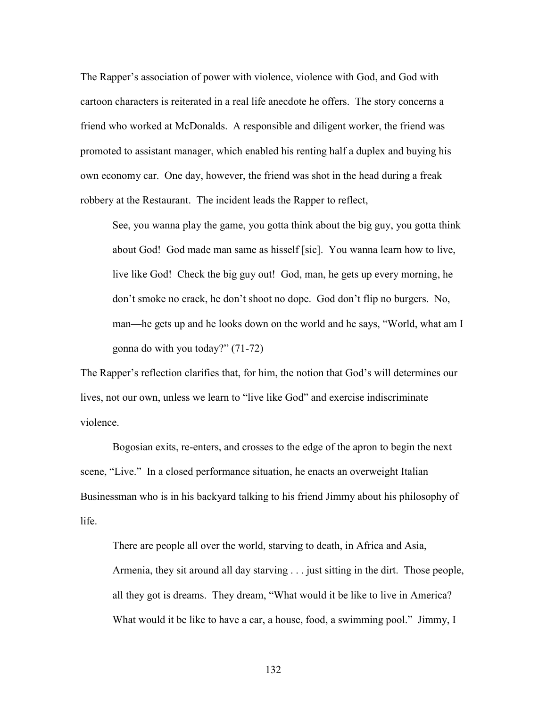The Rapper's association of power with violence, violence with God, and God with cartoon characters is reiterated in a real life anecdote he offers. The story concerns a friend who worked at McDonalds. A responsible and diligent worker, the friend was promoted to assistant manager, which enabled his renting half a duplex and buying his own economy car. One day, however, the friend was shot in the head during a freak robbery at the Restaurant. The incident leads the Rapper to reflect,

See, you wanna play the game, you gotta think about the big guy, you gotta think about God! God made man same as hisself [sic]. You wanna learn how to live, live like God! Check the big guy out! God, man, he gets up every morning, he don't smoke no crack, he don't shoot no dope. God don't flip no burgers. No, man—he gets up and he looks down on the world and he says, "World, what am I gonna do with you today?" (71-72)

The Rapper's reflection clarifies that, for him, the notion that God's will determines our lives, not our own, unless we learn to "live like God" and exercise indiscriminate violence.

 Bogosian exits, re-enters, and crosses to the edge of the apron to begin the next scene, "Live." In a closed performance situation, he enacts an overweight Italian Businessman who is in his backyard talking to his friend Jimmy about his philosophy of life.

There are people all over the world, starving to death, in Africa and Asia, Armenia, they sit around all day starving . . . just sitting in the dirt. Those people, all they got is dreams. They dream, "What would it be like to live in America? What would it be like to have a car, a house, food, a swimming pool." Jimmy, I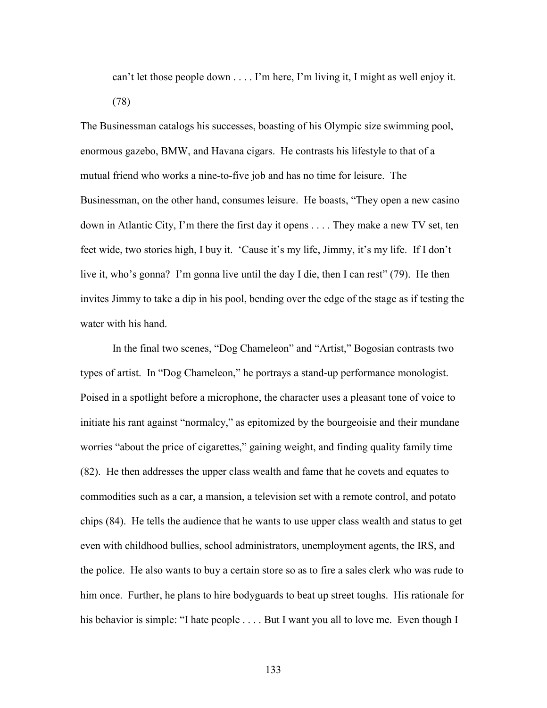can't let those people down . . . . I'm here, I'm living it, I might as well enjoy it. (78)

The Businessman catalogs his successes, boasting of his Olympic size swimming pool, enormous gazebo, BMW, and Havana cigars. He contrasts his lifestyle to that of a mutual friend who works a nine-to-five job and has no time for leisure. The Businessman, on the other hand, consumes leisure. He boasts, "They open a new casino down in Atlantic City, I'm there the first day it opens . . . . They make a new TV set, ten feet wide, two stories high, I buy it. 'Cause it's my life, Jimmy, it's my life. If I don't live it, who's gonna? I'm gonna live until the day I die, then I can rest" (79). He then invites Jimmy to take a dip in his pool, bending over the edge of the stage as if testing the water with his hand.

 In the final two scenes, "Dog Chameleon" and "Artist," Bogosian contrasts two types of artist. In "Dog Chameleon," he portrays a stand-up performance monologist. Poised in a spotlight before a microphone, the character uses a pleasant tone of voice to initiate his rant against "normalcy," as epitomized by the bourgeoisie and their mundane worries "about the price of cigarettes," gaining weight, and finding quality family time (82). He then addresses the upper class wealth and fame that he covets and equates to commodities such as a car, a mansion, a television set with a remote control, and potato chips (84). He tells the audience that he wants to use upper class wealth and status to get even with childhood bullies, school administrators, unemployment agents, the IRS, and the police. He also wants to buy a certain store so as to fire a sales clerk who was rude to him once. Further, he plans to hire bodyguards to beat up street toughs. His rationale for his behavior is simple: "I hate people . . . . But I want you all to love me. Even though I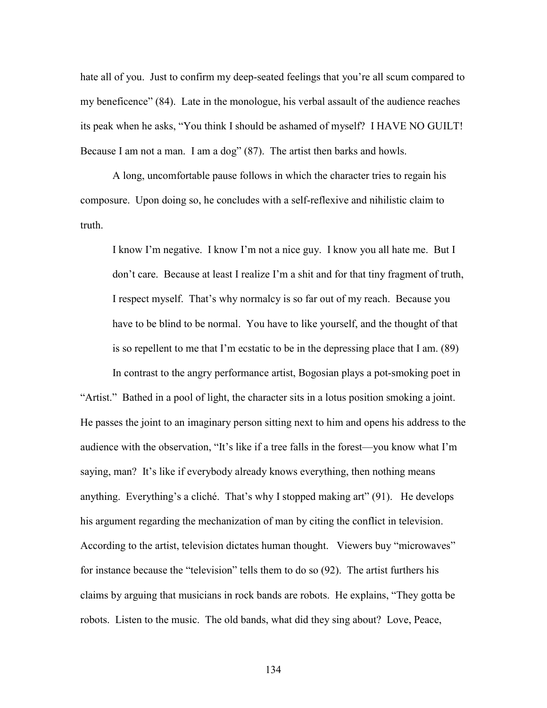hate all of you. Just to confirm my deep-seated feelings that you're all scum compared to my beneficence" (84). Late in the monologue, his verbal assault of the audience reaches its peak when he asks, "You think I should be ashamed of myself? I HAVE NO GUILT! Because I am not a man. I am a dog" (87). The artist then barks and howls.

 A long, uncomfortable pause follows in which the character tries to regain his composure. Upon doing so, he concludes with a self-reflexive and nihilistic claim to truth.

I know I'm negative. I know I'm not a nice guy. I know you all hate me. But I don't care. Because at least I realize I'm a shit and for that tiny fragment of truth, I respect myself. That's why normalcy is so far out of my reach. Because you have to be blind to be normal. You have to like yourself, and the thought of that is so repellent to me that I'm ecstatic to be in the depressing place that I am. (89)

In contrast to the angry performance artist, Bogosian plays a pot-smoking poet in

"Artist." Bathed in a pool of light, the character sits in a lotus position smoking a joint. He passes the joint to an imaginary person sitting next to him and opens his address to the audience with the observation, "It's like if a tree falls in the forest—you know what I'm saying, man? It's like if everybody already knows everything, then nothing means anything. Everything's a cliché. That's why I stopped making art" (91). He develops his argument regarding the mechanization of man by citing the conflict in television. According to the artist, television dictates human thought. Viewers buy "microwaves" for instance because the "television" tells them to do so (92). The artist furthers his claims by arguing that musicians in rock bands are robots. He explains, "They gotta be robots. Listen to the music. The old bands, what did they sing about? Love, Peace,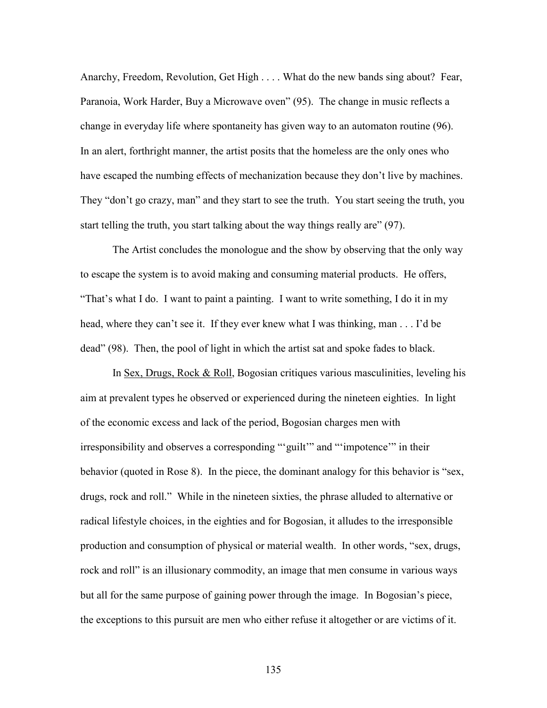Anarchy, Freedom, Revolution, Get High . . . . What do the new bands sing about? Fear, Paranoia, Work Harder, Buy a Microwave oven" (95). The change in music reflects a change in everyday life where spontaneity has given way to an automaton routine (96). In an alert, forthright manner, the artist posits that the homeless are the only ones who have escaped the numbing effects of mechanization because they don't live by machines. They "don't go crazy, man" and they start to see the truth. You start seeing the truth, you start telling the truth, you start talking about the way things really are" (97).

 The Artist concludes the monologue and the show by observing that the only way to escape the system is to avoid making and consuming material products. He offers, "That's what I do. I want to paint a painting. I want to write something, I do it in my head, where they can't see it. If they ever knew what I was thinking, man . . . I'd be dead" (98). Then, the pool of light in which the artist sat and spoke fades to black.

 In Sex, Drugs, Rock & Roll, Bogosian critiques various masculinities, leveling his aim at prevalent types he observed or experienced during the nineteen eighties. In light of the economic excess and lack of the period, Bogosian charges men with irresponsibility and observes a corresponding "'guilt'" and "'impotence'" in their behavior (quoted in Rose 8). In the piece, the dominant analogy for this behavior is "sex, drugs, rock and roll." While in the nineteen sixties, the phrase alluded to alternative or radical lifestyle choices, in the eighties and for Bogosian, it alludes to the irresponsible production and consumption of physical or material wealth. In other words, "sex, drugs, rock and roll" is an illusionary commodity, an image that men consume in various ways but all for the same purpose of gaining power through the image. In Bogosian's piece, the exceptions to this pursuit are men who either refuse it altogether or are victims of it.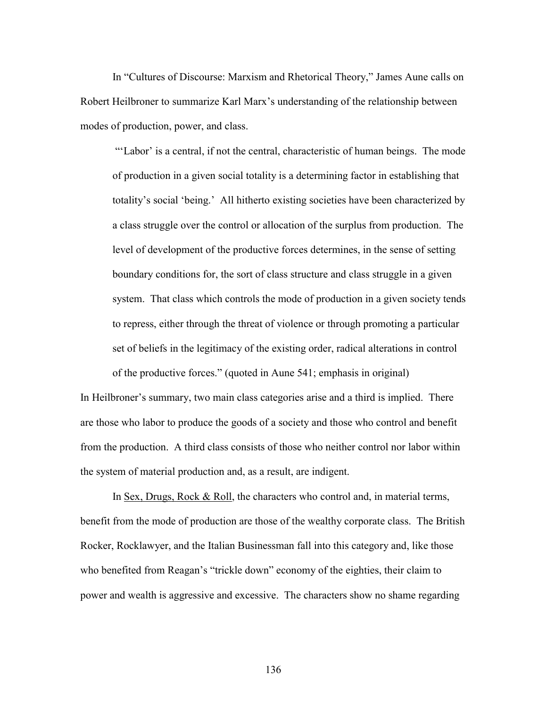In "Cultures of Discourse: Marxism and Rhetorical Theory," James Aune calls on Robert Heilbroner to summarize Karl Marx's understanding of the relationship between modes of production, power, and class.

 "'Labor' is a central, if not the central, characteristic of human beings. The mode of production in a given social totality is a determining factor in establishing that totality's social 'being.' All hitherto existing societies have been characterized by a class struggle over the control or allocation of the surplus from production. The level of development of the productive forces determines, in the sense of setting boundary conditions for, the sort of class structure and class struggle in a given system. That class which controls the mode of production in a given society tends to repress, either through the threat of violence or through promoting a particular set of beliefs in the legitimacy of the existing order, radical alterations in control of the productive forces." (quoted in Aune 541; emphasis in original)

In Heilbroner's summary, two main class categories arise and a third is implied. There are those who labor to produce the goods of a society and those who control and benefit from the production. A third class consists of those who neither control nor labor within the system of material production and, as a result, are indigent.

In Sex, Drugs, Rock & Roll, the characters who control and, in material terms, benefit from the mode of production are those of the wealthy corporate class. The British Rocker, Rocklawyer, and the Italian Businessman fall into this category and, like those who benefited from Reagan's "trickle down" economy of the eighties, their claim to power and wealth is aggressive and excessive. The characters show no shame regarding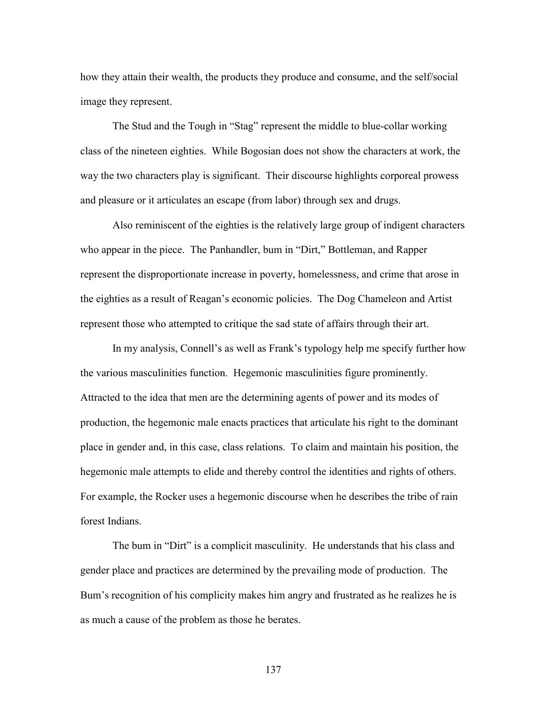how they attain their wealth, the products they produce and consume, and the self/social image they represent.

 The Stud and the Tough in "Stag" represent the middle to blue-collar working class of the nineteen eighties. While Bogosian does not show the characters at work, the way the two characters play is significant. Their discourse highlights corporeal prowess and pleasure or it articulates an escape (from labor) through sex and drugs.

 Also reminiscent of the eighties is the relatively large group of indigent characters who appear in the piece. The Panhandler, bum in "Dirt," Bottleman, and Rapper represent the disproportionate increase in poverty, homelessness, and crime that arose in the eighties as a result of Reagan's economic policies. The Dog Chameleon and Artist represent those who attempted to critique the sad state of affairs through their art.

 In my analysis, Connell's as well as Frank's typology help me specify further how the various masculinities function. Hegemonic masculinities figure prominently. Attracted to the idea that men are the determining agents of power and its modes of production, the hegemonic male enacts practices that articulate his right to the dominant place in gender and, in this case, class relations. To claim and maintain his position, the hegemonic male attempts to elide and thereby control the identities and rights of others. For example, the Rocker uses a hegemonic discourse when he describes the tribe of rain forest Indians.

 The bum in "Dirt" is a complicit masculinity. He understands that his class and gender place and practices are determined by the prevailing mode of production. The Bum's recognition of his complicity makes him angry and frustrated as he realizes he is as much a cause of the problem as those he berates.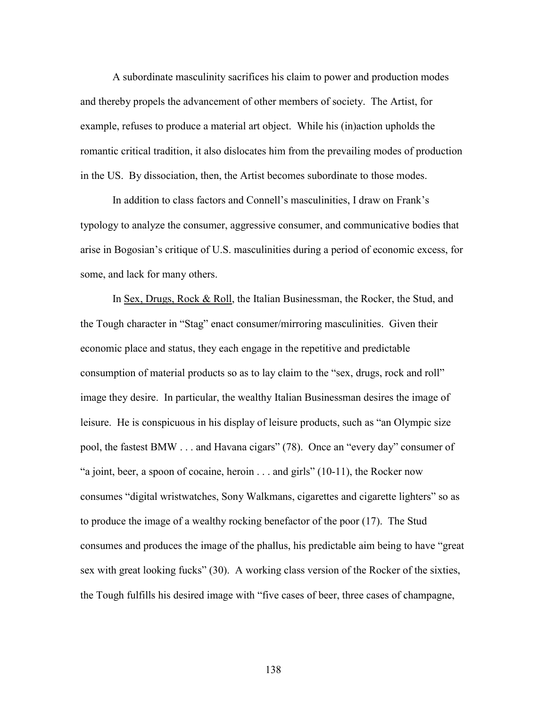A subordinate masculinity sacrifices his claim to power and production modes and thereby propels the advancement of other members of society. The Artist, for example, refuses to produce a material art object. While his (in)action upholds the romantic critical tradition, it also dislocates him from the prevailing modes of production in the US. By dissociation, then, the Artist becomes subordinate to those modes.

 In addition to class factors and Connell's masculinities, I draw on Frank's typology to analyze the consumer, aggressive consumer, and communicative bodies that arise in Bogosian's critique of U.S. masculinities during a period of economic excess, for some, and lack for many others.

 In Sex, Drugs, Rock & Roll, the Italian Businessman, the Rocker, the Stud, and the Tough character in "Stag" enact consumer/mirroring masculinities. Given their economic place and status, they each engage in the repetitive and predictable consumption of material products so as to lay claim to the "sex, drugs, rock and roll" image they desire. In particular, the wealthy Italian Businessman desires the image of leisure. He is conspicuous in his display of leisure products, such as "an Olympic size pool, the fastest BMW . . . and Havana cigars" (78). Once an "every day" consumer of "a joint, beer, a spoon of cocaine, heroin . . . and girls" (10-11), the Rocker now consumes "digital wristwatches, Sony Walkmans, cigarettes and cigarette lighters" so as to produce the image of a wealthy rocking benefactor of the poor (17). The Stud consumes and produces the image of the phallus, his predictable aim being to have "great sex with great looking fucks" (30). A working class version of the Rocker of the sixties, the Tough fulfills his desired image with "five cases of beer, three cases of champagne,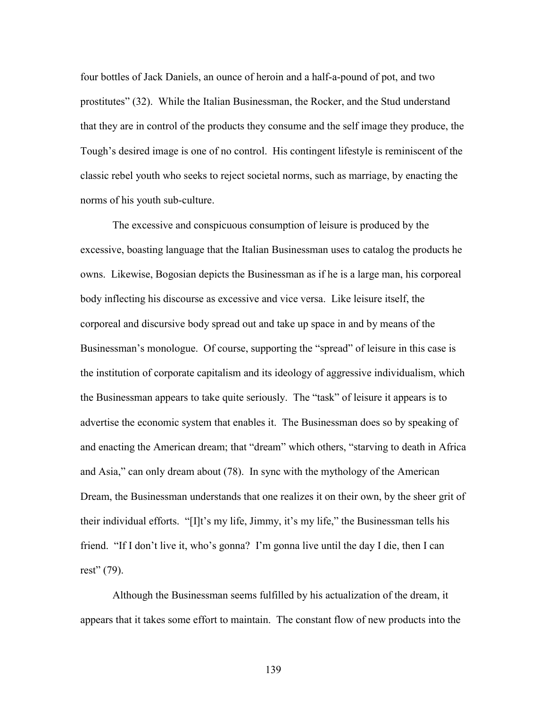four bottles of Jack Daniels, an ounce of heroin and a half-a-pound of pot, and two prostitutes" (32). While the Italian Businessman, the Rocker, and the Stud understand that they are in control of the products they consume and the self image they produce, the Tough's desired image is one of no control. His contingent lifestyle is reminiscent of the classic rebel youth who seeks to reject societal norms, such as marriage, by enacting the norms of his youth sub-culture.

 The excessive and conspicuous consumption of leisure is produced by the excessive, boasting language that the Italian Businessman uses to catalog the products he owns. Likewise, Bogosian depicts the Businessman as if he is a large man, his corporeal body inflecting his discourse as excessive and vice versa. Like leisure itself, the corporeal and discursive body spread out and take up space in and by means of the Businessman's monologue. Of course, supporting the "spread" of leisure in this case is the institution of corporate capitalism and its ideology of aggressive individualism, which the Businessman appears to take quite seriously. The "task" of leisure it appears is to advertise the economic system that enables it. The Businessman does so by speaking of and enacting the American dream; that "dream" which others, "starving to death in Africa and Asia," can only dream about (78). In sync with the mythology of the American Dream, the Businessman understands that one realizes it on their own, by the sheer grit of their individual efforts. "[I]t's my life, Jimmy, it's my life," the Businessman tells his friend. "If I don't live it, who's gonna? I'm gonna live until the day I die, then I can rest" (79).

 Although the Businessman seems fulfilled by his actualization of the dream, it appears that it takes some effort to maintain. The constant flow of new products into the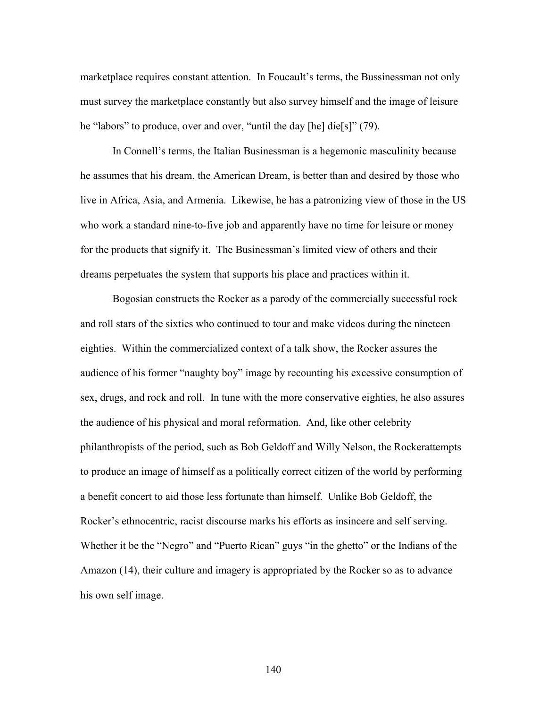marketplace requires constant attention. In Foucault's terms, the Bussinessman not only must survey the marketplace constantly but also survey himself and the image of leisure he "labors" to produce, over and over, "until the day [he] die[s]" (79).

 In Connell's terms, the Italian Businessman is a hegemonic masculinity because he assumes that his dream, the American Dream, is better than and desired by those who live in Africa, Asia, and Armenia. Likewise, he has a patronizing view of those in the US who work a standard nine-to-five job and apparently have no time for leisure or money for the products that signify it. The Businessman's limited view of others and their dreams perpetuates the system that supports his place and practices within it.

 Bogosian constructs the Rocker as a parody of the commercially successful rock and roll stars of the sixties who continued to tour and make videos during the nineteen eighties. Within the commercialized context of a talk show, the Rocker assures the audience of his former "naughty boy" image by recounting his excessive consumption of sex, drugs, and rock and roll. In tune with the more conservative eighties, he also assures the audience of his physical and moral reformation. And, like other celebrity philanthropists of the period, such as Bob Geldoff and Willy Nelson, the Rockerattempts to produce an image of himself as a politically correct citizen of the world by performing a benefit concert to aid those less fortunate than himself. Unlike Bob Geldoff, the Rocker's ethnocentric, racist discourse marks his efforts as insincere and self serving. Whether it be the "Negro" and "Puerto Rican" guys "in the ghetto" or the Indians of the Amazon (14), their culture and imagery is appropriated by the Rocker so as to advance his own self image.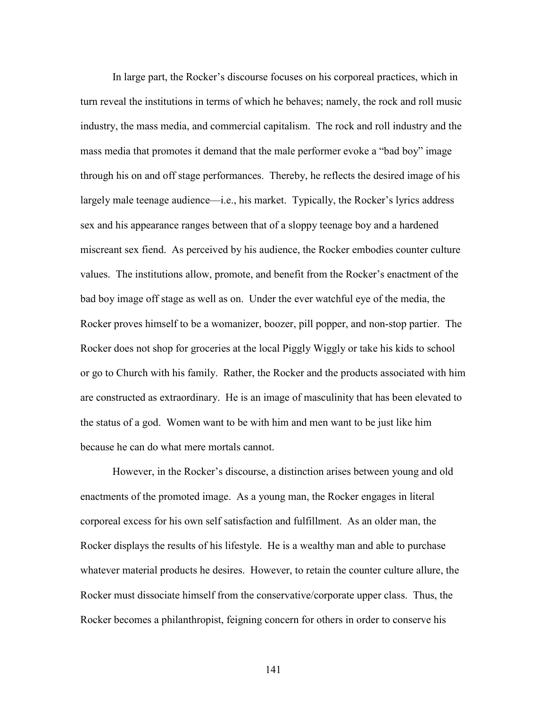In large part, the Rocker's discourse focuses on his corporeal practices, which in turn reveal the institutions in terms of which he behaves; namely, the rock and roll music industry, the mass media, and commercial capitalism. The rock and roll industry and the mass media that promotes it demand that the male performer evoke a "bad boy" image through his on and off stage performances. Thereby, he reflects the desired image of his largely male teenage audience—i.e., his market. Typically, the Rocker's lyrics address sex and his appearance ranges between that of a sloppy teenage boy and a hardened miscreant sex fiend. As perceived by his audience, the Rocker embodies counter culture values. The institutions allow, promote, and benefit from the Rocker's enactment of the bad boy image off stage as well as on. Under the ever watchful eye of the media, the Rocker proves himself to be a womanizer, boozer, pill popper, and non-stop partier. The Rocker does not shop for groceries at the local Piggly Wiggly or take his kids to school or go to Church with his family. Rather, the Rocker and the products associated with him are constructed as extraordinary. He is an image of masculinity that has been elevated to the status of a god. Women want to be with him and men want to be just like him because he can do what mere mortals cannot.

 However, in the Rocker's discourse, a distinction arises between young and old enactments of the promoted image. As a young man, the Rocker engages in literal corporeal excess for his own self satisfaction and fulfillment. As an older man, the Rocker displays the results of his lifestyle. He is a wealthy man and able to purchase whatever material products he desires. However, to retain the counter culture allure, the Rocker must dissociate himself from the conservative/corporate upper class. Thus, the Rocker becomes a philanthropist, feigning concern for others in order to conserve his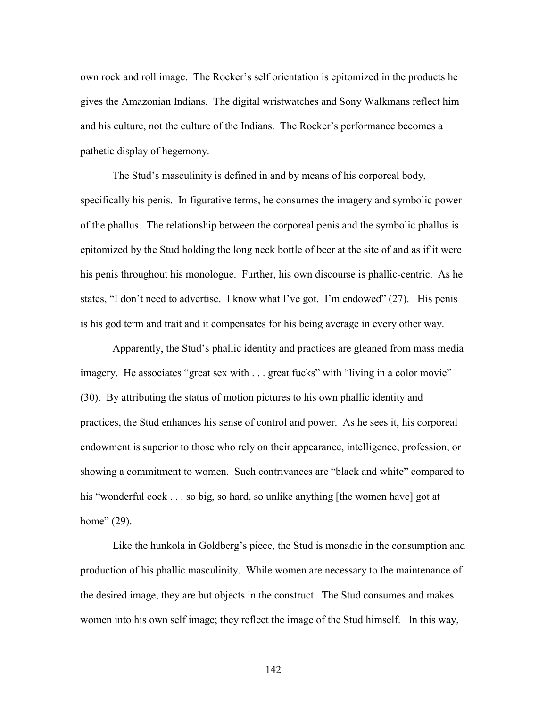own rock and roll image. The Rocker's self orientation is epitomized in the products he gives the Amazonian Indians. The digital wristwatches and Sony Walkmans reflect him and his culture, not the culture of the Indians. The Rocker's performance becomes a pathetic display of hegemony.

 The Stud's masculinity is defined in and by means of his corporeal body, specifically his penis. In figurative terms, he consumes the imagery and symbolic power of the phallus. The relationship between the corporeal penis and the symbolic phallus is epitomized by the Stud holding the long neck bottle of beer at the site of and as if it were his penis throughout his monologue. Further, his own discourse is phallic-centric. As he states, "I don't need to advertise. I know what I've got. I'm endowed" (27). His penis is his god term and trait and it compensates for his being average in every other way.

Apparently, the Stud's phallic identity and practices are gleaned from mass media imagery. He associates "great sex with . . . great fucks" with "living in a color movie" (30). By attributing the status of motion pictures to his own phallic identity and practices, the Stud enhances his sense of control and power. As he sees it, his corporeal endowment is superior to those who rely on their appearance, intelligence, profession, or showing a commitment to women. Such contrivances are "black and white" compared to his "wonderful cock . . . so big, so hard, so unlike anything [the women have] got at home" (29).

Like the hunkola in Goldberg's piece, the Stud is monadic in the consumption and production of his phallic masculinity. While women are necessary to the maintenance of the desired image, they are but objects in the construct. The Stud consumes and makes women into his own self image; they reflect the image of the Stud himself. In this way,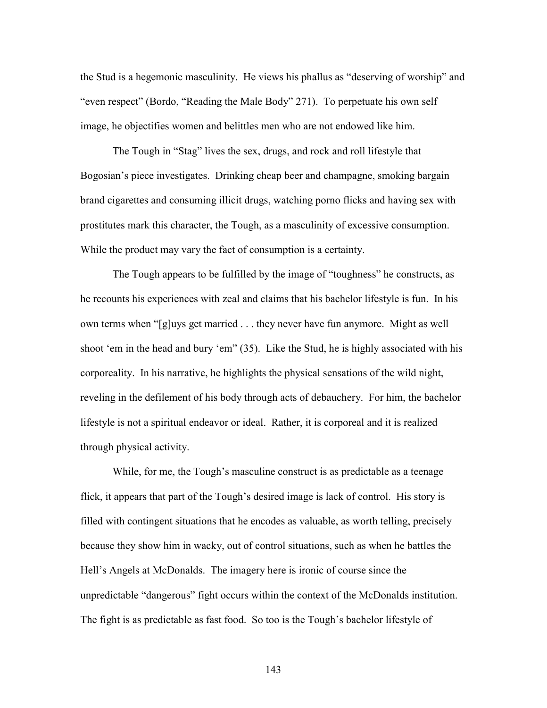the Stud is a hegemonic masculinity. He views his phallus as "deserving of worship" and "even respect" (Bordo, "Reading the Male Body" 271). To perpetuate his own self image, he objectifies women and belittles men who are not endowed like him.

 The Tough in "Stag" lives the sex, drugs, and rock and roll lifestyle that Bogosian's piece investigates. Drinking cheap beer and champagne, smoking bargain brand cigarettes and consuming illicit drugs, watching porno flicks and having sex with prostitutes mark this character, the Tough, as a masculinity of excessive consumption. While the product may vary the fact of consumption is a certainty.

The Tough appears to be fulfilled by the image of "toughness" he constructs, as he recounts his experiences with zeal and claims that his bachelor lifestyle is fun. In his own terms when "[g]uys get married . . . they never have fun anymore. Might as well shoot 'em in the head and bury 'em" (35). Like the Stud, he is highly associated with his corporeality. In his narrative, he highlights the physical sensations of the wild night, reveling in the defilement of his body through acts of debauchery. For him, the bachelor lifestyle is not a spiritual endeavor or ideal. Rather, it is corporeal and it is realized through physical activity.

While, for me, the Tough's masculine construct is as predictable as a teenage flick, it appears that part of the Tough's desired image is lack of control. His story is filled with contingent situations that he encodes as valuable, as worth telling, precisely because they show him in wacky, out of control situations, such as when he battles the Hell's Angels at McDonalds. The imagery here is ironic of course since the unpredictable "dangerous" fight occurs within the context of the McDonalds institution. The fight is as predictable as fast food. So too is the Tough's bachelor lifestyle of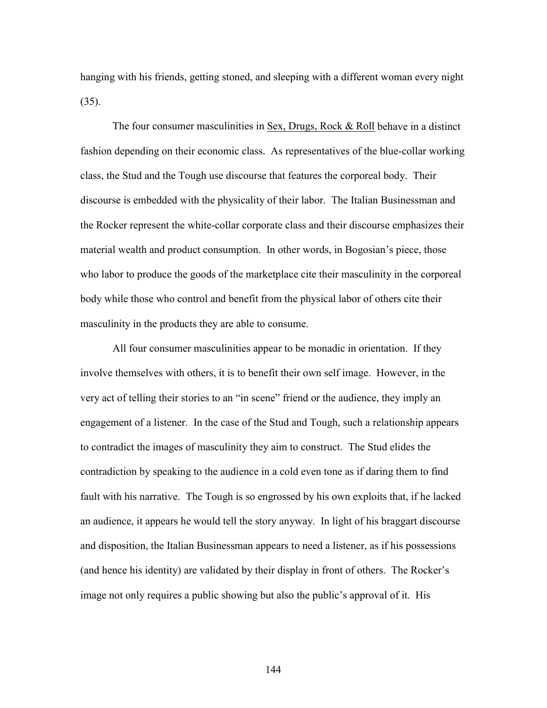hanging with his friends, getting stoned, and sleeping with a different woman every night (35).

 The four consumer masculinities in Sex, Drugs, Rock & Roll behave in a distinct fashion depending on their economic class. As representatives of the blue-collar working class, the Stud and the Tough use discourse that features the corporeal body. Their discourse is embedded with the physicality of their labor. The Italian Businessman and the Rocker represent the white-collar corporate class and their discourse emphasizes their material wealth and product consumption. In other words, in Bogosian's piece, those who labor to produce the goods of the marketplace cite their masculinity in the corporeal body while those who control and benefit from the physical labor of others cite their masculinity in the products they are able to consume.

 All four consumer masculinities appear to be monadic in orientation. If they involve themselves with others, it is to benefit their own self image. However, in the very act of telling their stories to an "in scene" friend or the audience, they imply an engagement of a listener. In the case of the Stud and Tough, such a relationship appears to contradict the images of masculinity they aim to construct. The Stud elides the contradiction by speaking to the audience in a cold even tone as if daring them to find fault with his narrative. The Tough is so engrossed by his own exploits that, if he lacked an audience, it appears he would tell the story anyway. In light of his braggart discourse and disposition, the Italian Businessman appears to need a listener, as if his possessions (and hence his identity) are validated by their display in front of others. The Rocker's image not only requires a public showing but also the public's approval of it. His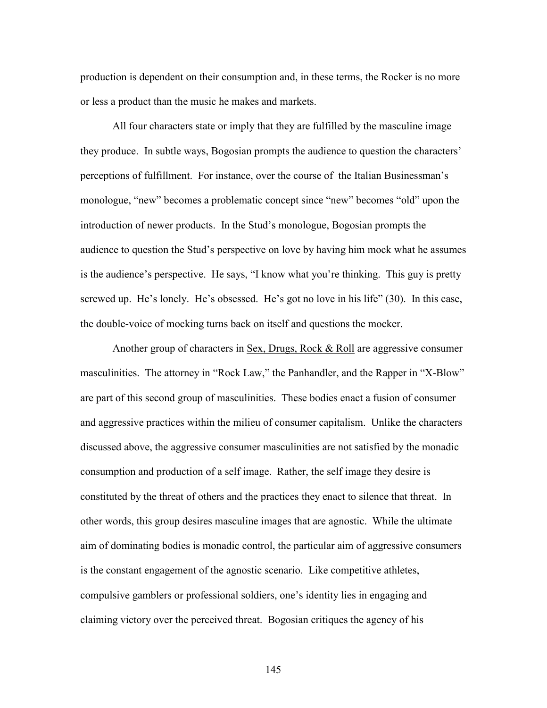production is dependent on their consumption and, in these terms, the Rocker is no more or less a product than the music he makes and markets.

 All four characters state or imply that they are fulfilled by the masculine image they produce. In subtle ways, Bogosian prompts the audience to question the characters' perceptions of fulfillment. For instance, over the course of the Italian Businessman's monologue, "new" becomes a problematic concept since "new" becomes "old" upon the introduction of newer products. In the Stud's monologue, Bogosian prompts the audience to question the Stud's perspective on love by having him mock what he assumes is the audience's perspective. He says, "I know what you're thinking. This guy is pretty screwed up. He's lonely. He's obsessed. He's got no love in his life" (30). In this case, the double-voice of mocking turns back on itself and questions the mocker.

Another group of characters in  $Sex$ , Drugs, Rock & Roll are aggressive consumer masculinities. The attorney in "Rock Law," the Panhandler, and the Rapper in "X-Blow" are part of this second group of masculinities. These bodies enact a fusion of consumer and aggressive practices within the milieu of consumer capitalism. Unlike the characters discussed above, the aggressive consumer masculinities are not satisfied by the monadic consumption and production of a self image. Rather, the self image they desire is constituted by the threat of others and the practices they enact to silence that threat. In other words, this group desires masculine images that are agnostic. While the ultimate aim of dominating bodies is monadic control, the particular aim of aggressive consumers is the constant engagement of the agnostic scenario. Like competitive athletes, compulsive gamblers or professional soldiers, one's identity lies in engaging and claiming victory over the perceived threat. Bogosian critiques the agency of his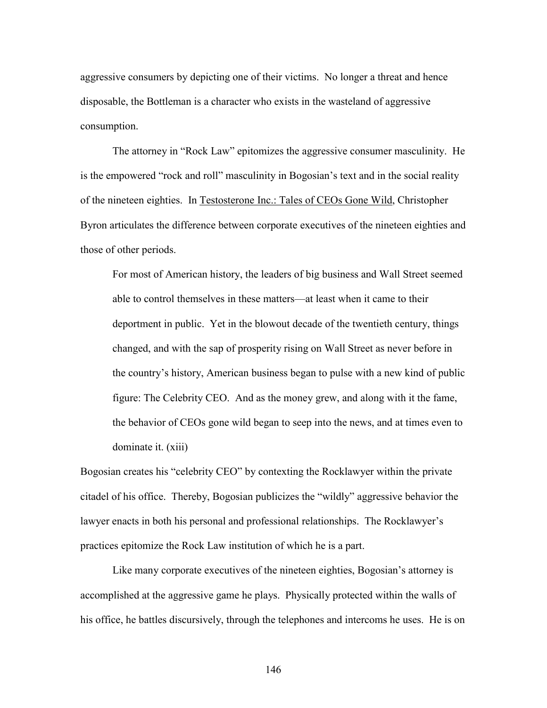aggressive consumers by depicting one of their victims. No longer a threat and hence disposable, the Bottleman is a character who exists in the wasteland of aggressive consumption.

 The attorney in "Rock Law" epitomizes the aggressive consumer masculinity. He is the empowered "rock and roll" masculinity in Bogosian's text and in the social reality of the nineteen eighties. In Testosterone Inc.: Tales of CEOs Gone Wild, Christopher Byron articulates the difference between corporate executives of the nineteen eighties and those of other periods.

For most of American history, the leaders of big business and Wall Street seemed able to control themselves in these matters—at least when it came to their deportment in public. Yet in the blowout decade of the twentieth century, things changed, and with the sap of prosperity rising on Wall Street as never before in the country's history, American business began to pulse with a new kind of public figure: The Celebrity CEO. And as the money grew, and along with it the fame, the behavior of CEOs gone wild began to seep into the news, and at times even to dominate it. (xiii)

Bogosian creates his "celebrity CEO" by contexting the Rocklawyer within the private citadel of his office. Thereby, Bogosian publicizes the "wildly" aggressive behavior the lawyer enacts in both his personal and professional relationships. The Rocklawyer's practices epitomize the Rock Law institution of which he is a part.

 Like many corporate executives of the nineteen eighties, Bogosian's attorney is accomplished at the aggressive game he plays. Physically protected within the walls of his office, he battles discursively, through the telephones and intercoms he uses. He is on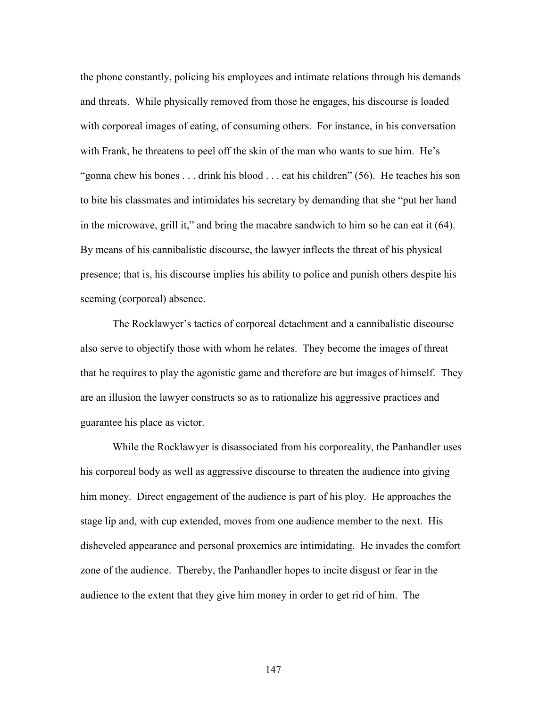the phone constantly, policing his employees and intimate relations through his demands and threats. While physically removed from those he engages, his discourse is loaded with corporeal images of eating, of consuming others. For instance, in his conversation with Frank, he threatens to peel off the skin of the man who wants to sue him. He's "gonna chew his bones . . . drink his blood . . . eat his children" (56). He teaches his son to bite his classmates and intimidates his secretary by demanding that she "put her hand in the microwave, grill it," and bring the macabre sandwich to him so he can eat it (64). By means of his cannibalistic discourse, the lawyer inflects the threat of his physical presence; that is, his discourse implies his ability to police and punish others despite his seeming (corporeal) absence.

 The Rocklawyer's tactics of corporeal detachment and a cannibalistic discourse also serve to objectify those with whom he relates. They become the images of threat that he requires to play the agonistic game and therefore are but images of himself. They are an illusion the lawyer constructs so as to rationalize his aggressive practices and guarantee his place as victor.

 While the Rocklawyer is disassociated from his corporeality, the Panhandler uses his corporeal body as well as aggressive discourse to threaten the audience into giving him money. Direct engagement of the audience is part of his ploy. He approaches the stage lip and, with cup extended, moves from one audience member to the next. His disheveled appearance and personal proxemics are intimidating. He invades the comfort zone of the audience. Thereby, the Panhandler hopes to incite disgust or fear in the audience to the extent that they give him money in order to get rid of him. The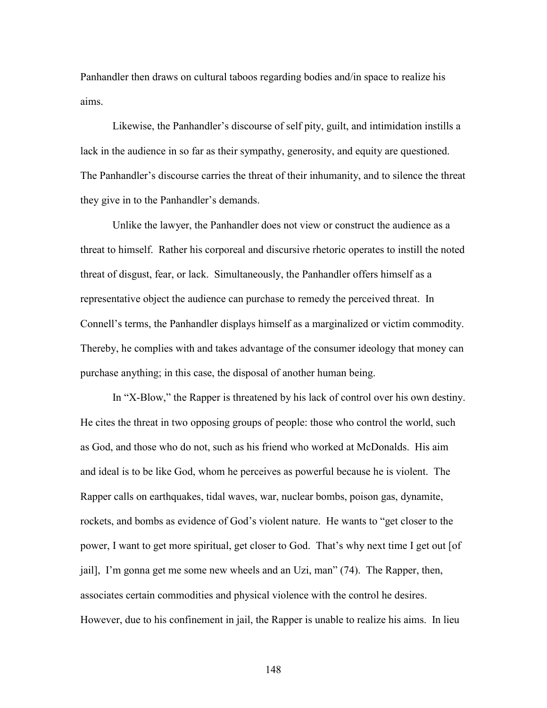Panhandler then draws on cultural taboos regarding bodies and/in space to realize his aims.

 Likewise, the Panhandler's discourse of self pity, guilt, and intimidation instills a lack in the audience in so far as their sympathy, generosity, and equity are questioned. The Panhandler's discourse carries the threat of their inhumanity, and to silence the threat they give in to the Panhandler's demands.

 Unlike the lawyer, the Panhandler does not view or construct the audience as a threat to himself. Rather his corporeal and discursive rhetoric operates to instill the noted threat of disgust, fear, or lack. Simultaneously, the Panhandler offers himself as a representative object the audience can purchase to remedy the perceived threat. In Connell's terms, the Panhandler displays himself as a marginalized or victim commodity. Thereby, he complies with and takes advantage of the consumer ideology that money can purchase anything; in this case, the disposal of another human being.

 In "X-Blow," the Rapper is threatened by his lack of control over his own destiny. He cites the threat in two opposing groups of people: those who control the world, such as God, and those who do not, such as his friend who worked at McDonalds. His aim and ideal is to be like God, whom he perceives as powerful because he is violent. The Rapper calls on earthquakes, tidal waves, war, nuclear bombs, poison gas, dynamite, rockets, and bombs as evidence of God's violent nature. He wants to "get closer to the power, I want to get more spiritual, get closer to God. That's why next time I get out [of jail], I'm gonna get me some new wheels and an Uzi, man" (74). The Rapper, then, associates certain commodities and physical violence with the control he desires. However, due to his confinement in jail, the Rapper is unable to realize his aims. In lieu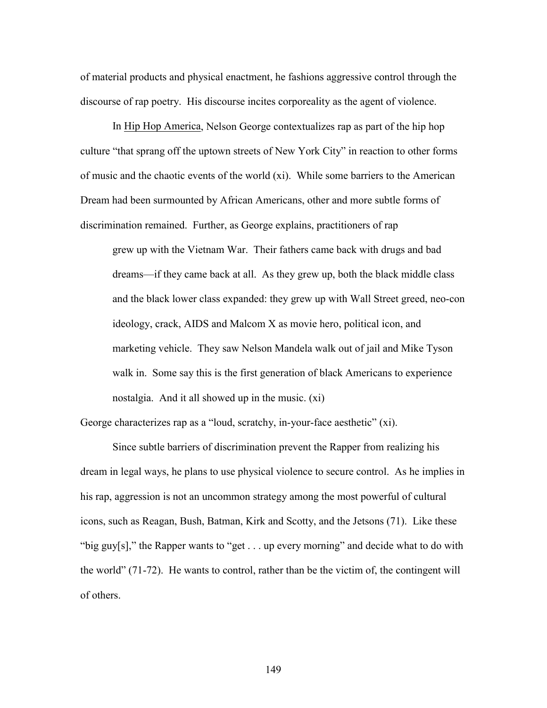of material products and physical enactment, he fashions aggressive control through the discourse of rap poetry. His discourse incites corporeality as the agent of violence.

 In Hip Hop America, Nelson George contextualizes rap as part of the hip hop culture "that sprang off the uptown streets of New York City" in reaction to other forms of music and the chaotic events of the world (xi). While some barriers to the American Dream had been surmounted by African Americans, other and more subtle forms of discrimination remained. Further, as George explains, practitioners of rap

grew up with the Vietnam War. Their fathers came back with drugs and bad dreams—if they came back at all. As they grew up, both the black middle class and the black lower class expanded: they grew up with Wall Street greed, neo-con ideology, crack, AIDS and Malcom X as movie hero, political icon, and marketing vehicle. They saw Nelson Mandela walk out of jail and Mike Tyson walk in. Some say this is the first generation of black Americans to experience nostalgia. And it all showed up in the music. (xi)

George characterizes rap as a "loud, scratchy, in-your-face aesthetic" (xi).

 Since subtle barriers of discrimination prevent the Rapper from realizing his dream in legal ways, he plans to use physical violence to secure control. As he implies in his rap, aggression is not an uncommon strategy among the most powerful of cultural icons, such as Reagan, Bush, Batman, Kirk and Scotty, and the Jetsons (71). Like these "big guy[s]," the Rapper wants to "get . . . up every morning" and decide what to do with the world" (71-72). He wants to control, rather than be the victim of, the contingent will of others.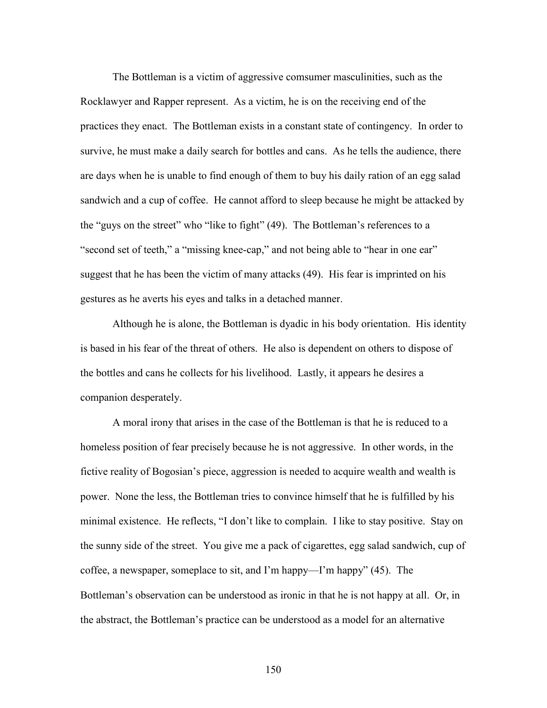The Bottleman is a victim of aggressive comsumer masculinities, such as the Rocklawyer and Rapper represent. As a victim, he is on the receiving end of the practices they enact. The Bottleman exists in a constant state of contingency. In order to survive, he must make a daily search for bottles and cans. As he tells the audience, there are days when he is unable to find enough of them to buy his daily ration of an egg salad sandwich and a cup of coffee. He cannot afford to sleep because he might be attacked by the "guys on the street" who "like to fight" (49). The Bottleman's references to a "second set of teeth," a "missing knee-cap," and not being able to "hear in one ear" suggest that he has been the victim of many attacks (49). His fear is imprinted on his gestures as he averts his eyes and talks in a detached manner.

 Although he is alone, the Bottleman is dyadic in his body orientation. His identity is based in his fear of the threat of others. He also is dependent on others to dispose of the bottles and cans he collects for his livelihood. Lastly, it appears he desires a companion desperately.

 A moral irony that arises in the case of the Bottleman is that he is reduced to a homeless position of fear precisely because he is not aggressive. In other words, in the fictive reality of Bogosian's piece, aggression is needed to acquire wealth and wealth is power. None the less, the Bottleman tries to convince himself that he is fulfilled by his minimal existence. He reflects, "I don't like to complain. I like to stay positive. Stay on the sunny side of the street. You give me a pack of cigarettes, egg salad sandwich, cup of coffee, a newspaper, someplace to sit, and I'm happy—I'm happy" (45). The Bottleman's observation can be understood as ironic in that he is not happy at all. Or, in the abstract, the Bottleman's practice can be understood as a model for an alternative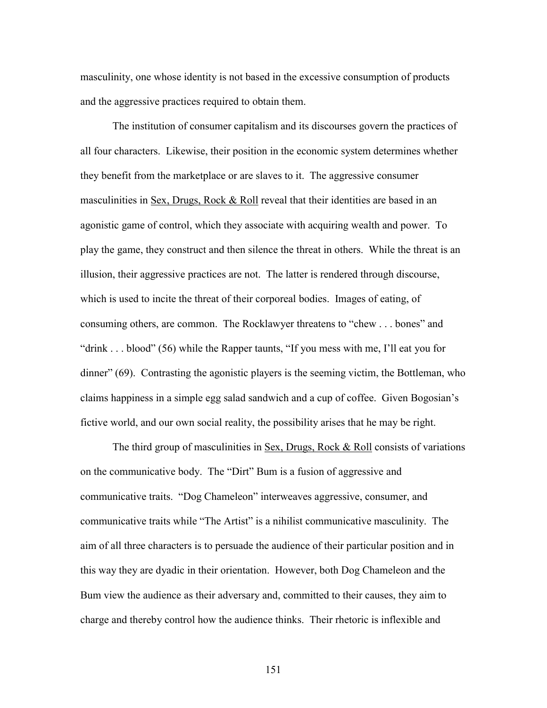masculinity, one whose identity is not based in the excessive consumption of products and the aggressive practices required to obtain them.

 The institution of consumer capitalism and its discourses govern the practices of all four characters. Likewise, their position in the economic system determines whether they benefit from the marketplace or are slaves to it. The aggressive consumer masculinities in  $Sex$ , Drugs, Rock & Roll reveal that their identities are based in an agonistic game of control, which they associate with acquiring wealth and power. To play the game, they construct and then silence the threat in others. While the threat is an illusion, their aggressive practices are not. The latter is rendered through discourse, which is used to incite the threat of their corporeal bodies. Images of eating, of consuming others, are common. The Rocklawyer threatens to "chew . . . bones" and "drink . . . blood" (56) while the Rapper taunts, "If you mess with me, I'll eat you for dinner" (69). Contrasting the agonistic players is the seeming victim, the Bottleman, who claims happiness in a simple egg salad sandwich and a cup of coffee. Given Bogosian's fictive world, and our own social reality, the possibility arises that he may be right.

The third group of masculinities in Sex, Drugs, Rock & Roll consists of variations on the communicative body. The "Dirt" Bum is a fusion of aggressive and communicative traits. "Dog Chameleon" interweaves aggressive, consumer, and communicative traits while "The Artist" is a nihilist communicative masculinity. The aim of all three characters is to persuade the audience of their particular position and in this way they are dyadic in their orientation. However, both Dog Chameleon and the Bum view the audience as their adversary and, committed to their causes, they aim to charge and thereby control how the audience thinks. Their rhetoric is inflexible and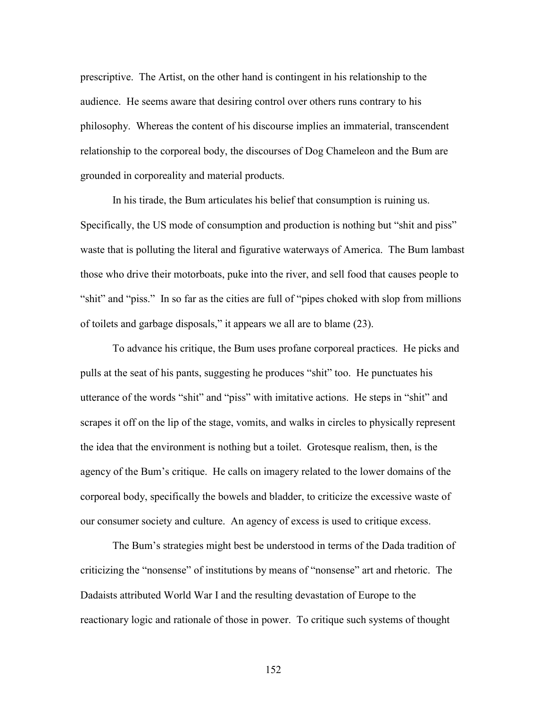prescriptive. The Artist, on the other hand is contingent in his relationship to the audience. He seems aware that desiring control over others runs contrary to his philosophy. Whereas the content of his discourse implies an immaterial, transcendent relationship to the corporeal body, the discourses of Dog Chameleon and the Bum are grounded in corporeality and material products.

 In his tirade, the Bum articulates his belief that consumption is ruining us. Specifically, the US mode of consumption and production is nothing but "shit and piss" waste that is polluting the literal and figurative waterways of America. The Bum lambast those who drive their motorboats, puke into the river, and sell food that causes people to "shit" and "piss." In so far as the cities are full of "pipes choked with slop from millions of toilets and garbage disposals," it appears we all are to blame (23).

 To advance his critique, the Bum uses profane corporeal practices. He picks and pulls at the seat of his pants, suggesting he produces "shit" too. He punctuates his utterance of the words "shit" and "piss" with imitative actions. He steps in "shit" and scrapes it off on the lip of the stage, vomits, and walks in circles to physically represent the idea that the environment is nothing but a toilet. Grotesque realism, then, is the agency of the Bum's critique. He calls on imagery related to the lower domains of the corporeal body, specifically the bowels and bladder, to criticize the excessive waste of our consumer society and culture. An agency of excess is used to critique excess.

 The Bum's strategies might best be understood in terms of the Dada tradition of criticizing the "nonsense" of institutions by means of "nonsense" art and rhetoric. The Dadaists attributed World War I and the resulting devastation of Europe to the reactionary logic and rationale of those in power. To critique such systems of thought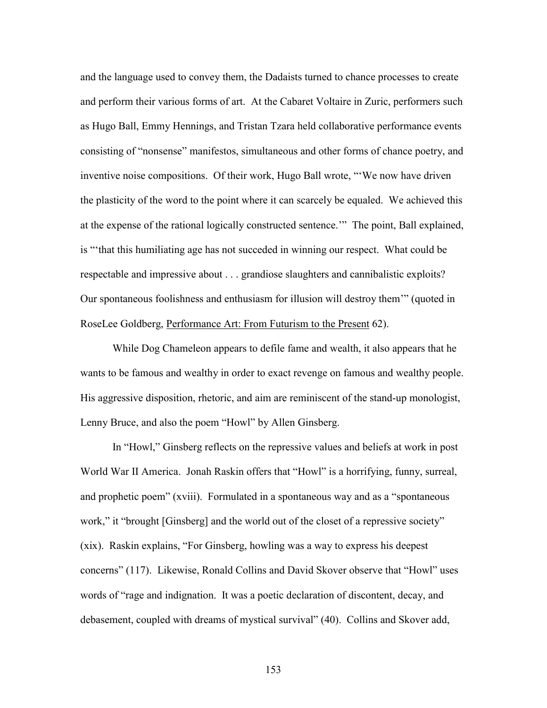and the language used to convey them, the Dadaists turned to chance processes to create and perform their various forms of art. At the Cabaret Voltaire in Zuric, performers such as Hugo Ball, Emmy Hennings, and Tristan Tzara held collaborative performance events consisting of "nonsense" manifestos, simultaneous and other forms of chance poetry, and inventive noise compositions. Of their work, Hugo Ball wrote, "'We now have driven the plasticity of the word to the point where it can scarcely be equaled. We achieved this at the expense of the rational logically constructed sentence.'" The point, Ball explained, is "'that this humiliating age has not succeded in winning our respect. What could be respectable and impressive about . . . grandiose slaughters and cannibalistic exploits? Our spontaneous foolishness and enthusiasm for illusion will destroy them'" (quoted in RoseLee Goldberg, Performance Art: From Futurism to the Present 62).

 While Dog Chameleon appears to defile fame and wealth, it also appears that he wants to be famous and wealthy in order to exact revenge on famous and wealthy people. His aggressive disposition, rhetoric, and aim are reminiscent of the stand-up monologist, Lenny Bruce, and also the poem "Howl" by Allen Ginsberg.

 In "Howl," Ginsberg reflects on the repressive values and beliefs at work in post World War II America. Jonah Raskin offers that "Howl" is a horrifying, funny, surreal, and prophetic poem" (xviii). Formulated in a spontaneous way and as a "spontaneous work," it "brought [Ginsberg] and the world out of the closet of a repressive society" (xix). Raskin explains, "For Ginsberg, howling was a way to express his deepest concerns" (117). Likewise, Ronald Collins and David Skover observe that "Howl" uses words of "rage and indignation. It was a poetic declaration of discontent, decay, and debasement, coupled with dreams of mystical survival" (40). Collins and Skover add,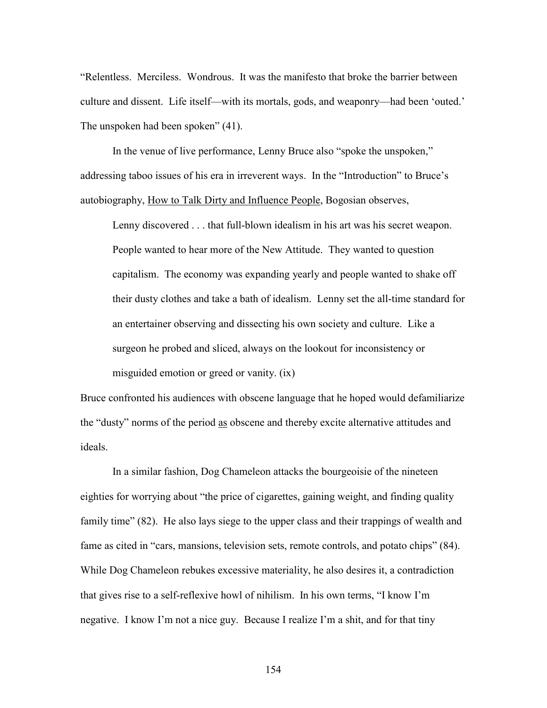"Relentless. Merciless. Wondrous. It was the manifesto that broke the barrier between culture and dissent. Life itself—with its mortals, gods, and weaponry—had been 'outed.' The unspoken had been spoken" (41).

 In the venue of live performance, Lenny Bruce also "spoke the unspoken," addressing taboo issues of his era in irreverent ways. In the "Introduction" to Bruce's autobiography, How to Talk Dirty and Influence People, Bogosian observes,

Lenny discovered . . . that full-blown idealism in his art was his secret weapon. People wanted to hear more of the New Attitude. They wanted to question capitalism. The economy was expanding yearly and people wanted to shake off their dusty clothes and take a bath of idealism. Lenny set the all-time standard for an entertainer observing and dissecting his own society and culture. Like a surgeon he probed and sliced, always on the lookout for inconsistency or misguided emotion or greed or vanity. (ix)

Bruce confronted his audiences with obscene language that he hoped would defamiliarize the "dusty" norms of the period as obscene and thereby excite alternative attitudes and ideals.

 In a similar fashion, Dog Chameleon attacks the bourgeoisie of the nineteen eighties for worrying about "the price of cigarettes, gaining weight, and finding quality family time" (82). He also lays siege to the upper class and their trappings of wealth and fame as cited in "cars, mansions, television sets, remote controls, and potato chips" (84). While Dog Chameleon rebukes excessive materiality, he also desires it, a contradiction that gives rise to a self-reflexive howl of nihilism. In his own terms, "I know I'm negative. I know I'm not a nice guy. Because I realize I'm a shit, and for that tiny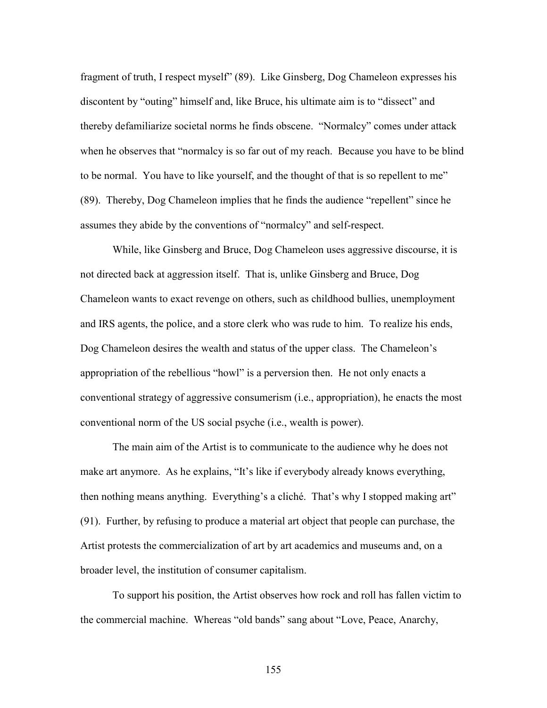fragment of truth, I respect myself" (89). Like Ginsberg, Dog Chameleon expresses his discontent by "outing" himself and, like Bruce, his ultimate aim is to "dissect" and thereby defamiliarize societal norms he finds obscene. "Normalcy" comes under attack when he observes that "normalcy is so far out of my reach. Because you have to be blind to be normal. You have to like yourself, and the thought of that is so repellent to me" (89). Thereby, Dog Chameleon implies that he finds the audience "repellent" since he assumes they abide by the conventions of "normalcy" and self-respect.

 While, like Ginsberg and Bruce, Dog Chameleon uses aggressive discourse, it is not directed back at aggression itself. That is, unlike Ginsberg and Bruce, Dog Chameleon wants to exact revenge on others, such as childhood bullies, unemployment and IRS agents, the police, and a store clerk who was rude to him. To realize his ends, Dog Chameleon desires the wealth and status of the upper class. The Chameleon's appropriation of the rebellious "howl" is a perversion then. He not only enacts a conventional strategy of aggressive consumerism (i.e., appropriation), he enacts the most conventional norm of the US social psyche (i.e., wealth is power).

 The main aim of the Artist is to communicate to the audience why he does not make art anymore. As he explains, "It's like if everybody already knows everything, then nothing means anything. Everything's a cliché. That's why I stopped making art" (91). Further, by refusing to produce a material art object that people can purchase, the Artist protests the commercialization of art by art academics and museums and, on a broader level, the institution of consumer capitalism.

 To support his position, the Artist observes how rock and roll has fallen victim to the commercial machine. Whereas "old bands" sang about "Love, Peace, Anarchy,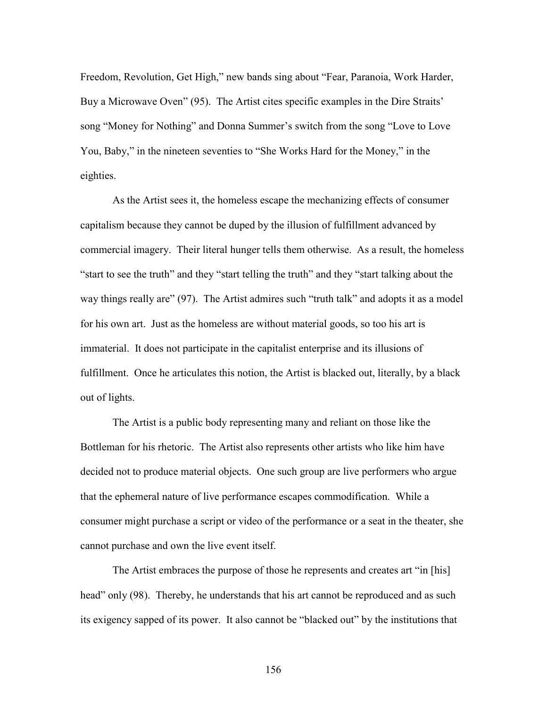Freedom, Revolution, Get High," new bands sing about "Fear, Paranoia, Work Harder, Buy a Microwave Oven" (95). The Artist cites specific examples in the Dire Straits' song "Money for Nothing" and Donna Summer's switch from the song "Love to Love You, Baby," in the nineteen seventies to "She Works Hard for the Money," in the eighties.

 As the Artist sees it, the homeless escape the mechanizing effects of consumer capitalism because they cannot be duped by the illusion of fulfillment advanced by commercial imagery. Their literal hunger tells them otherwise. As a result, the homeless "start to see the truth" and they "start telling the truth" and they "start talking about the way things really are" (97). The Artist admires such "truth talk" and adopts it as a model for his own art. Just as the homeless are without material goods, so too his art is immaterial. It does not participate in the capitalist enterprise and its illusions of fulfillment. Once he articulates this notion, the Artist is blacked out, literally, by a black out of lights.

 The Artist is a public body representing many and reliant on those like the Bottleman for his rhetoric. The Artist also represents other artists who like him have decided not to produce material objects. One such group are live performers who argue that the ephemeral nature of live performance escapes commodification. While a consumer might purchase a script or video of the performance or a seat in the theater, she cannot purchase and own the live event itself.

 The Artist embraces the purpose of those he represents and creates art "in [his] head" only (98). Thereby, he understands that his art cannot be reproduced and as such its exigency sapped of its power. It also cannot be "blacked out" by the institutions that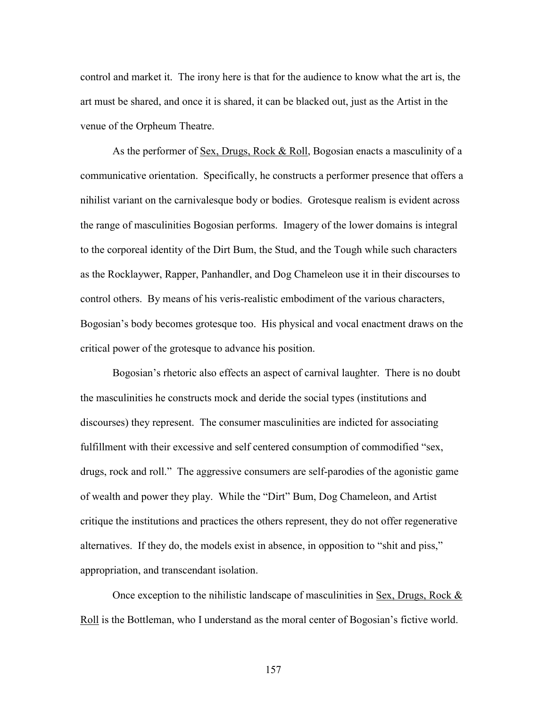control and market it. The irony here is that for the audience to know what the art is, the art must be shared, and once it is shared, it can be blacked out, just as the Artist in the venue of the Orpheum Theatre.

 As the performer of Sex, Drugs, Rock & Roll, Bogosian enacts a masculinity of a communicative orientation. Specifically, he constructs a performer presence that offers a nihilist variant on the carnivalesque body or bodies. Grotesque realism is evident across the range of masculinities Bogosian performs. Imagery of the lower domains is integral to the corporeal identity of the Dirt Bum, the Stud, and the Tough while such characters as the Rocklaywer, Rapper, Panhandler, and Dog Chameleon use it in their discourses to control others. By means of his veris-realistic embodiment of the various characters, Bogosian's body becomes grotesque too. His physical and vocal enactment draws on the critical power of the grotesque to advance his position.

 Bogosian's rhetoric also effects an aspect of carnival laughter. There is no doubt the masculinities he constructs mock and deride the social types (institutions and discourses) they represent. The consumer masculinities are indicted for associating fulfillment with their excessive and self centered consumption of commodified "sex, drugs, rock and roll." The aggressive consumers are self-parodies of the agonistic game of wealth and power they play. While the "Dirt" Bum, Dog Chameleon, and Artist critique the institutions and practices the others represent, they do not offer regenerative alternatives. If they do, the models exist in absence, in opposition to "shit and piss," appropriation, and transcendant isolation.

Once exception to the nihilistic landscape of masculinities in Sex, Drugs, Rock  $\&$ Roll is the Bottleman, who I understand as the moral center of Bogosian's fictive world.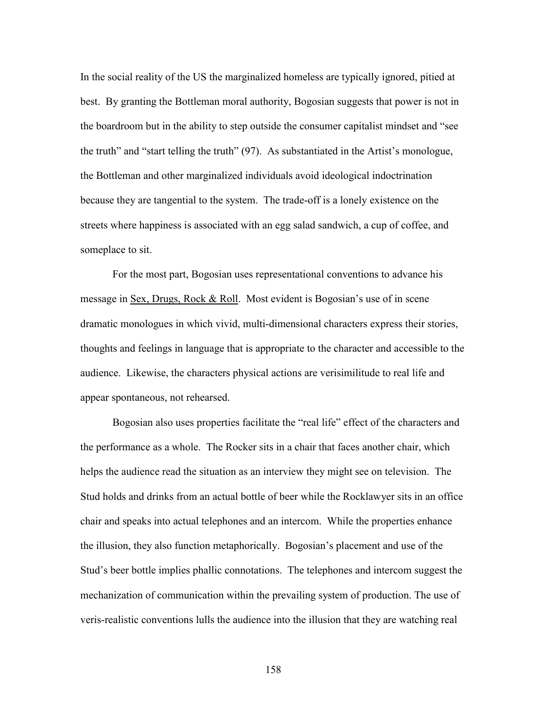In the social reality of the US the marginalized homeless are typically ignored, pitied at best. By granting the Bottleman moral authority, Bogosian suggests that power is not in the boardroom but in the ability to step outside the consumer capitalist mindset and "see the truth" and "start telling the truth" (97). As substantiated in the Artist's monologue, the Bottleman and other marginalized individuals avoid ideological indoctrination because they are tangential to the system. The trade-off is a lonely existence on the streets where happiness is associated with an egg salad sandwich, a cup of coffee, and someplace to sit.

 For the most part, Bogosian uses representational conventions to advance his message in Sex, Drugs, Rock & Roll. Most evident is Bogosian's use of in scene dramatic monologues in which vivid, multi-dimensional characters express their stories, thoughts and feelings in language that is appropriate to the character and accessible to the audience. Likewise, the characters physical actions are verisimilitude to real life and appear spontaneous, not rehearsed.

 Bogosian also uses properties facilitate the "real life" effect of the characters and the performance as a whole. The Rocker sits in a chair that faces another chair, which helps the audience read the situation as an interview they might see on television. The Stud holds and drinks from an actual bottle of beer while the Rocklawyer sits in an office chair and speaks into actual telephones and an intercom. While the properties enhance the illusion, they also function metaphorically. Bogosian's placement and use of the Stud's beer bottle implies phallic connotations. The telephones and intercom suggest the mechanization of communication within the prevailing system of production. The use of veris-realistic conventions lulls the audience into the illusion that they are watching real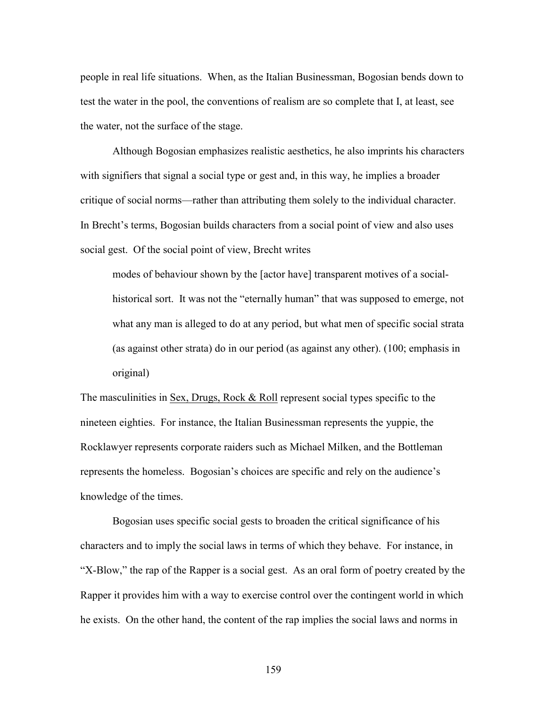people in real life situations. When, as the Italian Businessman, Bogosian bends down to test the water in the pool, the conventions of realism are so complete that I, at least, see the water, not the surface of the stage.

 Although Bogosian emphasizes realistic aesthetics, he also imprints his characters with signifiers that signal a social type or gest and, in this way, he implies a broader critique of social norms—rather than attributing them solely to the individual character. In Brecht's terms, Bogosian builds characters from a social point of view and also uses social gest. Of the social point of view, Brecht writes

modes of behaviour shown by the [actor have] transparent motives of a socialhistorical sort. It was not the "eternally human" that was supposed to emerge, not what any man is alleged to do at any period, but what men of specific social strata (as against other strata) do in our period (as against any other). (100; emphasis in original)

The masculinities in Sex, Drugs, Rock & Roll represent social types specific to the nineteen eighties. For instance, the Italian Businessman represents the yuppie, the Rocklawyer represents corporate raiders such as Michael Milken, and the Bottleman represents the homeless. Bogosian's choices are specific and rely on the audience's knowledge of the times.

 Bogosian uses specific social gests to broaden the critical significance of his characters and to imply the social laws in terms of which they behave. For instance, in "X-Blow," the rap of the Rapper is a social gest. As an oral form of poetry created by the Rapper it provides him with a way to exercise control over the contingent world in which he exists. On the other hand, the content of the rap implies the social laws and norms in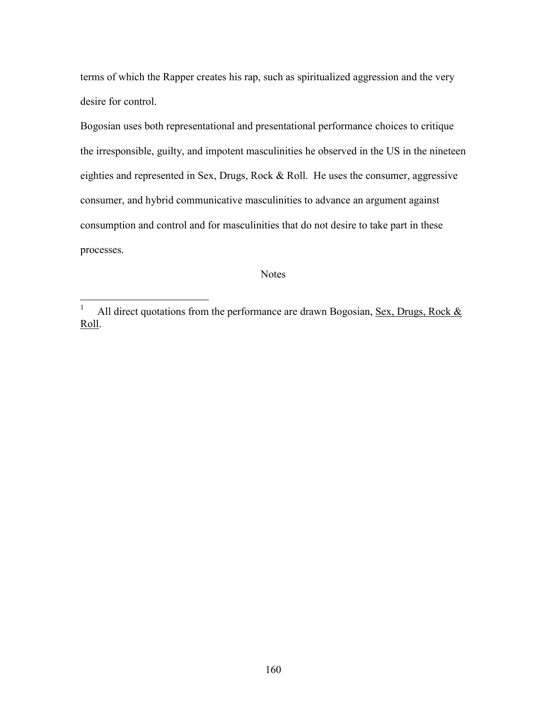terms of which the Rapper creates his rap, such as spiritualized aggression and the very desire for control.

Bogosian uses both representational and presentational performance choices to critique the irresponsible, guilty, and impotent masculinities he observed in the US in the nineteen eighties and represented in Sex, Drugs, Rock & Roll. He uses the consumer, aggressive consumer, and hybrid communicative masculinities to advance an argument against consumption and control and for masculinities that do not desire to take part in these processes.

## **Notes**

 $\frac{1}{1}$ All direct quotations from the performance are drawn Bogosian, Sex, Drugs, Rock & Roll.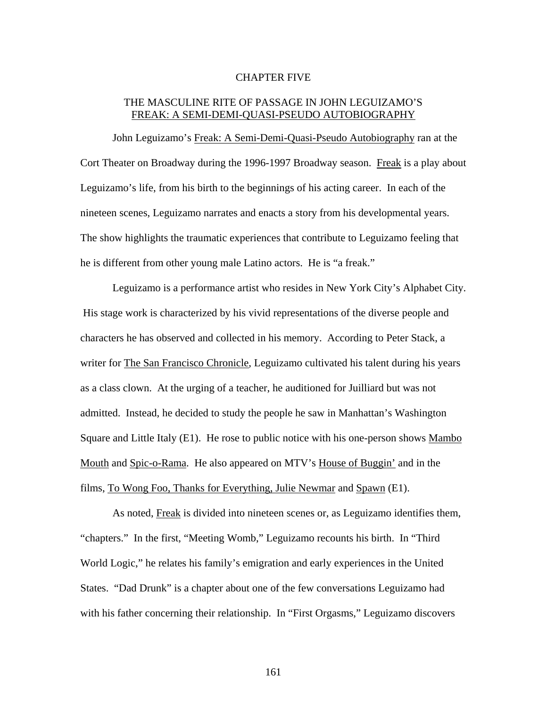## CHAPTER FIVE

## THE MASCULINE RITE OF PASSAGE IN JOHN LEGUIZAMO'S FREAK: A SEMI-DEMI-QUASI-PSEUDO AUTOBIOGRAPHY

John Leguizamo's Freak: A Semi-Demi-Quasi-Pseudo Autobiography ran at the Cort Theater on Broadway during the 1996-1997 Broadway season. Freak is a play about Leguizamo's life, from his birth to the beginnings of his acting career. In each of the nineteen scenes, Leguizamo narrates and enacts a story from his developmental years. The show highlights the traumatic experiences that contribute to Leguizamo feeling that he is different from other young male Latino actors. He is "a freak."

Leguizamo is a performance artist who resides in New York City's Alphabet City. His stage work is characterized by his vivid representations of the diverse people and characters he has observed and collected in his memory. According to Peter Stack, a writer for The San Francisco Chronicle, Leguizamo cultivated his talent during his years as a class clown. At the urging of a teacher, he auditioned for Juilliard but was not admitted. Instead, he decided to study the people he saw in Manhattan's Washington Square and Little Italy (E1). He rose to public notice with his one-person shows Mambo Mouth and Spic-o-Rama. He also appeared on MTV's House of Buggin' and in the films, To Wong Foo, Thanks for Everything, Julie Newmar and Spawn (E1).

As noted, Freak is divided into nineteen scenes or, as Leguizamo identifies them, "chapters." In the first, "Meeting Womb," Leguizamo recounts his birth. In "Third World Logic," he relates his family's emigration and early experiences in the United States. "Dad Drunk" is a chapter about one of the few conversations Leguizamo had with his father concerning their relationship. In "First Orgasms," Leguizamo discovers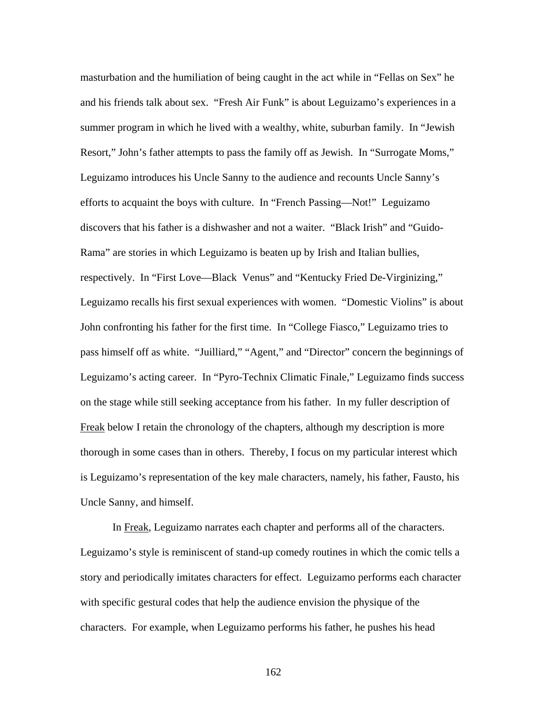masturbation and the humiliation of being caught in the act while in "Fellas on Sex" he and his friends talk about sex. "Fresh Air Funk" is about Leguizamo's experiences in a summer program in which he lived with a wealthy, white, suburban family. In "Jewish Resort," John's father attempts to pass the family off as Jewish. In "Surrogate Moms," Leguizamo introduces his Uncle Sanny to the audience and recounts Uncle Sanny's efforts to acquaint the boys with culture. In "French Passing—Not!" Leguizamo discovers that his father is a dishwasher and not a waiter. "Black Irish" and "Guido-Rama" are stories in which Leguizamo is beaten up by Irish and Italian bullies, respectively. In "First Love—Black Venus" and "Kentucky Fried De-Virginizing," Leguizamo recalls his first sexual experiences with women. "Domestic Violins" is about John confronting his father for the first time. In "College Fiasco," Leguizamo tries to pass himself off as white. "Juilliard," "Agent," and "Director" concern the beginnings of Leguizamo's acting career. In "Pyro-Technix Climatic Finale," Leguizamo finds success on the stage while still seeking acceptance from his father. In my fuller description of Freak below I retain the chronology of the chapters, although my description is more thorough in some cases than in others. Thereby, I focus on my particular interest which is Leguizamo's representation of the key male characters, namely, his father, Fausto, his Uncle Sanny, and himself.

In Freak, Leguizamo narrates each chapter and performs all of the characters. Leguizamo's style is reminiscent of stand-up comedy routines in which the comic tells a story and periodically imitates characters for effect. Leguizamo performs each character with specific gestural codes that help the audience envision the physique of the characters. For example, when Leguizamo performs his father, he pushes his head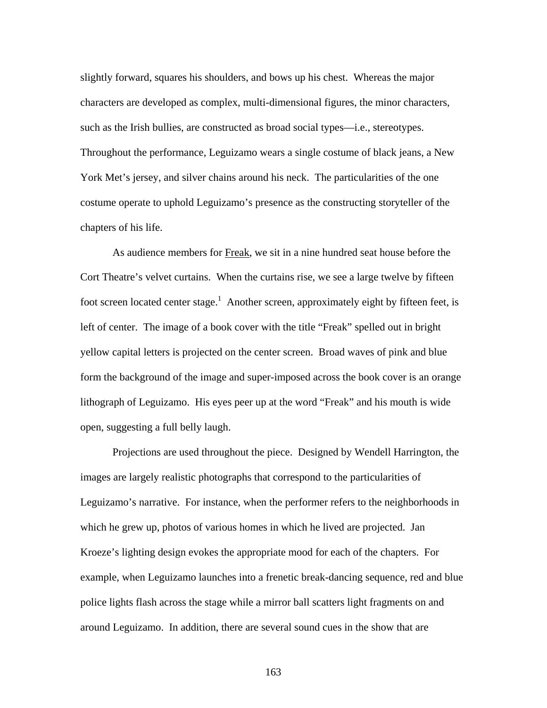slightly forward, squares his shoulders, and bows up his chest. Whereas the major characters are developed as complex, multi-dimensional figures, the minor characters, such as the Irish bullies, are constructed as broad social types—i.e., stereotypes. Throughout the performance, Leguizamo wears a single costume of black jeans, a New York Met's jersey, and silver chains around his neck. The particularities of the one costume operate to uphold Leguizamo's presence as the constructing storyteller of the chapters of his life.

As audience members for Freak, we sit in a nine hundred seat house before the Cort Theatre's velvet curtains. When the curtains rise, we see a large twelve by fifteen foot screen located center stage.<sup>1</sup> Another screen, approximately eight by fifteen feet, is left of center. The image of a book cover with the title "Freak" spelled out in bright yellow capital letters is projected on the center screen. Broad waves of pink and blue form the background of the image and super-imposed across the book cover is an orange lithograph of Leguizamo. His eyes peer up at the word "Freak" and his mouth is wide open, suggesting a full belly laugh.

Projections are used throughout the piece. Designed by Wendell Harrington, the images are largely realistic photographs that correspond to the particularities of Leguizamo's narrative. For instance, when the performer refers to the neighborhoods in which he grew up, photos of various homes in which he lived are projected. Jan Kroeze's lighting design evokes the appropriate mood for each of the chapters. For example, when Leguizamo launches into a frenetic break-dancing sequence, red and blue police lights flash across the stage while a mirror ball scatters light fragments on and around Leguizamo. In addition, there are several sound cues in the show that are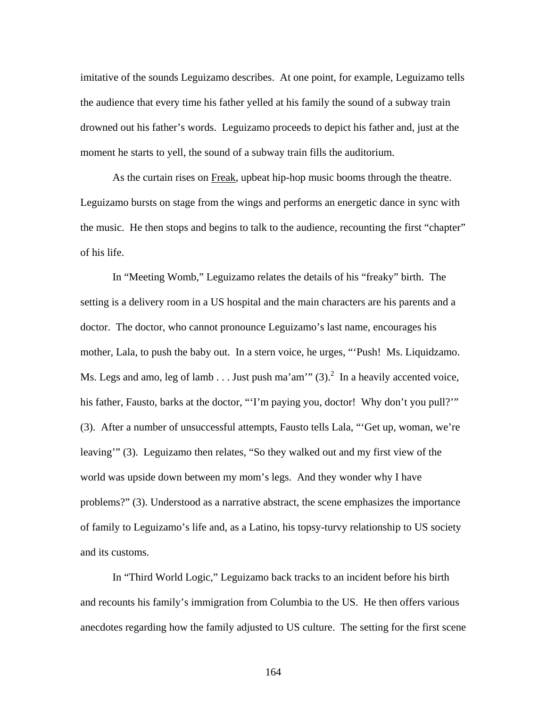imitative of the sounds Leguizamo describes. At one point, for example, Leguizamo tells the audience that every time his father yelled at his family the sound of a subway train drowned out his father's words. Leguizamo proceeds to depict his father and, just at the moment he starts to yell, the sound of a subway train fills the auditorium.

As the curtain rises on Freak, upbeat hip-hop music booms through the theatre. Leguizamo bursts on stage from the wings and performs an energetic dance in sync with the music. He then stops and begins to talk to the audience, recounting the first "chapter" of his life.

In "Meeting Womb," Leguizamo relates the details of his "freaky" birth. The setting is a delivery room in a US hospital and the main characters are his parents and a doctor. The doctor, who cannot pronounce Leguizamo's last name, encourages his mother, Lala, to push the baby out. In a stern voice, he urges, "'Push! Ms. Liquidzamo. Ms. Legs and amo, leg of lamb . . . Just push ma'am'"  $(3)$ .<sup>2</sup> In a heavily accented voice, his father, Fausto, barks at the doctor, "'I'm paying you, doctor! Why don't you pull?" (3). After a number of unsuccessful attempts, Fausto tells Lala, "'Get up, woman, we're leaving'" (3). Leguizamo then relates, "So they walked out and my first view of the world was upside down between my mom's legs. And they wonder why I have problems?" (3). Understood as a narrative abstract, the scene emphasizes the importance of family to Leguizamo's life and, as a Latino, his topsy-turvy relationship to US society and its customs.

In "Third World Logic," Leguizamo back tracks to an incident before his birth and recounts his family's immigration from Columbia to the US. He then offers various anecdotes regarding how the family adjusted to US culture. The setting for the first scene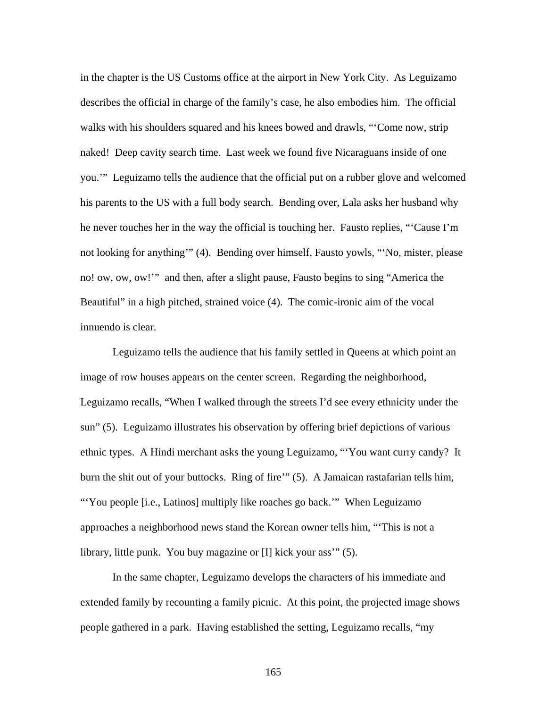in the chapter is the US Customs office at the airport in New York City. As Leguizamo describes the official in charge of the family's case, he also embodies him. The official walks with his shoulders squared and his knees bowed and drawls, "'Come now, strip naked! Deep cavity search time. Last week we found five Nicaraguans inside of one you.'" Leguizamo tells the audience that the official put on a rubber glove and welcomed his parents to the US with a full body search. Bending over, Lala asks her husband why he never touches her in the way the official is touching her. Fausto replies, "'Cause I'm not looking for anything'" (4). Bending over himself, Fausto yowls, "'No, mister, please no! ow, ow, ow!'" and then, after a slight pause, Fausto begins to sing "America the Beautiful" in a high pitched, strained voice (4). The comic-ironic aim of the vocal innuendo is clear.

Leguizamo tells the audience that his family settled in Queens at which point an image of row houses appears on the center screen. Regarding the neighborhood, Leguizamo recalls, "When I walked through the streets I'd see every ethnicity under the sun" (5). Leguizamo illustrates his observation by offering brief depictions of various ethnic types. A Hindi merchant asks the young Leguizamo, "'You want curry candy? It burn the shit out of your buttocks. Ring of fire'" (5). A Jamaican rastafarian tells him, "You people [i.e., Latinos] multiply like roaches go back."" When Leguizamo approaches a neighborhood news stand the Korean owner tells him, "'This is not a library, little punk. You buy magazine or [I] kick your ass'" (5).

In the same chapter, Leguizamo develops the characters of his immediate and extended family by recounting a family picnic. At this point, the projected image shows people gathered in a park. Having established the setting, Leguizamo recalls, "my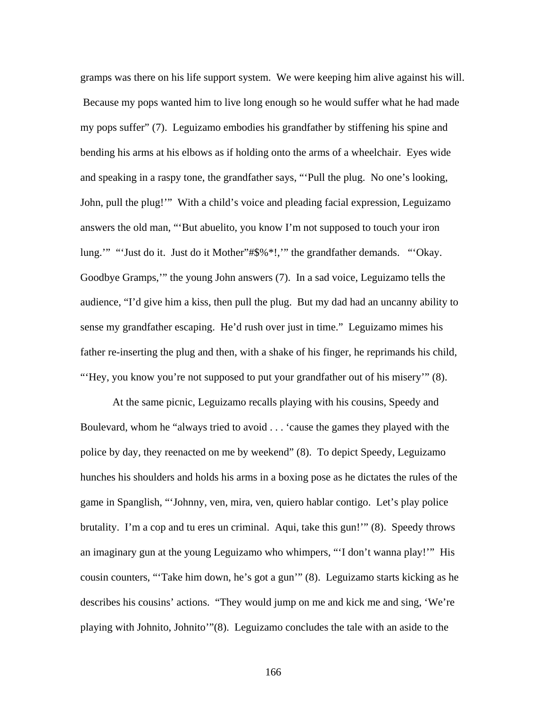gramps was there on his life support system. We were keeping him alive against his will. Because my pops wanted him to live long enough so he would suffer what he had made my pops suffer" (7). Leguizamo embodies his grandfather by stiffening his spine and bending his arms at his elbows as if holding onto the arms of a wheelchair. Eyes wide and speaking in a raspy tone, the grandfather says, "'Pull the plug. No one's looking, John, pull the plug!'" With a child's voice and pleading facial expression, Leguizamo answers the old man, "'But abuelito, you know I'm not supposed to touch your iron lung.'" "'Just do it. Just do it Mother"#\$%\*!,'" the grandfather demands. "'Okay. Goodbye Gramps,'" the young John answers (7). In a sad voice, Leguizamo tells the audience, "I'd give him a kiss, then pull the plug. But my dad had an uncanny ability to sense my grandfather escaping. He'd rush over just in time." Leguizamo mimes his father re-inserting the plug and then, with a shake of his finger, he reprimands his child, "'Hey, you know you're not supposed to put your grandfather out of his misery'" (8).

At the same picnic, Leguizamo recalls playing with his cousins, Speedy and Boulevard, whom he "always tried to avoid . . . 'cause the games they played with the police by day, they reenacted on me by weekend" (8). To depict Speedy, Leguizamo hunches his shoulders and holds his arms in a boxing pose as he dictates the rules of the game in Spanglish, "'Johnny, ven, mira, ven, quiero hablar contigo. Let's play police brutality. I'm a cop and tu eres un criminal. Aqui, take this gun!'" (8). Speedy throws an imaginary gun at the young Leguizamo who whimpers, "'I don't wanna play!'" His cousin counters, "'Take him down, he's got a gun'" (8). Leguizamo starts kicking as he describes his cousins' actions. "They would jump on me and kick me and sing, 'We're playing with Johnito, Johnito'"(8). Leguizamo concludes the tale with an aside to the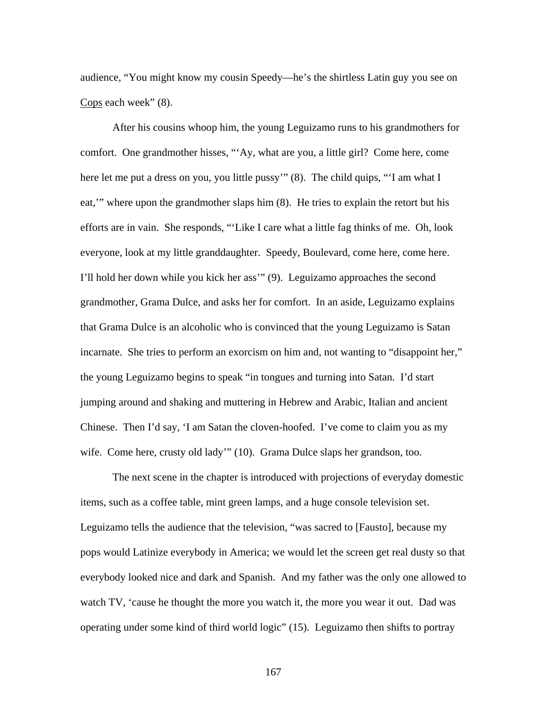audience, "You might know my cousin Speedy—he's the shirtless Latin guy you see on Cops each week"  $(8)$ .

After his cousins whoop him, the young Leguizamo runs to his grandmothers for comfort. One grandmother hisses, "'Ay, what are you, a little girl? Come here, come here let me put a dress on you, you little pussy" (8). The child quips, "'I am what I eat,'" where upon the grandmother slaps him (8). He tries to explain the retort but his efforts are in vain. She responds, "'Like I care what a little fag thinks of me. Oh, look everyone, look at my little granddaughter. Speedy, Boulevard, come here, come here. I'll hold her down while you kick her ass'" (9). Leguizamo approaches the second grandmother, Grama Dulce, and asks her for comfort. In an aside, Leguizamo explains that Grama Dulce is an alcoholic who is convinced that the young Leguizamo is Satan incarnate. She tries to perform an exorcism on him and, not wanting to "disappoint her," the young Leguizamo begins to speak "in tongues and turning into Satan. I'd start jumping around and shaking and muttering in Hebrew and Arabic, Italian and ancient Chinese. Then I'd say, 'I am Satan the cloven-hoofed. I've come to claim you as my wife. Come here, crusty old lady'" (10). Grama Dulce slaps her grandson, too.

The next scene in the chapter is introduced with projections of everyday domestic items, such as a coffee table, mint green lamps, and a huge console television set. Leguizamo tells the audience that the television, "was sacred to [Fausto], because my pops would Latinize everybody in America; we would let the screen get real dusty so that everybody looked nice and dark and Spanish. And my father was the only one allowed to watch TV, 'cause he thought the more you watch it, the more you wear it out. Dad was operating under some kind of third world logic" (15). Leguizamo then shifts to portray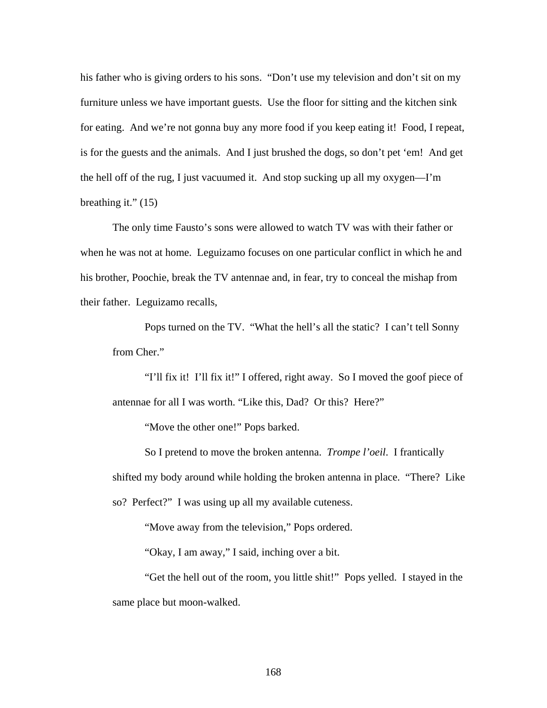his father who is giving orders to his sons. "Don't use my television and don't sit on my furniture unless we have important guests. Use the floor for sitting and the kitchen sink for eating. And we're not gonna buy any more food if you keep eating it! Food, I repeat, is for the guests and the animals. And I just brushed the dogs, so don't pet 'em! And get the hell off of the rug, I just vacuumed it. And stop sucking up all my oxygen—I'm breathing it."  $(15)$ 

The only time Fausto's sons were allowed to watch TV was with their father or when he was not at home. Leguizamo focuses on one particular conflict in which he and his brother, Poochie, break the TV antennae and, in fear, try to conceal the mishap from their father. Leguizamo recalls,

Pops turned on the TV. "What the hell's all the static? I can't tell Sonny from Cher."

"I'll fix it! I'll fix it!" I offered, right away. So I moved the goof piece of antennae for all I was worth. "Like this, Dad? Or this? Here?"

"Move the other one!" Pops barked.

So I pretend to move the broken antenna. *Trompe l'oeil*. I frantically shifted my body around while holding the broken antenna in place. "There? Like so? Perfect?" I was using up all my available cuteness.

"Move away from the television," Pops ordered.

"Okay, I am away," I said, inching over a bit.

"Get the hell out of the room, you little shit!" Pops yelled. I stayed in the same place but moon-walked.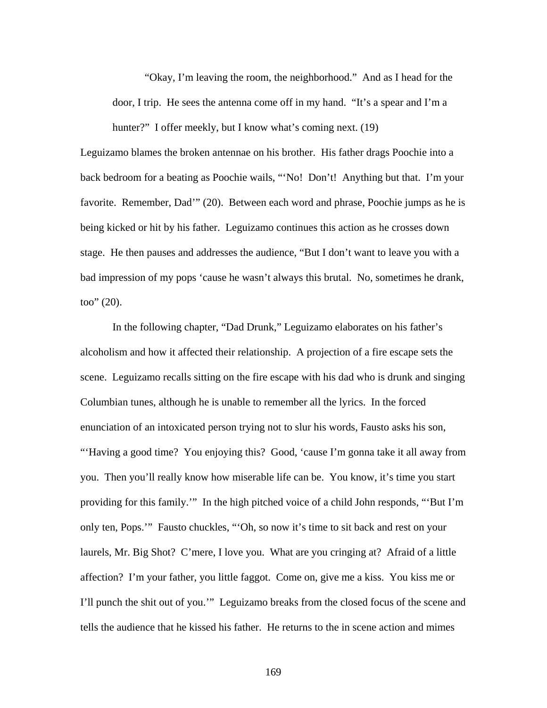"Okay, I'm leaving the room, the neighborhood." And as I head for the door, I trip. He sees the antenna come off in my hand. "It's a spear and I'm a hunter?" I offer meekly, but I know what's coming next. (19)

Leguizamo blames the broken antennae on his brother. His father drags Poochie into a back bedroom for a beating as Poochie wails, "'No! Don't! Anything but that. I'm your favorite. Remember, Dad'" (20). Between each word and phrase, Poochie jumps as he is being kicked or hit by his father. Leguizamo continues this action as he crosses down stage. He then pauses and addresses the audience, "But I don't want to leave you with a bad impression of my pops 'cause he wasn't always this brutal. No, sometimes he drank, too" (20).

In the following chapter, "Dad Drunk," Leguizamo elaborates on his father's alcoholism and how it affected their relationship. A projection of a fire escape sets the scene. Leguizamo recalls sitting on the fire escape with his dad who is drunk and singing Columbian tunes, although he is unable to remember all the lyrics. In the forced enunciation of an intoxicated person trying not to slur his words, Fausto asks his son, "Having a good time? You enjoying this? Good, 'cause I'm gonna take it all away from you. Then you'll really know how miserable life can be. You know, it's time you start providing for this family.'" In the high pitched voice of a child John responds, "'But I'm only ten, Pops.'" Fausto chuckles, "'Oh, so now it's time to sit back and rest on your laurels, Mr. Big Shot? C'mere, I love you. What are you cringing at? Afraid of a little affection? I'm your father, you little faggot. Come on, give me a kiss. You kiss me or I'll punch the shit out of you.'" Leguizamo breaks from the closed focus of the scene and tells the audience that he kissed his father. He returns to the in scene action and mimes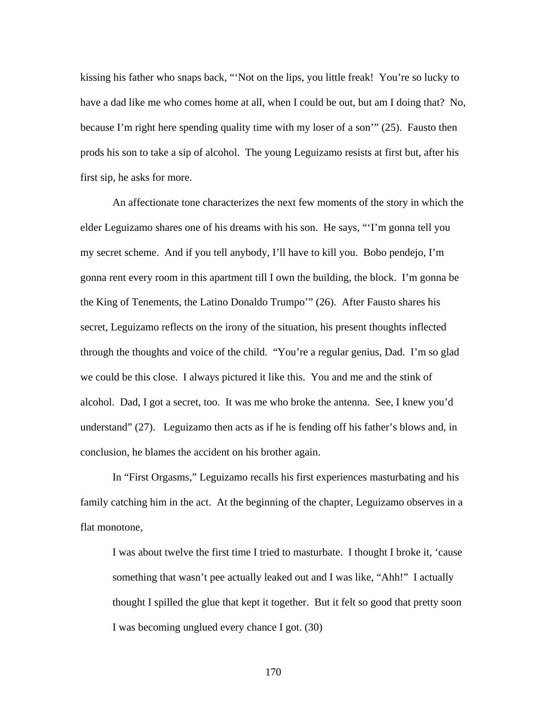kissing his father who snaps back, "'Not on the lips, you little freak! You're so lucky to have a dad like me who comes home at all, when I could be out, but am I doing that? No, because I'm right here spending quality time with my loser of a son'" (25). Fausto then prods his son to take a sip of alcohol. The young Leguizamo resists at first but, after his first sip, he asks for more.

An affectionate tone characterizes the next few moments of the story in which the elder Leguizamo shares one of his dreams with his son. He says, "'I'm gonna tell you my secret scheme. And if you tell anybody, I'll have to kill you. Bobo pendejo, I'm gonna rent every room in this apartment till I own the building, the block. I'm gonna be the King of Tenements, the Latino Donaldo Trumpo'" (26). After Fausto shares his secret, Leguizamo reflects on the irony of the situation, his present thoughts inflected through the thoughts and voice of the child. "You're a regular genius, Dad. I'm so glad we could be this close. I always pictured it like this. You and me and the stink of alcohol. Dad, I got a secret, too. It was me who broke the antenna. See, I knew you'd understand" (27). Leguizamo then acts as if he is fending off his father's blows and, in conclusion, he blames the accident on his brother again.

In "First Orgasms," Leguizamo recalls his first experiences masturbating and his family catching him in the act. At the beginning of the chapter, Leguizamo observes in a flat monotone,

I was about twelve the first time I tried to masturbate. I thought I broke it, 'cause something that wasn't pee actually leaked out and I was like, "Ahh!" I actually thought I spilled the glue that kept it together. But it felt so good that pretty soon I was becoming unglued every chance I got. (30)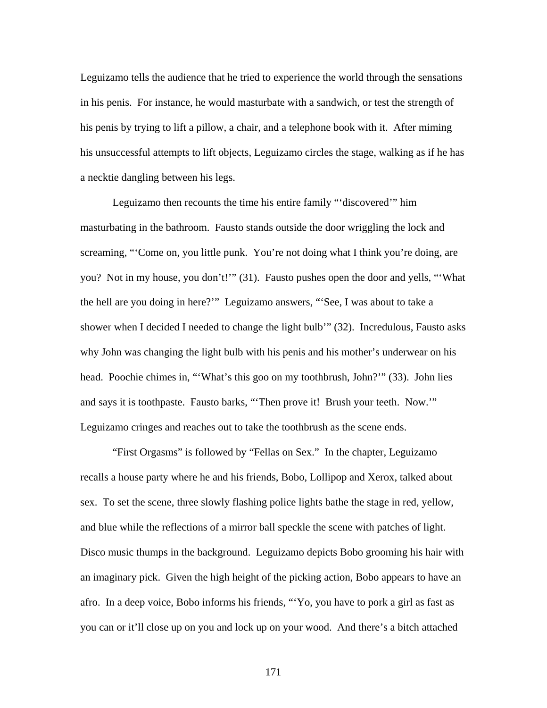Leguizamo tells the audience that he tried to experience the world through the sensations in his penis. For instance, he would masturbate with a sandwich, or test the strength of his penis by trying to lift a pillow, a chair, and a telephone book with it. After miming his unsuccessful attempts to lift objects, Leguizamo circles the stage, walking as if he has a necktie dangling between his legs.

Leguizamo then recounts the time his entire family "'discovered'" him masturbating in the bathroom. Fausto stands outside the door wriggling the lock and screaming, "'Come on, you little punk. You're not doing what I think you're doing, are you? Not in my house, you don't!'" (31). Fausto pushes open the door and yells, "'What the hell are you doing in here?'" Leguizamo answers, "'See, I was about to take a shower when I decided I needed to change the light bulb'" (32). Incredulous, Fausto asks why John was changing the light bulb with his penis and his mother's underwear on his head. Poochie chimes in, "'What's this goo on my toothbrush, John?'" (33). John lies and says it is toothpaste. Fausto barks, "'Then prove it! Brush your teeth. Now.'" Leguizamo cringes and reaches out to take the toothbrush as the scene ends.

"First Orgasms" is followed by "Fellas on Sex." In the chapter, Leguizamo recalls a house party where he and his friends, Bobo, Lollipop and Xerox, talked about sex. To set the scene, three slowly flashing police lights bathe the stage in red, yellow, and blue while the reflections of a mirror ball speckle the scene with patches of light. Disco music thumps in the background. Leguizamo depicts Bobo grooming his hair with an imaginary pick. Given the high height of the picking action, Bobo appears to have an afro. In a deep voice, Bobo informs his friends, "'Yo, you have to pork a girl as fast as you can or it'll close up on you and lock up on your wood. And there's a bitch attached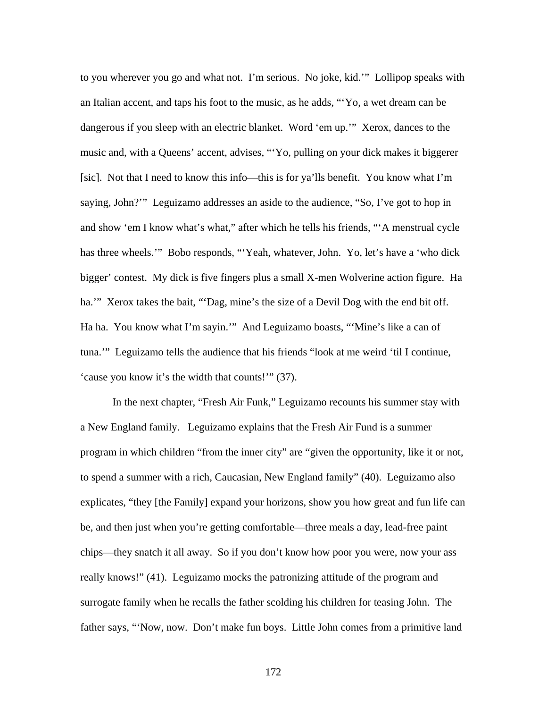to you wherever you go and what not. I'm serious. No joke, kid.'" Lollipop speaks with an Italian accent, and taps his foot to the music, as he adds, "'Yo, a wet dream can be dangerous if you sleep with an electric blanket. Word 'em up.'" Xerox, dances to the music and, with a Queens' accent, advises, "'Yo, pulling on your dick makes it biggerer [sic]. Not that I need to know this info—this is for ya'lls benefit. You know what I'm saying, John?'" Leguizamo addresses an aside to the audience, "So, I've got to hop in and show 'em I know what's what," after which he tells his friends, "'A menstrual cycle has three wheels." Bobo responds, "Yeah, whatever, John. Yo, let's have a 'who dick bigger' contest. My dick is five fingers plus a small X-men Wolverine action figure. Ha ha.'" Xerox takes the bait, "'Dag, mine's the size of a Devil Dog with the end bit off. Ha ha. You know what I'm sayin.'" And Leguizamo boasts, "'Mine's like a can of tuna.'" Leguizamo tells the audience that his friends "look at me weird 'til I continue, 'cause you know it's the width that counts!'" (37).

In the next chapter, "Fresh Air Funk," Leguizamo recounts his summer stay with a New England family. Leguizamo explains that the Fresh Air Fund is a summer program in which children "from the inner city" are "given the opportunity, like it or not, to spend a summer with a rich, Caucasian, New England family" (40). Leguizamo also explicates, "they [the Family] expand your horizons, show you how great and fun life can be, and then just when you're getting comfortable—three meals a day, lead-free paint chips—they snatch it all away. So if you don't know how poor you were, now your ass really knows!" (41). Leguizamo mocks the patronizing attitude of the program and surrogate family when he recalls the father scolding his children for teasing John. The father says, "'Now, now. Don't make fun boys. Little John comes from a primitive land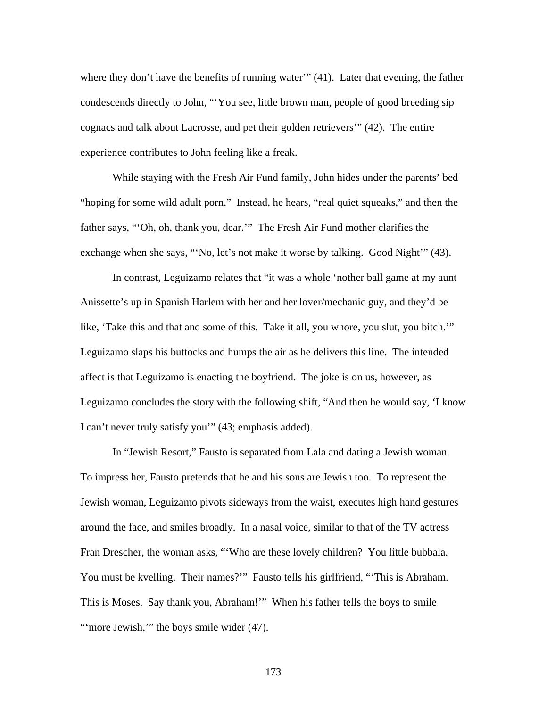where they don't have the benefits of running water'" (41). Later that evening, the father condescends directly to John, "'You see, little brown man, people of good breeding sip cognacs and talk about Lacrosse, and pet their golden retrievers'" (42). The entire experience contributes to John feeling like a freak.

While staying with the Fresh Air Fund family, John hides under the parents' bed "hoping for some wild adult porn." Instead, he hears, "real quiet squeaks," and then the father says, "'Oh, oh, thank you, dear.'" The Fresh Air Fund mother clarifies the exchange when she says, "'No, let's not make it worse by talking. Good Night'" (43).

In contrast, Leguizamo relates that "it was a whole 'nother ball game at my aunt Anissette's up in Spanish Harlem with her and her lover/mechanic guy, and they'd be like, 'Take this and that and some of this. Take it all, you whore, you slut, you bitch.'" Leguizamo slaps his buttocks and humps the air as he delivers this line. The intended affect is that Leguizamo is enacting the boyfriend. The joke is on us, however, as Leguizamo concludes the story with the following shift, "And then he would say, 'I know I can't never truly satisfy you'" (43; emphasis added).

In "Jewish Resort," Fausto is separated from Lala and dating a Jewish woman. To impress her, Fausto pretends that he and his sons are Jewish too. To represent the Jewish woman, Leguizamo pivots sideways from the waist, executes high hand gestures around the face, and smiles broadly. In a nasal voice, similar to that of the TV actress Fran Drescher, the woman asks, "'Who are these lovely children? You little bubbala. You must be kvelling. Their names?"" Fausto tells his girlfriend, "This is Abraham. This is Moses. Say thank you, Abraham!'" When his father tells the boys to smile "'more Jewish," the boys smile wider (47).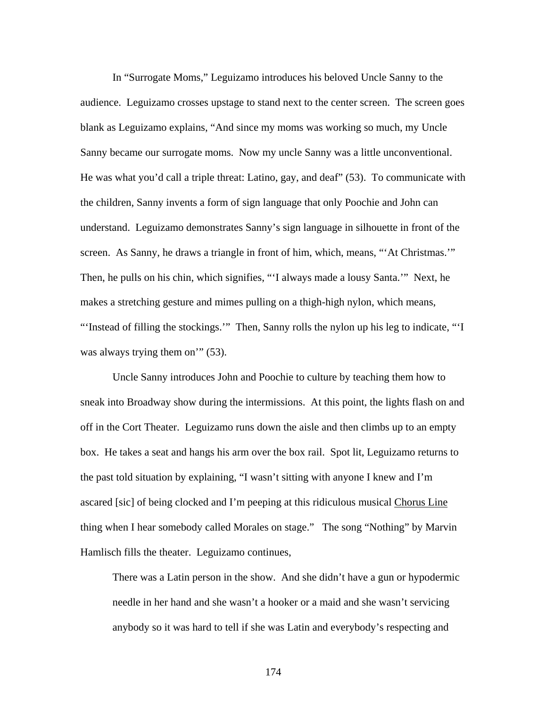In "Surrogate Moms," Leguizamo introduces his beloved Uncle Sanny to the audience. Leguizamo crosses upstage to stand next to the center screen. The screen goes blank as Leguizamo explains, "And since my moms was working so much, my Uncle Sanny became our surrogate moms. Now my uncle Sanny was a little unconventional. He was what you'd call a triple threat: Latino, gay, and deaf" (53). To communicate with the children, Sanny invents a form of sign language that only Poochie and John can understand. Leguizamo demonstrates Sanny's sign language in silhouette in front of the screen. As Sanny, he draws a triangle in front of him, which, means, "'At Christmas.'" Then, he pulls on his chin, which signifies, "'I always made a lousy Santa.'" Next, he makes a stretching gesture and mimes pulling on a thigh-high nylon, which means, "'Instead of filling the stockings.'" Then, Sanny rolls the nylon up his leg to indicate, "'I was always trying them on'" (53).

Uncle Sanny introduces John and Poochie to culture by teaching them how to sneak into Broadway show during the intermissions. At this point, the lights flash on and off in the Cort Theater. Leguizamo runs down the aisle and then climbs up to an empty box. He takes a seat and hangs his arm over the box rail. Spot lit, Leguizamo returns to the past told situation by explaining, "I wasn't sitting with anyone I knew and I'm ascared [sic] of being clocked and I'm peeping at this ridiculous musical Chorus Line thing when I hear somebody called Morales on stage." The song "Nothing" by Marvin Hamlisch fills the theater. Leguizamo continues,

There was a Latin person in the show. And she didn't have a gun or hypodermic needle in her hand and she wasn't a hooker or a maid and she wasn't servicing anybody so it was hard to tell if she was Latin and everybody's respecting and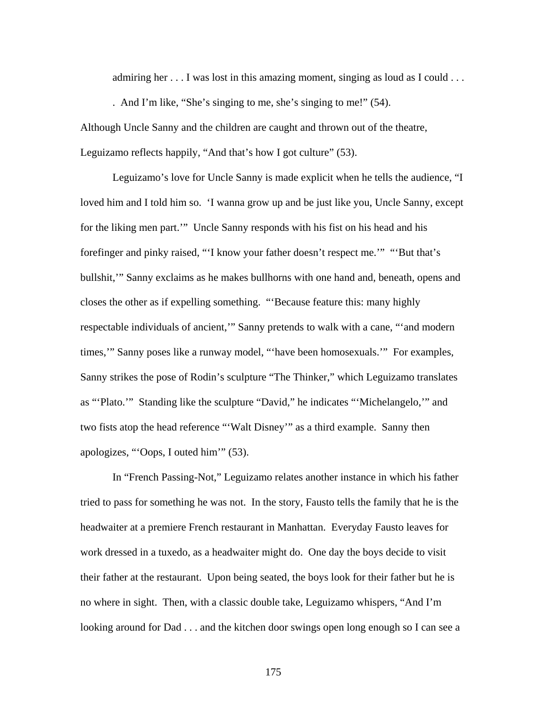admiring her . . . I was lost in this amazing moment, singing as loud as I could . . .

. And I'm like, "She's singing to me, she's singing to me!" (54).

Although Uncle Sanny and the children are caught and thrown out of the theatre, Leguizamo reflects happily, "And that's how I got culture" (53).

Leguizamo's love for Uncle Sanny is made explicit when he tells the audience, "I loved him and I told him so. 'I wanna grow up and be just like you, Uncle Sanny, except for the liking men part.'" Uncle Sanny responds with his fist on his head and his forefinger and pinky raised, "'I know your father doesn't respect me.'" "'But that's bullshit,'" Sanny exclaims as he makes bullhorns with one hand and, beneath, opens and closes the other as if expelling something. "'Because feature this: many highly respectable individuals of ancient,'" Sanny pretends to walk with a cane, "'and modern times,'" Sanny poses like a runway model, "'have been homosexuals.'" For examples, Sanny strikes the pose of Rodin's sculpture "The Thinker," which Leguizamo translates as "'Plato.'" Standing like the sculpture "David," he indicates "'Michelangelo,'" and two fists atop the head reference "'Walt Disney'" as a third example. Sanny then apologizes, "'Oops, I outed him'" (53).

In "French Passing-Not," Leguizamo relates another instance in which his father tried to pass for something he was not. In the story, Fausto tells the family that he is the headwaiter at a premiere French restaurant in Manhattan. Everyday Fausto leaves for work dressed in a tuxedo, as a headwaiter might do. One day the boys decide to visit their father at the restaurant. Upon being seated, the boys look for their father but he is no where in sight. Then, with a classic double take, Leguizamo whispers, "And I'm looking around for Dad . . . and the kitchen door swings open long enough so I can see a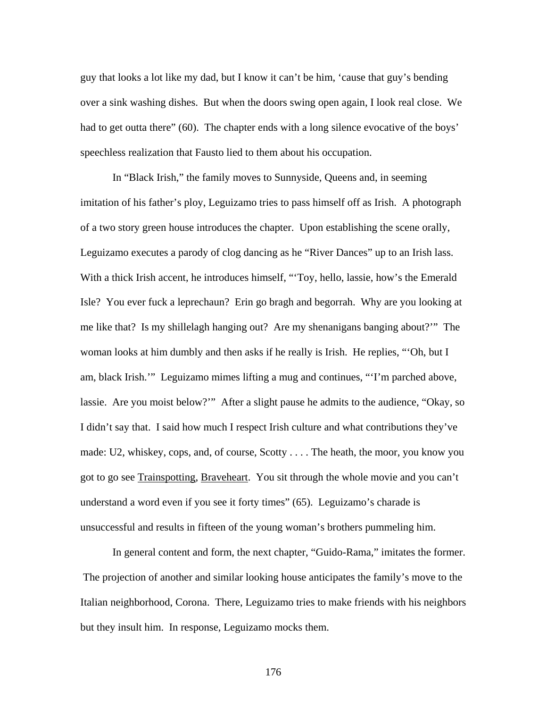guy that looks a lot like my dad, but I know it can't be him, 'cause that guy's bending over a sink washing dishes. But when the doors swing open again, I look real close. We had to get outta there" (60). The chapter ends with a long silence evocative of the boys' speechless realization that Fausto lied to them about his occupation.

In "Black Irish," the family moves to Sunnyside, Queens and, in seeming imitation of his father's ploy, Leguizamo tries to pass himself off as Irish. A photograph of a two story green house introduces the chapter. Upon establishing the scene orally, Leguizamo executes a parody of clog dancing as he "River Dances" up to an Irish lass. With a thick Irish accent, he introduces himself, "'Toy, hello, lassie, how's the Emerald Isle? You ever fuck a leprechaun? Erin go bragh and begorrah. Why are you looking at me like that? Is my shillelagh hanging out? Are my shenanigans banging about?'" The woman looks at him dumbly and then asks if he really is Irish. He replies, "'Oh, but I am, black Irish.'" Leguizamo mimes lifting a mug and continues, "'I'm parched above, lassie. Are you moist below?'" After a slight pause he admits to the audience, "Okay, so I didn't say that. I said how much I respect Irish culture and what contributions they've made: U2, whiskey, cops, and, of course, Scotty . . . . The heath, the moor, you know you got to go see Trainspotting, Braveheart. You sit through the whole movie and you can't understand a word even if you see it forty times" (65). Leguizamo's charade is unsuccessful and results in fifteen of the young woman's brothers pummeling him.

In general content and form, the next chapter, "Guido-Rama," imitates the former. The projection of another and similar looking house anticipates the family's move to the Italian neighborhood, Corona. There, Leguizamo tries to make friends with his neighbors but they insult him. In response, Leguizamo mocks them.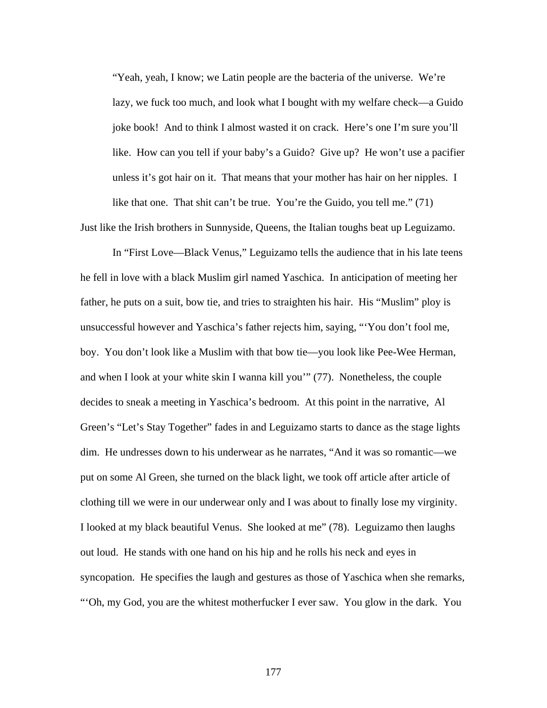"Yeah, yeah, I know; we Latin people are the bacteria of the universe. We're lazy, we fuck too much, and look what I bought with my welfare check—a Guido joke book! And to think I almost wasted it on crack. Here's one I'm sure you'll like. How can you tell if your baby's a Guido? Give up? He won't use a pacifier unless it's got hair on it. That means that your mother has hair on her nipples. I like that one. That shit can't be true. You're the Guido, you tell me." (71)

Just like the Irish brothers in Sunnyside, Queens, the Italian toughs beat up Leguizamo.

In "First Love—Black Venus," Leguizamo tells the audience that in his late teens he fell in love with a black Muslim girl named Yaschica. In anticipation of meeting her father, he puts on a suit, bow tie, and tries to straighten his hair. His "Muslim" ploy is unsuccessful however and Yaschica's father rejects him, saying, "'You don't fool me, boy. You don't look like a Muslim with that bow tie—you look like Pee-Wee Herman, and when I look at your white skin I wanna kill you'" (77). Nonetheless, the couple decides to sneak a meeting in Yaschica's bedroom. At this point in the narrative, Al Green's "Let's Stay Together" fades in and Leguizamo starts to dance as the stage lights dim. He undresses down to his underwear as he narrates, "And it was so romantic—we put on some Al Green, she turned on the black light, we took off article after article of clothing till we were in our underwear only and I was about to finally lose my virginity. I looked at my black beautiful Venus. She looked at me" (78). Leguizamo then laughs out loud. He stands with one hand on his hip and he rolls his neck and eyes in syncopation. He specifies the laugh and gestures as those of Yaschica when she remarks, "'Oh, my God, you are the whitest motherfucker I ever saw. You glow in the dark. You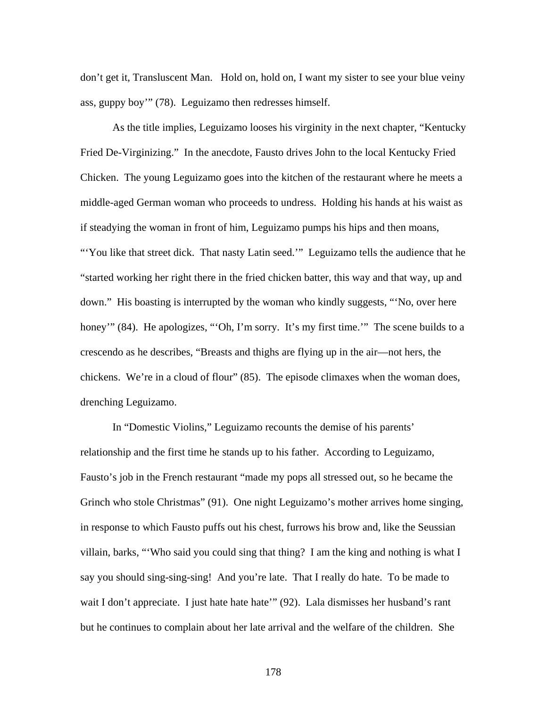don't get it, Transluscent Man. Hold on, hold on, I want my sister to see your blue veiny ass, guppy boy'" (78). Leguizamo then redresses himself.

As the title implies, Leguizamo looses his virginity in the next chapter, "Kentucky Fried De-Virginizing." In the anecdote, Fausto drives John to the local Kentucky Fried Chicken. The young Leguizamo goes into the kitchen of the restaurant where he meets a middle-aged German woman who proceeds to undress. Holding his hands at his waist as if steadying the woman in front of him, Leguizamo pumps his hips and then moans, "You like that street dick. That nasty Latin seed." Leguizamo tells the audience that he "started working her right there in the fried chicken batter, this way and that way, up and down." His boasting is interrupted by the woman who kindly suggests, "'No, over here honey'" (84). He apologizes, "'Oh, I'm sorry. It's my first time.'" The scene builds to a crescendo as he describes, "Breasts and thighs are flying up in the air—not hers, the chickens. We're in a cloud of flour" (85). The episode climaxes when the woman does, drenching Leguizamo.

In "Domestic Violins," Leguizamo recounts the demise of his parents' relationship and the first time he stands up to his father. According to Leguizamo, Fausto's job in the French restaurant "made my pops all stressed out, so he became the Grinch who stole Christmas" (91). One night Leguizamo's mother arrives home singing, in response to which Fausto puffs out his chest, furrows his brow and, like the Seussian villain, barks, "'Who said you could sing that thing? I am the king and nothing is what I say you should sing-sing-sing! And you're late. That I really do hate. To be made to wait I don't appreciate. I just hate hate hate'" (92). Lala dismisses her husband's rant but he continues to complain about her late arrival and the welfare of the children. She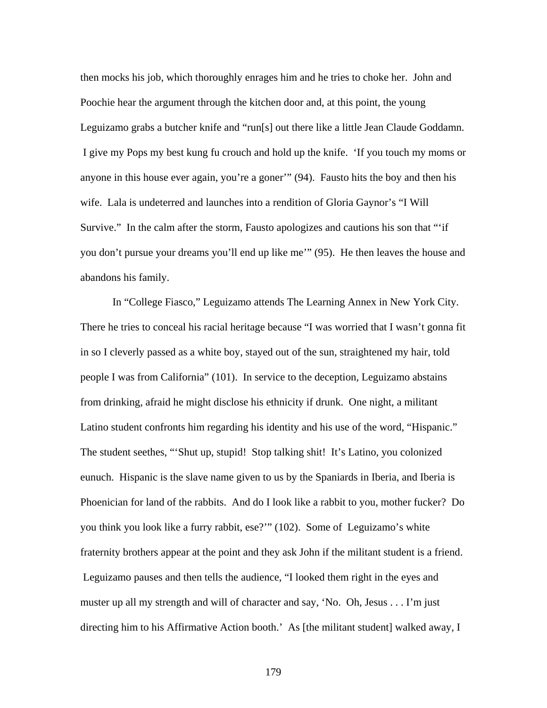then mocks his job, which thoroughly enrages him and he tries to choke her. John and Poochie hear the argument through the kitchen door and, at this point, the young Leguizamo grabs a butcher knife and "run[s] out there like a little Jean Claude Goddamn. I give my Pops my best kung fu crouch and hold up the knife. 'If you touch my moms or anyone in this house ever again, you're a goner'" (94). Fausto hits the boy and then his wife. Lala is undeterred and launches into a rendition of Gloria Gaynor's "I Will Survive." In the calm after the storm, Fausto apologizes and cautions his son that ""if you don't pursue your dreams you'll end up like me'" (95). He then leaves the house and abandons his family.

In "College Fiasco," Leguizamo attends The Learning Annex in New York City. There he tries to conceal his racial heritage because "I was worried that I wasn't gonna fit in so I cleverly passed as a white boy, stayed out of the sun, straightened my hair, told people I was from California" (101). In service to the deception, Leguizamo abstains from drinking, afraid he might disclose his ethnicity if drunk. One night, a militant Latino student confronts him regarding his identity and his use of the word, "Hispanic." The student seethes, "'Shut up, stupid! Stop talking shit! It's Latino, you colonized eunuch. Hispanic is the slave name given to us by the Spaniards in Iberia, and Iberia is Phoenician for land of the rabbits. And do I look like a rabbit to you, mother fucker? Do you think you look like a furry rabbit, ese?'" (102). Some of Leguizamo's white fraternity brothers appear at the point and they ask John if the militant student is a friend. Leguizamo pauses and then tells the audience, "I looked them right in the eyes and muster up all my strength and will of character and say, 'No. Oh, Jesus . . . I'm just directing him to his Affirmative Action booth.' As [the militant student] walked away, I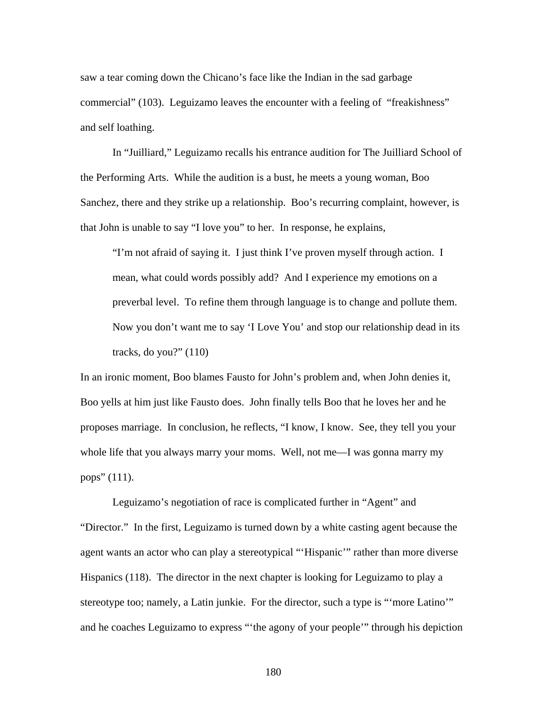saw a tear coming down the Chicano's face like the Indian in the sad garbage commercial" (103). Leguizamo leaves the encounter with a feeling of "freakishness" and self loathing.

In "Juilliard," Leguizamo recalls his entrance audition for The Juilliard School of the Performing Arts. While the audition is a bust, he meets a young woman, Boo Sanchez, there and they strike up a relationship. Boo's recurring complaint, however, is that John is unable to say "I love you" to her. In response, he explains,

"I'm not afraid of saying it. I just think I've proven myself through action. I mean, what could words possibly add? And I experience my emotions on a preverbal level. To refine them through language is to change and pollute them. Now you don't want me to say 'I Love You' and stop our relationship dead in its tracks, do you?" (110)

In an ironic moment, Boo blames Fausto for John's problem and, when John denies it, Boo yells at him just like Fausto does. John finally tells Boo that he loves her and he proposes marriage. In conclusion, he reflects, "I know, I know. See, they tell you your whole life that you always marry your moms. Well, not me—I was gonna marry my pops" (111).

Leguizamo's negotiation of race is complicated further in "Agent" and "Director." In the first, Leguizamo is turned down by a white casting agent because the agent wants an actor who can play a stereotypical "'Hispanic'" rather than more diverse Hispanics (118). The director in the next chapter is looking for Leguizamo to play a stereotype too; namely, a Latin junkie. For the director, such a type is "'more Latino'" and he coaches Leguizamo to express "'the agony of your people'" through his depiction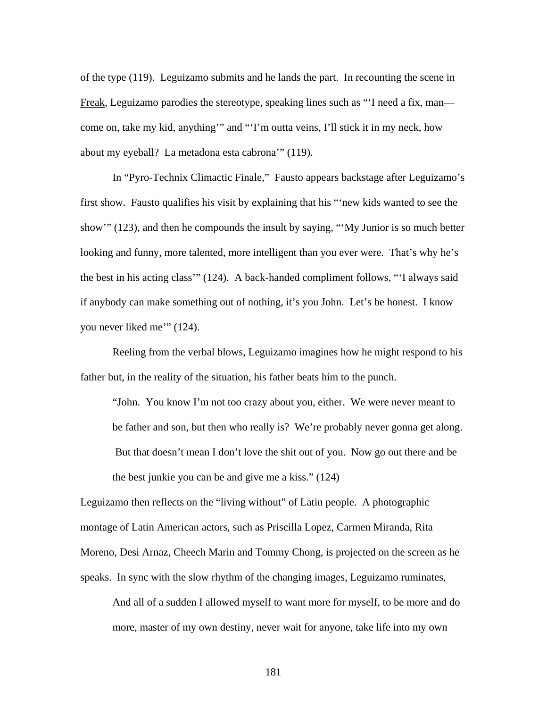of the type (119). Leguizamo submits and he lands the part. In recounting the scene in Freak, Leguizamo parodies the stereotype, speaking lines such as "I need a fix, man come on, take my kid, anything'" and "'I'm outta veins, I'll stick it in my neck, how about my eyeball? La metadona esta cabrona'" (119).

In "Pyro-Technix Climactic Finale," Fausto appears backstage after Leguizamo's first show. Fausto qualifies his visit by explaining that his "'new kids wanted to see the show'" (123), and then he compounds the insult by saying, "'My Junior is so much better looking and funny, more talented, more intelligent than you ever were. That's why he's the best in his acting class'" (124). A back-handed compliment follows, "'I always said if anybody can make something out of nothing, it's you John. Let's be honest. I know you never liked me'" (124).

Reeling from the verbal blows, Leguizamo imagines how he might respond to his father but, in the reality of the situation, his father beats him to the punch.

"John. You know I'm not too crazy about you, either. We were never meant to be father and son, but then who really is? We're probably never gonna get along. But that doesn't mean I don't love the shit out of you. Now go out there and be the best junkie you can be and give me a kiss." (124)

Leguizamo then reflects on the "living without" of Latin people. A photographic montage of Latin American actors, such as Priscilla Lopez, Carmen Miranda, Rita Moreno, Desi Arnaz, Cheech Marin and Tommy Chong, is projected on the screen as he speaks. In sync with the slow rhythm of the changing images, Leguizamo ruminates,

And all of a sudden I allowed myself to want more for myself, to be more and do more, master of my own destiny, never wait for anyone, take life into my own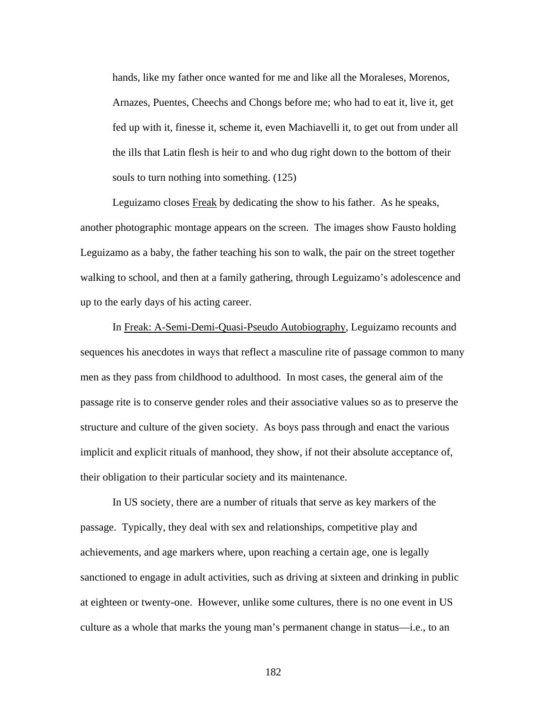hands, like my father once wanted for me and like all the Moraleses, Morenos, Arnazes, Puentes, Cheechs and Chongs before me; who had to eat it, live it, get fed up with it, finesse it, scheme it, even Machiavelli it, to get out from under all the ills that Latin flesh is heir to and who dug right down to the bottom of their souls to turn nothing into something. (125)

Leguizamo closes Freak by dedicating the show to his father. As he speaks, another photographic montage appears on the screen. The images show Fausto holding Leguizamo as a baby, the father teaching his son to walk, the pair on the street together walking to school, and then at a family gathering, through Leguizamo's adolescence and up to the early days of his acting career.

In Freak: A-Semi-Demi-Quasi-Pseudo Autobiography, Leguizamo recounts and sequences his anecdotes in ways that reflect a masculine rite of passage common to many men as they pass from childhood to adulthood. In most cases, the general aim of the passage rite is to conserve gender roles and their associative values so as to preserve the structure and culture of the given society. As boys pass through and enact the various implicit and explicit rituals of manhood, they show, if not their absolute acceptance of, their obligation to their particular society and its maintenance.

In US society, there are a number of rituals that serve as key markers of the passage. Typically, they deal with sex and relationships, competitive play and achievements, and age markers where, upon reaching a certain age, one is legally sanctioned to engage in adult activities, such as driving at sixteen and drinking in public at eighteen or twenty-one. However, unlike some cultures, there is no one event in US culture as a whole that marks the young man's permanent change in status—i.e., to an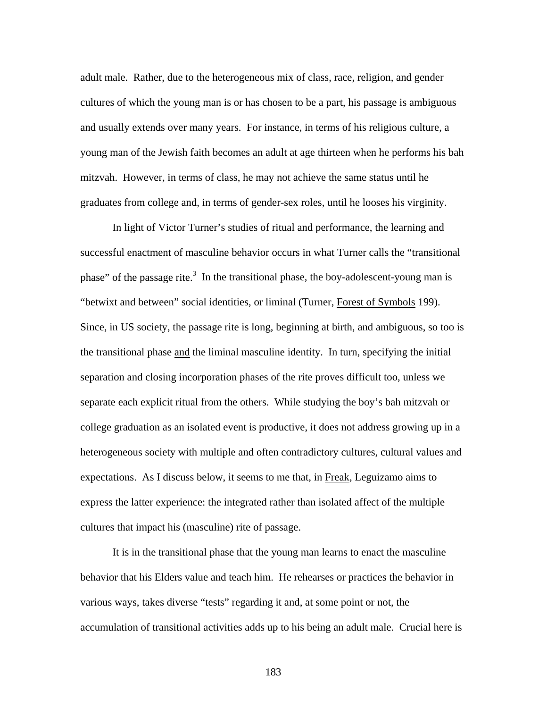adult male. Rather, due to the heterogeneous mix of class, race, religion, and gender cultures of which the young man is or has chosen to be a part, his passage is ambiguous and usually extends over many years. For instance, in terms of his religious culture, a young man of the Jewish faith becomes an adult at age thirteen when he performs his bah mitzvah. However, in terms of class, he may not achieve the same status until he graduates from college and, in terms of gender-sex roles, until he looses his virginity.

In light of Victor Turner's studies of ritual and performance, the learning and successful enactment of masculine behavior occurs in what Turner calls the "transitional phase" of the passage rite. $3 \text{ In the transitional phase, the boy-adolescent-young man is}$ "betwixt and between" social identities, or liminal (Turner, Forest of Symbols 199). Since, in US society, the passage rite is long, beginning at birth, and ambiguous, so too is the transitional phase and the liminal masculine identity. In turn, specifying the initial separation and closing incorporation phases of the rite proves difficult too, unless we separate each explicit ritual from the others. While studying the boy's bah mitzvah or college graduation as an isolated event is productive, it does not address growing up in a heterogeneous society with multiple and often contradictory cultures, cultural values and expectations. As I discuss below, it seems to me that, in Freak, Leguizamo aims to express the latter experience: the integrated rather than isolated affect of the multiple cultures that impact his (masculine) rite of passage.

It is in the transitional phase that the young man learns to enact the masculine behavior that his Elders value and teach him. He rehearses or practices the behavior in various ways, takes diverse "tests" regarding it and, at some point or not, the accumulation of transitional activities adds up to his being an adult male. Crucial here is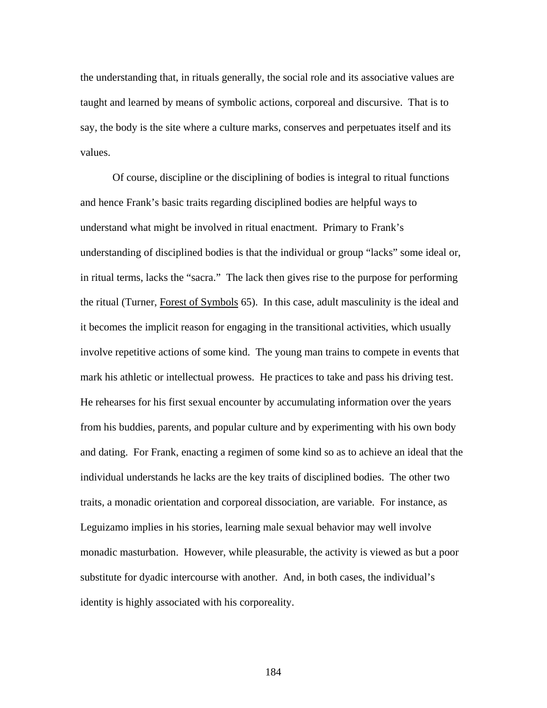the understanding that, in rituals generally, the social role and its associative values are taught and learned by means of symbolic actions, corporeal and discursive. That is to say, the body is the site where a culture marks, conserves and perpetuates itself and its values.

Of course, discipline or the disciplining of bodies is integral to ritual functions and hence Frank's basic traits regarding disciplined bodies are helpful ways to understand what might be involved in ritual enactment. Primary to Frank's understanding of disciplined bodies is that the individual or group "lacks" some ideal or, in ritual terms, lacks the "sacra." The lack then gives rise to the purpose for performing the ritual (Turner, Forest of Symbols 65). In this case, adult masculinity is the ideal and it becomes the implicit reason for engaging in the transitional activities, which usually involve repetitive actions of some kind. The young man trains to compete in events that mark his athletic or intellectual prowess. He practices to take and pass his driving test. He rehearses for his first sexual encounter by accumulating information over the years from his buddies, parents, and popular culture and by experimenting with his own body and dating. For Frank, enacting a regimen of some kind so as to achieve an ideal that the individual understands he lacks are the key traits of disciplined bodies. The other two traits, a monadic orientation and corporeal dissociation, are variable. For instance, as Leguizamo implies in his stories, learning male sexual behavior may well involve monadic masturbation. However, while pleasurable, the activity is viewed as but a poor substitute for dyadic intercourse with another. And, in both cases, the individual's identity is highly associated with his corporeality.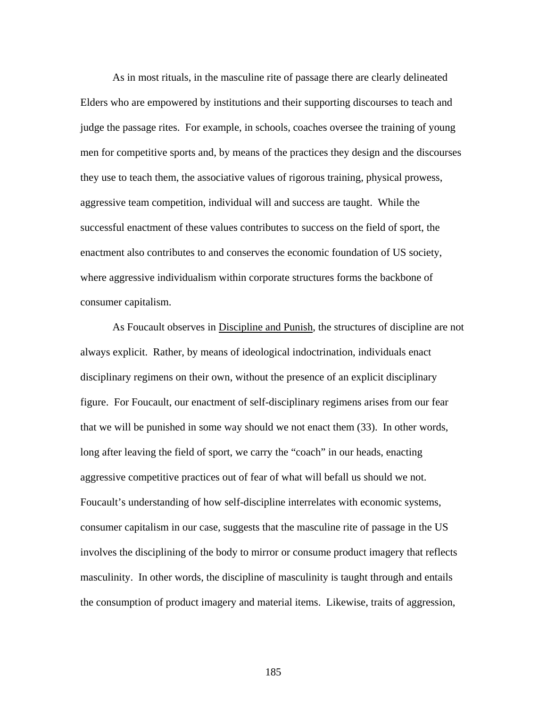As in most rituals, in the masculine rite of passage there are clearly delineated Elders who are empowered by institutions and their supporting discourses to teach and judge the passage rites. For example, in schools, coaches oversee the training of young men for competitive sports and, by means of the practices they design and the discourses they use to teach them, the associative values of rigorous training, physical prowess, aggressive team competition, individual will and success are taught. While the successful enactment of these values contributes to success on the field of sport, the enactment also contributes to and conserves the economic foundation of US society, where aggressive individualism within corporate structures forms the backbone of consumer capitalism.

As Foucault observes in Discipline and Punish, the structures of discipline are not always explicit. Rather, by means of ideological indoctrination, individuals enact disciplinary regimens on their own, without the presence of an explicit disciplinary figure. For Foucault, our enactment of self-disciplinary regimens arises from our fear that we will be punished in some way should we not enact them (33). In other words, long after leaving the field of sport, we carry the "coach" in our heads, enacting aggressive competitive practices out of fear of what will befall us should we not. Foucault's understanding of how self-discipline interrelates with economic systems, consumer capitalism in our case, suggests that the masculine rite of passage in the US involves the disciplining of the body to mirror or consume product imagery that reflects masculinity. In other words, the discipline of masculinity is taught through and entails the consumption of product imagery and material items. Likewise, traits of aggression,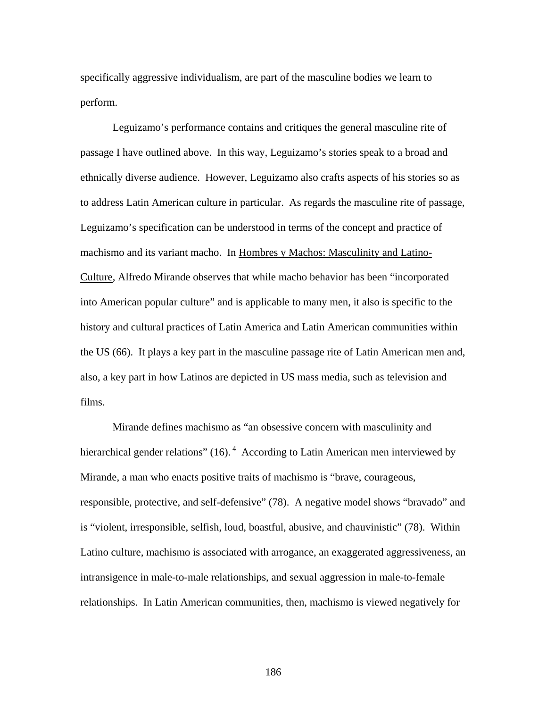specifically aggressive individualism, are part of the masculine bodies we learn to perform.

Leguizamo's performance contains and critiques the general masculine rite of passage I have outlined above. In this way, Leguizamo's stories speak to a broad and ethnically diverse audience. However, Leguizamo also crafts aspects of his stories so as to address Latin American culture in particular. As regards the masculine rite of passage, Leguizamo's specification can be understood in terms of the concept and practice of machismo and its variant macho. In Hombres y Machos: Masculinity and Latino-Culture, Alfredo Mirande observes that while macho behavior has been "incorporated into American popular culture" and is applicable to many men, it also is specific to the history and cultural practices of Latin America and Latin American communities within the US (66). It plays a key part in the masculine passage rite of Latin American men and, also, a key part in how Latinos are depicted in US mass media, such as television and films.

Mirande defines machismo as "an obsessive concern with masculinity and hierarchical gender relations" (16).<sup>4</sup> According to Latin American men interviewed by Mirande, a man who enacts positive traits of machismo is "brave, courageous, responsible, protective, and self-defensive" (78). A negative model shows "bravado" and is "violent, irresponsible, selfish, loud, boastful, abusive, and chauvinistic" (78). Within Latino culture, machismo is associated with arrogance, an exaggerated aggressiveness, an intransigence in male-to-male relationships, and sexual aggression in male-to-female relationships. In Latin American communities, then, machismo is viewed negatively for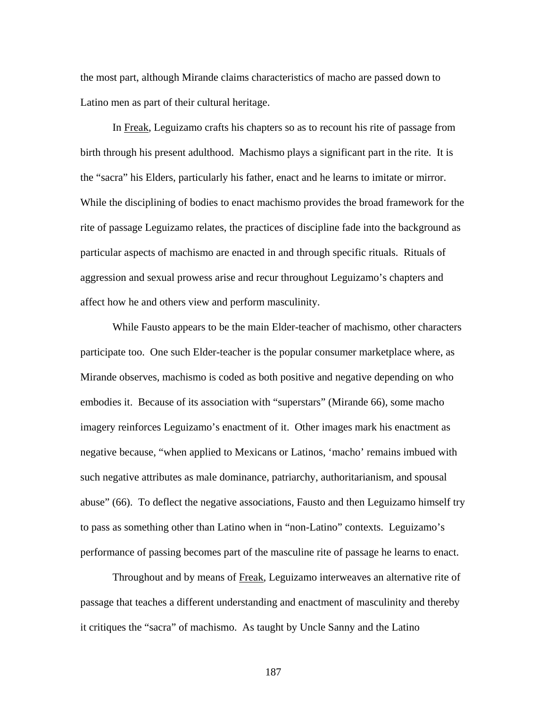the most part, although Mirande claims characteristics of macho are passed down to Latino men as part of their cultural heritage.

In Freak, Leguizamo crafts his chapters so as to recount his rite of passage from birth through his present adulthood. Machismo plays a significant part in the rite. It is the "sacra" his Elders, particularly his father, enact and he learns to imitate or mirror. While the disciplining of bodies to enact machismo provides the broad framework for the rite of passage Leguizamo relates, the practices of discipline fade into the background as particular aspects of machismo are enacted in and through specific rituals. Rituals of aggression and sexual prowess arise and recur throughout Leguizamo's chapters and affect how he and others view and perform masculinity.

While Fausto appears to be the main Elder-teacher of machismo, other characters participate too. One such Elder-teacher is the popular consumer marketplace where, as Mirande observes, machismo is coded as both positive and negative depending on who embodies it. Because of its association with "superstars" (Mirande 66), some macho imagery reinforces Leguizamo's enactment of it. Other images mark his enactment as negative because, "when applied to Mexicans or Latinos, 'macho' remains imbued with such negative attributes as male dominance, patriarchy, authoritarianism, and spousal abuse" (66). To deflect the negative associations, Fausto and then Leguizamo himself try to pass as something other than Latino when in "non-Latino" contexts. Leguizamo's performance of passing becomes part of the masculine rite of passage he learns to enact.

Throughout and by means of Freak, Leguizamo interweaves an alternative rite of passage that teaches a different understanding and enactment of masculinity and thereby it critiques the "sacra" of machismo. As taught by Uncle Sanny and the Latino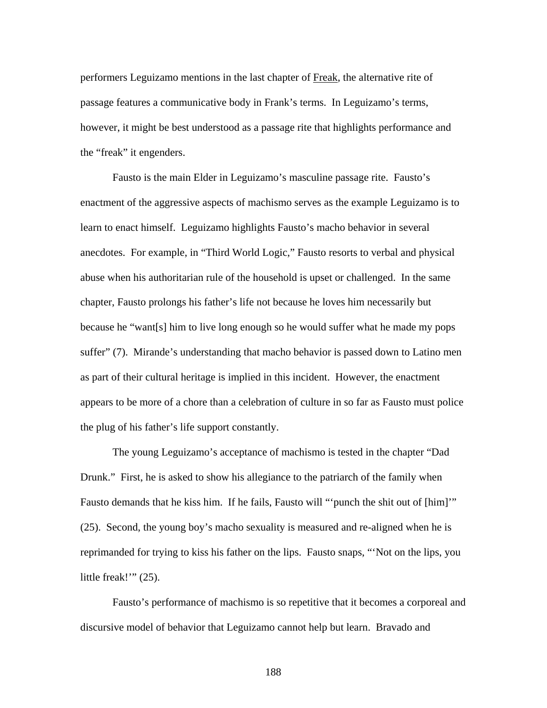performers Leguizamo mentions in the last chapter of Freak, the alternative rite of passage features a communicative body in Frank's terms. In Leguizamo's terms, however, it might be best understood as a passage rite that highlights performance and the "freak" it engenders.

Fausto is the main Elder in Leguizamo's masculine passage rite. Fausto's enactment of the aggressive aspects of machismo serves as the example Leguizamo is to learn to enact himself. Leguizamo highlights Fausto's macho behavior in several anecdotes. For example, in "Third World Logic," Fausto resorts to verbal and physical abuse when his authoritarian rule of the household is upset or challenged. In the same chapter, Fausto prolongs his father's life not because he loves him necessarily but because he "want[s] him to live long enough so he would suffer what he made my pops suffer" (7). Mirande's understanding that macho behavior is passed down to Latino men as part of their cultural heritage is implied in this incident. However, the enactment appears to be more of a chore than a celebration of culture in so far as Fausto must police the plug of his father's life support constantly.

The young Leguizamo's acceptance of machismo is tested in the chapter "Dad Drunk." First, he is asked to show his allegiance to the patriarch of the family when Fausto demands that he kiss him. If he fails, Fausto will ""punch the shit out of [him]"" (25). Second, the young boy's macho sexuality is measured and re-aligned when he is reprimanded for trying to kiss his father on the lips. Fausto snaps, "'Not on the lips, you little freak!" (25).

Fausto's performance of machismo is so repetitive that it becomes a corporeal and discursive model of behavior that Leguizamo cannot help but learn. Bravado and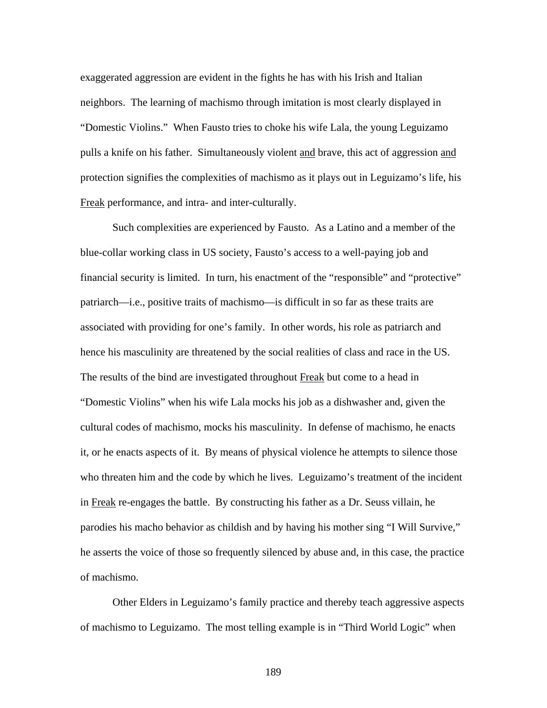exaggerated aggression are evident in the fights he has with his Irish and Italian neighbors. The learning of machismo through imitation is most clearly displayed in "Domestic Violins." When Fausto tries to choke his wife Lala, the young Leguizamo pulls a knife on his father. Simultaneously violent and brave, this act of aggression and protection signifies the complexities of machismo as it plays out in Leguizamo's life, his Freak performance, and intra- and inter-culturally.

Such complexities are experienced by Fausto. As a Latino and a member of the blue-collar working class in US society, Fausto's access to a well-paying job and financial security is limited. In turn, his enactment of the "responsible" and "protective" patriarch—i.e., positive traits of machismo—is difficult in so far as these traits are associated with providing for one's family. In other words, his role as patriarch and hence his masculinity are threatened by the social realities of class and race in the US. The results of the bind are investigated throughout Freak but come to a head in "Domestic Violins" when his wife Lala mocks his job as a dishwasher and, given the cultural codes of machismo, mocks his masculinity. In defense of machismo, he enacts it, or he enacts aspects of it. By means of physical violence he attempts to silence those who threaten him and the code by which he lives. Leguizamo's treatment of the incident in Freak re-engages the battle. By constructing his father as a Dr. Seuss villain, he parodies his macho behavior as childish and by having his mother sing "I Will Survive," he asserts the voice of those so frequently silenced by abuse and, in this case, the practice of machismo.

Other Elders in Leguizamo's family practice and thereby teach aggressive aspects of machismo to Leguizamo. The most telling example is in "Third World Logic" when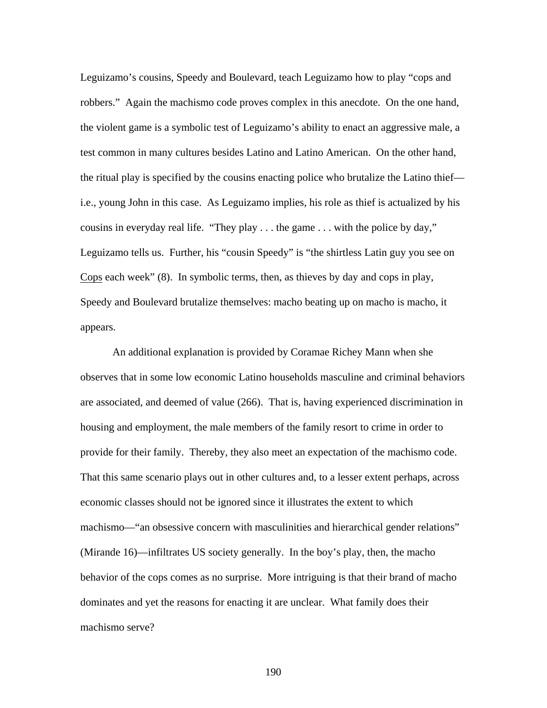Leguizamo's cousins, Speedy and Boulevard, teach Leguizamo how to play "cops and robbers." Again the machismo code proves complex in this anecdote. On the one hand, the violent game is a symbolic test of Leguizamo's ability to enact an aggressive male, a test common in many cultures besides Latino and Latino American. On the other hand, the ritual play is specified by the cousins enacting police who brutalize the Latino thief i.e., young John in this case. As Leguizamo implies, his role as thief is actualized by his cousins in everyday real life. "They play . . . the game . . . with the police by day," Leguizamo tells us. Further, his "cousin Speedy" is "the shirtless Latin guy you see on Cops each week" (8). In symbolic terms, then, as thieves by day and cops in play, Speedy and Boulevard brutalize themselves: macho beating up on macho is macho, it appears.

An additional explanation is provided by Coramae Richey Mann when she observes that in some low economic Latino households masculine and criminal behaviors are associated, and deemed of value (266). That is, having experienced discrimination in housing and employment, the male members of the family resort to crime in order to provide for their family. Thereby, they also meet an expectation of the machismo code. That this same scenario plays out in other cultures and, to a lesser extent perhaps, across economic classes should not be ignored since it illustrates the extent to which machismo—"an obsessive concern with masculinities and hierarchical gender relations" (Mirande 16)—infiltrates US society generally. In the boy's play, then, the macho behavior of the cops comes as no surprise. More intriguing is that their brand of macho dominates and yet the reasons for enacting it are unclear. What family does their machismo serve?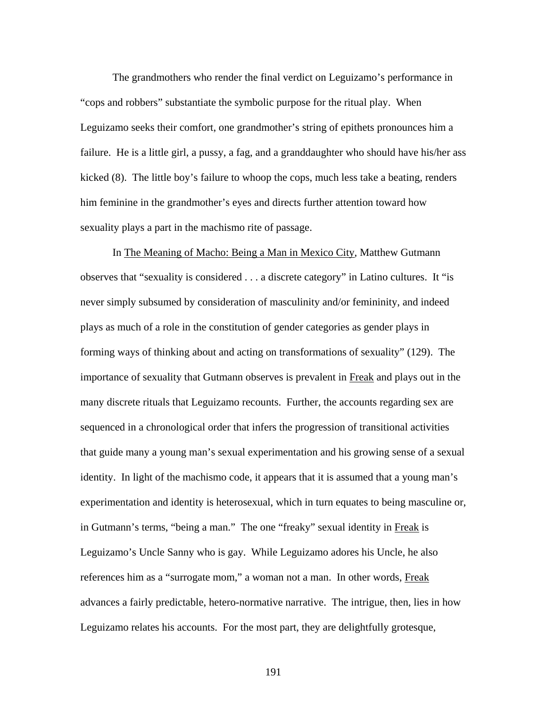The grandmothers who render the final verdict on Leguizamo's performance in "cops and robbers" substantiate the symbolic purpose for the ritual play. When Leguizamo seeks their comfort, one grandmother's string of epithets pronounces him a failure. He is a little girl, a pussy, a fag, and a granddaughter who should have his/her ass kicked (8). The little boy's failure to whoop the cops, much less take a beating, renders him feminine in the grandmother's eyes and directs further attention toward how sexuality plays a part in the machismo rite of passage.

In The Meaning of Macho: Being a Man in Mexico City, Matthew Gutmann observes that "sexuality is considered . . . a discrete category" in Latino cultures. It "is never simply subsumed by consideration of masculinity and/or femininity, and indeed plays as much of a role in the constitution of gender categories as gender plays in forming ways of thinking about and acting on transformations of sexuality" (129). The importance of sexuality that Gutmann observes is prevalent in Freak and plays out in the many discrete rituals that Leguizamo recounts. Further, the accounts regarding sex are sequenced in a chronological order that infers the progression of transitional activities that guide many a young man's sexual experimentation and his growing sense of a sexual identity. In light of the machismo code, it appears that it is assumed that a young man's experimentation and identity is heterosexual, which in turn equates to being masculine or, in Gutmann's terms, "being a man." The one "freaky" sexual identity in Freak is Leguizamo's Uncle Sanny who is gay. While Leguizamo adores his Uncle, he also references him as a "surrogate mom," a woman not a man. In other words, Freak advances a fairly predictable, hetero-normative narrative. The intrigue, then, lies in how Leguizamo relates his accounts. For the most part, they are delightfully grotesque,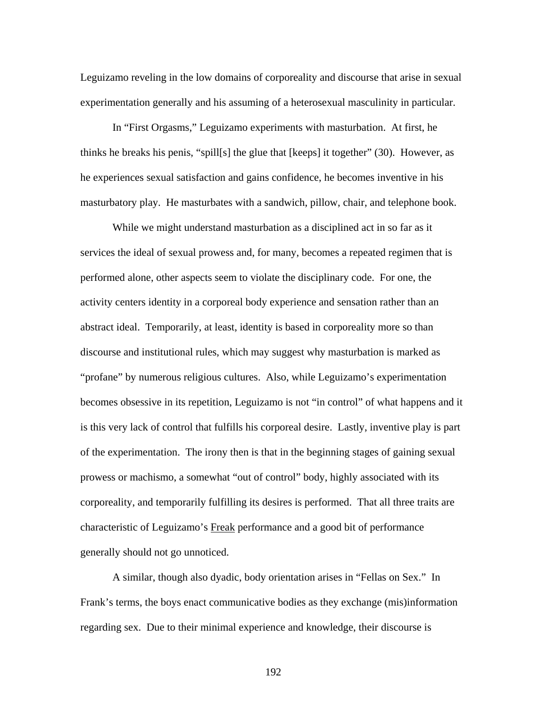Leguizamo reveling in the low domains of corporeality and discourse that arise in sexual experimentation generally and his assuming of a heterosexual masculinity in particular.

In "First Orgasms," Leguizamo experiments with masturbation. At first, he thinks he breaks his penis, "spill[s] the glue that [keeps] it together" (30). However, as he experiences sexual satisfaction and gains confidence, he becomes inventive in his masturbatory play. He masturbates with a sandwich, pillow, chair, and telephone book.

While we might understand masturbation as a disciplined act in so far as it services the ideal of sexual prowess and, for many, becomes a repeated regimen that is performed alone, other aspects seem to violate the disciplinary code. For one, the activity centers identity in a corporeal body experience and sensation rather than an abstract ideal. Temporarily, at least, identity is based in corporeality more so than discourse and institutional rules, which may suggest why masturbation is marked as "profane" by numerous religious cultures. Also, while Leguizamo's experimentation becomes obsessive in its repetition, Leguizamo is not "in control" of what happens and it is this very lack of control that fulfills his corporeal desire. Lastly, inventive play is part of the experimentation. The irony then is that in the beginning stages of gaining sexual prowess or machismo, a somewhat "out of control" body, highly associated with its corporeality, and temporarily fulfilling its desires is performed. That all three traits are characteristic of Leguizamo's Freak performance and a good bit of performance generally should not go unnoticed.

A similar, though also dyadic, body orientation arises in "Fellas on Sex." In Frank's terms, the boys enact communicative bodies as they exchange (mis)information regarding sex. Due to their minimal experience and knowledge, their discourse is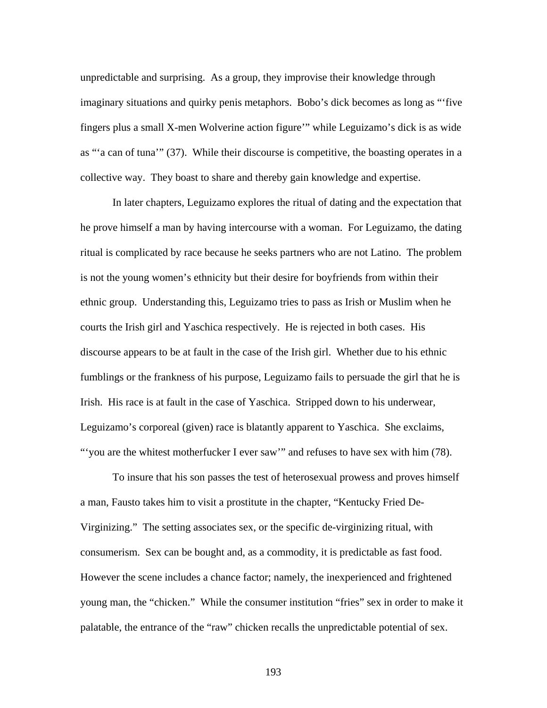unpredictable and surprising. As a group, they improvise their knowledge through imaginary situations and quirky penis metaphors. Bobo's dick becomes as long as "'five fingers plus a small X-men Wolverine action figure'" while Leguizamo's dick is as wide as "'a can of tuna'" (37). While their discourse is competitive, the boasting operates in a collective way. They boast to share and thereby gain knowledge and expertise.

In later chapters, Leguizamo explores the ritual of dating and the expectation that he prove himself a man by having intercourse with a woman. For Leguizamo, the dating ritual is complicated by race because he seeks partners who are not Latino. The problem is not the young women's ethnicity but their desire for boyfriends from within their ethnic group. Understanding this, Leguizamo tries to pass as Irish or Muslim when he courts the Irish girl and Yaschica respectively. He is rejected in both cases. His discourse appears to be at fault in the case of the Irish girl. Whether due to his ethnic fumblings or the frankness of his purpose, Leguizamo fails to persuade the girl that he is Irish. His race is at fault in the case of Yaschica. Stripped down to his underwear, Leguizamo's corporeal (given) race is blatantly apparent to Yaschica. She exclaims, "'you are the whitest motherfucker I ever saw'" and refuses to have sex with him (78).

To insure that his son passes the test of heterosexual prowess and proves himself a man, Fausto takes him to visit a prostitute in the chapter, "Kentucky Fried De-Virginizing." The setting associates sex, or the specific de-virginizing ritual, with consumerism. Sex can be bought and, as a commodity, it is predictable as fast food. However the scene includes a chance factor; namely, the inexperienced and frightened young man, the "chicken." While the consumer institution "fries" sex in order to make it palatable, the entrance of the "raw" chicken recalls the unpredictable potential of sex.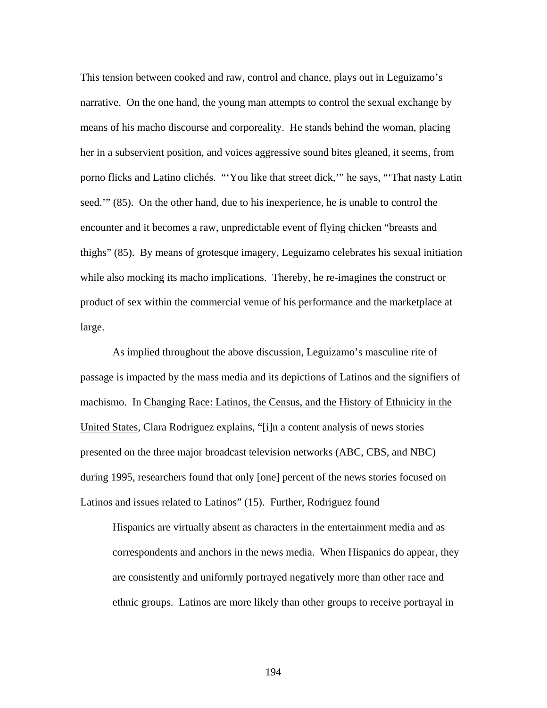This tension between cooked and raw, control and chance, plays out in Leguizamo's narrative. On the one hand, the young man attempts to control the sexual exchange by means of his macho discourse and corporeality. He stands behind the woman, placing her in a subservient position, and voices aggressive sound bites gleaned, it seems, from porno flicks and Latino clichés. "'You like that street dick,'" he says, "'That nasty Latin seed.'" (85). On the other hand, due to his inexperience, he is unable to control the encounter and it becomes a raw, unpredictable event of flying chicken "breasts and thighs" (85). By means of grotesque imagery, Leguizamo celebrates his sexual initiation while also mocking its macho implications. Thereby, he re-imagines the construct or product of sex within the commercial venue of his performance and the marketplace at large.

As implied throughout the above discussion, Leguizamo's masculine rite of passage is impacted by the mass media and its depictions of Latinos and the signifiers of machismo. In Changing Race: Latinos, the Census, and the History of Ethnicity in the United States, Clara Rodriguez explains, "[i]n a content analysis of news stories presented on the three major broadcast television networks (ABC, CBS, and NBC) during 1995, researchers found that only [one] percent of the news stories focused on Latinos and issues related to Latinos" (15). Further, Rodriguez found

Hispanics are virtually absent as characters in the entertainment media and as correspondents and anchors in the news media. When Hispanics do appear, they are consistently and uniformly portrayed negatively more than other race and ethnic groups. Latinos are more likely than other groups to receive portrayal in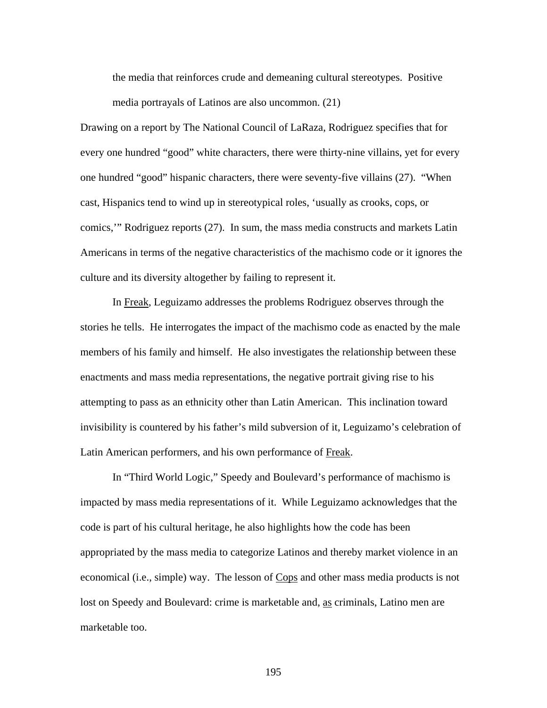the media that reinforces crude and demeaning cultural stereotypes. Positive media portrayals of Latinos are also uncommon. (21)

Drawing on a report by The National Council of LaRaza, Rodriguez specifies that for every one hundred "good" white characters, there were thirty-nine villains, yet for every one hundred "good" hispanic characters, there were seventy-five villains (27). "When cast, Hispanics tend to wind up in stereotypical roles, 'usually as crooks, cops, or comics,'" Rodriguez reports (27). In sum, the mass media constructs and markets Latin Americans in terms of the negative characteristics of the machismo code or it ignores the culture and its diversity altogether by failing to represent it.

In Freak, Leguizamo addresses the problems Rodriguez observes through the stories he tells. He interrogates the impact of the machismo code as enacted by the male members of his family and himself. He also investigates the relationship between these enactments and mass media representations, the negative portrait giving rise to his attempting to pass as an ethnicity other than Latin American. This inclination toward invisibility is countered by his father's mild subversion of it, Leguizamo's celebration of Latin American performers, and his own performance of Freak.

In "Third World Logic," Speedy and Boulevard's performance of machismo is impacted by mass media representations of it. While Leguizamo acknowledges that the code is part of his cultural heritage, he also highlights how the code has been appropriated by the mass media to categorize Latinos and thereby market violence in an economical (i.e., simple) way. The lesson of Cops and other mass media products is not lost on Speedy and Boulevard: crime is marketable and, as criminals, Latino men are marketable too.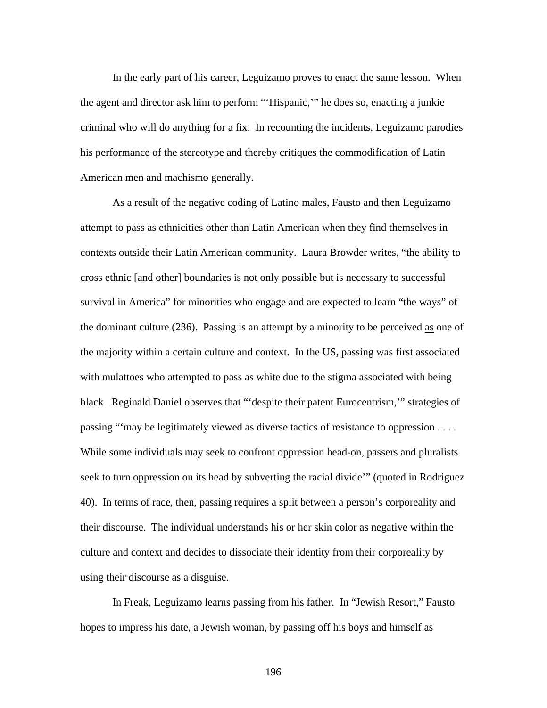In the early part of his career, Leguizamo proves to enact the same lesson. When the agent and director ask him to perform "'Hispanic,'" he does so, enacting a junkie criminal who will do anything for a fix. In recounting the incidents, Leguizamo parodies his performance of the stereotype and thereby critiques the commodification of Latin American men and machismo generally.

As a result of the negative coding of Latino males, Fausto and then Leguizamo attempt to pass as ethnicities other than Latin American when they find themselves in contexts outside their Latin American community. Laura Browder writes, "the ability to cross ethnic [and other] boundaries is not only possible but is necessary to successful survival in America" for minorities who engage and are expected to learn "the ways" of the dominant culture (236). Passing is an attempt by a minority to be perceived as one of the majority within a certain culture and context. In the US, passing was first associated with mulattoes who attempted to pass as white due to the stigma associated with being black. Reginald Daniel observes that "'despite their patent Eurocentrism,'" strategies of passing "'may be legitimately viewed as diverse tactics of resistance to oppression . . . . While some individuals may seek to confront oppression head-on, passers and pluralists seek to turn oppression on its head by subverting the racial divide'" (quoted in Rodriguez 40). In terms of race, then, passing requires a split between a person's corporeality and their discourse. The individual understands his or her skin color as negative within the culture and context and decides to dissociate their identity from their corporeality by using their discourse as a disguise.

In Freak, Leguizamo learns passing from his father. In "Jewish Resort," Fausto hopes to impress his date, a Jewish woman, by passing off his boys and himself as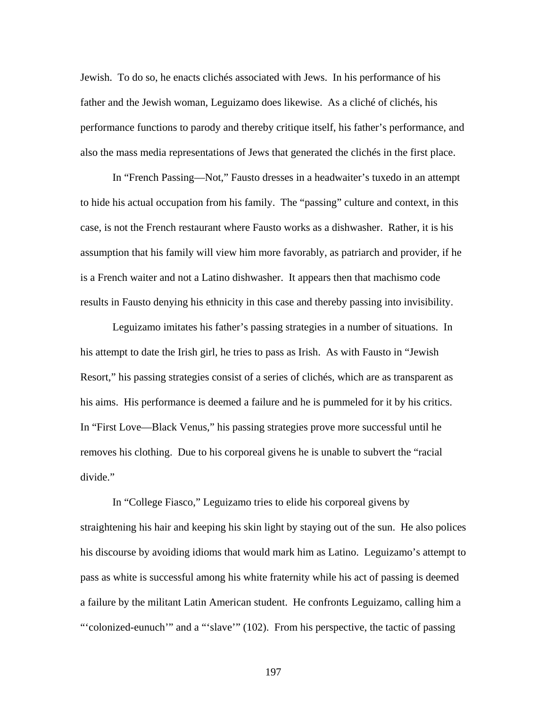Jewish. To do so, he enacts clichés associated with Jews. In his performance of his father and the Jewish woman, Leguizamo does likewise. As a cliché of clichés, his performance functions to parody and thereby critique itself, his father's performance, and also the mass media representations of Jews that generated the clichés in the first place.

In "French Passing—Not," Fausto dresses in a headwaiter's tuxedo in an attempt to hide his actual occupation from his family. The "passing" culture and context, in this case, is not the French restaurant where Fausto works as a dishwasher. Rather, it is his assumption that his family will view him more favorably, as patriarch and provider, if he is a French waiter and not a Latino dishwasher. It appears then that machismo code results in Fausto denying his ethnicity in this case and thereby passing into invisibility.

Leguizamo imitates his father's passing strategies in a number of situations. In his attempt to date the Irish girl, he tries to pass as Irish. As with Fausto in "Jewish Resort," his passing strategies consist of a series of clichés, which are as transparent as his aims. His performance is deemed a failure and he is pummeled for it by his critics. In "First Love—Black Venus," his passing strategies prove more successful until he removes his clothing. Due to his corporeal givens he is unable to subvert the "racial divide."

In "College Fiasco," Leguizamo tries to elide his corporeal givens by straightening his hair and keeping his skin light by staying out of the sun. He also polices his discourse by avoiding idioms that would mark him as Latino. Leguizamo's attempt to pass as white is successful among his white fraternity while his act of passing is deemed a failure by the militant Latin American student. He confronts Leguizamo, calling him a "'colonized-eunuch'" and a "'slave'" (102). From his perspective, the tactic of passing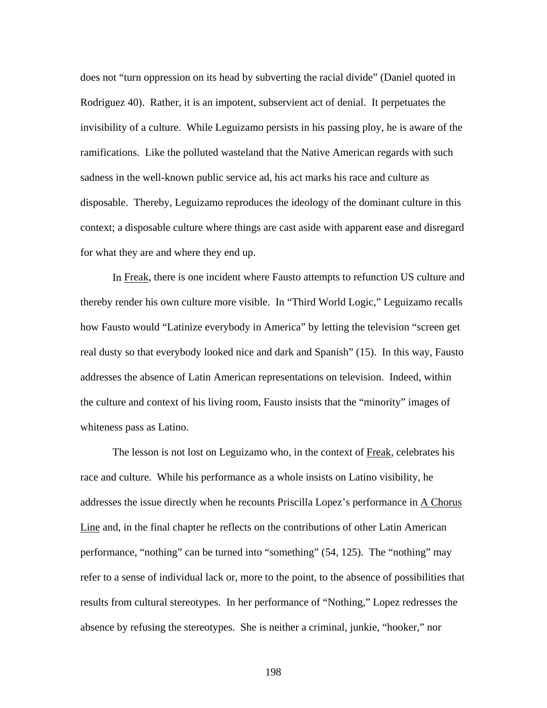does not "turn oppression on its head by subverting the racial divide" (Daniel quoted in Rodriguez 40). Rather, it is an impotent, subservient act of denial. It perpetuates the invisibility of a culture. While Leguizamo persists in his passing ploy, he is aware of the ramifications. Like the polluted wasteland that the Native American regards with such sadness in the well-known public service ad, his act marks his race and culture as disposable. Thereby, Leguizamo reproduces the ideology of the dominant culture in this context; a disposable culture where things are cast aside with apparent ease and disregard for what they are and where they end up.

In Freak, there is one incident where Fausto attempts to refunction US culture and thereby render his own culture more visible. In "Third World Logic," Leguizamo recalls how Fausto would "Latinize everybody in America" by letting the television "screen get real dusty so that everybody looked nice and dark and Spanish" (15). In this way, Fausto addresses the absence of Latin American representations on television. Indeed, within the culture and context of his living room, Fausto insists that the "minority" images of whiteness pass as Latino.

The lesson is not lost on Leguizamo who, in the context of Freak, celebrates his race and culture. While his performance as a whole insists on Latino visibility, he addresses the issue directly when he recounts Priscilla Lopez's performance in A Chorus Line and, in the final chapter he reflects on the contributions of other Latin American performance, "nothing" can be turned into "something" (54, 125). The "nothing" may refer to a sense of individual lack or, more to the point, to the absence of possibilities that results from cultural stereotypes. In her performance of "Nothing," Lopez redresses the absence by refusing the stereotypes. She is neither a criminal, junkie, "hooker," nor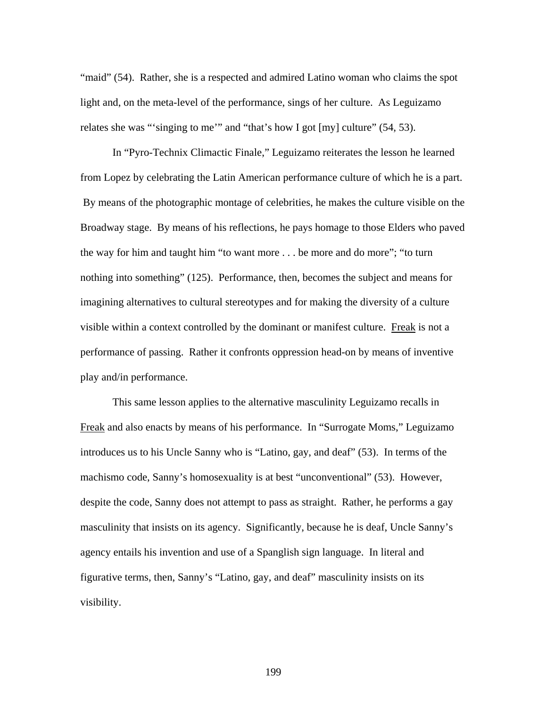"maid" (54). Rather, she is a respected and admired Latino woman who claims the spot light and, on the meta-level of the performance, sings of her culture. As Leguizamo relates she was "'singing to me'" and "that's how I got [my] culture" (54, 53).

In "Pyro-Technix Climactic Finale," Leguizamo reiterates the lesson he learned from Lopez by celebrating the Latin American performance culture of which he is a part. By means of the photographic montage of celebrities, he makes the culture visible on the Broadway stage. By means of his reflections, he pays homage to those Elders who paved the way for him and taught him "to want more . . . be more and do more"; "to turn nothing into something" (125). Performance, then, becomes the subject and means for imagining alternatives to cultural stereotypes and for making the diversity of a culture visible within a context controlled by the dominant or manifest culture. Freak is not a performance of passing. Rather it confronts oppression head-on by means of inventive play and/in performance.

This same lesson applies to the alternative masculinity Leguizamo recalls in Freak and also enacts by means of his performance. In "Surrogate Moms," Leguizamo introduces us to his Uncle Sanny who is "Latino, gay, and deaf" (53). In terms of the machismo code, Sanny's homosexuality is at best "unconventional" (53). However, despite the code, Sanny does not attempt to pass as straight. Rather, he performs a gay masculinity that insists on its agency. Significantly, because he is deaf, Uncle Sanny's agency entails his invention and use of a Spanglish sign language. In literal and figurative terms, then, Sanny's "Latino, gay, and deaf" masculinity insists on its visibility.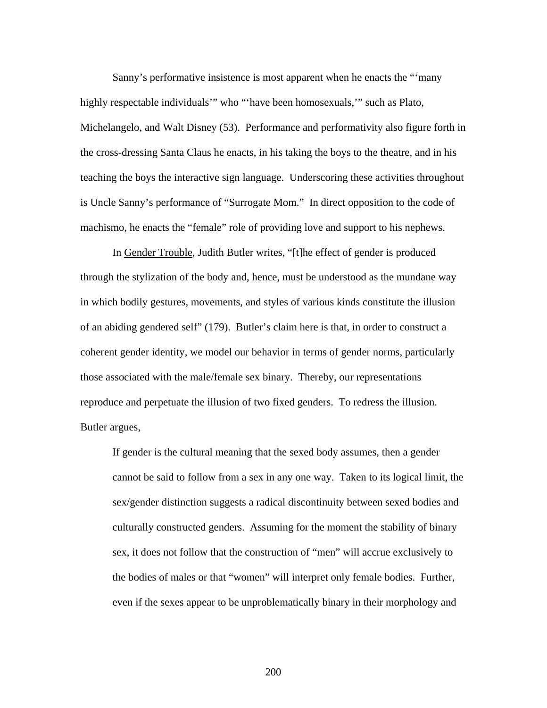Sanny's performative insistence is most apparent when he enacts the "'many highly respectable individuals'" who "'have been homosexuals,'" such as Plato, Michelangelo, and Walt Disney (53). Performance and performativity also figure forth in the cross-dressing Santa Claus he enacts, in his taking the boys to the theatre, and in his teaching the boys the interactive sign language. Underscoring these activities throughout is Uncle Sanny's performance of "Surrogate Mom." In direct opposition to the code of machismo, he enacts the "female" role of providing love and support to his nephews.

In Gender Trouble, Judith Butler writes, "[t]he effect of gender is produced through the stylization of the body and, hence, must be understood as the mundane way in which bodily gestures, movements, and styles of various kinds constitute the illusion of an abiding gendered self" (179). Butler's claim here is that, in order to construct a coherent gender identity, we model our behavior in terms of gender norms, particularly those associated with the male/female sex binary. Thereby, our representations reproduce and perpetuate the illusion of two fixed genders. To redress the illusion. Butler argues,

If gender is the cultural meaning that the sexed body assumes, then a gender cannot be said to follow from a sex in any one way. Taken to its logical limit, the sex/gender distinction suggests a radical discontinuity between sexed bodies and culturally constructed genders. Assuming for the moment the stability of binary sex, it does not follow that the construction of "men" will accrue exclusively to the bodies of males or that "women" will interpret only female bodies. Further, even if the sexes appear to be unproblematically binary in their morphology and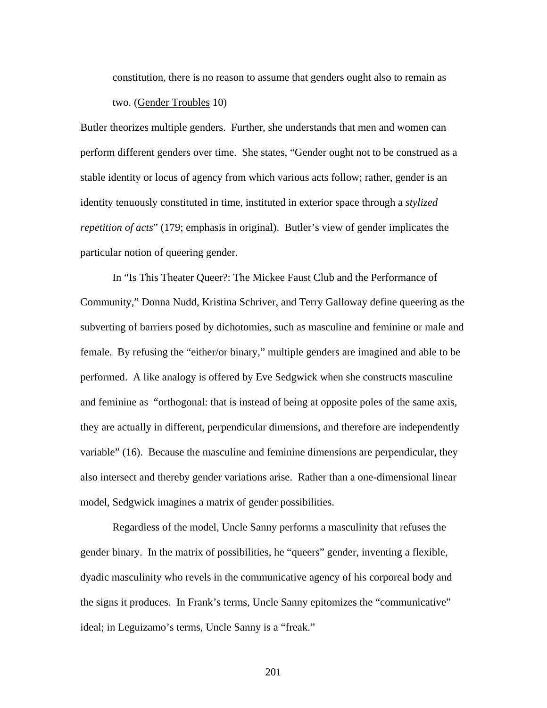constitution, there is no reason to assume that genders ought also to remain as two. (Gender Troubles 10)

Butler theorizes multiple genders. Further, she understands that men and women can perform different genders over time. She states, "Gender ought not to be construed as a stable identity or locus of agency from which various acts follow; rather, gender is an identity tenuously constituted in time, instituted in exterior space through a *stylized repetition of acts*" (179; emphasis in original). Butler's view of gender implicates the particular notion of queering gender.

In "Is This Theater Queer?: The Mickee Faust Club and the Performance of Community," Donna Nudd, Kristina Schriver, and Terry Galloway define queering as the subverting of barriers posed by dichotomies, such as masculine and feminine or male and female. By refusing the "either/or binary," multiple genders are imagined and able to be performed. A like analogy is offered by Eve Sedgwick when she constructs masculine and feminine as "orthogonal: that is instead of being at opposite poles of the same axis, they are actually in different, perpendicular dimensions, and therefore are independently variable" (16). Because the masculine and feminine dimensions are perpendicular, they also intersect and thereby gender variations arise. Rather than a one-dimensional linear model, Sedgwick imagines a matrix of gender possibilities.

Regardless of the model, Uncle Sanny performs a masculinity that refuses the gender binary. In the matrix of possibilities, he "queers" gender, inventing a flexible, dyadic masculinity who revels in the communicative agency of his corporeal body and the signs it produces. In Frank's terms, Uncle Sanny epitomizes the "communicative" ideal; in Leguizamo's terms, Uncle Sanny is a "freak."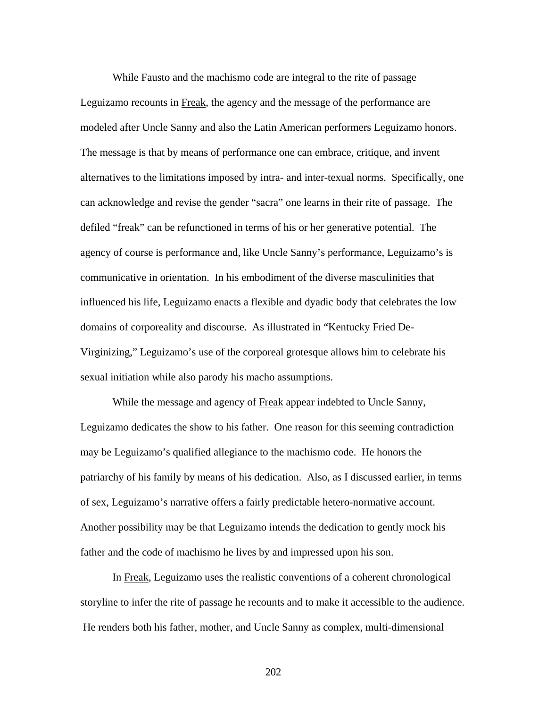While Fausto and the machismo code are integral to the rite of passage Leguizamo recounts in Freak, the agency and the message of the performance are modeled after Uncle Sanny and also the Latin American performers Leguizamo honors. The message is that by means of performance one can embrace, critique, and invent alternatives to the limitations imposed by intra- and inter-texual norms. Specifically, one can acknowledge and revise the gender "sacra" one learns in their rite of passage. The defiled "freak" can be refunctioned in terms of his or her generative potential. The agency of course is performance and, like Uncle Sanny's performance, Leguizamo's is communicative in orientation. In his embodiment of the diverse masculinities that influenced his life, Leguizamo enacts a flexible and dyadic body that celebrates the low domains of corporeality and discourse. As illustrated in "Kentucky Fried De-Virginizing," Leguizamo's use of the corporeal grotesque allows him to celebrate his sexual initiation while also parody his macho assumptions.

While the message and agency of Freak appear indebted to Uncle Sanny, Leguizamo dedicates the show to his father. One reason for this seeming contradiction may be Leguizamo's qualified allegiance to the machismo code. He honors the patriarchy of his family by means of his dedication. Also, as I discussed earlier, in terms of sex, Leguizamo's narrative offers a fairly predictable hetero-normative account. Another possibility may be that Leguizamo intends the dedication to gently mock his father and the code of machismo he lives by and impressed upon his son.

In Freak, Leguizamo uses the realistic conventions of a coherent chronological storyline to infer the rite of passage he recounts and to make it accessible to the audience. He renders both his father, mother, and Uncle Sanny as complex, multi-dimensional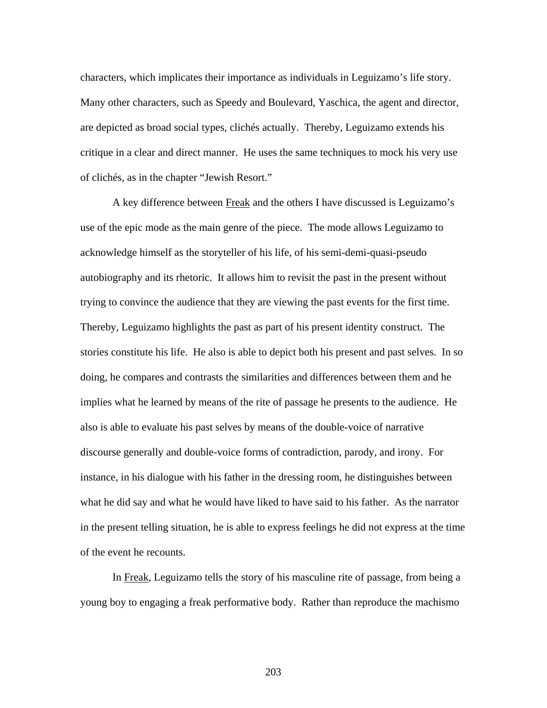characters, which implicates their importance as individuals in Leguizamo's life story. Many other characters, such as Speedy and Boulevard, Yaschica, the agent and director, are depicted as broad social types, clichés actually. Thereby, Leguizamo extends his critique in a clear and direct manner. He uses the same techniques to mock his very use of clichés, as in the chapter "Jewish Resort."

A key difference between Freak and the others I have discussed is Leguizamo's use of the epic mode as the main genre of the piece. The mode allows Leguizamo to acknowledge himself as the storyteller of his life, of his semi-demi-quasi-pseudo autobiography and its rhetoric. It allows him to revisit the past in the present without trying to convince the audience that they are viewing the past events for the first time. Thereby, Leguizamo highlights the past as part of his present identity construct. The stories constitute his life. He also is able to depict both his present and past selves. In so doing, he compares and contrasts the similarities and differences between them and he implies what he learned by means of the rite of passage he presents to the audience. He also is able to evaluate his past selves by means of the double-voice of narrative discourse generally and double-voice forms of contradiction, parody, and irony. For instance, in his dialogue with his father in the dressing room, he distinguishes between what he did say and what he would have liked to have said to his father. As the narrator in the present telling situation, he is able to express feelings he did not express at the time of the event he recounts.

In Freak, Leguizamo tells the story of his masculine rite of passage, from being a young boy to engaging a freak performative body. Rather than reproduce the machismo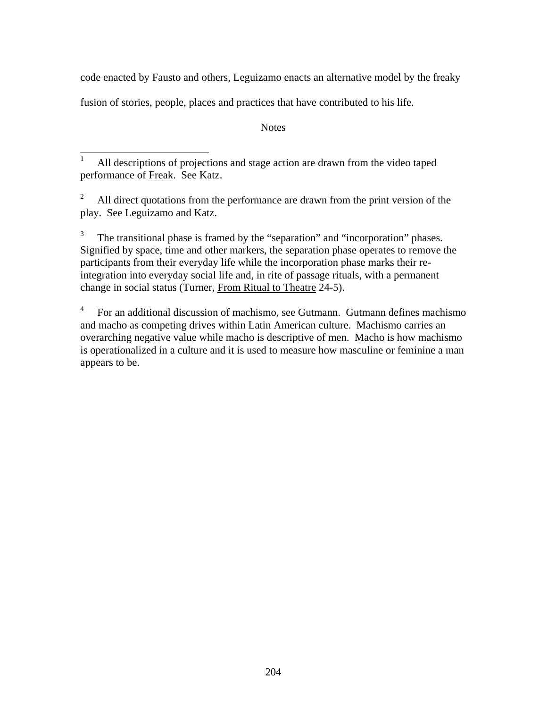code enacted by Fausto and others, Leguizamo enacts an alternative model by the freaky

fusion of stories, people, places and practices that have contributed to his life.

**Notes** 

 1 All descriptions of projections and stage action are drawn from the video taped performance of Freak. See Katz.

2 All direct quotations from the performance are drawn from the print version of the play. See Leguizamo and Katz.

3 The transitional phase is framed by the "separation" and "incorporation" phases. Signified by space, time and other markers, the separation phase operates to remove the participants from their everyday life while the incorporation phase marks their reintegration into everyday social life and, in rite of passage rituals, with a permanent change in social status (Turner, From Ritual to Theatre 24-5).

4 For an additional discussion of machismo, see Gutmann. Gutmann defines machismo and macho as competing drives within Latin American culture. Machismo carries an overarching negative value while macho is descriptive of men. Macho is how machismo is operationalized in a culture and it is used to measure how masculine or feminine a man appears to be.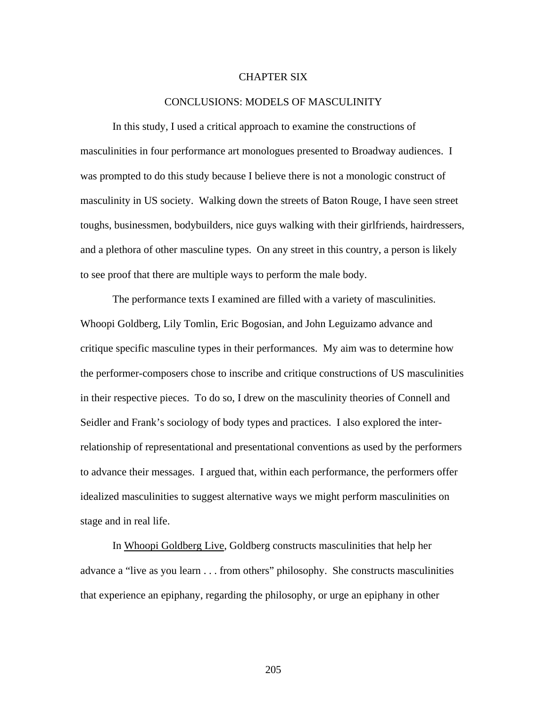## CHAPTER SIX

## CONCLUSIONS: MODELS OF MASCULINITY

In this study, I used a critical approach to examine the constructions of masculinities in four performance art monologues presented to Broadway audiences. I was prompted to do this study because I believe there is not a monologic construct of masculinity in US society. Walking down the streets of Baton Rouge, I have seen street toughs, businessmen, bodybuilders, nice guys walking with their girlfriends, hairdressers, and a plethora of other masculine types. On any street in this country, a person is likely to see proof that there are multiple ways to perform the male body.

The performance texts I examined are filled with a variety of masculinities. Whoopi Goldberg, Lily Tomlin, Eric Bogosian, and John Leguizamo advance and critique specific masculine types in their performances. My aim was to determine how the performer-composers chose to inscribe and critique constructions of US masculinities in their respective pieces. To do so, I drew on the masculinity theories of Connell and Seidler and Frank's sociology of body types and practices. I also explored the interrelationship of representational and presentational conventions as used by the performers to advance their messages. I argued that, within each performance, the performers offer idealized masculinities to suggest alternative ways we might perform masculinities on stage and in real life.

In Whoopi Goldberg Live, Goldberg constructs masculinities that help her advance a "live as you learn . . . from others" philosophy. She constructs masculinities that experience an epiphany, regarding the philosophy, or urge an epiphany in other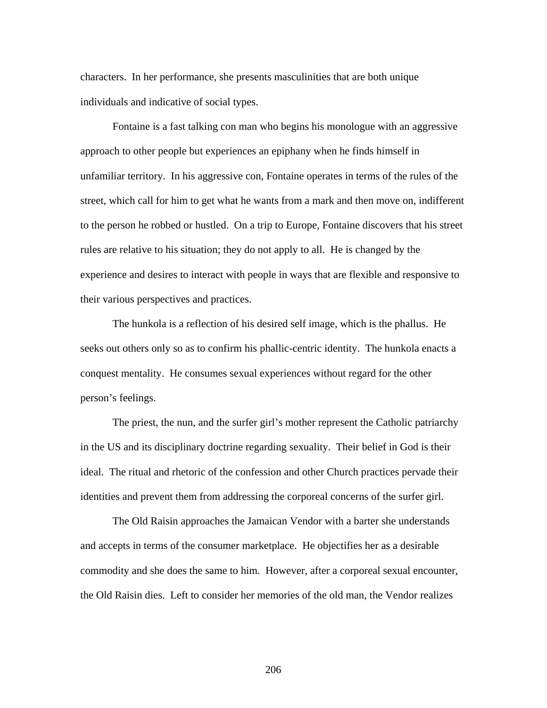characters. In her performance, she presents masculinities that are both unique individuals and indicative of social types.

Fontaine is a fast talking con man who begins his monologue with an aggressive approach to other people but experiences an epiphany when he finds himself in unfamiliar territory. In his aggressive con, Fontaine operates in terms of the rules of the street, which call for him to get what he wants from a mark and then move on, indifferent to the person he robbed or hustled. On a trip to Europe, Fontaine discovers that his street rules are relative to his situation; they do not apply to all. He is changed by the experience and desires to interact with people in ways that are flexible and responsive to their various perspectives and practices.

The hunkola is a reflection of his desired self image, which is the phallus. He seeks out others only so as to confirm his phallic-centric identity. The hunkola enacts a conquest mentality. He consumes sexual experiences without regard for the other person's feelings.

The priest, the nun, and the surfer girl's mother represent the Catholic patriarchy in the US and its disciplinary doctrine regarding sexuality. Their belief in God is their ideal. The ritual and rhetoric of the confession and other Church practices pervade their identities and prevent them from addressing the corporeal concerns of the surfer girl.

The Old Raisin approaches the Jamaican Vendor with a barter she understands and accepts in terms of the consumer marketplace. He objectifies her as a desirable commodity and she does the same to him. However, after a corporeal sexual encounter, the Old Raisin dies. Left to consider her memories of the old man, the Vendor realizes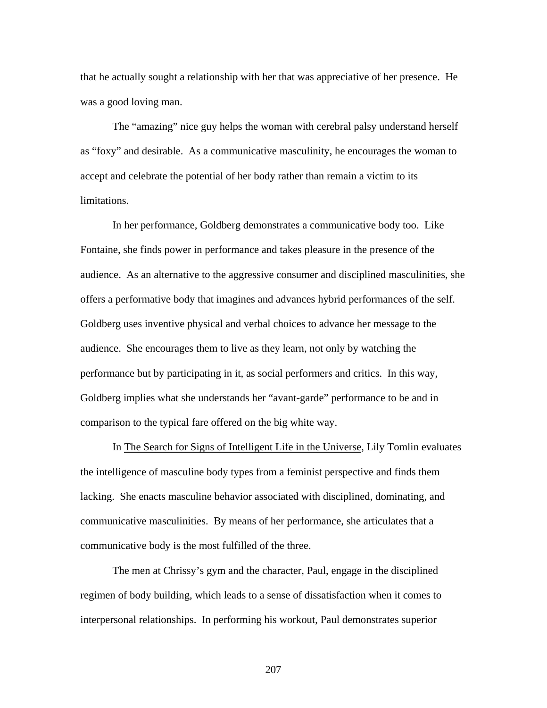that he actually sought a relationship with her that was appreciative of her presence. He was a good loving man.

The "amazing" nice guy helps the woman with cerebral palsy understand herself as "foxy" and desirable. As a communicative masculinity, he encourages the woman to accept and celebrate the potential of her body rather than remain a victim to its limitations.

In her performance, Goldberg demonstrates a communicative body too. Like Fontaine, she finds power in performance and takes pleasure in the presence of the audience. As an alternative to the aggressive consumer and disciplined masculinities, she offers a performative body that imagines and advances hybrid performances of the self. Goldberg uses inventive physical and verbal choices to advance her message to the audience. She encourages them to live as they learn, not only by watching the performance but by participating in it, as social performers and critics. In this way, Goldberg implies what she understands her "avant-garde" performance to be and in comparison to the typical fare offered on the big white way.

In The Search for Signs of Intelligent Life in the Universe, Lily Tomlin evaluates the intelligence of masculine body types from a feminist perspective and finds them lacking. She enacts masculine behavior associated with disciplined, dominating, and communicative masculinities. By means of her performance, she articulates that a communicative body is the most fulfilled of the three.

The men at Chrissy's gym and the character, Paul, engage in the disciplined regimen of body building, which leads to a sense of dissatisfaction when it comes to interpersonal relationships. In performing his workout, Paul demonstrates superior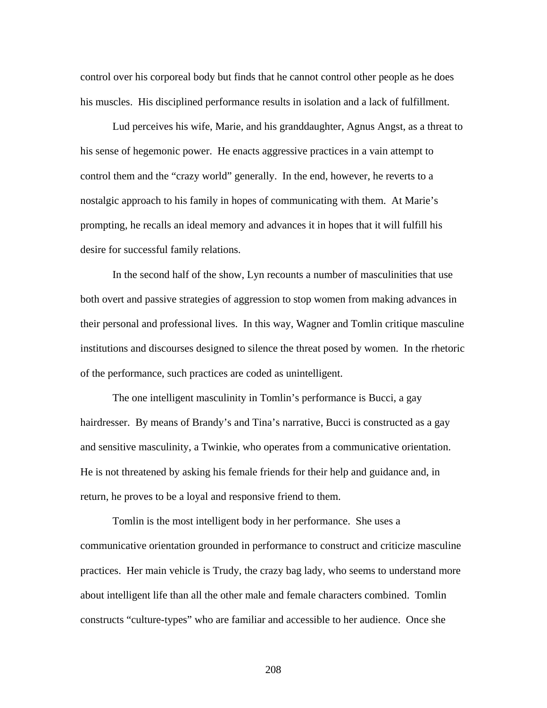control over his corporeal body but finds that he cannot control other people as he does his muscles. His disciplined performance results in isolation and a lack of fulfillment.

Lud perceives his wife, Marie, and his granddaughter, Agnus Angst, as a threat to his sense of hegemonic power. He enacts aggressive practices in a vain attempt to control them and the "crazy world" generally. In the end, however, he reverts to a nostalgic approach to his family in hopes of communicating with them. At Marie's prompting, he recalls an ideal memory and advances it in hopes that it will fulfill his desire for successful family relations.

In the second half of the show, Lyn recounts a number of masculinities that use both overt and passive strategies of aggression to stop women from making advances in their personal and professional lives. In this way, Wagner and Tomlin critique masculine institutions and discourses designed to silence the threat posed by women. In the rhetoric of the performance, such practices are coded as unintelligent.

The one intelligent masculinity in Tomlin's performance is Bucci, a gay hairdresser. By means of Brandy's and Tina's narrative, Bucci is constructed as a gay and sensitive masculinity, a Twinkie, who operates from a communicative orientation. He is not threatened by asking his female friends for their help and guidance and, in return, he proves to be a loyal and responsive friend to them.

Tomlin is the most intelligent body in her performance. She uses a communicative orientation grounded in performance to construct and criticize masculine practices. Her main vehicle is Trudy, the crazy bag lady, who seems to understand more about intelligent life than all the other male and female characters combined. Tomlin constructs "culture-types" who are familiar and accessible to her audience. Once she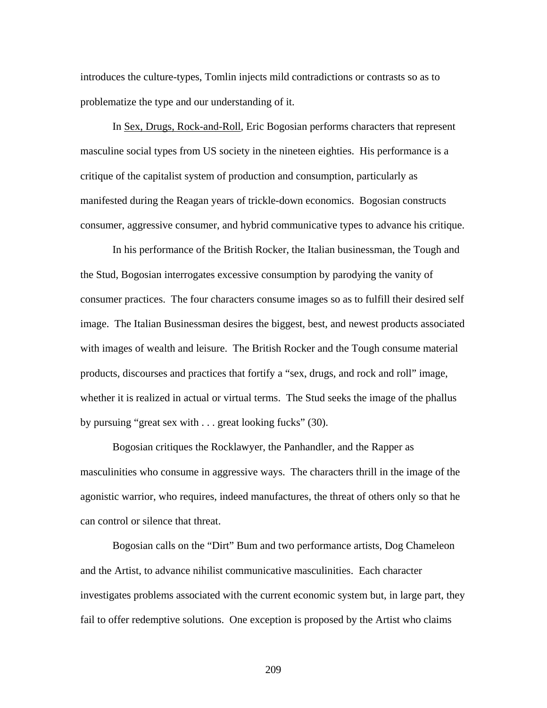introduces the culture-types, Tomlin injects mild contradictions or contrasts so as to problematize the type and our understanding of it.

In Sex, Drugs, Rock-and-Roll, Eric Bogosian performs characters that represent masculine social types from US society in the nineteen eighties. His performance is a critique of the capitalist system of production and consumption, particularly as manifested during the Reagan years of trickle-down economics. Bogosian constructs consumer, aggressive consumer, and hybrid communicative types to advance his critique.

In his performance of the British Rocker, the Italian businessman, the Tough and the Stud, Bogosian interrogates excessive consumption by parodying the vanity of consumer practices. The four characters consume images so as to fulfill their desired self image. The Italian Businessman desires the biggest, best, and newest products associated with images of wealth and leisure. The British Rocker and the Tough consume material products, discourses and practices that fortify a "sex, drugs, and rock and roll" image, whether it is realized in actual or virtual terms. The Stud seeks the image of the phallus by pursuing "great sex with . . . great looking fucks" (30).

Bogosian critiques the Rocklawyer, the Panhandler, and the Rapper as masculinities who consume in aggressive ways. The characters thrill in the image of the agonistic warrior, who requires, indeed manufactures, the threat of others only so that he can control or silence that threat.

Bogosian calls on the "Dirt" Bum and two performance artists, Dog Chameleon and the Artist, to advance nihilist communicative masculinities. Each character investigates problems associated with the current economic system but, in large part, they fail to offer redemptive solutions. One exception is proposed by the Artist who claims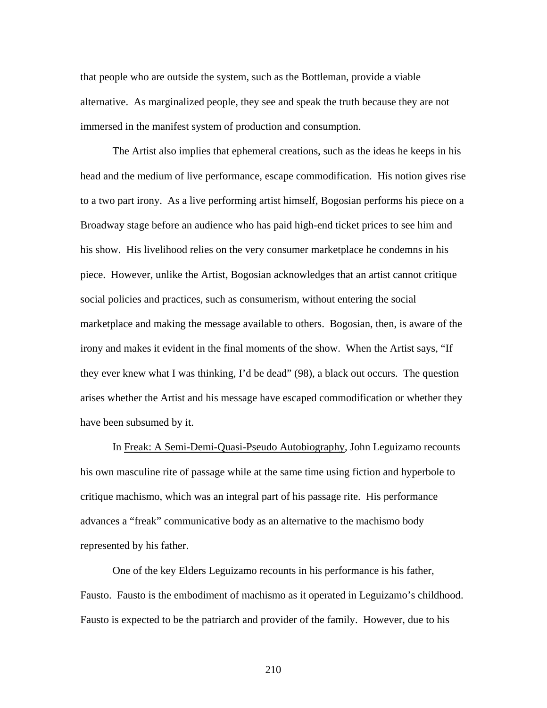that people who are outside the system, such as the Bottleman, provide a viable alternative. As marginalized people, they see and speak the truth because they are not immersed in the manifest system of production and consumption.

The Artist also implies that ephemeral creations, such as the ideas he keeps in his head and the medium of live performance, escape commodification. His notion gives rise to a two part irony. As a live performing artist himself, Bogosian performs his piece on a Broadway stage before an audience who has paid high-end ticket prices to see him and his show. His livelihood relies on the very consumer marketplace he condemns in his piece. However, unlike the Artist, Bogosian acknowledges that an artist cannot critique social policies and practices, such as consumerism, without entering the social marketplace and making the message available to others. Bogosian, then, is aware of the irony and makes it evident in the final moments of the show. When the Artist says, "If they ever knew what I was thinking, I'd be dead" (98), a black out occurs. The question arises whether the Artist and his message have escaped commodification or whether they have been subsumed by it.

In Freak: A Semi-Demi-Quasi-Pseudo Autobiography, John Leguizamo recounts his own masculine rite of passage while at the same time using fiction and hyperbole to critique machismo, which was an integral part of his passage rite. His performance advances a "freak" communicative body as an alternative to the machismo body represented by his father.

One of the key Elders Leguizamo recounts in his performance is his father, Fausto. Fausto is the embodiment of machismo as it operated in Leguizamo's childhood. Fausto is expected to be the patriarch and provider of the family. However, due to his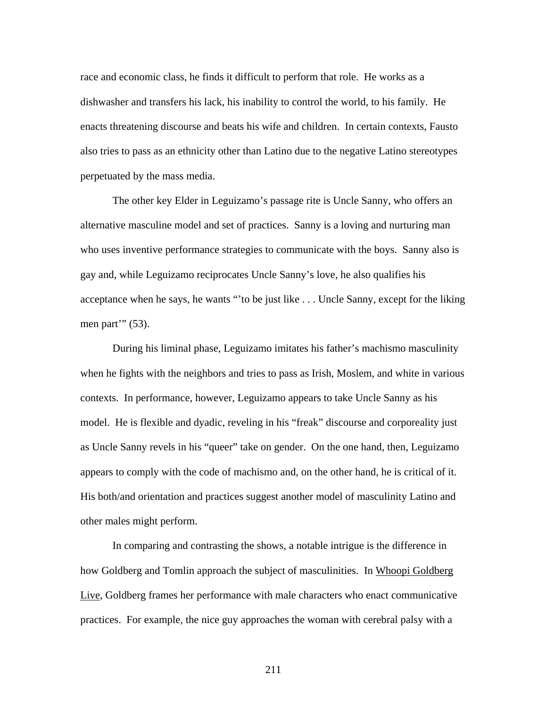race and economic class, he finds it difficult to perform that role. He works as a dishwasher and transfers his lack, his inability to control the world, to his family. He enacts threatening discourse and beats his wife and children. In certain contexts, Fausto also tries to pass as an ethnicity other than Latino due to the negative Latino stereotypes perpetuated by the mass media.

The other key Elder in Leguizamo's passage rite is Uncle Sanny, who offers an alternative masculine model and set of practices. Sanny is a loving and nurturing man who uses inventive performance strategies to communicate with the boys. Sanny also is gay and, while Leguizamo reciprocates Uncle Sanny's love, he also qualifies his acceptance when he says, he wants "'to be just like . . . Uncle Sanny, except for the liking men part'''  $(53)$ .

During his liminal phase, Leguizamo imitates his father's machismo masculinity when he fights with the neighbors and tries to pass as Irish, Moslem, and white in various contexts. In performance, however, Leguizamo appears to take Uncle Sanny as his model. He is flexible and dyadic, reveling in his "freak" discourse and corporeality just as Uncle Sanny revels in his "queer" take on gender. On the one hand, then, Leguizamo appears to comply with the code of machismo and, on the other hand, he is critical of it. His both/and orientation and practices suggest another model of masculinity Latino and other males might perform.

In comparing and contrasting the shows, a notable intrigue is the difference in how Goldberg and Tomlin approach the subject of masculinities. In Whoopi Goldberg Live, Goldberg frames her performance with male characters who enact communicative practices. For example, the nice guy approaches the woman with cerebral palsy with a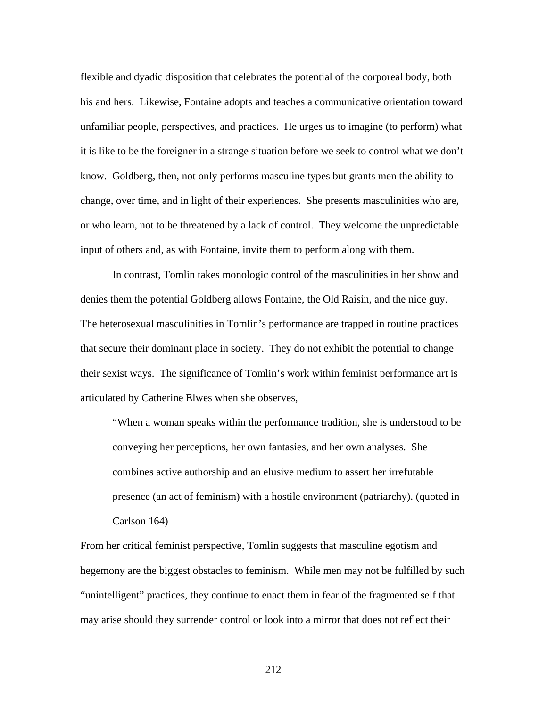flexible and dyadic disposition that celebrates the potential of the corporeal body, both his and hers. Likewise, Fontaine adopts and teaches a communicative orientation toward unfamiliar people, perspectives, and practices. He urges us to imagine (to perform) what it is like to be the foreigner in a strange situation before we seek to control what we don't know. Goldberg, then, not only performs masculine types but grants men the ability to change, over time, and in light of their experiences. She presents masculinities who are, or who learn, not to be threatened by a lack of control. They welcome the unpredictable input of others and, as with Fontaine, invite them to perform along with them.

In contrast, Tomlin takes monologic control of the masculinities in her show and denies them the potential Goldberg allows Fontaine, the Old Raisin, and the nice guy. The heterosexual masculinities in Tomlin's performance are trapped in routine practices that secure their dominant place in society. They do not exhibit the potential to change their sexist ways. The significance of Tomlin's work within feminist performance art is articulated by Catherine Elwes when she observes,

"When a woman speaks within the performance tradition, she is understood to be conveying her perceptions, her own fantasies, and her own analyses. She combines active authorship and an elusive medium to assert her irrefutable presence (an act of feminism) with a hostile environment (patriarchy). (quoted in Carlson 164)

From her critical feminist perspective, Tomlin suggests that masculine egotism and hegemony are the biggest obstacles to feminism. While men may not be fulfilled by such "unintelligent" practices, they continue to enact them in fear of the fragmented self that may arise should they surrender control or look into a mirror that does not reflect their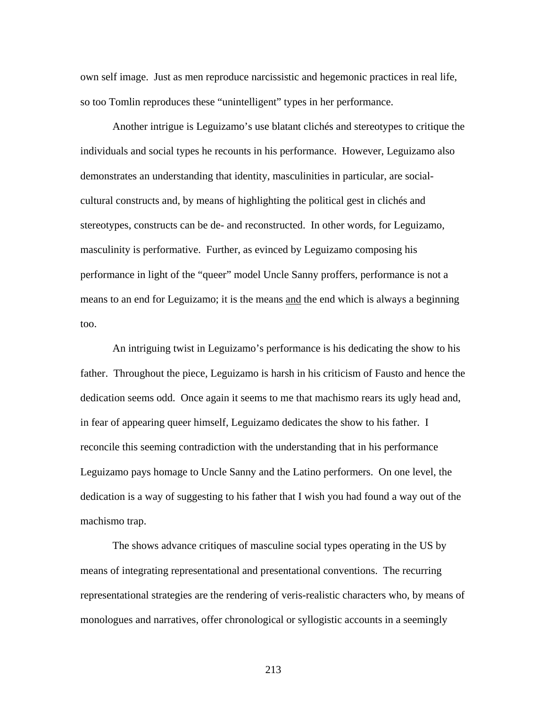own self image. Just as men reproduce narcissistic and hegemonic practices in real life, so too Tomlin reproduces these "unintelligent" types in her performance.

Another intrigue is Leguizamo's use blatant clichés and stereotypes to critique the individuals and social types he recounts in his performance. However, Leguizamo also demonstrates an understanding that identity, masculinities in particular, are socialcultural constructs and, by means of highlighting the political gest in clichés and stereotypes, constructs can be de- and reconstructed. In other words, for Leguizamo, masculinity is performative. Further, as evinced by Leguizamo composing his performance in light of the "queer" model Uncle Sanny proffers, performance is not a means to an end for Leguizamo; it is the means and the end which is always a beginning too.

An intriguing twist in Leguizamo's performance is his dedicating the show to his father. Throughout the piece, Leguizamo is harsh in his criticism of Fausto and hence the dedication seems odd. Once again it seems to me that machismo rears its ugly head and, in fear of appearing queer himself, Leguizamo dedicates the show to his father. I reconcile this seeming contradiction with the understanding that in his performance Leguizamo pays homage to Uncle Sanny and the Latino performers. On one level, the dedication is a way of suggesting to his father that I wish you had found a way out of the machismo trap.

The shows advance critiques of masculine social types operating in the US by means of integrating representational and presentational conventions. The recurring representational strategies are the rendering of veris-realistic characters who, by means of monologues and narratives, offer chronological or syllogistic accounts in a seemingly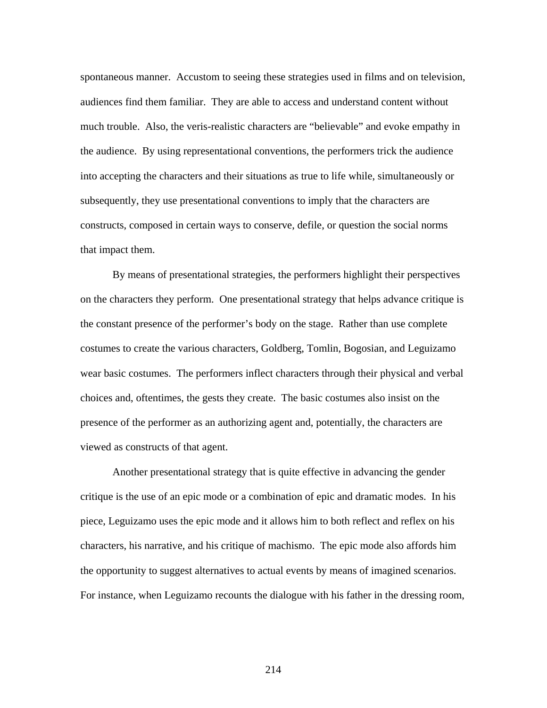spontaneous manner. Accustom to seeing these strategies used in films and on television, audiences find them familiar. They are able to access and understand content without much trouble. Also, the veris-realistic characters are "believable" and evoke empathy in the audience. By using representational conventions, the performers trick the audience into accepting the characters and their situations as true to life while, simultaneously or subsequently, they use presentational conventions to imply that the characters are constructs, composed in certain ways to conserve, defile, or question the social norms that impact them.

By means of presentational strategies, the performers highlight their perspectives on the characters they perform. One presentational strategy that helps advance critique is the constant presence of the performer's body on the stage. Rather than use complete costumes to create the various characters, Goldberg, Tomlin, Bogosian, and Leguizamo wear basic costumes. The performers inflect characters through their physical and verbal choices and, oftentimes, the gests they create. The basic costumes also insist on the presence of the performer as an authorizing agent and, potentially, the characters are viewed as constructs of that agent.

Another presentational strategy that is quite effective in advancing the gender critique is the use of an epic mode or a combination of epic and dramatic modes. In his piece, Leguizamo uses the epic mode and it allows him to both reflect and reflex on his characters, his narrative, and his critique of machismo. The epic mode also affords him the opportunity to suggest alternatives to actual events by means of imagined scenarios. For instance, when Leguizamo recounts the dialogue with his father in the dressing room,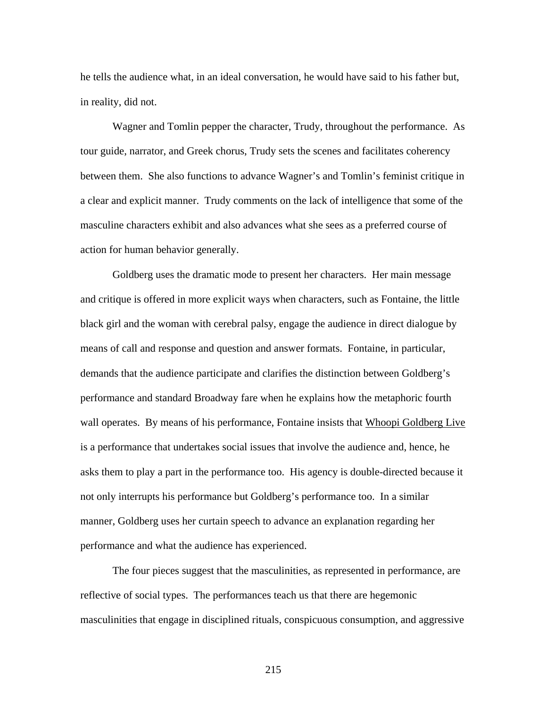he tells the audience what, in an ideal conversation, he would have said to his father but, in reality, did not.

Wagner and Tomlin pepper the character, Trudy, throughout the performance. As tour guide, narrator, and Greek chorus, Trudy sets the scenes and facilitates coherency between them. She also functions to advance Wagner's and Tomlin's feminist critique in a clear and explicit manner. Trudy comments on the lack of intelligence that some of the masculine characters exhibit and also advances what she sees as a preferred course of action for human behavior generally.

Goldberg uses the dramatic mode to present her characters. Her main message and critique is offered in more explicit ways when characters, such as Fontaine, the little black girl and the woman with cerebral palsy, engage the audience in direct dialogue by means of call and response and question and answer formats. Fontaine, in particular, demands that the audience participate and clarifies the distinction between Goldberg's performance and standard Broadway fare when he explains how the metaphoric fourth wall operates. By means of his performance, Fontaine insists that Whoopi Goldberg Live is a performance that undertakes social issues that involve the audience and, hence, he asks them to play a part in the performance too. His agency is double-directed because it not only interrupts his performance but Goldberg's performance too. In a similar manner, Goldberg uses her curtain speech to advance an explanation regarding her performance and what the audience has experienced.

The four pieces suggest that the masculinities, as represented in performance, are reflective of social types. The performances teach us that there are hegemonic masculinities that engage in disciplined rituals, conspicuous consumption, and aggressive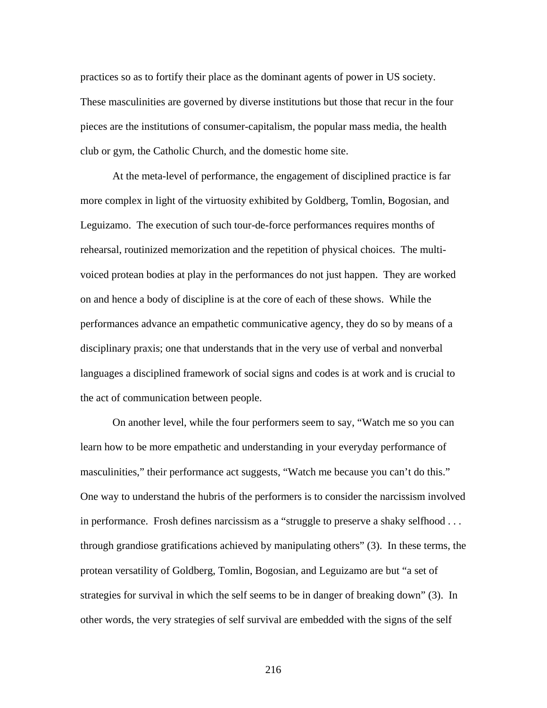practices so as to fortify their place as the dominant agents of power in US society. These masculinities are governed by diverse institutions but those that recur in the four pieces are the institutions of consumer-capitalism, the popular mass media, the health club or gym, the Catholic Church, and the domestic home site.

At the meta-level of performance, the engagement of disciplined practice is far more complex in light of the virtuosity exhibited by Goldberg, Tomlin, Bogosian, and Leguizamo. The execution of such tour-de-force performances requires months of rehearsal, routinized memorization and the repetition of physical choices. The multivoiced protean bodies at play in the performances do not just happen. They are worked on and hence a body of discipline is at the core of each of these shows. While the performances advance an empathetic communicative agency, they do so by means of a disciplinary praxis; one that understands that in the very use of verbal and nonverbal languages a disciplined framework of social signs and codes is at work and is crucial to the act of communication between people.

On another level, while the four performers seem to say, "Watch me so you can learn how to be more empathetic and understanding in your everyday performance of masculinities," their performance act suggests, "Watch me because you can't do this." One way to understand the hubris of the performers is to consider the narcissism involved in performance. Frosh defines narcissism as a "struggle to preserve a shaky selfhood . . . through grandiose gratifications achieved by manipulating others" (3). In these terms, the protean versatility of Goldberg, Tomlin, Bogosian, and Leguizamo are but "a set of strategies for survival in which the self seems to be in danger of breaking down" (3). In other words, the very strategies of self survival are embedded with the signs of the self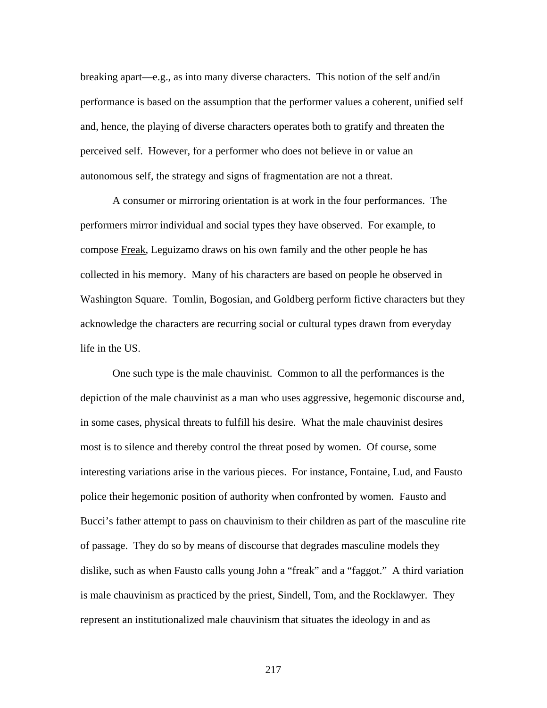breaking apart—e.g., as into many diverse characters. This notion of the self and/in performance is based on the assumption that the performer values a coherent, unified self and, hence, the playing of diverse characters operates both to gratify and threaten the perceived self. However, for a performer who does not believe in or value an autonomous self, the strategy and signs of fragmentation are not a threat.

A consumer or mirroring orientation is at work in the four performances. The performers mirror individual and social types they have observed. For example, to compose Freak, Leguizamo draws on his own family and the other people he has collected in his memory. Many of his characters are based on people he observed in Washington Square. Tomlin, Bogosian, and Goldberg perform fictive characters but they acknowledge the characters are recurring social or cultural types drawn from everyday life in the US.

One such type is the male chauvinist. Common to all the performances is the depiction of the male chauvinist as a man who uses aggressive, hegemonic discourse and, in some cases, physical threats to fulfill his desire. What the male chauvinist desires most is to silence and thereby control the threat posed by women. Of course, some interesting variations arise in the various pieces. For instance, Fontaine, Lud, and Fausto police their hegemonic position of authority when confronted by women. Fausto and Bucci's father attempt to pass on chauvinism to their children as part of the masculine rite of passage. They do so by means of discourse that degrades masculine models they dislike, such as when Fausto calls young John a "freak" and a "faggot." A third variation is male chauvinism as practiced by the priest, Sindell, Tom, and the Rocklawyer. They represent an institutionalized male chauvinism that situates the ideology in and as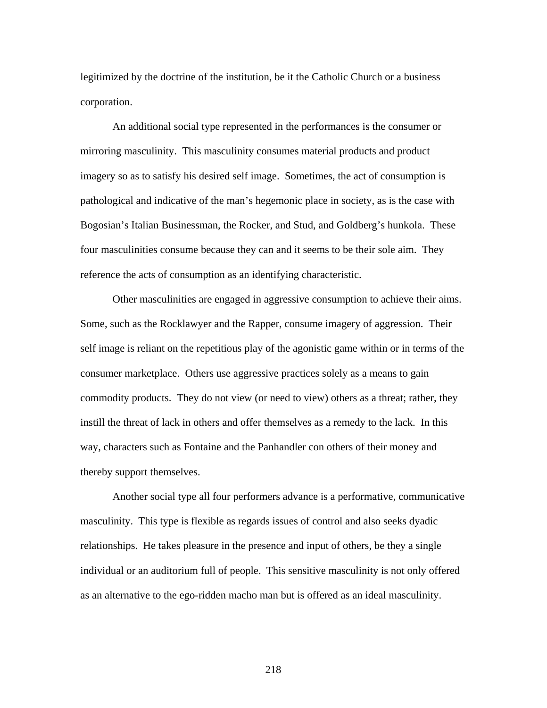legitimized by the doctrine of the institution, be it the Catholic Church or a business corporation.

An additional social type represented in the performances is the consumer or mirroring masculinity. This masculinity consumes material products and product imagery so as to satisfy his desired self image. Sometimes, the act of consumption is pathological and indicative of the man's hegemonic place in society, as is the case with Bogosian's Italian Businessman, the Rocker, and Stud, and Goldberg's hunkola. These four masculinities consume because they can and it seems to be their sole aim. They reference the acts of consumption as an identifying characteristic.

Other masculinities are engaged in aggressive consumption to achieve their aims. Some, such as the Rocklawyer and the Rapper, consume imagery of aggression. Their self image is reliant on the repetitious play of the agonistic game within or in terms of the consumer marketplace. Others use aggressive practices solely as a means to gain commodity products. They do not view (or need to view) others as a threat; rather, they instill the threat of lack in others and offer themselves as a remedy to the lack. In this way, characters such as Fontaine and the Panhandler con others of their money and thereby support themselves.

Another social type all four performers advance is a performative, communicative masculinity. This type is flexible as regards issues of control and also seeks dyadic relationships. He takes pleasure in the presence and input of others, be they a single individual or an auditorium full of people. This sensitive masculinity is not only offered as an alternative to the ego-ridden macho man but is offered as an ideal masculinity.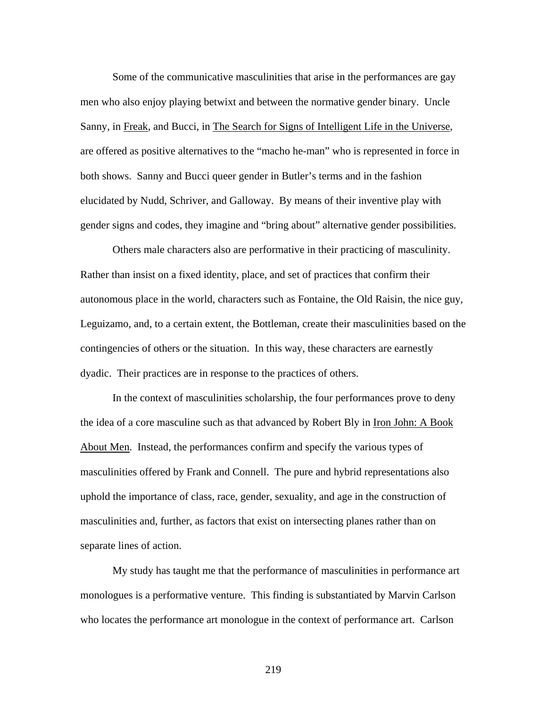Some of the communicative masculinities that arise in the performances are gay men who also enjoy playing betwixt and between the normative gender binary. Uncle Sanny, in Freak, and Bucci, in The Search for Signs of Intelligent Life in the Universe, are offered as positive alternatives to the "macho he-man" who is represented in force in both shows. Sanny and Bucci queer gender in Butler's terms and in the fashion elucidated by Nudd, Schriver, and Galloway. By means of their inventive play with gender signs and codes, they imagine and "bring about" alternative gender possibilities.

Others male characters also are performative in their practicing of masculinity. Rather than insist on a fixed identity, place, and set of practices that confirm their autonomous place in the world, characters such as Fontaine, the Old Raisin, the nice guy, Leguizamo, and, to a certain extent, the Bottleman, create their masculinities based on the contingencies of others or the situation. In this way, these characters are earnestly dyadic. Their practices are in response to the practices of others.

In the context of masculinities scholarship, the four performances prove to deny the idea of a core masculine such as that advanced by Robert Bly in Iron John: A Book About Men. Instead, the performances confirm and specify the various types of masculinities offered by Frank and Connell. The pure and hybrid representations also uphold the importance of class, race, gender, sexuality, and age in the construction of masculinities and, further, as factors that exist on intersecting planes rather than on separate lines of action.

My study has taught me that the performance of masculinities in performance art monologues is a performative venture. This finding is substantiated by Marvin Carlson who locates the performance art monologue in the context of performance art. Carlson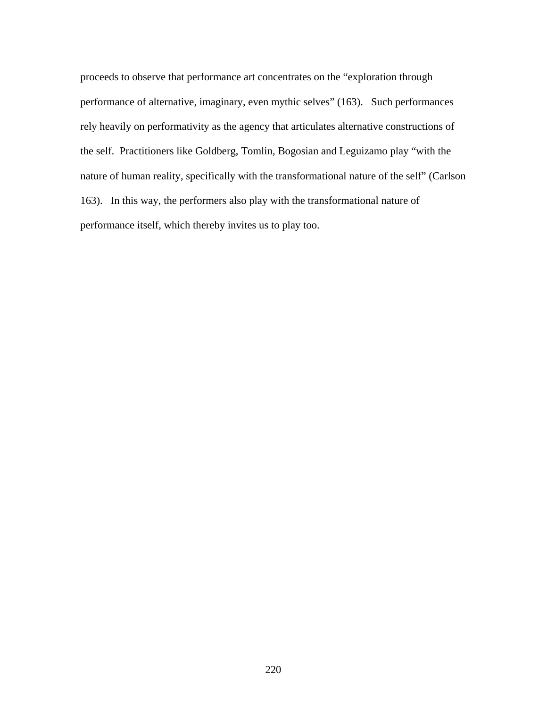proceeds to observe that performance art concentrates on the "exploration through performance of alternative, imaginary, even mythic selves" (163). Such performances rely heavily on performativity as the agency that articulates alternative constructions of the self. Practitioners like Goldberg, Tomlin, Bogosian and Leguizamo play "with the nature of human reality, specifically with the transformational nature of the self" (Carlson 163). In this way, the performers also play with the transformational nature of performance itself, which thereby invites us to play too.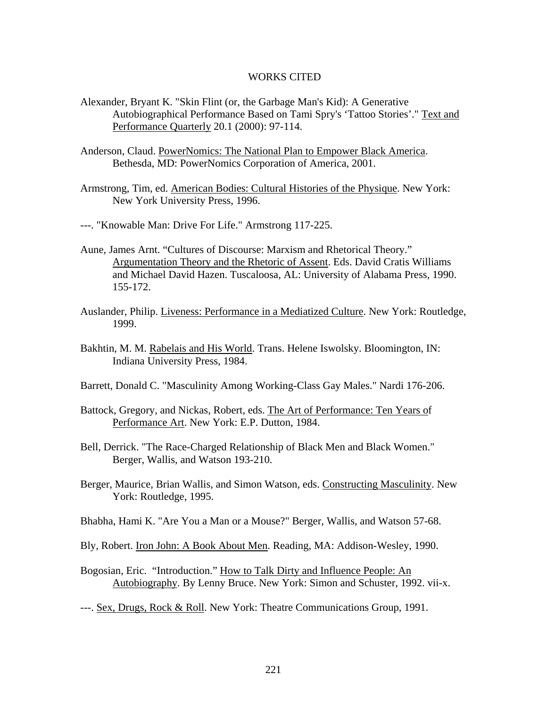## WORKS CITED

- Alexander, Bryant K. "Skin Flint (or, the Garbage Man's Kid): A Generative Autobiographical Performance Based on Tami Spry's 'Tattoo Stories'." Text and Performance Quarterly 20.1 (2000): 97-114.
- Anderson, Claud. PowerNomics: The National Plan to Empower Black America. Bethesda, MD: PowerNomics Corporation of America, 2001.
- Armstrong, Tim, ed. American Bodies: Cultural Histories of the Physique. New York: New York University Press, 1996.
- ---. "Knowable Man: Drive For Life." Armstrong 117-225.
- Aune, James Arnt. "Cultures of Discourse: Marxism and Rhetorical Theory." Argumentation Theory and the Rhetoric of Assent. Eds. David Cratis Williams and Michael David Hazen. Tuscaloosa, AL: University of Alabama Press, 1990. 155-172.
- Auslander, Philip. Liveness: Performance in a Mediatized Culture. New York: Routledge, 1999.
- Bakhtin, M. M. Rabelais and His World. Trans. Helene Iswolsky. Bloomington, IN: Indiana University Press, 1984.
- Barrett, Donald C. "Masculinity Among Working-Class Gay Males." Nardi 176-206.
- Battock, Gregory, and Nickas, Robert, eds. The Art of Performance: Ten Years of Performance Art. New York: E.P. Dutton, 1984.
- Bell, Derrick. "The Race-Charged Relationship of Black Men and Black Women." Berger, Wallis, and Watson 193-210.
- Berger, Maurice, Brian Wallis, and Simon Watson, eds. Constructing Masculinity. New York: Routledge, 1995.
- Bhabha, Hami K. "Are You a Man or a Mouse?" Berger, Wallis, and Watson 57-68.
- Bly, Robert. Iron John: A Book About Men. Reading, MA: Addison-Wesley, 1990.
- Bogosian, Eric. "Introduction." How to Talk Dirty and Influence People: An Autobiography. By Lenny Bruce. New York: Simon and Schuster, 1992. vii-x.
- ---. Sex, Drugs, Rock & Roll. New York: Theatre Communications Group, 1991.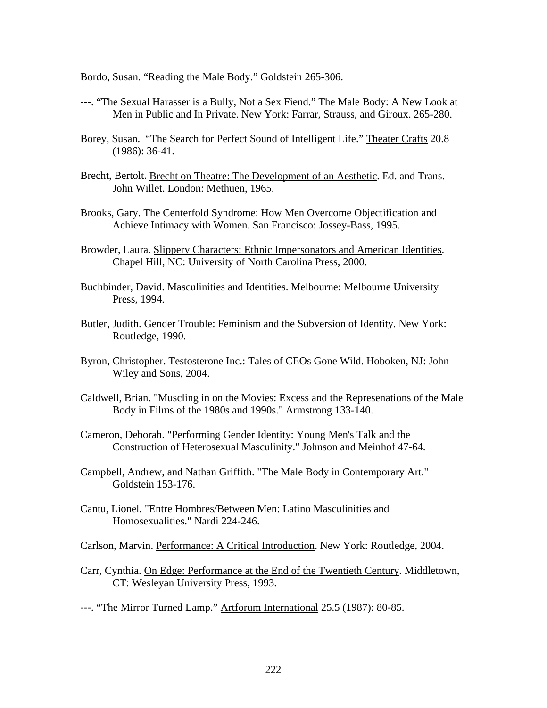Bordo, Susan. "Reading the Male Body." Goldstein 265-306.

- ---. "The Sexual Harasser is a Bully, Not a Sex Fiend." The Male Body: A New Look at Men in Public and In Private. New York: Farrar, Strauss, and Giroux. 265-280.
- Borey, Susan. "The Search for Perfect Sound of Intelligent Life." Theater Crafts 20.8 (1986): 36-41.
- Brecht, Bertolt. Brecht on Theatre: The Development of an Aesthetic. Ed. and Trans. John Willet. London: Methuen, 1965.
- Brooks, Gary. The Centerfold Syndrome: How Men Overcome Objectification and Achieve Intimacy with Women. San Francisco: Jossey-Bass, 1995.
- Browder, Laura. Slippery Characters: Ethnic Impersonators and American Identities. Chapel Hill, NC: University of North Carolina Press, 2000.
- Buchbinder, David. Masculinities and Identities. Melbourne: Melbourne University Press, 1994.
- Butler, Judith. Gender Trouble: Feminism and the Subversion of Identity. New York: Routledge, 1990.
- Byron, Christopher. Testosterone Inc.: Tales of CEOs Gone Wild. Hoboken, NJ: John Wiley and Sons, 2004.
- Caldwell, Brian. "Muscling in on the Movies: Excess and the Represenations of the Male Body in Films of the 1980s and 1990s." Armstrong 133-140.
- Cameron, Deborah. "Performing Gender Identity: Young Men's Talk and the Construction of Heterosexual Masculinity." Johnson and Meinhof 47-64.
- Campbell, Andrew, and Nathan Griffith. "The Male Body in Contemporary Art." Goldstein 153-176.
- Cantu, Lionel. "Entre Hombres/Between Men: Latino Masculinities and Homosexualities." Nardi 224-246.

Carlson, Marvin. Performance: A Critical Introduction. New York: Routledge, 2004.

- Carr, Cynthia. On Edge: Performance at the End of the Twentieth Century. Middletown, CT: Wesleyan University Press, 1993.
- ---. "The Mirror Turned Lamp." Artforum International 25.5 (1987): 80-85.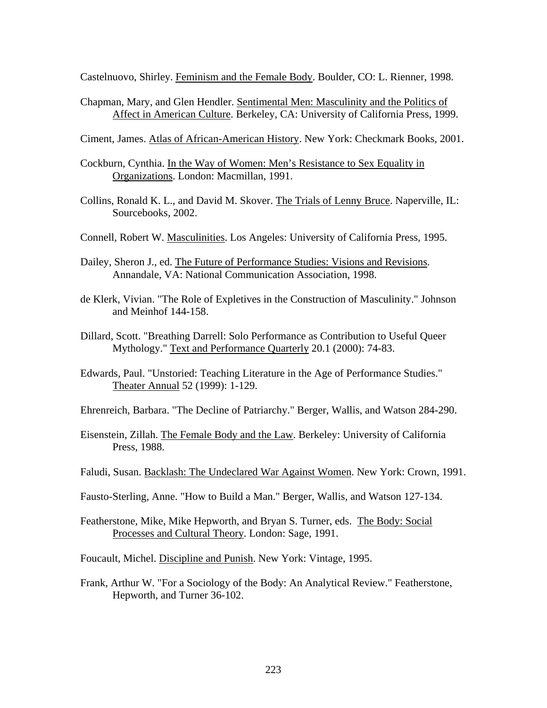Castelnuovo, Shirley. Feminism and the Female Body. Boulder, CO: L. Rienner, 1998.

Chapman, Mary, and Glen Hendler. Sentimental Men: Masculinity and the Politics of Affect in American Culture. Berkeley, CA: University of California Press, 1999.

Ciment, James. Atlas of African-American History. New York: Checkmark Books, 2001.

- Cockburn, Cynthia. In the Way of Women: Men's Resistance to Sex Equality in Organizations. London: Macmillan, 1991.
- Collins, Ronald K. L., and David M. Skover. The Trials of Lenny Bruce. Naperville, IL: Sourcebooks, 2002.
- Connell, Robert W. Masculinities. Los Angeles: University of California Press, 1995.
- Dailey, Sheron J., ed. The Future of Performance Studies: Visions and Revisions. Annandale, VA: National Communication Association, 1998.
- de Klerk, Vivian. "The Role of Expletives in the Construction of Masculinity." Johnson and Meinhof 144-158.
- Dillard, Scott. "Breathing Darrell: Solo Performance as Contribution to Useful Queer Mythology." Text and Performance Quarterly 20.1 (2000): 74-83.
- Edwards, Paul. "Unstoried: Teaching Literature in the Age of Performance Studies." Theater Annual 52 (1999): 1-129.

Ehrenreich, Barbara. "The Decline of Patriarchy." Berger, Wallis, and Watson 284-290.

- Eisenstein, Zillah. The Female Body and the Law. Berkeley: University of California Press, 1988.
- Faludi, Susan. Backlash: The Undeclared War Against Women. New York: Crown, 1991.

Fausto-Sterling, Anne. "How to Build a Man." Berger, Wallis, and Watson 127-134.

Featherstone, Mike, Mike Hepworth, and Bryan S. Turner, eds. The Body: Social Processes and Cultural Theory. London: Sage, 1991.

Foucault, Michel. Discipline and Punish. New York: Vintage, 1995.

Frank, Arthur W. "For a Sociology of the Body: An Analytical Review." Featherstone, Hepworth, and Turner 36-102.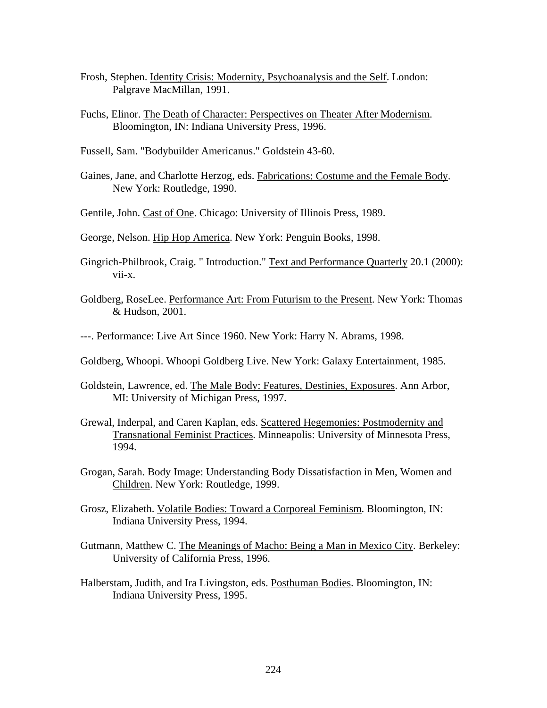- Frosh, Stephen. Identity Crisis: Modernity, Psychoanalysis and the Self. London: Palgrave MacMillan, 1991.
- Fuchs, Elinor. The Death of Character: Perspectives on Theater After Modernism. Bloomington, IN: Indiana University Press, 1996.
- Fussell, Sam. "Bodybuilder Americanus." Goldstein 43-60.
- Gaines, Jane, and Charlotte Herzog, eds. Fabrications: Costume and the Female Body. New York: Routledge, 1990.
- Gentile, John. Cast of One. Chicago: University of Illinois Press, 1989.
- George, Nelson. Hip Hop America. New York: Penguin Books, 1998.
- Gingrich-Philbrook, Craig. " Introduction." Text and Performance Quarterly 20.1 (2000): vii-x.
- Goldberg, RoseLee. Performance Art: From Futurism to the Present. New York: Thomas & Hudson, 2001.
- ---. Performance: Live Art Since 1960. New York: Harry N. Abrams, 1998.
- Goldberg, Whoopi. Whoopi Goldberg Live. New York: Galaxy Entertainment, 1985.
- Goldstein, Lawrence, ed. The Male Body: Features, Destinies, Exposures. Ann Arbor, MI: University of Michigan Press, 1997.
- Grewal, Inderpal, and Caren Kaplan, eds. Scattered Hegemonies: Postmodernity and Transnational Feminist Practices. Minneapolis: University of Minnesota Press, 1994.
- Grogan, Sarah. Body Image: Understanding Body Dissatisfaction in Men, Women and Children. New York: Routledge, 1999.
- Grosz, Elizabeth. Volatile Bodies: Toward a Corporeal Feminism. Bloomington, IN: Indiana University Press, 1994.
- Gutmann, Matthew C. The Meanings of Macho: Being a Man in Mexico City. Berkeley: University of California Press, 1996.
- Halberstam, Judith, and Ira Livingston, eds. Posthuman Bodies. Bloomington, IN: Indiana University Press, 1995.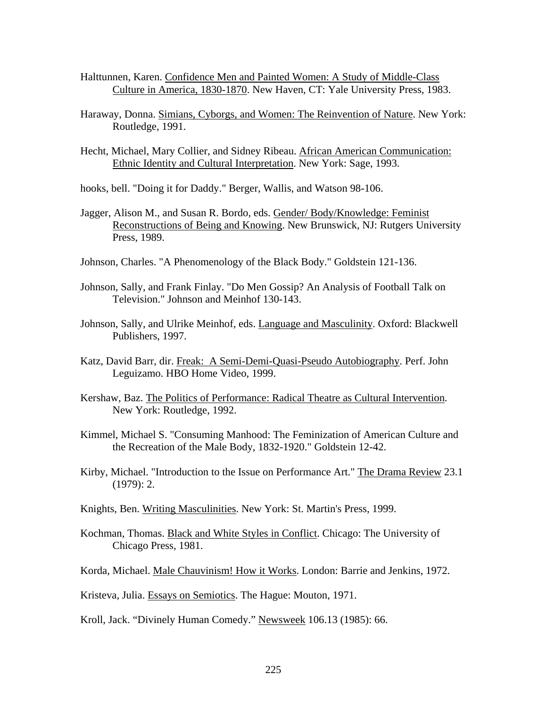- Halttunnen, Karen. Confidence Men and Painted Women: A Study of Middle-Class Culture in America, 1830-1870. New Haven, CT: Yale University Press, 1983.
- Haraway, Donna. Simians, Cyborgs, and Women: The Reinvention of Nature. New York: Routledge, 1991.
- Hecht, Michael, Mary Collier, and Sidney Ribeau. African American Communication: Ethnic Identity and Cultural Interpretation. New York: Sage, 1993.
- hooks, bell. "Doing it for Daddy." Berger, Wallis, and Watson 98-106.
- Jagger, Alison M., and Susan R. Bordo, eds. Gender/ Body/Knowledge: Feminist Reconstructions of Being and Knowing. New Brunswick, NJ: Rutgers University Press, 1989.
- Johnson, Charles. "A Phenomenology of the Black Body." Goldstein 121-136.
- Johnson, Sally, and Frank Finlay. "Do Men Gossip? An Analysis of Football Talk on Television." Johnson and Meinhof 130-143.
- Johnson, Sally, and Ulrike Meinhof, eds. Language and Masculinity. Oxford: Blackwell Publishers, 1997.
- Katz, David Barr, dir. Freak: A Semi-Demi-Quasi-Pseudo Autobiography. Perf. John Leguizamo. HBO Home Video, 1999.
- Kershaw, Baz. The Politics of Performance: Radical Theatre as Cultural Intervention. New York: Routledge, 1992.
- Kimmel, Michael S. "Consuming Manhood: The Feminization of American Culture and the Recreation of the Male Body, 1832-1920." Goldstein 12-42.
- Kirby, Michael. "Introduction to the Issue on Performance Art." The Drama Review 23.1 (1979): 2.
- Knights, Ben. Writing Masculinities. New York: St. Martin's Press, 1999.
- Kochman, Thomas. Black and White Styles in Conflict. Chicago: The University of Chicago Press, 1981.
- Korda, Michael. Male Chauvinism! How it Works. London: Barrie and Jenkins, 1972.
- Kristeva, Julia. Essays on Semiotics. The Hague: Mouton, 1971.
- Kroll, Jack. "Divinely Human Comedy." Newsweek 106.13 (1985): 66.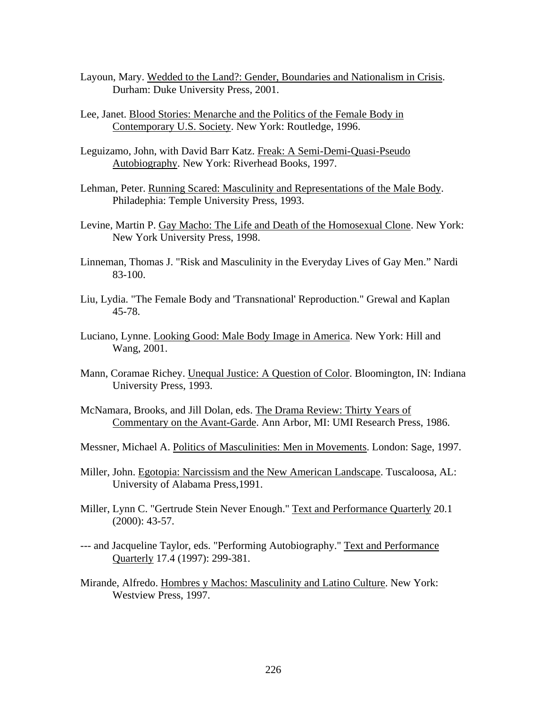- Layoun, Mary. Wedded to the Land?: Gender, Boundaries and Nationalism in Crisis. Durham: Duke University Press, 2001.
- Lee, Janet. Blood Stories: Menarche and the Politics of the Female Body in Contemporary U.S. Society. New York: Routledge, 1996.
- Leguizamo, John, with David Barr Katz. Freak: A Semi-Demi-Quasi-Pseudo Autobiography. New York: Riverhead Books, 1997.
- Lehman, Peter. Running Scared: Masculinity and Representations of the Male Body. Philadephia: Temple University Press, 1993.
- Levine, Martin P. Gay Macho: The Life and Death of the Homosexual Clone. New York: New York University Press, 1998.
- Linneman, Thomas J. "Risk and Masculinity in the Everyday Lives of Gay Men." Nardi 83-100.
- Liu, Lydia. "The Female Body and 'Transnational' Reproduction." Grewal and Kaplan 45-78.
- Luciano, Lynne. Looking Good: Male Body Image in America. New York: Hill and Wang, 2001.
- Mann, Coramae Richey. Unequal Justice: A Question of Color. Bloomington, IN: Indiana University Press, 1993.
- McNamara, Brooks, and Jill Dolan, eds. The Drama Review: Thirty Years of Commentary on the Avant-Garde. Ann Arbor, MI: UMI Research Press, 1986.
- Messner, Michael A. Politics of Masculinities: Men in Movements. London: Sage, 1997.
- Miller, John. Egotopia: Narcissism and the New American Landscape. Tuscaloosa, AL: University of Alabama Press,1991.
- Miller, Lynn C. "Gertrude Stein Never Enough." Text and Performance Quarterly 20.1 (2000): 43-57.
- --- and Jacqueline Taylor, eds. "Performing Autobiography." Text and Performance Quarterly 17.4 (1997): 299-381.
- Mirande, Alfredo. Hombres y Machos: Masculinity and Latino Culture. New York: Westview Press, 1997.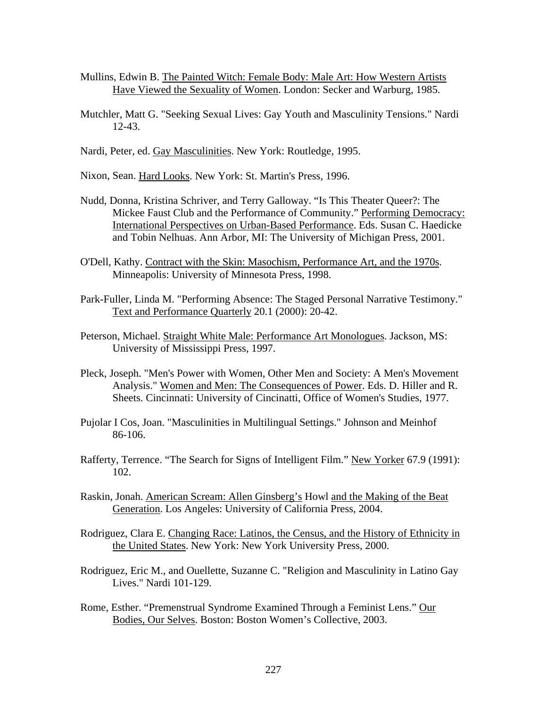- Mullins, Edwin B. The Painted Witch: Female Body: Male Art: How Western Artists Have Viewed the Sexuality of Women. London: Secker and Warburg, 1985.
- Mutchler, Matt G. "Seeking Sexual Lives: Gay Youth and Masculinity Tensions." Nardi 12-43.
- Nardi, Peter, ed. Gay Masculinities. New York: Routledge, 1995.
- Nixon, Sean. Hard Looks. New York: St. Martin's Press, 1996.
- Nudd, Donna, Kristina Schriver, and Terry Galloway. "Is This Theater Queer?: The Mickee Faust Club and the Performance of Community." Performing Democracy: International Perspectives on Urban-Based Performance. Eds. Susan C. Haedicke and Tobin Nelhuas. Ann Arbor, MI: The University of Michigan Press, 2001.
- O'Dell, Kathy. Contract with the Skin: Masochism, Performance Art, and the 1970s. Minneapolis: University of Minnesota Press, 1998.
- Park-Fuller, Linda M. "Performing Absence: The Staged Personal Narrative Testimony." Text and Performance Quarterly 20.1 (2000): 20-42.
- Peterson, Michael. Straight White Male: Performance Art Monologues. Jackson, MS: University of Mississippi Press, 1997.
- Pleck, Joseph. "Men's Power with Women, Other Men and Society: A Men's Movement Analysis." Women and Men: The Consequences of Power. Eds. D. Hiller and R. Sheets. Cincinnati: University of Cincinatti, Office of Women's Studies, 1977.
- Pujolar I Cos, Joan. "Masculinities in Multilingual Settings." Johnson and Meinhof 86-106.
- Rafferty, Terrence. "The Search for Signs of Intelligent Film." New Yorker 67.9 (1991): 102.
- Raskin, Jonah. American Scream: Allen Ginsberg's Howl and the Making of the Beat Generation. Los Angeles: University of California Press, 2004.
- Rodriguez, Clara E. Changing Race: Latinos, the Census, and the History of Ethnicity in the United States. New York: New York University Press, 2000.
- Rodriguez, Eric M., and Ouellette, Suzanne C. "Religion and Masculinity in Latino Gay Lives." Nardi 101-129.
- Rome, Esther. "Premenstrual Syndrome Examined Through a Feminist Lens." Our Bodies, Our Selves. Boston: Boston Women's Collective, 2003.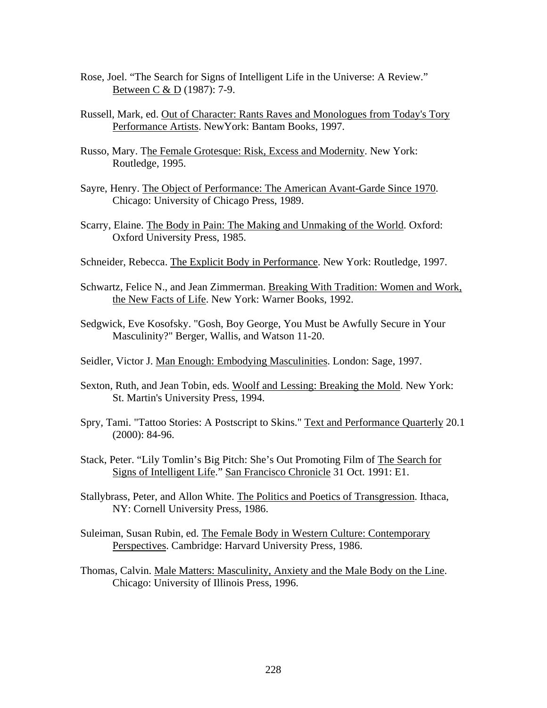- Rose, Joel. "The Search for Signs of Intelligent Life in the Universe: A Review." Between C & D (1987): 7-9.
- Russell, Mark, ed. Out of Character: Rants Raves and Monologues from Today's Tory Performance Artists. NewYork: Bantam Books, 1997.
- Russo, Mary. The Female Grotesque: Risk, Excess and Modernity. New York: Routledge, 1995.
- Sayre, Henry. The Object of Performance: The American Avant-Garde Since 1970. Chicago: University of Chicago Press, 1989.
- Scarry, Elaine. The Body in Pain: The Making and Unmaking of the World. Oxford: Oxford University Press, 1985.
- Schneider, Rebecca. The Explicit Body in Performance. New York: Routledge, 1997.
- Schwartz, Felice N., and Jean Zimmerman. Breaking With Tradition: Women and Work, the New Facts of Life. New York: Warner Books, 1992.
- Sedgwick, Eve Kosofsky. "Gosh, Boy George, You Must be Awfully Secure in Your Masculinity?" Berger, Wallis, and Watson 11-20.
- Seidler, Victor J. Man Enough: Embodying Masculinities. London: Sage, 1997.
- Sexton, Ruth, and Jean Tobin, eds. Woolf and Lessing: Breaking the Mold. New York: St. Martin's University Press, 1994.
- Spry, Tami. "Tattoo Stories: A Postscript to Skins." Text and Performance Quarterly 20.1 (2000): 84-96.
- Stack, Peter. "Lily Tomlin's Big Pitch: She's Out Promoting Film of The Search for Signs of Intelligent Life." San Francisco Chronicle 31 Oct. 1991: E1.
- Stallybrass, Peter, and Allon White. The Politics and Poetics of Transgression. Ithaca, NY: Cornell University Press, 1986.
- Suleiman, Susan Rubin, ed. The Female Body in Western Culture: Contemporary Perspectives. Cambridge: Harvard University Press, 1986.
- Thomas, Calvin. Male Matters: Masculinity, Anxiety and the Male Body on the Line. Chicago: University of Illinois Press, 1996.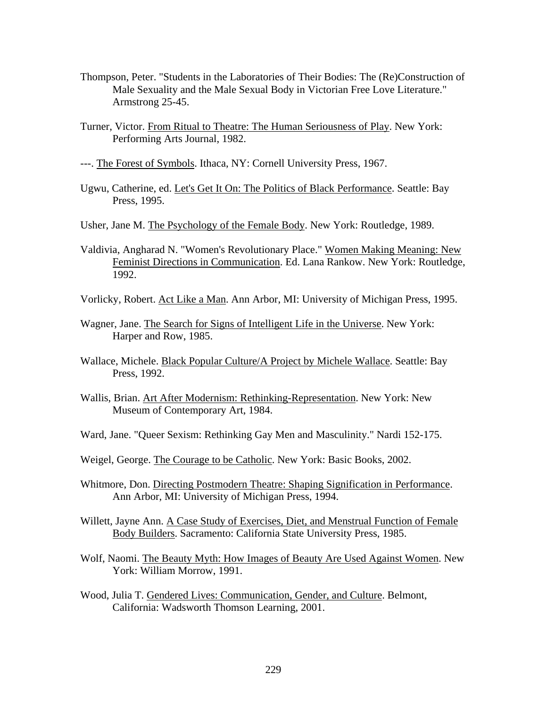- Thompson, Peter. "Students in the Laboratories of Their Bodies: The (Re)Construction of Male Sexuality and the Male Sexual Body in Victorian Free Love Literature." Armstrong 25-45.
- Turner, Victor. From Ritual to Theatre: The Human Seriousness of Play. New York: Performing Arts Journal, 1982.
- ---. The Forest of Symbols. Ithaca, NY: Cornell University Press, 1967.
- Ugwu, Catherine, ed. Let's Get It On: The Politics of Black Performance. Seattle: Bay Press, 1995.
- Usher, Jane M. The Psychology of the Female Body. New York: Routledge, 1989.
- Valdivia, Angharad N. "Women's Revolutionary Place." Women Making Meaning: New Feminist Directions in Communication. Ed. Lana Rankow. New York: Routledge, 1992.
- Vorlicky, Robert. Act Like a Man. Ann Arbor, MI: University of Michigan Press, 1995.
- Wagner, Jane. The Search for Signs of Intelligent Life in the Universe. New York: Harper and Row, 1985.
- Wallace, Michele. Black Popular Culture/A Project by Michele Wallace. Seattle: Bay Press, 1992.
- Wallis, Brian. Art After Modernism: Rethinking-Representation. New York: New Museum of Contemporary Art, 1984.
- Ward, Jane. "Queer Sexism: Rethinking Gay Men and Masculinity." Nardi 152-175.
- Weigel, George. The Courage to be Catholic. New York: Basic Books, 2002.
- Whitmore, Don. Directing Postmodern Theatre: Shaping Signification in Performance. Ann Arbor, MI: University of Michigan Press, 1994.
- Willett, Jayne Ann. A Case Study of Exercises, Diet, and Menstrual Function of Female Body Builders. Sacramento: California State University Press, 1985.
- Wolf, Naomi. The Beauty Myth: How Images of Beauty Are Used Against Women. New York: William Morrow, 1991.
- Wood, Julia T. Gendered Lives: Communication, Gender, and Culture. Belmont, California: Wadsworth Thomson Learning, 2001.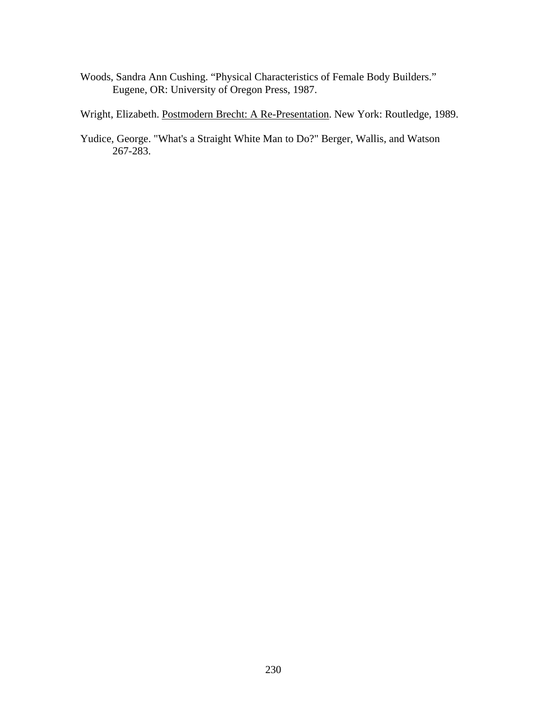Woods, Sandra Ann Cushing. "Physical Characteristics of Female Body Builders." Eugene, OR: University of Oregon Press, 1987.

Wright, Elizabeth. Postmodern Brecht: A Re-Presentation. New York: Routledge, 1989.

Yudice, George. "What's a Straight White Man to Do?" Berger, Wallis, and Watson 267-283.